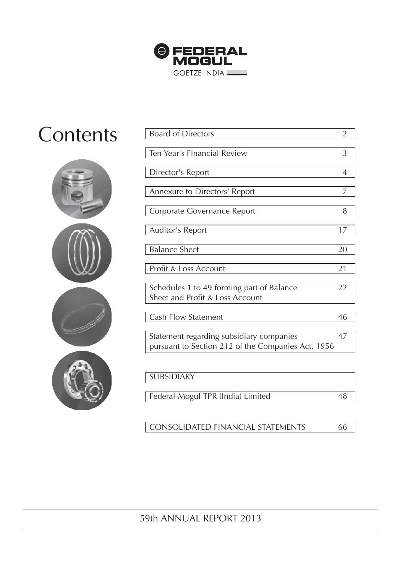

# Contents





| <b>Board of Directors</b>                          | $\overline{2}$ |
|----------------------------------------------------|----------------|
|                                                    |                |
| Ten Year's Financial Review                        | 3              |
|                                                    |                |
| Director's Report                                  | 4              |
|                                                    |                |
| Annexure to Directors' Report                      | 7              |
|                                                    |                |
| Corporate Governance Report                        | 8              |
|                                                    |                |
| Auditor's Report                                   | 17             |
|                                                    |                |
| <b>Balance Sheet</b>                               | 20             |
|                                                    |                |
| Profit & Loss Account                              | 21             |
|                                                    |                |
| Schedules 1 to 49 forming part of Balance          | 22             |
| Sheet and Profit & Loss Account                    |                |
|                                                    |                |
| <b>Cash Flow Statement</b>                         | 46             |
|                                                    |                |
| Statement regarding subsidiary companies           | 47             |
| pursuant to Section 212 of the Companies Act, 1956 |                |
|                                                    |                |
|                                                    |                |
| <b>SUBSIDIARY</b>                                  |                |
|                                                    |                |

| Federal-Mogul TPR (India) Limited |  |
|-----------------------------------|--|
|                                   |  |

CONSOLIDATED FINANCIAL STATEMENTS 66

# 59th ANNUAL REPORT 2013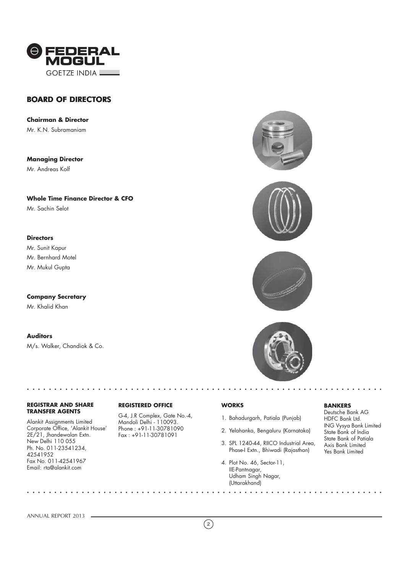

### BOARD OF DIRECTORS

**Chairman & Director**

Mr. K.N. Subramaniam

**Managing Director** Mr. Andreas Kolf

**Whole Time Finance Director & CFO**

Mr. Sachin Selot

### **Directors**

Mr. Sunit Kapur Mr. Bernhard Motel Mr. Mukul Gupta

**Company Secretary** Mr. Khalid Khan

### **Auditors**

M/s. Walker, Chandiok & Co.

#### **REGISTRAR AND SHARE TRANSFER AGENTS**

Alankit Assignments Limited Corporate Office, 'Alankit House' 2E/21, Jhandewalan Extn. New Delhi 110 055 Ph. No. 011-23541234, 42541952 Fax No. 011-42541967 Email: rta@alankit.com

### **REGISTERED OFFICE**

○○○○○○○○○○○○○○○○○○○○○○○○○○○○○○○○○○ ○○○○○○○○○○○○○○○○○○○○○○○○○○○○○○○○

G-4, J.R Complex, Gate No.-4, Mandoli Delhi - 110093. Phone : +91-11-30781090 Fax : +91-11-30781091







### **WORKS**

- 1. Bahadurgarh, Patiala (Punjab)
- 2. Yelahanka, Bengaluru (Karnataka)
- 3. SPL 1240-44, RIICO Industrial Area, Phase-I Extn., Bhiwadi (Rajasthan)
- 4. Plot No. 46, Sector-11, IIE-Pantnagar, Udham Singh Nagar, (Uttarakhand)

### **BANKERS**

Deutsche Bank AG HDFC Bank Ltd. ING Vysya Bank Limited State Bank of India State Bank of Patiala Axis Bank Limited Yes Bank Limited

ANNUAL REPORT 2013

 $\left( 2\right)$ 

○○○○○○○○○○○○○○○○○○○○○○○○○○○○○○○○○○ ○○○○○○○○○○○○○○○○○○○○○○○○○○○○○○○○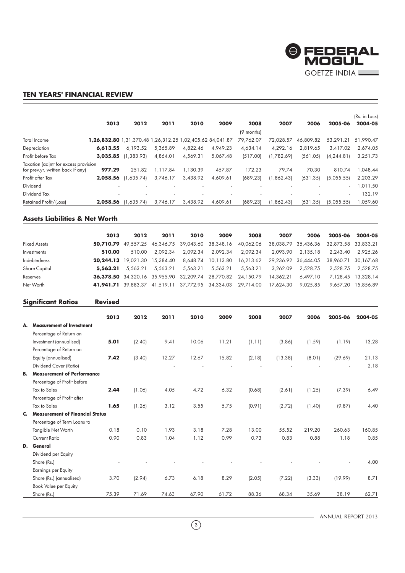

### **TEN YEARS' FINANCIAL REVIEW**

|                                                                           |                                                           |             |          |          |          |            |            |           |                          | (Rs. in Lacs) |
|---------------------------------------------------------------------------|-----------------------------------------------------------|-------------|----------|----------|----------|------------|------------|-----------|--------------------------|---------------|
|                                                                           | 2013                                                      | 2012        | 2011     | 2010     | 2009     | 2008       | 2007       | 2006      | 2005-06                  | 2004-05       |
|                                                                           |                                                           |             |          |          |          | (9 months) |            |           |                          |               |
| Total Income                                                              | 1,26,832.80 1,31,370.48 1,26,312.25 1,02,405.62 84,041.87 |             |          |          |          | 79,762.07  | 72.028.57  | 46,809.82 | 53,291.21                | 51.990.47     |
| Depreciation                                                              | 6,613.55                                                  | 6,193.52    | 5,365.89 | 4,822.46 | 4,949.23 | 4,634.14   | 4,292.16   | 2,819.65  | 3.417.02                 | 2,674.05      |
| Profit before Tax                                                         | 3,035.85                                                  | (1, 383.93) | 4,864.01 | 4,569.31 | 5,067.48 | (517.00)   | (1,782.69) | (561.05)  | (4, 244.81)              | 3.251.73      |
| Taxation (adjmt for excess provision<br>for prev.yr. written back if any) | 977.29                                                    | 251.82      | 1.117.84 | 1.130.39 | 457.87   | 172.23     | 79.74      | 70.30     | 810.74                   | 048.44        |
| Profit after Tax                                                          | 2,058.56                                                  | (1,635.74)  | 3,746.17 | 3,438.92 | 4.609.61 | (689.23)   | (1,862.43) | (631.35)  | (5,055.55)               | 2.203.29      |
| Dividend                                                                  |                                                           |             |          |          |          |            |            |           | $\sim$                   | 1,011.50      |
| Dividend Tax                                                              |                                                           |             |          |          |          |            |            |           | $\overline{\phantom{a}}$ | 132.19        |
| Retained Profit/(Loss)                                                    | 2,058.56                                                  | (1.635.74)  | 3,746.17 | 3,438.92 | 4,609.61 | (689.23)   | (1.862.43) | (631.35)  | (5.055.55)               | 059.60        |

### **Assets Liabilities & Net Worth**

|    |                                        | 2013                | 2012     | 2011      | 2010      | 2009      | 2008      | 2007      | 2006      | 2005-06   | 2004-05   |
|----|----------------------------------------|---------------------|----------|-----------|-----------|-----------|-----------|-----------|-----------|-----------|-----------|
|    | <b>Fixed Assets</b>                    | 50,710.79 49,557.25 |          | 46,346.75 | 39,043.60 | 38,348.16 | 40,062.06 | 38,038.79 | 35,436.36 | 32,873.58 | 33,833.21 |
|    | Investments                            | 510.00              | 510.00   | 2,092.34  | 2,092.34  | 2,092.34  | 2,092.34  | 2,093.90  | 2,135.18  | 2,243.40  | 2,925.26  |
|    | Indebtedness                           | 20,244.13 19,021.30 |          | 15,384.40 | 8,648.74  | 10,113.80 | 16,213.62 | 29,236.92 | 36,444.05 | 38,960.71 | 30,167.68 |
|    | <b>Share Capital</b>                   | 5,563.21            | 5,563.21 | 5,563.21  | 5,563.21  | 5,563.21  | 5,563.21  | 3,262.09  | 2,528.75  | 2,528.75  | 2,528.75  |
|    | Reserves                               | 36,378.50 34,320.16 |          | 35,955.90 | 32,209.74 | 28,770.82 | 24,150.79 | 14,362.21 | 6,497.10  | 7,128.45  | 13,328.14 |
|    | Net Worth                              | 41,941.71 39,883.37 |          | 41,519.11 | 37,772.95 | 34,334.03 | 29,714.00 | 17,624.30 | 9,025.85  | 9,657.20  | 15,856.89 |
|    | <b>Significant Ratios</b>              | <b>Revised</b>      |          |           |           |           |           |           |           |           |           |
|    |                                        | 2013                | 2012     | 2011      | 2010      | 2009      | 2008      | 2007      | 2006      | 2005-06   | 2004-05   |
| А. | <b>Measurement of Investment</b>       |                     |          |           |           |           |           |           |           |           |           |
|    | Percentage of Return on                |                     |          |           |           |           |           |           |           |           |           |
|    | Investment (annualised)                | 5.01                | (2.40)   | 9.41      | 10.06     | 11.21     | (1.11)    | (3.86)    | (1.59)    | (1.19)    | 13.28     |
|    | Percentage of Return on                |                     |          |           |           |           |           |           |           |           |           |
|    | Equity (annualised)                    | 7.42                | (3.40)   | 12.27     | 12.67     | 15.82     | (2.18)    | (13.38)   | (8.01)    | (29.69)   | 21.13     |
|    | Dividend Cover (Ratio)                 |                     |          |           |           |           |           |           |           |           | 2.18      |
| в. | <b>Measurement of Performance</b>      |                     |          |           |           |           |           |           |           |           |           |
|    | Percentage of Profit before            |                     |          |           |           |           |           |           |           |           |           |
|    | <b>Tax to Sales</b>                    | 2.44                | (1.06)   | 4.05      | 4.72      | 6.32      | (0.68)    | (2.61)    | (1.25)    | (7.39)    | 6.49      |
|    | Percentage of Profit after             |                     |          |           |           |           |           |           |           |           |           |
|    | <b>Tax to Sales</b>                    | 1.65                | (1.26)   | 3.12      | 3.55      | 5.75      | (0.91)    | (2.72)    | (1.40)    | (9.87)    | 4.40      |
| c. | <b>Measurement of Financial Status</b> |                     |          |           |           |           |           |           |           |           |           |
|    | Percentage of Term Loans to            |                     |          |           |           |           |           |           |           |           |           |
|    | Tangible Net Worth                     | 0.18                | 0.10     | 1.93      | 3.18      | 7.28      | 13.00     | 55.52     | 219.20    | 260.63    | 160.85    |
|    | Current Ratio                          | 0.90                | 0.83     | 1.04      | 1.12      | 0.99      | 0.73      | 0.83      | 0.88      | 1.18      | 0.85      |
|    | D. General                             |                     |          |           |           |           |           |           |           |           |           |
|    | Dividend per Equity                    |                     |          |           |           |           |           |           |           |           |           |
|    | Share (Rs.)                            |                     |          |           |           |           |           |           |           |           | 4.00      |
|    | <b>Earnings per Equity</b>             |                     |          |           |           |           |           |           |           |           |           |
|    | Share (Rs.) (annualised)               | 3.70                | (2.94)   | 6.73      | 6.18      | 8.29      | (2.05)    | (7.22)    | (3.33)    | (19.99)   | 8.71      |
|    | Book Value per Equity                  |                     |          |           |           |           |           |           |           |           |           |
|    | Share (Rs.)                            | 75.39               | 71.69    | 74.63     | 67.90     | 61.72     | 88.36     | 68.34     | 35.69     | 38.19     | 62.71     |

 $\circled{3}$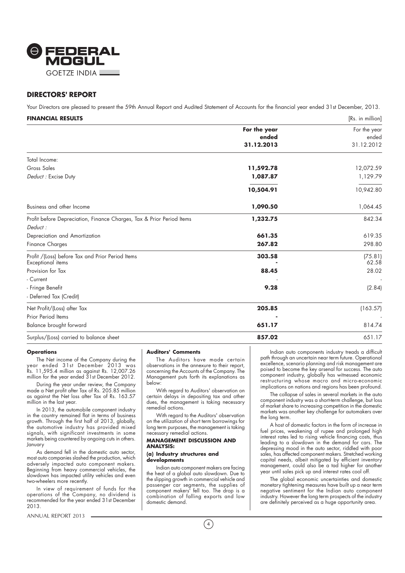

### **DIRECTORS' REPORT**

Your Directors are pleased to present the 59th Annual Report and Audited Statement of Accounts for the financial year ended 31st December, 2013.

| <b>FINANCIAL RESULTS</b>                                               |                     | [Rs. in million]    |
|------------------------------------------------------------------------|---------------------|---------------------|
|                                                                        | For the year        | For the year        |
|                                                                        | ended<br>31.12.2013 | ended<br>31.12.2012 |
| Total Income:                                                          |                     |                     |
| <b>Gross Sales</b>                                                     | 11,592.78           | 12,072.59           |
| Deduct: Excise Duty                                                    | 1,087.87            | 1,129.79            |
|                                                                        | 10,504.91           | 10,942.80           |
| Business and other Income                                              | 1,090.50            | 1,064.45            |
| Profit before Depreciation, Finance Charges, Tax & Prior Period Items  | 1,232.75            | 842.34              |
| Deduct:                                                                |                     |                     |
| Depreciation and Amortization                                          | 661.35              | 619.35              |
| Finance Charges                                                        | 267.82              | 298.80              |
| Profit / (Loss) before Tax and Prior Period Items<br>Exceptional items | 303.58              | (75.81)<br>62.58    |
| Provision for Tax                                                      | 88.45               | 28.02               |
| - Current                                                              |                     |                     |
| - Fringe Benefit                                                       | 9.28                | (2.84)              |
| - Deferred Tax (Credit)                                                |                     |                     |
| Net Profit/(Loss) after Tax                                            | 205.85              | (163.57)            |
| Prior Period Items                                                     |                     |                     |
| Balance brought forward                                                | 651.17              | 814.74              |
| Surplus/(Loss) carried to balance sheet                                | 857.02              | 651.17              |

#### **Operations**

The Net income of the Company during the year ended 31st December 2013 was Rs. 11,595.4 million as against Rs. 12,007.26 million for the year ended 31st December 2012.

During the year under review, the Company made a Net profit after Tax of Rs. 205.85 million as against the Net loss after Tax of Rs. 163.57 million in the last year.

In 2013, the automobile component industry in the country remained flat in terms of business growth. Through the first half of 2013, globally, the automotive industry has provided mixed signals, with significant investments in some markets being countered by ongoing cuts in others. January

As demand fell in the domestic auto sector, most auto companies slashed the production, which adversely impacted auto component makers. Beginning from heavy commercial vehicles, the slowdown has impacted utility vehicles and even two-wheelers more recently.

In view of requirement of funds for the operations of the Company, no dividend is recommended for the year ended 31st December 2013.

ANNUAL REPORT 2013

### **Auditors' Comments**

The Auditors have made certain observations in the annexure to their report, concerning the Accounts of the Company. The Management puts forth its explanations as below:

With regard to Auditors' observation on certain delays in depositing tax and other dues, the management is taking necessary remedial actions.

With regard to the Auditors' observation on the utilization of short term borrowings for long term purposes, the management is taking necessary remedial actions.

### **MANAGEMENT DISCUSSION AND ANALYSIS:**

#### **(a) Industry structures and developments**

Indian auto component makers are facing the heat of a global auto slowdown. Due to the slipping growth in commercial vehicle and passenger car segments, the supplies of component makers' fell too. The drop is a combination of falling exports and low domestic demand.

Indian auto components industry treads a difficult path through an uncertain near term future. Operational excellence, scenario planning and risk management are poised to become the key arsenal for success. The auto component industry, globally has witnessed economic restructuring whose macro and micro-economic implications on nations and regions has been profound.

The collapse of sales in several markets in the auto component industry was a short-term challenge, but loss of market share to increasing competition in the domestic markets was another key challenge for automakers over the long term.

A host of domestic factors in the form of increase in fuel prices, weakening of rupee and prolonged high interest rates led to rising vehicle financing costs, thus leading to a slowdown in the demand for cars. The depressing mood in the auto sector, riddled with poor sales, has affected component makers. Stretched working capital needs, albeit mitigated by efficient inventory management, could also be a tad higher for another year until sales pick up and interest rates cool off.

The global economic uncertainties and domestic monetary tightening measures have built up a near term negative sentiment for the Indian auto component industry. However the long term prospects of the industry are definitely perceived as a huge opportunity area.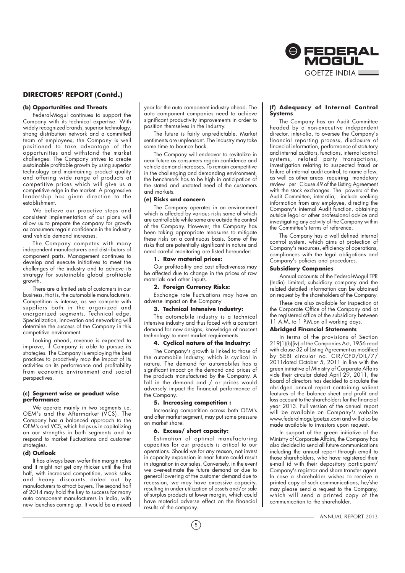

### **DIRECTORS' REPORT (Contd.)**

### **(b) Opportunities and Threats**

Federal-Mogul continues to support the Company with its technical expertise. With widely recognized brands, superior technology, strong distribution network and a committed team of employees, the Company is well positioned to take advantage of the opportunities and withstand the market challenges. The Company strives to create sustainable profitable growth by using superior technology and maintaining product quality and offering wide range of products at competitive prices which will give us a competitive edge in the market. A progressive leadership has given direction to the establishment.

We believe our proactive steps and consistent implementation of our plans will allow us to prepare the company for growth as consumers regain confidence in the industry and vehicle demand increases.

The Company competes with many independent manufacturers and distributors of component parts. Management continues to develop and execute initiatives to meet the challenges of the industry and to achieve its strategy for sustainable global profitable growth.

There are a limited sets of customers in our business, that is, the automobile manufacturers. Competition is intense, as we compete with suppliers both in the organized and unorganized segments. Technical edge, Specialization, innovation and networking will determine the success of the Company in this competitive environment.

Looking ahead, revenue is expected to improve, if Company is able to pursue its strategies. The Company is employing the best practices to proactively map the impact of its activities on its performance and profitability from economic environment and social perspectives.

### **(c) Segment wise or product wise performance**

We operate mainly in two segments i.e. OEM's and the Aftermarket (VCS). The Company has a balanced approach to the OEM's and VCS, which helps us in capitalizing on our strengths in both segments and to respond to market fluctuations and customer strategies.

### **(d) Outlook**

It has always been wafer thin margin rates and it might not get any thicker until the first half, with increased competition, weak sales and heavy discounts doled out by manufacturers to attract buyers. The second half of 2014 may hold the key to success for many auto component manufacturers in India, with new launches coming up. It would be a mixed

year for the auto component industry ahead. The auto component companies need to achieve significant productivity improvements in order to position themselves in the industry.

The future is fairly unpredictable. Market sentiments are unpleasant. The industry may take some time to bounce back.

The Company will endeavor to revitalize in near future as consumers regain confidence and vehicle demand increases. To remain competitive in the challenging and demanding environment, the benchmark has to be high in anticipation of the stated and unstated need of the customers and markets.

### **(e) Risks and concern**

The Company operates in an environment which is affected by various risks some of which are controllable while some are outside the control of the Company. However, the Company has been taking appropriate measures to mitigate these risks on a continuous basis. Some of the risks that are potentially significant in nature and need careful monitoring are listed hereunder:

#### **1. Raw material prices:**

Our profitability and cost effectiveness may be affected due to change in the prices of raw materials and other inputs.

#### **2. Foreign Currency Risks:**

Exchange rate fluctuations may have an adverse impact on the Company

#### **3. Technical Intensive Industry:**

The automobile industry is a technical intensive industry and thus faced with a constant demand for new designs, knowledge of nascent technology to meet market requirements.

### **4. Cyclical nature of the Industry:**

The Company's growth is linked to those of the automobile Industry, which is cyclical in nature. The demand for automobiles has a significant impact on the demand and prices of the products manufactured by the Company. A fall in the demand and / or prices would adversely impact the financial performance of the Company.

#### **5. Increasing competition :**

Increasing competition across both OEM's and after market segment, may put some pressure on market share.

#### **6. Excess/ short capacity:**

Estimation of optimal manufacturing capacities for our products is critical to our operations. Should we for any reason, not invest in capacity expansion in near future could result in stagnation in our sales. Conversely, in the event we over-estimate the future demand or due to general lowering of the customer demand due to recession, we may have excessive capacity, resulting in under utilization of assets and/or sale of surplus products at lower margin, which could have material adverse effect on the financial results of the company.

 $(5)$ 

### **(f) Adequacy of Internal Control Systems**

The Company has an Audit Committee headed by a non-executive independent director, inter-alia, to oversee the Company's financial reporting process, disclosure of financial information, performance of statutory and internal auditors, functions, internal control systems, related party transactions, investigation relating to suspected fraud or failure of internal audit control, to name a few, as well as other areas requiring mandatory review per Clause 49 of the Listing Agreement with the stock exchanges. The powers of the Audit Committee, inter-alia, include seeking information from any employee, directing the Company's internal Audit function, obtaining outside legal or other professional advice and investigating any activity of the Company within the Committee's terms of reference.

The Company has a well defined internal control system, which aims at protection of Company's resources, efficiency of operations, compliances with the legal obligations and Company's policies and procedures.

### **Subsidiary Companies**

Annual accounts of the Federal-Mogul TPR (India) Limited, subsidiary company and the related detailed information can be obtained on request by the shareholders of the Company.

These are also available for inspection at the Corporate Office of the Company and at the registered office of the subsidiary between 11 A.M. to 1 P.M.on all working days.

### **Abridged Financial Statements**

In terms of the provisions of Section 219(1)(b)(iv) of the Companies Act, 1956 read with clause 32 of Listing Agreement as modified by SEBI circular no. CIR/CFD/DIL/7/ 2011dated October 5, 2011 in line with the green initiative of Ministry of Corporate Affairs vide their circular dated April 29, 2011, the Board of directors has decided to circulate the abridged annual report containing salient features of the balance sheet and profit and loss account to the shareholders for the financial year 2013. Full version of the annual report will be available on Company's website www.federalmogulgoetze.com and will also be made available to investors upon request.

In support of the green initiative of the Ministry of Corporate Affairs, the Company has also decided to send all future communications including the annual report through email to those shareholders, who have registered their e-mail id with their depository participant/ Company's registrar and share transfer agent. In case a shareholder wishes to receive a printed copy of such communications, he/she may please send a request to the Company, which will send a printed copy of the communication to the shareholder.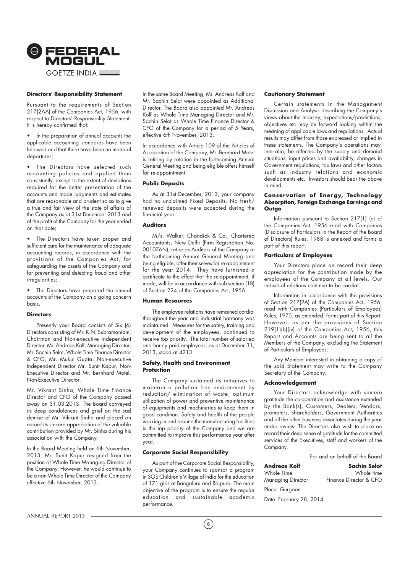

### **Directors' Responsibility Statement**

Pursuant to the requirements of Section 217(2AA) of the Companies Act, 1956, with respect to Directors' Responsibility Statement, it is hereby confirmed that:

• In the preparation of annual accounts the applicable accounting standards have been followed and that there have been no material departures;

• The Directors have selected such accounting policies and applied them consistently, except to the extent of deviations required for the better presentation of the accounts and made judgments and estimates that are reasonable and prudent so as to give a true and fair view of the state of affairs of the Company as at 31st December 2013 and of the profit of the Company for the year ended on that date;

The Directors have taken proper and sufficient care for the maintenance of adequate accounting records, in accordance with the provisions of the Companies Act, for safeguarding the assets of the Company and for preventing and detecting fraud and other irregularities;

The Directors have prepared the annual accounts of the Company on a going concern basis.

#### **Directors**

Presently your Board consists of Six (6) Directors consisting of Mr. K.N. Subramaniam, Chairman and Non-executive Independent Director, Mr. Andreas Kolf, Managing Director, Mr. Sachin Selot, Whole Time Finance Director & CFO, Mr. Mukul Gupta, Non-executive Independent Director Mr. Sunit Kapur, Non-Executive Director and Mr. Bernhard Motel, Non-Executive Director.

Mr. Vikrant Sinha, Whole Time Finance Director and CFO of the Company passed away on 31.03.2013. The Board conveyed its deep condolences and grief on the sad demise of Mr. Vikrant Sinha and placed on record its sincere appreciation of the valuable contribution provided by Mr. Sinha during his association with the Company.

In the Board Meeting held on 6th November, 2013, Mr. Sunit Kapur resigned from the position of Whole Time Managing Director of the Company. However, he would continue to be a non Whole Time Director of the Company effective 6th November, 2013.

In the same Board Meeting, Mr. Andreas Kolf and Mr. Sachin Selot were appointed as Additional Director. The Board also appointed Mr. Andreas Kolf as Whole Time Managing Director and Mr. Sachin Selot as Whole Time Finance Director & CFO of the Company for a period of 5 Years, effective 6th November, 2013.

In accordance with Article 109 of the Articles of Association of the Company, Mr. Bernhard Motel is retiring by rotation in the forthcoming Annual General Meeting and being eligible offers himself for re-appointment.

### **Public Deposits**

As at 31st December, 2013, your company had no unclaimed Fixed Deposits. No fresh/ renewed deposits were accepted during the financial year.

#### **Auditors**

M/s. Walker, Chandiok & Co., Chartered Accountants, New Delhi (Firm Registration No. 001076N), retire as Auditors of the Company at the forthcoming Annual General Meeting and being eligible, offer themselves for re-appointment for the year 2014. They have furnished a certificate to the effect that the re-appointment, if made, will be in accordance with sub-section (1B) of Section 224 of the Companies Act, 1956.

#### **Human Resources**

The employee relations have remained cordial throughout the year and industrial harmony was maintained. Measures for the safety, training and development of the employees, continued to receive top priority. The total number of salaried and hourly paid employees, as at December 31, 2013, stood at 4213.

### **Safety, Health and Environment Protection**

The Company sustained its initiatives to maintain a pollution free environment by reduction/ elimination of waste, optimum utilization of power and preventive maintenance of equipments and machineries to keep them in good condition. Safety and health of the people working in and around the manufacturing facilities is the top priority of the Company and we are committed to improve this performance year after year.

### **Corporate Social Responsibility**

As part of the Corporate Social Responsibility, your Company continues to sponsor a program in SOS Children's Village of India for the education of 171 girls at Bangaluru and Rajpura. The main objective of the program is to ensure the regular education and sustainable academic performance.

### **Cautionary Statement**

Certain statements in the Management Discussion and Analysis describing the Company's views about the Industry, expectations/predictions, objectives etc may be forward looking within the meaning of applicable laws and regulations. Actual results may differ from those expressed or implied in these statements. The Company's operations may, inter-alia, be affected by the supply and demand situations, input prices and availability, changes in Government regulations, tax laws and other factors such as industry relations and economic developments etc. Investors should bear the above in mind.

### **Conservation of Energy, Technology Absorption, Foreign Exchange Earnings and Outgo**

Information pursuant to Section 217(1) (e) of the Companies Act, 1956 read with Companies (Disclosure of Particulars in the Report of the Board of Directors) Rules, 1988 is annexed and forms a part of this report.

### **Particulars of Employees**

Your Directors place on record their deep appreciation for the contribution made by the employees of the Company at all levels. Our industrial relations continue to be cordial.

Information in accordance with the provisions of Section 217(2A) of the Companies Act, 1956, read with Companies (Particulars of Employees) Rules, 1975, as amended, forms part of this Report. However, as per the provisions of Section 219(1)(b)(iv) of the Companies Act, 1956, this Report and Accounts are being sent to all the Members of the Company, excluding the Statement of Particulars of Employees.

Any Member interested in obtaining a copy of the said Statement may write to the Company Secretary of the Company.

### **Acknowledgement**

Your Directors acknowledge with sincere gratitude the co-operation and assistance extended by the Bank(s), Customers, Dealers, Vendors, promoters, shareholders, Government Authorities and all the other business associates during the year under review. The Directors also wish to place on record their deep sense of gratitude for the committed services of the Executives, staff and workers of the Company.

For and on behalf of the Board

| <b>Andreas Kolf</b>      | <b>Sachin Selot</b>    |
|--------------------------|------------------------|
| Whole Time               | Whole time             |
| <b>Managing Director</b> | Finance Director & CFO |
| Place: Gurgaon           |                        |
| Date: February 28, 2014  |                        |

 $(6)$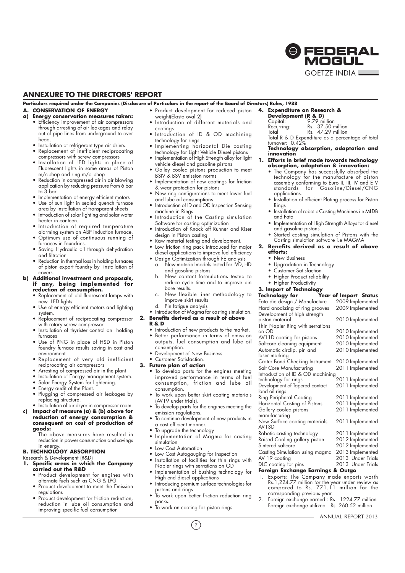

### **ANNEXURE TO THE DIRECTORS' REPORT**

**Particulars required under the Companies (Disclosure of Particulars in the report of the Board of Directors) Rules, 1988**

#### **A. CONSERVATION OF ENERGY**

- **a) Energy conservation measures taken:**
	- Efficiency improvement of air compressors through arresting of air leakages and relay out of pipe lines from underground to over head.
		- Installation of refrigerant type air driers.
		- Replacement of inefficient reciprocating compressors with screw compressors
		- Installation of LED lights in place of Fluorescent lights in some areas of Piston m/c shop and ring m/c shop
		- Reduction in compressed air in air blowing application by reducing pressure from 6 bar to 3 bar
		- Implementation of energy efficient motors
		- Use of sun light in sealed quench furnace area by installation of transparent sheets
		- Introduction of solar lighting and solar water heater in canteen.
		- Introduction of required temperature alarming system on ABP induction furnace.
	- Optimum use of continuous running of furnaces in foundries.
	- Saving Hydraulic oil through dehydration and filtration
	- Reduction in thermal loss in holding furnaces of piston export foundry by installation of covers.

#### **b) Additional investment and proposals,** if any, being implemented for **reduction of consumption.**

- Replacement of old fluorescent lamps with new LED lights
- Use of energy efficient motors and lighting system.
- Replacement of reciprocating compressor with rotary screw compressor
- Installation of thyrister control on holding furnaces
- Use of PNG in place of HSD in Piston foundry furnace results saving in cost and environment
- Replacement of very old inefficient reciprocating air compressors
- Arresting of compressed air in the plant
- Installation of Energy management system.
- Solar Energy System for lightening.
- Energy audit of the Plant.
- Plugging of compressed air leakages by replacing structure.
- Installation of air dryer in compressor room.
- **c) Impact of measure (a) & (b) above for reduction of energy consumption & consequent on cost of production of goods:**
	- The above measures have resulted in reduction in power consumption and savings in energy.

### **B. TECHNOLOGY ABSORPTION**

Research & Development (R&D)

#### **1. Specific areas in which the Company carried out the R&D**

- Product development for engines with alternate fuels such as CNG & LPG
- Product development to meet the Emission regulations
- Product development for friction reduction, reduction in lube oil consumption and improving specific fuel consumption
- Product development for reduced piston weight(Elasto oval 2) • Introduction of different materials and
- coatings
- Introduction of ID & OD machining technology for rings
- Implementing horizontal Die casting technology for Light Vehicle Diesel pistons
- Implementation of High Strength alloy for light vehicle diesel and gasoline pistons
- Galley cooled pistons production to meet BSIV & BSV emission norms
- Implementation of new coatings for friction & wear protection for pistons
- New ring configurations to meet lower fuel and lube oil consumptions
- Introduction of ID and OD Inspection Sensing machine in Rings
- Introduction of the Casting simulation Software for casting optimization
- Introduction of Knock off Runner and Riser design in Piston casting
- Raw material testing and development.
- Low friction ring pack introduced for major diesel applications to improve fuel efficiency
- Design Optimization through FE analysis a. New material models tested for LVD, HD and gasoline pistons
- b. New contact formulations tested to reduce cycle time and to improve pin bore results.
- c. New flexible liner methodology to improve skirt results
- d. Pin fatigue analysis

#### • Introduction of Magma for casting simulation. **2. Benefits derived as a result of above**

#### **R & D**

- Introduction of new products to the market. Better performance in terms of emission outputs, fuel consumption and lube oil consumption.
- **Development of New Business.**

### Customer Satisfaction.

- **3. Future plan of action** To develop parts for the engines meeting improved performance in terms of fuel consumption, friction and lube oil consumption.
	- To work upon better skirt coating materials (AV19 under trials).
	- To develop parts for the engines meeting the emission regulations.
	- To continue development of new products in a cost efficient manner.
	- To upgrade the technology
	- Implementation of Magma for casting simulation
	- Low Cost Automation
	- Low Cost Autogauging for Inspection<br>• Installation of facilities for thin ring
	- Installation of facilities for thin rings with Napier rings with serrations on OD
	- Implementation of bushing technology for High end diesel applications
		- Introducing premium surface technologies for pistons and rings
	- To work upon better friction reduction ring packs.
	- To work on coating for piston rings

| 4. | <b>Expenditure on Research &amp;</b><br>Development (R & D) |                                                  |
|----|-------------------------------------------------------------|--------------------------------------------------|
|    | Capital:                                                    | 9.79 million                                     |
|    | Recurring:                                                  | Rs. 37.50 million                                |
|    | Total                                                       | $Rs.$ 47.29 million                              |
|    |                                                             | Total R & D Expenditure as a percentage of total |
|    | turnover: $0.42%$                                           |                                                  |

#### **Technology absorption, adaptation and innovation**

- **1. Efforts in brief made towards technology absorption, adaptation & innovation:**
	- The Company has successfully absorbed the technology for the manufacture of piston assembly conforming to Euro II, III, IV and E V standards for Gasoline/Diesel/CNG applications.
	- Installation of efficient Plating process for Piston Rings
	- Installation of robotic Casting Machines i.e MLDB and Fata
	- Implementation of High Strength Alloys for diesel and gasoline pistons
	- Started casting simulation of Pistons with the Casting simulation software i.e MAGMA

#### **2. Benefits derived as a result of above efforts;**

- New Business
- Upgradation in Technology
- Customer Satisfaction
- Higher Product reliability
- Higher Productivity

### **3. Import of Technology**

| Technology for                            | <b>Year of Import Status</b>         |
|-------------------------------------------|--------------------------------------|
| Fata die design / Manufacture             | 2009 Implemented                     |
| Hard anodizing of ring grooves            | 2009 Implemented                     |
| Development of high strength              |                                      |
| piston material                           | 2010 Implemented                     |
| Thin Napier Ring with serrations          |                                      |
| on OD                                     | 2010 Implemented                     |
| AV11D coating for pistons                 | 2010 Implemented                     |
| Saltcore cleaning equipment               | 2010 Implemented                     |
| Automatic circlip, pin and                | 2010 Implemented                     |
| laser marking                             |                                      |
| Crater Bond Checking Instrument           | 2010 Implemented                     |
| Salt Core Manufacturing                   | 2011 Implemented                     |
| Introduction of ID & OD machining         |                                      |
| technology for rings                      | 2011 Implemented                     |
| Development of Tapered contact            | 2011 Implemented                     |
| land oil rings<br>Ring Peripheral Coating |                                      |
|                                           | 2011 Implemented                     |
| Horizontal Casting of Pistons             | 2011 Implemented<br>2011 Implemented |
| Gallery cooled pistons<br>manufacturing   |                                      |
| New Surface coating materials             | 2011 Implemented                     |
| <b>AV13D</b>                              |                                      |
| Robotic casting technology                | 2011 Implemented                     |
| Raised Cooling gallery piston             | 2012 Implemented                     |
| Sintered saltcore                         | 2012 Implemented                     |
| Casting Simulation using magma            | 2013 Implemented                     |
| AV 19 coating                             | 2013 Under Trials                    |
| DLC coating for pins                      | 2013 Under Trials                    |
| Earaign Evehange Earnings & Autra-        |                                      |

# **Foreign Exchange Earnings & Outgo**

- 1. Exports: The Company made exports worth Rs.1,224.77 million for the year under review as compared to Rs. 771.11 million for the corresponding previous year.
- 2. Foreign exchange earned : Rs 1224.77 million Foreign exchange utilized Rs. 260.52 million

ANNUAL REPORT 2013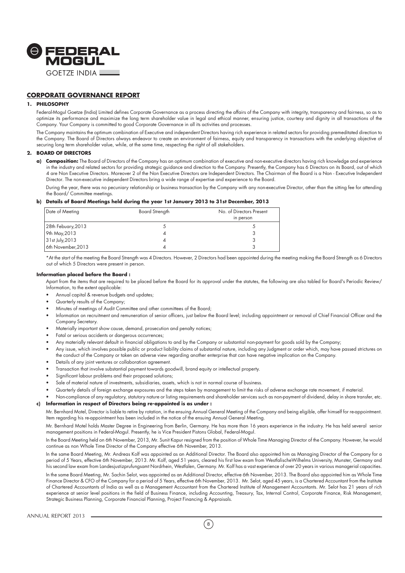

### **CORPORATE GOVERNANCE REPORT**

#### **1. PHILOSOPHY**

Federal-Mogul Goetze (India) Limited defines Corporate Governance as a process directing the affairs of the Company with integrity, transparency and fairness, so as to optimize its performance and maximize the long term shareholder value in legal and ethical manner, ensuring justice, courtesy and dignity in all transactions of the Company. Your Company is committed to good Corporate Governance in all its activities and processes.

The Company maintains the optimum combination of Executive and independent Directors having rich experience in related sectors for providing premeditated direction to the Company. The Board of Directors always endeavor to create an environment of fairness, equity and transparency in transactions with the underlying objective of securing long term shareholder value, while, at the same time, respecting the right of all stakeholders.

### **2. BOARD OF DIRECTORS**

**a) Composition:** The Board of Directors of the Company has an optimum combination of executive and non-executive directors having rich knowledge and experience in the industry and related sectors for providing strategic guidance and direction to the Company. Presently, the Company has 6 Directors on its Board, out of which 4 are Non Executive Directors. Moreover 2 of the Non Executive Directors are Independent Directors. The Chairman of the Board is a Non - Executive Independent Director. The non-executive independent Directors bring a wide range of expertise and experience to the Board.

During the year, there was no pecuniary relationship or business transaction by the Company with any non-executive Director, other than the sitting fee for attending the Board/ Committee meetings.

#### **b) Details of Board Meetings held during the year 1st January 2013 to 31st December, 2013**

| Date of Meeting    | <b>Board Strength</b> | No. of Directors Present<br>in person |
|--------------------|-----------------------|---------------------------------------|
| 28th Febuary, 2013 |                       |                                       |
| 9th May, 2013      |                       |                                       |
| $31st$ July, 2013  |                       |                                       |
| 6th November, 2013 |                       |                                       |

\*At the start of the meeting the Board Strength was 4 Directors. However, 2 Directors had been appointed during the meeting making the Board Strength as 6 Directors out of which 5 Directors were present in person.

#### **Information placed before the Board :**

Apart from the items that are required to be placed before the Board for its approval under the statutes, the following are also tabled for Board's Periodic Review/ Information, to the extent applicable:

- Annual capital & revenue budgets and updates;
- Quarterly results of the Company;
- Minutes of meetings of Audit Committee and other committees of the Board;
- Information on recruitment and remuneration of senior officers, just below the Board level; including appointment or removal of Chief Financial Officer and the Company Secretary.
- Materially important show cause, demand, prosecution and penalty notices;
- Fatal or serious accidents or dangerous occurrences;
- Any materially relevant default in financial obligations to and by the Company or substantial non-payment for goods sold by the Company;

Any issue, which involves possible public or product liability claims of substantial nature, including any Judgment or order which, may have passed strictures on the conduct of the Company or taken an adverse view regarding another enterprise that can have negative implication on the Company.

- Details of any joint ventures or collaboration agreement.
- Transaction that involve substantial payment towards goodwill, brand equity or intellectual property.
- Significant labour problems and their proposed solutions;
- Sale of material nature of investments, subsidiaries, assets, which is not in normal course of business.
- Quarterly details of foreign exchange exposures and the steps taken by management to limit the risks of adverse exchange rate movement, if material.
- Non-compliance of any regulatory, statutory nature or listing requirements and shareholder services such as non-payment of dividend, delay in share transfer, etc. **c) Information in respect of Directors being re-appointed is as under :**

Mr. Bernhard Motel, Director is liable to retire by rotation, in the ensuing Annual General Meeting of the Company and being eligible, offer himself for re-appointment. Item regarding his re-appointment has been included in the notice of the ensuing Annual General Meeting.

Mr. Bernhard Motel holds Master Degree in Engineering from Berlin, Germany. He has more than 16 years experience in the industry. He has held several senior management positions in Federal-Mogul. Presently, he is Vice President Pistons Global, Federal-Mogul.

In the Board Meeting held on 6th November, 2013, Mr. Sunit Kapur resigned from the position of Whole Time Managing Director of the Company. However, he would continue as non Whole Time Director of the Company effective 6th November, 2013.

In the same Board Meeting, Mr. Andreas Kolf was appointed as an Additional Director. The Board also appointed him as Managing Director of the Company for a period of 5 Years, effective 6th November, 2013. Mr. Kolf, aged 51 years, cleared his first law exam from WestfalischeWilhelms University, Munster, Germany and his second law exam from Landesjustizprufungsamt Nordrhein, Westfalen, Germany. Mr. Kolf has a vast experience of over 20 years in various managerial capacities.

In the same Board Meeting, Mr. Sachin Selot, was appointed as an Additional Director, effective 6th November, 2013. The Board also appointed him as Whole Time Finance Director & CFO of the Company for a period of 5 Years, effective 6th November, 2013. Mr. Selot, aged 45 years, is a Chartered Accountant from the Institute of Chartered Accountants of India as well as a Management Accountant from the Chartered Institute of Management Accountants. Mr. Selot has 21 years of rich experience at senior level positions in the field of Business Finance, including Accounting, Treasury, Tax, Internal Control, Corporate Finance, Risk Management, Strategic Business Planning, Corporate Financial Planning, Project Financing & Appraisals.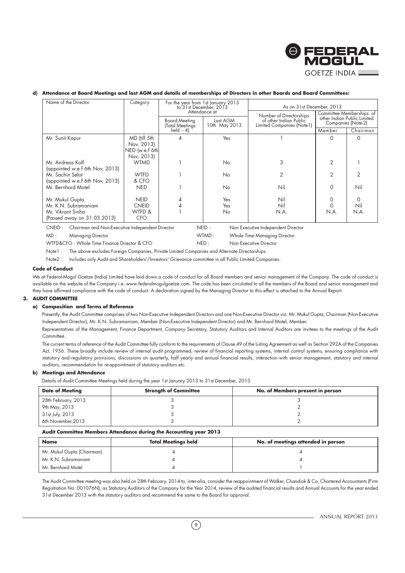

### **d) Attendance at Board Meetings and last AGM and details of memberships of Directors in other Boards and Board Committees:**

| Name of the Director            | Category        | For the year from 1st January 2013<br>to 31st December, 2013 |               | As on 31st December, 2013                         |          |                                                         |  |
|---------------------------------|-----------------|--------------------------------------------------------------|---------------|---------------------------------------------------|----------|---------------------------------------------------------|--|
|                                 |                 | Attendance at<br><b>Board Meeting</b>                        | Last AGM      | Number of Directorships<br>of other Indian Public |          | Committee Memberships of<br>other Indian Public Limited |  |
|                                 |                 | Total Meetings<br>held $-4$ )                                | 10th May 2013 | Limited Companies (Note1)                         | Member   | Companies (Note-2)<br>Chairman                          |  |
|                                 |                 |                                                              |               |                                                   |          |                                                         |  |
| Mr. Sunit Kapur                 | MD (till 5th    | 4                                                            | Yes           |                                                   | $\Omega$ | $\Omega$                                                |  |
|                                 | Nov, 2013)      |                                                              |               |                                                   |          |                                                         |  |
|                                 | NED (w.e.f 6th) |                                                              |               |                                                   |          |                                                         |  |
|                                 | Nov, 2013)      |                                                              |               |                                                   |          |                                                         |  |
| Mr. Andreas Kolf                | <b>WTMD</b>     |                                                              | No            | 3                                                 | 2        |                                                         |  |
| (appointed w.e.f 6th Nov, 2013) |                 |                                                              |               |                                                   |          |                                                         |  |
| Mr. Sachin Selot                | <b>WTFD</b>     |                                                              | No            | $\overline{2}$                                    | 2        | $\mathcal{P}$                                           |  |
| (appointed w.e.f 6th Nov, 2013) | & CFO           |                                                              |               |                                                   |          |                                                         |  |
| Mr. Bernhard Motel              | <b>NED</b>      |                                                              | No            | Nil                                               | $\Omega$ | Nil                                                     |  |
|                                 |                 |                                                              |               |                                                   |          |                                                         |  |
| Mr. Mukul Gupta                 | <b>NEID</b>     |                                                              | Yes           | Nil                                               | $\Omega$ | $\Omega$                                                |  |
| Mr. K.N. Subramaniam            | <b>CNEID</b>    |                                                              | Yes           | Nil                                               | $\Omega$ | Nil                                                     |  |
| Mr. Vikrant Sinha               | WTFD &          |                                                              | No            | N.A.                                              | N.A.     | N.A.                                                    |  |
| (Passed away on 31.03.2013)     | <b>CFO</b>      |                                                              |               |                                                   |          |                                                         |  |

CNEID : Chairman and Non-Executive Independent Director NEID : Non Executive Independent Director MD : Managing Director Channel Communist Communist Communist Communist Communist Communist Communist Communist Communist Communist Communist Communist Communist Communist Communist Communist Communist Communist Communist C

WTFD&CFO : Whole Time Finance Director & CFO NED : NED : Non Executive Director

Note1 : The above excludes Foreign Companies, Private Limited Companies and Alternate Directorships.

Note2 : Includes only Audit and Shareholders'/Investors' Grievance committee in all Public Limited Companies.

### **Code of Conduct**

We at Federal-Mogul Goetze (India) Limited have laid down a code of conduct for all Board members and senior management of the Company. The code of conduct is available on the website of the Company i.e. www.federalmogulgoetze.com. The code has been circulated to all the members of the Board and senior management and they have affirmed compliance with the code of conduct. A declaration signed by the Managing Director to this effect is attached to the Annual Report.

### **3. AUDIT COMMITTEE**

### **a) Composition and Terms of Reference**

Presently, the Audit Committee comprises of two Non-Executive Independent Directors and one Non-Executive Director viz. Mr. Mukul Gupta, Chairman (Non-Executive Independent Director), Mr. K.N. Subramaniam, Member (Non-Executive Independent Director) and Mr. Bernhard Motel, Member.

Representatives of the Management, Finance Department, Company Secretary, Statutory Auditors and Internal Auditors are invitees to the meetings of the Audit **Committee** 

The current terms of reference of the Audit Committee fully conform to the requirements of Clause 49 of the Listing Agreement as well as Section 292A of the Companies Act, 1956. These broadly include review of internal audit programmed, review of financial reporting systems, internal control systems, ensuring compliance with statutory and regulatory provisions, discussions on quarterly, half yearly and annual financial results, interaction with senior management, statutory and internal auditors, recommendation for re-appointment of statutory auditors etc.

### **b) Meetings and Attendance**

Details of Audit Committee Meetings held during the year 1st January 2013 to 31st December, 2013

| <b>Date of Meeting</b> | <b>Strength of Committee</b> | No. of Members present in person |
|------------------------|------------------------------|----------------------------------|
| 28th February, 2013    |                              |                                  |
| 9th May, 2013          |                              |                                  |
| 31st July, 2013        |                              |                                  |
| 6th November, 2013     |                              |                                  |

#### **Audit Committee Members Attendance during the Accounting year 2013**

| <b>Name</b>                | <b>Total Meetings held</b> | No. of meetings attended in person |
|----------------------------|----------------------------|------------------------------------|
| Mr. Mukul Gupta (Chairman) |                            |                                    |
| Mr. K.N. Subramaniam       |                            |                                    |
| Mr. Bernhard Motel         |                            |                                    |

The Audit Committee meeting was also held on 28th February, 2014 to, inter-alia, consider the reappointment of Walker, Chandiok & Co, Chartered Accountants (Firm Registration No. 001076N), as Statutory Auditors of the Company for the Year 2014, review of the audited financial results and Annual Accounts for the year ended 31st December 2013 with the statutory auditors and recommend the same to the Board for approval.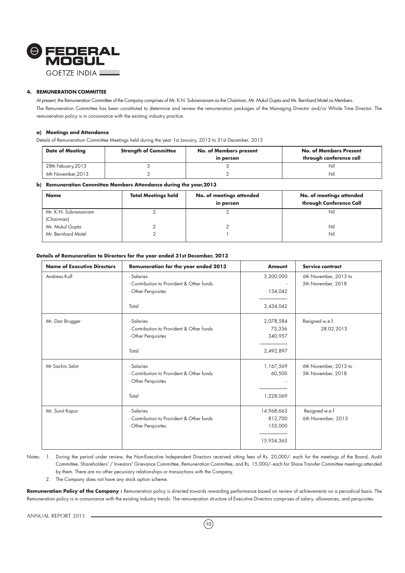

### **4. REMUNERATION COMMITTEE**

At present, the Remuneration Committee of the Company comprises of Mr. K.N. Subramaniam as the Chairman, Mr. Mukul Gupta and Mr. Bernhard Motel as Members. The Remuneration Committee has been constituted to determine and review the remuneration packages of the Managing Director and/or Whole Time Director. The remuneration policy is in consonance with the existing industry practice.

### **a) Meetings and Attendance**

Details of Remuneration Committee Meetings held during the year 1st January, 2013 to 31st December, 2013

| <b>Date of Meeting</b> | <b>Strength of Committee</b> | No. of Members present<br>in person | <b>No. of Members Present</b><br>through conference call |
|------------------------|------------------------------|-------------------------------------|----------------------------------------------------------|
| 28th Febuary,2013      |                              |                                     | Nil                                                      |
| 6th November, 2013     |                              |                                     | Nil                                                      |

### **b) Remuneration Committee Members Attendance during the year,2013**

| <b>Name</b>          | <b>Total Meetings held</b> | No. of meetings attended<br>in person | No. of meetings attended<br>through Conference Call |
|----------------------|----------------------------|---------------------------------------|-----------------------------------------------------|
| Mr. K.N. Subramaniam |                            |                                       | Nil                                                 |
| (Chairman)           |                            |                                       |                                                     |
| Mr. Mukul Gupta      |                            |                                       | Nil                                                 |
| Mr. Bernhard Motel   |                            |                                       | Nil                                                 |

### **Details of Remuneration to Directors for the year ended 31st December, 2013**

| <b>Name of Executive Directors</b> | <b>Remuneration for the year ended 2013</b> | <b>Amount</b> | Service contract      |
|------------------------------------|---------------------------------------------|---------------|-----------------------|
| Andreas Kolf                       | - Salaries                                  | 3,300,000     | 6th November, 2013 to |
|                                    | - Contribution to Provident & Other funds   |               | 5th November, 2018    |
|                                    | - Other Perquisites                         | 134,042       |                       |
|                                    | Total                                       | 3,434,042     |                       |
| Mr. Dan Brugger                    | - Salaries                                  | 2,078,584     | Resigned w.e.f.       |
|                                    | - Contribution to Provident & Other funds   | 73,356        | 28.02.2013            |
|                                    | - Other Perquisites                         | 340,957       |                       |
|                                    | Total                                       | 2,492,897     |                       |
| Mr Sachin Selot                    | - Salaries                                  | 1,167,569     | 6th November, 2013 to |
|                                    | - Contribution to Provident & Other funds   | 60,500        | 5th November, 2018    |
|                                    | - Other Perquisites                         |               |                       |
|                                    | Total                                       | 1,228,069     |                       |
| Mr. Sunit Kapur                    | - Salaries                                  | 14,968,663    | Resigned w.e.f        |
|                                    | - Contribution to Provident & Other funds   | 812,700       | 6th November, 2013    |
|                                    | - Other Perquisites                         | 153,000       |                       |
|                                    |                                             | 15,934,363    |                       |

Notes: 1. During the period under review, the Non-Executive Independent Directors received sitting fees of Rs. 20,000/- each for the meetings of the Board, Audit Committee, Shareholders' / Investors' Grievance Committee, Remuneration Committee, and Rs. 15,000/- each for Share Transfer Committee meetings attended by them. There are no other pecuniary relationships or transactions with the Company.

2. The Company does not have any stock option scheme.

**Remuneration Policy of the Company :** Remuneration policy is directed towards rewarding performance based on review of achievements on a periodical basis. The Remuneration policy is in consonance with the existing Industry trends. The remuneration structure of Executive Directors comprises of salary, allowances, and perquisites.

#### ANNUAL REPORT 2013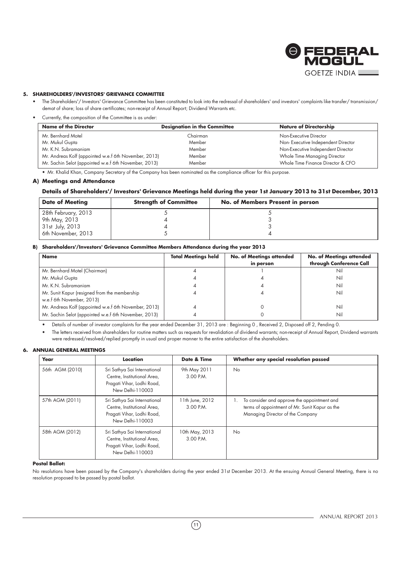

### **5. SHAREHOLDERS'/INVESTORS' GRIEVANCE COMMITTEE**

- The Shareholders'/ Investors' Grievance Committee has been constituted to look into the redressal of shareholders' and investors' complaints like transfer/ transmission/ demat of share; loss of share certificates; non-receipt of Annual Report; Dividend Warrants etc.
- Currently, the composition of the Committee is as under:

| <b>Name of the Director</b>                           | <b>Designation in the Committee</b> | <b>Nature of Directorship</b>      |
|-------------------------------------------------------|-------------------------------------|------------------------------------|
| Mr. Bernhard Motel                                    | Chairman                            | Non-Executive Director             |
| Mr. Mukul Gupta                                       | Member                              | Non-Executive Independent Director |
| Mr. K.N. Subramaniam                                  | Member                              | Non-Executive Independent Director |
| Mr. Andreas Kolf (appointed w.e.f 6th November, 2013) | Member                              | Whole Time Managing Director       |
| Mr. Sachin Selot (appointed w.e.f 6th November, 2013) | Member                              | Whole Time Finance Director & CFO  |

• Mr. Khalid Khan, Company Secretary of the Company has been nominated as the compliance officer for this purpose.

#### **A) Meetings and Attendance**

### **Details of Shareholders'/ Investors' Grievance Meetings held during the year 1st January 2013 to 31st December, 2013**

| <b>Date of Meeting</b> | <b>Strength of Committee</b> | No. of Members Present in person |
|------------------------|------------------------------|----------------------------------|
| 28th February, 2013    |                              |                                  |
| 9th May, 2013          |                              |                                  |
| 31st July, 2013        |                              |                                  |
| 6th November, 2013     |                              |                                  |

#### **B) Shareholders'/Investors' Grievance Committee Members Attendance during the year 2013**

| <b>Name</b>                                                                | <b>Total Meetings held</b> | <b>No. of Meetings attended</b><br>in person | <b>No. of Meetings attended</b><br>through Conference Call |
|----------------------------------------------------------------------------|----------------------------|----------------------------------------------|------------------------------------------------------------|
| Mr. Bernhard Motel (Chairman)                                              |                            |                                              | Nil                                                        |
| Mr. Mukul Gupta                                                            |                            |                                              | Nil                                                        |
| Mr. K.N. Subramaniam                                                       |                            |                                              | Nil                                                        |
| Mr. Sunit Kapur (resigned from the membership<br>w.e.f 6th November, 2013) |                            |                                              | Nil                                                        |
| Mr. Andreas Kolf (appointed w.e.f 6th November, 2013)                      |                            |                                              | Nil                                                        |
| Mr. Sachin Selot (appointed w.e.f 6th November, 2013)                      |                            |                                              | Nil                                                        |

• Details of number of investor complaints for the year ended December 31, 2013 are : Beginning 0 , Received 2, Disposed off 2, Pending 0.

• The letters received from shareholders for routine matters such as requests for revalidation of dividend warrants; non-receipt of Annual Report, Dividend warrants were redressed/resolved/replied promptly in usual and proper manner to the entire satisfaction of the shareholders.

### **6. ANNUAL GENERAL MEETINGS**

| Year            | Location                                                                                                      | Date & Time                  | Whether any special resolution passed                                                                                             |
|-----------------|---------------------------------------------------------------------------------------------------------------|------------------------------|-----------------------------------------------------------------------------------------------------------------------------------|
| 56th AGM (2010) | Sri Sathya Sai International<br>Centre, Institutional Area,<br>Pragati Vihar, Lodhi Road,<br>New Delhi-110003 | 9th May 2011<br>3.00 P.M.    | No                                                                                                                                |
| 57th AGM (2011) | Sri Sathya Sai International<br>Centre, Institutional Area,<br>Pragati Vihar, Lodhi Road,<br>New Delhi-110003 | 11th June, 2012<br>3.00 P.M. | To consider and approve the appointment and<br>terms of appointment of Mr. Sunit Kapur as the<br>Managing Director of the Company |
| 58th AGM (2012) | Sri Sathya Sai International<br>Centre, Institutional Area,<br>Pragati Vihar, Lodhi Road,<br>New Delhi-110003 | 10th May, 2013<br>3.00 P.M.  | No.                                                                                                                               |

#### **Postal Ballot:**

No resolutions have been passed by the Company's shareholders during the year ended 31st December 2013. At the ensuing Annual General Meeting, there is no resolution proposed to be passed by postal ballot.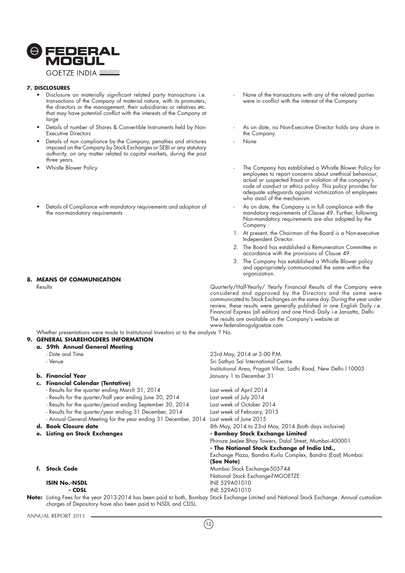

### **7. DISCLOSURES**

- Disclosure on materially significant related party transactions i.e. transactions of the Company of material nature, with its promoters, the directors or the management, their subsidiaries or relatives etc. that may have potential conflict with the interests of the Company at large
- Details of number of Shares & Convertible Instruments held by Non-Executive Directors
- Details of non compliance by the Company, penalties and strictures imposed on the Company by Stock Exchanges or SEBI or any statutory authority, on any matter related to capital markets, during the past three years.
- Whistle Blower Policy
- Details of Compliance with mandatory requirements and adoption of the non-mandatory requirements

### **8. MEANS OF COMMUNICATION**

None of the transactions with any of the related parties were in conflict with the interest of the Company

- As on date, no Non-Executive Director holds any share in the Company.
- None

23rd May, 2014 at 3.00 P.M.

- The Company has established a Whistle Blower Policy for employees to report concerns about unethical behaviour, actual or suspected fraud or violation of the company's code of conduct or ethics policy. This policy provides for adequate safeguards against victimization of employees who avail of the mechanism.
- As on date, the Company is in full compliance with the mandatory requirements of Clause 49. Further, following Non-mandatory requirements are also adopted by the Company :
- 1. At present, the Chairman of the Board is a Non-executive Independent Director.
- 2. The Board has established a Remuneration Committee in accordance with the provisions of Clause 49.
- 3. The Company has established a Whistle Blower policy and appropriately communicated the same within the organization.

Results Quarterly/Half-Yearly/ Yearly Financial Results of the Company were considered and approved by the Directors and the same were communicated to Stock Exchanges on the same day. During the year under review, these results were generally published in one English Daily i.e. Financial Express (all edition) and one Hindi Daily i.e Jansatta, Delhi. The results are available on the Company's website at www.federalmogulgoetze.com

Institutional Area, Pragati Vihar, Lodhi Road, New Delhi-110003

Phiroze JeeJee Bhoy Towers, Dalal Street, Mumbai-400001 **- The National Stock Exchange of India Ltd.,**

Exchange Plaza, Bandra Kurla Complex, Bandra (East) Mumbai.

Whether presentations were made to Institutional Investors or to the analysts ? No.

### **9. GENERAL SHAREHOLDERS INFORMATION**

- **a. 59th Annual General Meeting**
	-
	- Venue Sri Sathya Sai International Centre

### **b. Financial Year January 1 to December 31**

- **c. Financial Calendar (Tentative)**
	-
	- Results for the quarter ending March 31, 2014 Last week of April 2014<br>- Results for the quarter/half year ending June 30, 2014 Last week of July 2014 - Results for the quarter/half year ending June 30, 2014
	- Results for the quarter/period ending September 30, 2014 Last week of October 2014
	- Results for the quarter/year ending 31 December, 2014 Last week of February, 2015

- Annual General Meeting for the year ending 31 December, 2014 Last week of June 2015

### **d. Book Closure date** 8th May, 2014 to 23rd May, 2014 (both days inclusive)

- **e.** Listing on Stock Exchanges The Stock Exchange Limited
- **f. Stock Code details and Stock Exchange-505744**

### **ISIN No.-NSDL INE 529A01010**

### **- CDSL** INE 529A01010

**Note:** Listing Fees for the year 2013-2014 has been paid to both, Bombay Stock Exchange Limited and National Stock Exchange. Annual custodian charges of Depository have also been paid to NSDL and CDSL.

**(See Note)**

National Stock Exchange-FMGOETZE

ANNUAL REPORT 2013

 $(12)$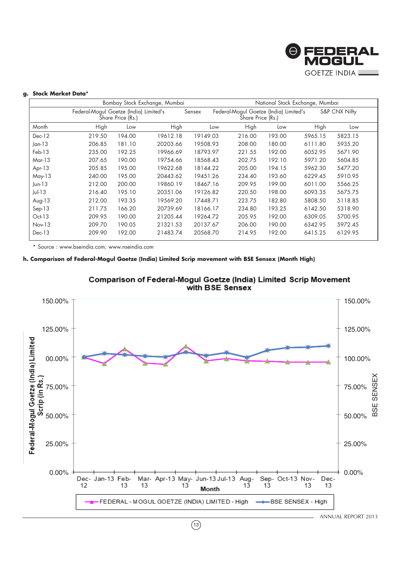

### **g. Stock Market Data\***

|          | Bombay Stock Exchange, Mumbai                               |        |          |                                                                                        |        | National Stock Exchange, Mumbai |         |         |
|----------|-------------------------------------------------------------|--------|----------|----------------------------------------------------------------------------------------|--------|---------------------------------|---------|---------|
|          | Federal-Mogul Goetze (India) Limited's<br>Šhare Price (Rs.) |        |          | Sensex<br>S&P CNX Nifty<br>Federal-Mogul Goetze (India) Limited's<br>Share Price (Rs.) |        |                                 |         |         |
| Month    | High                                                        | Low    | High     | Low                                                                                    | High   | Low                             | High    | Low     |
| $Dec-12$ | 219.50                                                      | 194.00 | 19612.18 | 19149.03                                                                               | 216.00 | 193.00                          | 5965.15 | 5823.15 |
| Jan-13   | 206.85                                                      | 181.10 | 20203.66 | 19508.93                                                                               | 208.00 | 180.00                          | 6111.80 | 5935.20 |
| $Feb-13$ | 235.00                                                      | 192.25 | 19966.69 | 18793.97                                                                               | 221.55 | 192.00                          | 6052.95 | 5671.90 |
| $Mar-13$ | 207.65                                                      | 190.00 | 19754.66 | 18568.43                                                                               | 202.75 | 192.10                          | 5971.20 | 5604.85 |
| Apr-13   | 205.85                                                      | 195.00 | 19622.68 | 18144.22                                                                               | 205.00 | 194.15                          | 5962.30 | 5477.20 |
| May-13   | 240.00                                                      | 195.00 | 20443.62 | 19451.26                                                                               | 234.40 | 193.60                          | 6229.45 | 5910.95 |
| Jun-13   | 212.00                                                      | 200.00 | 19860.19 | 18467.16                                                                               | 209.95 | 199.00                          | 6011.00 | 5566.25 |
| $Jul-13$ | 216.40                                                      | 195.10 | 20351.06 | 19126.82                                                                               | 220.50 | 198.00                          | 6093.35 | 5675.75 |
| Aug-13   | 212.00                                                      | 193.35 | 19569.20 | 17448.71                                                                               | 223.75 | 182.80                          | 5808.50 | 5118.85 |
| Sep-13   | 211.75                                                      | 166.20 | 20739.69 | 18166.17                                                                               | 234.80 | 193.25                          | 6142.50 | 5318.90 |
| $Oct-13$ | 209.95                                                      | 190.00 | 21205.44 | 19264.72                                                                               | 205.95 | 192.00                          | 6309.05 | 5700.95 |
| $Nov-13$ | 209.70                                                      | 190.05 | 21321.53 | 20137.67                                                                               | 206.00 | 190.00                          | 6342.95 | 5972.45 |
| $Dec-13$ | 209.90                                                      | 192.00 | 21483.74 | 20568.70                                                                               | 214.95 | 192.00                          | 6415.25 | 6129.95 |

\* Source : www.bseindia.com; www.nseindia.com

**h. Comparison of Federal-Mogul Goetze (India) Limited Scrip movement with BSE Sensex (Month High)**



Comparison of Federal-Mogul Goetze (India) Limited Scrip Movement with BSE Sensex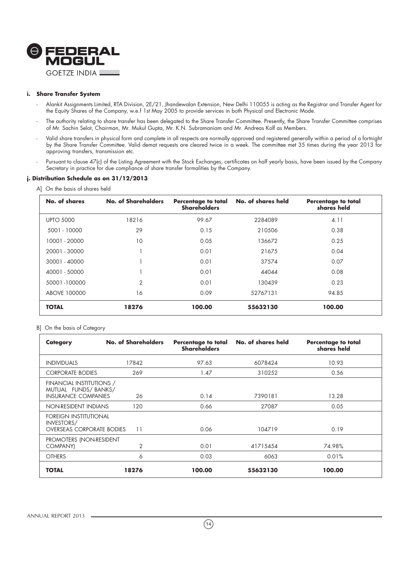

### **i. Share Transfer System**

- Alankit Assignments Limited, RTA Division, 2E/21, Jhandewalan Extension, New Delhi 110055 is acting as the Registrar and Transfer Agent for the Equity Shares of the Company, w.e.f 1st May 2005 to provide services in both Physical and Electronic Mode.
- The authority relating to share transfer has been delegated to the Share Transfer Committee. Presently, the Share Transfer Committee comprises of Mr. Sachin Selot, Chairman, Mr. Mukul Gupta, Mr. K.N. Subramaniam and Mr. Andreas Kolf as Members.
- Valid share transfers in physical form and complete in all respects are normally approved and registered generally within a period of a fortnight by the Share Transfer Committee. Valid demat requests are cleared twice in a week. The committee met 35 times during the year 2013 for approving transfers, transmission etc.
- Pursuant to clause 47(c) of the Listing Agreement with the Stock Exchanges, certificates on half yearly basis, have been issued by the Company Secretary in practice for due compliance of share transfer formalities by the Company.

### **j. Distribution Schedule as on 31/12/2013**

| A] On the basis of shares held |                     |
|--------------------------------|---------------------|
| No. of shares                  | No. of Shareholders |

| No. of shares    | <b>No. of Shareholders</b> | Percentage to total<br><b>Shareholders</b> | No. of shares held | Percentage to total<br>shares held |
|------------------|----------------------------|--------------------------------------------|--------------------|------------------------------------|
| <b>UPTO 5000</b> | 18216                      | 99.67                                      | 2284089            | 4.11                               |
| 5001 - 10000     | 29                         | 0.15                                       | 210506             | 0.38                               |
| 10001 - 20000    | 10                         | 0.05                                       | 136672             | 0.25                               |
| 20001 - 30000    |                            | 0.01                                       | 21675              | 0.04                               |
| 30001 - 40000    |                            | 0.01                                       | 37574              | 0.07                               |
| 40001 - 50000    |                            | 0.01                                       | 44044              | 0.08                               |
| 50001-100000     | $\overline{2}$             | 0.01                                       | 130439             | 0.23                               |
| ABOVE 100000     | 16                         | 0.09                                       | 52767131           | 94.85                              |
| <b>TOTAL</b>     | 18276                      | 100.00                                     | 55632130           | 100.00                             |

### B] On the basis of Category

| <b>Category</b>                                                                      | No. of Shareholders | Percentage to total<br><b>Shareholders</b> | No. of shares held | Percentage to total<br>shares held |
|--------------------------------------------------------------------------------------|---------------------|--------------------------------------------|--------------------|------------------------------------|
| <b>INDIVIDUALS</b>                                                                   | 17842               | 97.63                                      | 6078424            | 10.93                              |
| <b>CORPORATE BODIES</b>                                                              | 269                 | 1.47                                       | 310252             | 0.56                               |
| <b>FINANCIAL INSTITUTIONS /</b><br>MUTUAL FUNDS/BANKS/<br><b>INSURANCE COMPANIES</b> | 26                  | 0.14                                       | 7390181            | 13.28                              |
| NON-RESIDENT INDIANS                                                                 | 120                 | 0.66                                       | 27087              | 0.05                               |
| FOREIGN INSTITUTIONAL<br>INVESTORS/<br><b>OVERSEAS CORPORATE BODIES</b>              | 11                  | 0.06                                       | 104719             | 0.19                               |
| PROMOTERS (NON-RESIDENT<br>COMPANY)                                                  | 2                   | 0.01                                       | 41715454           | 74.98%                             |
| <b>OTHERS</b>                                                                        | 6                   | 0.03                                       | 6063               | 0.01%                              |
| <b>TOTAL</b>                                                                         | 18276               | 100.00                                     | 55632130           | 100.00                             |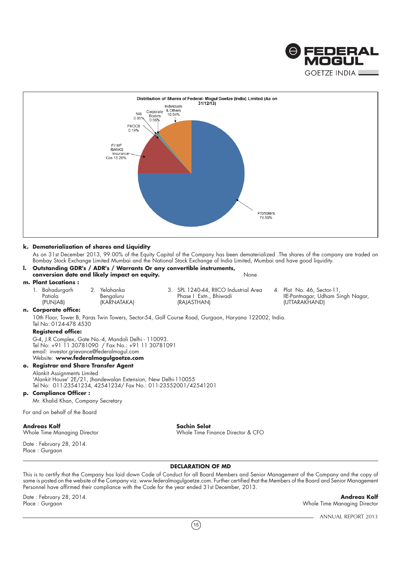



### **k. Dematerialization of shares and Liquidity**

As on 31st December 2013, 99.00% of the Equity Capital of the Company has been dematerialized .The shares of the company are traded on Bombay Stock Exchange Limited Mumbai and the National Stock Exchange of India Limited, Mumbai and have good liquidity.



### **DECLARATION OF MD**

This is to certify that the Company has laid down Code of Conduct for all Board Members and Senior Management of the Company and the copy of same is posted on the website of the Company viz. www.federalmogulgoetze.com. Further certified that the Members of the Board and Senior Management Personnel have affirmed their compliance with the Code for the year ended 31st December, 2013.

Date : February 28, 2014. **Andreas Kolf**

Place : Gurgaon Whole Time Managing Director

ANNUAL REPORT 2013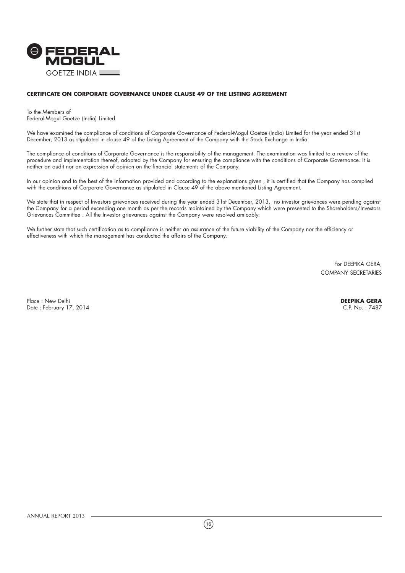

### **CERTIFICATE ON CORPORATE GOVERNANCE UNDER CLAUSE 49 OF THE LISTING AGREEMENT**

To the Members of Federal-Mogul Goetze (India) Limited

We have examined the compliance of conditions of Corporate Governance of Federal-Mogul Goetze (India) Limited for the year ended 31st December, 2013 as stipulated in clause 49 of the Listing Agreement of the Company with the Stock Exchange in India.

The compliance of conditions of Corporate Governance is the responsibility of the management. The examination was limited to a review of the procedure and implementation thereof, adopted by the Company for ensuring the compliance with the conditions of Corporate Governance. It is neither an audit nor an expression of opinion on the financial statements of the Company.

In our opinion and to the best of the information provided and according to the explanations given , it is certified that the Company has complied with the conditions of Corporate Governance as stipulated in Clause 49 of the above mentioned Listing Agreement.

We state that in respect of Investors grievances received during the year ended 31st December, 2013, no investor grievances were pending against the Company for a period exceeding one month as per the records maintained by the Company which were presented to the Shareholders/Investors Grievances Committee . All the Investor grievances against the Company were resolved amicably.

We further state that such certification as to compliance is neither an assurance of the future viability of the Company nor the efficiency or effectiveness with which the management has conducted the affairs of the Company.

> For DEEPIKA GERA, COMPANY SECRETARIES

Place : New Delhi **DEEPIKA GERA** Date : February 17, 2014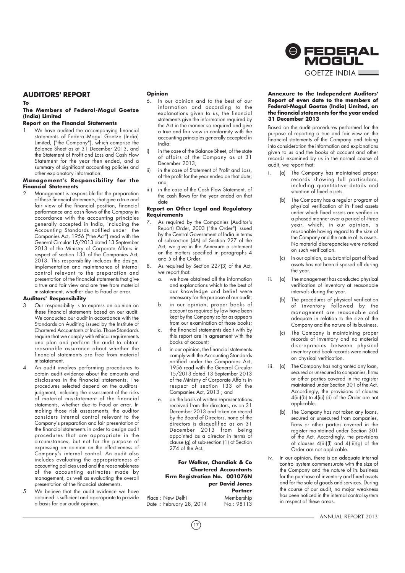

### **AUDITORS' REPORT**

#### **To**

### **The Members of Federal-Mogul Goetze (India) Limited**

### **Report on the Financial Statements**

1. We have audited the accompanying financial statements of Federal-Mogul Goetze (India) Limited, ("the Company"), which comprise the Balance Sheet as at 31 December 2013, and the Statement of Profit and Loss and Cash Flow Statement for the year then ended, and a summary of significant accounting policies and other explanatory information.

#### **Management's Responsibility for the Financial Statements**

2. Management is responsible for the preparation of these financial statements, that give a true and fair view of the financial position, financial performance and cash flows of the Company in accordance with the accounting principles generally accepted in India, including the Accounting Standards notified under the Companies Act, 1956 ("the Act") read with the General Circular 15/2013 dated 13 September 2013 of the Ministry of Corporate Affairs in respect of section 133 of the Companies Act, 2013. This responsibility includes the design, implementation and maintenance of internal control relevant to the preparation and presentation of the financial statements that give a true and fair view and are free from material misstatement, whether due to fraud or error.

### **Auditors' Responsibility**

- Our responsibility is to express an opinion on these financial statements based on our audit. We conducted our audit in accordance with the Standards on Auditing issued by the Institute of Chartered Accountants of India. Those Standards require that we comply with ethical requirements and plan and perform the audit to obtain reasonable assurance about whether the financial statements are free from material misstatement.
- 4. An audit involves performing procedures to obtain audit evidence about the amounts and disclosures in the financial statements. The procedures selected depend on the auditors' judgment, including the assessment of the risks of material misstatement of the financial statements, whether due to fraud or error. In making those risk assessments, the auditor considers internal control relevant to the Company's preparation and fair presentation of the financial statements in order to design audit procedures that are appropriate in the circumstances, but not for the purpose of expressing an opinion on the effectiveness of Company's internal control. An audit also includes evaluating the appropriateness of accounting policies used and the reasonableness of the accounting estimates made by management, as well as evaluating the overall presentation of the financial statements.
- 5. We believe that the audit evidence we have obtained is sufficient and appropriate to provide a basis for our audit opinion.

#### **Opinion**

- In our opinion and to the best of our information and according to the explanations given to us, the financial statements give the information required by the Act in the manner so required and give a true and fair view in conformity with the accounting principles generally accepted in India:
- in the case of the Balance Sheet, of the state of affairs of the Company as at 31 December 2013;
- ii) in the case of Statement of Profit and Loss, of the profit for the year ended on that date; and
- iii) in the case of the Cash Flow Statement, of the cash flows for the year ended on that date

#### **Report on Other Legal and Regulatory Requirements**

- 7. As required by the Companies (Auditor's Report) Order, 2003 ("the Order") issued by the Central Government of India in terms of sub-section (4A) of Section 227 of the Act, we give in the Annexure a statement on the matters specified in paragraphs 4 and 5 of the Order.
- As required by Section 227(3) of the Act, we report that:
	- a. we have obtained all the information and explanations which to the best of our knowledge and belief were necessary for the purpose of our audit;
	- b. in our opinion, proper books of account as required by law have been kept by the Company so far as appears from our examination of those books;
	- the financial statements dealt with by this report are in agreement with the books of account;
	- d. in our opinion, the financial statements comply with the Accounting Standards notified under the Companies Act, 1956 read with the General Circular 15/2013 dated 13 September 2013 of the Ministry of Corporate Affairs in respect of section 133 of the Companies Act, 2013 ; and
	- on the basis of written representations received from the directors, as on 31 December 2013 and taken on record by the Board of Directors, none of the directors is disqualified as on 31 December 2013 from being appointed as a director in terms of clause (g) of sub-section (1) of Section 274 of the Act.

### **For Walker, Chandiok & Co Chartered Accountants Firm Registration No. 001076N per David Jones Partner**<br>Membership

Place : New Delhi Membership Date: February 28, 2014

**Annexure to the Independent Auditors' Report of even date to the members of Federal-Mogul Goetze (India) Limited, on the financial statements for the year ended 31 December 2013**

Based on the audit procedures performed for the purpose of reporting a true and fair view on the financial statements of the Company and taking into consideration the information and explanations given to us and the books of account and other records examined by us in the normal course of audit, we report that:

- (a) The Company has maintained proper records showing full particulars, including quantitative details and situation of fixed assets.
	- The Company has a regular program of physical verification of its fixed assets under which fixed assets are verified in a phased manner over a period of -three year, which, in our opinion, is reasonable having regard to the size of the Company and the nature of its assets. No material discrepancies were noticed on such verification.
	- (c) In our opinion, a substantial part of fixed assets has not been disposed off during the year.
- ii. (a) The management has conducted physical verification of inventory at reasonable intervals during the year.
	- (b) The procedures of physical verification of inventory followed by the management are reasonable and adequate in relation to the size of the Company and the nature of its business.
	- (c) The Company is maintaining proper records of inventory and no material discrepancies between physical inventory and book records were noticed on physical verification.
- iii. (a) The Company has not granted any loan, secured or unsecured to companies, firms or other parties covered in the register maintained under Section 301 of the Act. Accordingly, the provisions of clauses 4(iii)(b) to 4(iii) (d) of the Order are not applicable.
	- The Company has not taken any loans, secured or unsecured from companies, firms or other parties covered in the register maintained under Section 301 of the Act. Accordingly, the provisions of clauses  $4$ (iii)(f) and  $4$ (iii)(g) of the Order are not applicable.
- In our opinion, there is an adequate internal control system commensurate with the size of the Company and the nature of its business for the purchase of inventory and fixed assets and for the sale of goods and services. During the course of our audit, no major weakness has been noticed in the internal control system in respect of these areas.

 $\left(\overline{17}\right)$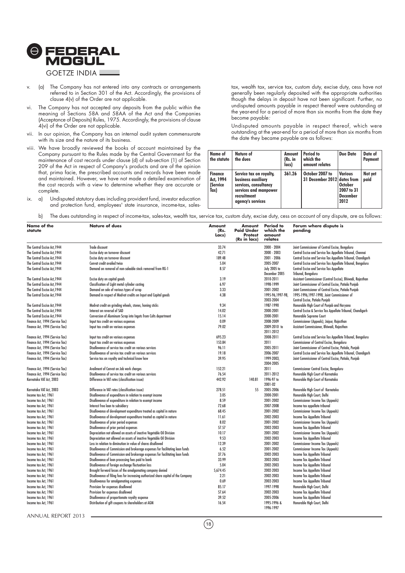

- v. (a) The Company has not entered into any contracts or arrangements referred to in Section 301 of the Act. Accordingly, the provisions of clause 4(v) of the Order are not applicable.
- vi. The Company has not accepted any deposits from the public within the meaning of Sections 58A and 58AA of the Act and the Companies (Acceptance of Deposits) Rules, 1975. Accordingly, the provisions of clause 4(vi) of the Order are not applicable.
- vii. In our opinion, the Company has an internal audit system commensurate with its size and the nature of its business.
- viii. We have broadly reviewed the books of account maintained by the Company pursuant to the Rules made by the Central Government for the maintenance of cost records under clause (d) of sub-section (1) of Section 209 of the Act in respect of Company's products and are of the opinion that, prima facie, the prescribed accounts and records have been made and maintained. However, we have not made a detailed examination of the cost records with a view to determine whether they are accurate or complete.

tax, wealth tax, service tax, custom duty, excise duty, cess have not generally been regularly deposited with the appropriate authorities though the delays in deposit have not been significant. Further, no undisputed amounts payable in respect thereof were outstanding at the year-end for a period of more than six months from the date they become payable:

Undisputed amounts payable in respect thereof, which were outstanding at the year-end for a period of more than six months from the date they became payable are as follows:

| Name of<br>the statute                          | <b>Nature of</b><br>the dues                                                                                                        | Amount<br>(Rs. in<br>lacs) | Period to<br>which the<br>amount relates       | <b>Due Date</b>                                                    | Date of<br><b>Payment</b> |
|-------------------------------------------------|-------------------------------------------------------------------------------------------------------------------------------------|----------------------------|------------------------------------------------|--------------------------------------------------------------------|---------------------------|
| <b>Finance</b><br>Act, 1994<br>(Service<br>Tax) | Service tax on royalty,<br>business auxiliary<br>services, consultancy<br>services and manpower<br>recruitment<br>agency's services | 361.26                     | October 2007 to<br>31 December 2012 dates from | Various<br><b>October</b><br>2007 to 31<br><b>December</b><br>2012 | Not vet<br>paid           |

ix. a) Undisputed statutory dues including provident fund, investor education and protection fund, employees' state insurance, income-tax, sales-

b) The dues outstanding in respect of income-tax, sales-tax, wealth tax, service tax, custom duty, excise duty, cess on account of any dispute, are as follows:

| Name of the<br>statute          | <b>Nature of dues</b>                                                              | Amount<br>(Rs.<br>Lacs) | Amount<br><b>Paid Under</b><br><b>Protest</b><br>(Rs in lacs) | <b>Period</b> to<br>which the<br>amount<br>relates | Forum where dispute is<br>pending                                             |
|---------------------------------|------------------------------------------------------------------------------------|-------------------------|---------------------------------------------------------------|----------------------------------------------------|-------------------------------------------------------------------------------|
| The Central Excise Act, 1944    | <b>Trade discount</b>                                                              | 33.74                   |                                                               | 2000 - 2004                                        | Joint Commissioner of Central Excise, Bengaluru                               |
| The Central Excise Act, 1944    | Excise duty on turnover discount                                                   | 42.71                   |                                                               | 2000 - 2003                                        | Central Excise and Service Tax Appellate Tribunal, Chennai                    |
| The Central Excise Act, 1944    | Excise duty on turnover discount                                                   | 189.48                  |                                                               | 2001 - 2006                                        | Central Excise and Service Tax Appellate Tribunal, Chandigarh                 |
| The Central Excise Act, 1944    | Cenvat credit availed twice                                                        | 5.04                    |                                                               | 2005-2007                                          | Central Excise and Service Tax Appellate Tribunal, Bengaluru                  |
| The Central Excise Act, 1944    | Demand on removal of non-saleable stock removed from RG-1                          | 8.57                    |                                                               | <b>July 2005 to</b><br>December 2005               | Central Excise and Service Tax Appellate<br>Tribunal, Bengaluru               |
| The Central Excise Act, 1944    | Excise duty on capital goods                                                       | 3.19                    |                                                               | 2010-2011                                          | Assistant Commissioner (Central Excise), Bhiwadi, Rajasthan                   |
| The Central Excise Act, 1944    | Classification of Light metal cylinder casting                                     | 6.97                    |                                                               | 1998-1999                                          | Joint Commissioner of Central Excise, Patiala Punjab                          |
| The Central Excise Act, 1944    | Demand on sale of various types of scrap                                           | 3.33                    |                                                               | 2001-2002                                          | Joint Commissioner of Central Excise, Patiala Punjab                          |
| The Central Excise Act, 1944    | Demand in respect of Modvat credits on Input and Capital goods                     | 4.38                    |                                                               | 1995-96,1997-98,<br>2003-2004                      | 1995-1996, 1997-1998, Joint Commissioner of<br>Central Excise, Patiala Punjab |
| The Central Excise Act, 1944    | Modvat credit on grinding wheels, stones, honing sticks                            | 9.34                    |                                                               | 1987-1990                                          | Honorable High Court of Punjab and Haryana                                    |
| The Central Excise Act, 1944    | Interest on reversal of SAD                                                        | 14.02                   |                                                               | 2000-2001                                          | Central Excise & Service Tax Appellate Tribunal, Chandigarh                   |
| The Central Excise Act, 1944    | Conversion of Aluminum Scrap into Ingots from Colts department                     | 15.14                   |                                                               | 2000-2001                                          | Honorable Supreme Court                                                       |
| Finance Act, 1994 (Service Tax) | Input tax credit on various expenses                                               | 0.09                    |                                                               | 2008-2009                                          | Commissioner (Appeals), Jaipur, Rajasthan                                     |
| Finance Act, 1994 (Service Tax) | Input tax credit on various expenses                                               | 79.02                   |                                                               | 2009-2010 to<br>2011-2012                          | Assistant Commissioner, Bhiwadi, Rajasthan                                    |
| Finance Act, 1994 (Service Tax) | Input tax credit on various expenses                                               | 695.23                  |                                                               | 2008-2011                                          | Central Excise and Service Tax Appellate Tribunal, Bengaluru                  |
| Finance Act, 1994 (Service Tax) | Input tax credit on various expenses                                               | 153.84                  |                                                               | 2011                                               | Commissioner of Central Excise, Bengaluru                                     |
| Finance Act, 1994 (Service Tax) | Disallowance of service tax credit on various services                             | 96.11                   |                                                               | 2005-2011                                          | Joint Commissioner of Central Excise, Patiala, Punjab                         |
| Finance Act, 1994 (Service Tax) | Disallowance of service tax credit on various services                             | 19.18                   |                                                               | 2006-2007                                          | Central Excise and Service Tax Appellate Tribunal, Chandigarh                 |
| Finance Act, 1994 (Service Tax) | Service tax on royalty and technical know how                                      | 39.95                   |                                                               | 1999-2003,<br>2004-2005                            | Joint Commissioner of Central Excise, Patiala, Punjab                         |
| Finance Act, 1994 (Service Tax) | Availment of Cenvat on Job work charges                                            | 152.21                  |                                                               | 2011                                               | Commissioner Central Excise, Bengaluru                                        |
| Finance Act, 1994 (Service Tax) | Disallowance of service tax credit on various services                             | 76.54                   |                                                               | 2011-2012                                          | Honorable High Court of Karnataka                                             |
| Karnataka VAT Act, 2003         | Difference in VAT rates (classification issue)                                     | 442.92                  | 140.81                                                        | 1996-97 to<br>2001-02                              | Honorable High Court of Karnataka                                             |
| Karnataka VAT Act, 2003         | Difference in VAT rates (classification issue)                                     | 278.51                  | 55                                                            | 2005-2006                                          | Honorable High Court of Karnataka                                             |
| Income tax Act, 1961            | Disallowance of expenditure in relation to exempt income                           | 3.05                    |                                                               | 2000-2001                                          | Honorable High Court, Delhi                                                   |
| Income tax Act, 1961            | Disallowance of expenditure in relation to exempt income                           | 8.59                    |                                                               | 2001-2002                                          | <b>Commissioner Income Tax (Appeals)</b>                                      |
| Income tax Act, 1961            | Interest free loan to subsidiary                                                   | 72.68                   |                                                               | 2007-2008                                          | Income tax appellate tribunal                                                 |
| Income tax Act, 1961            | Disallowance of development expenditure treated as capital in nature               | 68.45                   |                                                               | 2001-2002                                          | <b>Commissioner Income Tax (Appeals)</b>                                      |
| Income tax Act, 1961            | Disallowance of development expenditure treated as capital in nature               | 11.61                   |                                                               | 2002-2003                                          | Income Tax Appellate Tribunal                                                 |
| Income tax Act, 1961            | Disallowance of prior period expenses                                              | 8.02                    |                                                               | 2001-2002                                          | <b>Commissioner Income Tax (Appeals)</b>                                      |
| Income tax Act, 1961            | Disallowance of prior period expenses                                              | 57.57                   |                                                               | 2002-2003                                          | Income Tax Appellate Tribunal                                                 |
| Income tax Act, 1961            | Depreciation not allowed on assets of inactive Vegetable Oil Division              | 10.17                   |                                                               | 2001-2002                                          | <b>Commissioner Income Tax (Appeals)</b>                                      |
| Income tax Act, 1961            | Depreciation not allowed on assets of inactive Vegetable Oil Division              | 9.53                    |                                                               | 2002-2003                                          | Income Tax Appellate Tribunal                                                 |
| Income tax Act, 1961            | Loss in relation to diminution in value of shares disallowed                       | 12.39                   |                                                               | 2001-2002                                          | <b>Commissioner Income Tax (Appeals)</b>                                      |
| Income tax Act, 1961            | Disallowance of Commission and brokerage expenses for facilitating loan funds      | 6.52                    |                                                               | 2001-2002                                          | <b>Commissioner Income Tax (Appeals)</b>                                      |
| Income tax Act, 1961            | Disallowance of Commission and brokerage expenses for facilitating loan funds      | 37.76                   |                                                               | 2002-2003                                          | Income Tax Appellate Tribunal                                                 |
| Income tax Act, 1961            | Disallowance of loan processing fees paid to bank                                  | 33.99                   |                                                               | 2002-2003                                          | Income Tax Appellate Tribunal                                                 |
| Income tax Act, 1961            | Disallowance of foreign exchange fluctuation loss                                  | 5.04                    |                                                               | 2002-2003                                          | Income Tax Appellate Tribunal                                                 |
| Income tax Act, 1961            | Brought forward losses of the amalgamating company denied                          | 5,674.45                |                                                               | 2002-2003                                          | Income Tax Appellate Tribunal                                                 |
| Income tax Act, 1961            | Disallowance of filing fees for increasing authorized share capital of the Company | 2.21                    |                                                               | 2002-2003                                          | Income Tax Appellate Tribunal                                                 |
| Income tax Act, 1961            | Disallowance for amalgamating expenses                                             | 0.69                    |                                                               | 2002-2003                                          | Income Tax Appellate Tribunal                                                 |
| Income tax Act, 1961            | Provision for expenses disallowed                                                  | 85.17                   |                                                               | 1997-1998                                          | Honorable High Court, Delhi                                                   |
| Income tax Act, 1961            | Provision for expenses disallowed                                                  | 57.64                   |                                                               | 2002-2003                                          | Income Tax Appellate Tribunal                                                 |
| Income tax Act, 1961            | Disallowance of proportionate royalty expense                                      | 39.52                   |                                                               | 2005-2006                                          | Income Tax Appellate Tribunal                                                 |
| Income tax Act, 1961            | Distribution of gift coupons to shareholders at AGM                                | 16.54                   |                                                               | 1995-1996 &<br>1996-1997                           | Honorable High Court, Delhi                                                   |

ANNUAL REPORT 2013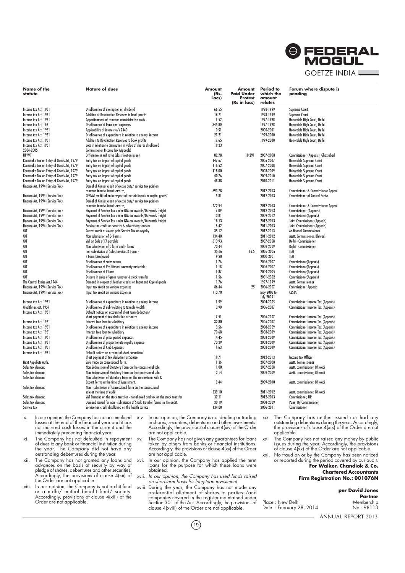

| Name of the<br>statute                    | <b>Nature of dues</b>                                                                                  | Amount<br>(Rs.<br>Lacs) | Amount<br><b>Paid Under</b><br><b>Protest</b><br>(Rs in lacs) | <b>Period</b> to<br>which the<br>amount<br>relates | Forum where dispute is<br>pending             |
|-------------------------------------------|--------------------------------------------------------------------------------------------------------|-------------------------|---------------------------------------------------------------|----------------------------------------------------|-----------------------------------------------|
| Income tax Act, 1961                      | Disallowance of exemption on dividend                                                                  | 66.55                   |                                                               | 1998-1999                                          | Supreme Court                                 |
| Income tax Act, 1961                      | Addition of Revaluation Reserves to book profits                                                       | 16.71                   |                                                               | 1998-1999                                          | Supreme Court                                 |
| Income tax Act, 1961                      | Apportionment of common administrative costs                                                           | 1.52                    |                                                               | 1997-1998                                          | Honorable High Court, Delhi                   |
| Income tax Act, 1961                      | Disallowance of lease rent expenses                                                                    | 345.80                  |                                                               | 1997-1998                                          | Honorable High Court, Delhi                   |
| Income tax Act, 1961                      | Applicability of interest u/s 234D                                                                     | 0.51                    |                                                               | 2000-2001                                          | Honorable High Court, Delhi                   |
| Income tax Act, 1961                      | Disallowance of expenditure in relation to exempt income                                               | 21.21                   |                                                               | 1999-2000                                          | Honorable High Court, Delhi                   |
| Income tax Act, 1961                      | Addition to Revaluation Reserves to book profits                                                       | 17.65                   |                                                               | 1999-2000                                          | Honorable High Court, Delhi                   |
| Income tax Act, 1961                      | Loss in relation to diminution in value of shares disallowed                                           | 19.23                   |                                                               |                                                    |                                               |
| 2004-2005                                 | <b>Commissioner Income Tax (Appeals)</b>                                                               |                         |                                                               |                                                    |                                               |
| <b>UP VAT</b>                             | Difference in VAT rates (classification issue)                                                         | 82.78                   | 10.291                                                        | 2007-2008                                          | Commissioner (Appeals), Ghaziabad             |
| Karnataka Tax on Entry of Goods Act, 1979 | Entry tax on import of capital goods                                                                   | 147.67                  |                                                               | 2006-2007                                          | Honorable Supreme Court                       |
| Karnataka Tax on Entry of Goods Act, 1979 | Entry tax on import of capital goods                                                                   | 116.52                  |                                                               | 2007-2008                                          | Honorable Supreme Court                       |
| Karnataka Tax on Entry of Goods Act, 1979 | Entry tax on import of capital goods                                                                   | 118.00                  |                                                               | 2008-2009                                          | Honorable Supreme Court                       |
| Karnataka Tax on Entry of Goods Act, 1979 | Entry tax on import of capital goods                                                                   | 40.76                   |                                                               | 2009-2010                                          | Honorable Supreme Court                       |
| Karnataka Tax on Entry of Goods Act, 1979 | Entry tax on import of capital goods                                                                   | 48.38                   |                                                               | 2010-2011                                          | Honorable Supreme Court                       |
| Finance Act, 1994 (Service Tax)           | Denial of Cenvat credit of excise duty/service tax paid on                                             |                         |                                                               |                                                    |                                               |
|                                           | common inputs/input services,                                                                          | 393.78                  |                                                               | 2012-2013                                          | <b>Commissioner &amp; Commissioner Appeal</b> |
| Finance Act, 1994 (Service Tax)           | CENVAT credit taken in respect of the said inputs or capital goods"                                    | 5.81                    |                                                               | 2012-2013                                          | <b>Commissioner of Central Excise</b>         |
| Finance Act. 1994 (Service Tax)           | Denial of Cenvat credit of excise duty/service tax paid on                                             |                         |                                                               |                                                    |                                               |
|                                           | common inputs/input services,                                                                          | 472.94                  |                                                               | 2012-2013                                          | <b>Commissioner &amp; Commissioner Appeal</b> |
| Finance Act, 1994 (Service Tax)           | Payment of Service Tax under GTA on inwards/Outwards freight                                           | 7.09                    |                                                               | 2012-2013                                          | Commissioner (Appeals)                        |
| Finance Act, 1994 (Service Tax)           | Payment of Service Tax under GTA on inwards/Outwards freight                                           | 13.81                   |                                                               | 2009-2012                                          | Commissioner(Appeals)                         |
| Finance Act, 1994 (Service Tax)           | Payment of Service Tax under GTA on inwards/Outwards freight                                           | 18.13                   |                                                               | 2012-2013                                          | Joint Commissioner (Appeals)                  |
| Finance Act, 1994 (Service Tax)           | Service tax credit on security & advertising services                                                  | 6.42                    |                                                               | 2011-2013                                          | Joint Commissioner (Appeals)                  |
| VAT                                       | Cenvat credit of excess paid Service Tax on royalty                                                    | 35.12                   |                                                               | 2012-2013                                          | <b>Additional Commissioner</b>                |
| VAT                                       | Non submission of C- Forms                                                                             | 134.40                  |                                                               | 2011-2012                                          | Asstt. Commissioner, Bhiwadi                  |
| VAT                                       | VAT on Sale of FA payable                                                                              | 613.93                  |                                                               | 2007-2008                                          | Delhi - Commissioner                          |
| VAT                                       | Non submission of C form and F forms                                                                   | 73.44                   |                                                               | 2008-2009                                          | Delhi - Commissioner                          |
| VAT                                       | non submission of Sales Invoices & Form F                                                              | 25.66                   |                                                               | 16.5 2005-2006                                     | <b>ITAT</b>                                   |
| VAT                                       | <b>F</b> Form Disallowed                                                                               | 9.20                    |                                                               | 2000-2001                                          | <b>ITAT</b>                                   |
| VAT                                       | Disallowance of sales return                                                                           | 1.76                    |                                                               | 2006-2007                                          | Commissioner(Appeals)                         |
| VAT                                       | Disallowance of Pre-fitment warranty materials                                                         | 1.18                    |                                                               | 2006-2007                                          | Commissioner(Appeals)                         |
| VAT                                       | Disallowance of F form                                                                                 | 1.87                    |                                                               | 2004-2005                                          | Commissioner(Appeals)                         |
| VAT                                       | Dispute in sales of gross turnover & stock transfer                                                    | 1.56                    |                                                               | 2001-2002                                          | Commissioner(Appeals)                         |
| The Central Excise Act, 1944              | Demand in respect of Modvat credits on Input and Capital goods                                         | 1.76                    |                                                               | 1997-1999                                          | Asstt. Commissioner                           |
| Finance Act, 1994 (Service Tax)           | Input tax credit on various expenses                                                                   | 86.44                   | 25                                                            | 2006-2007                                          | <b>Commissioner Appeals</b>                   |
| Finance Act. 1994 (Service Tax)           | Input tax credit on various expenses                                                                   | 113.70                  |                                                               | May 2005 to<br><b>July 2005</b>                    | <b>CESTAT</b>                                 |
| Income tax Act, 1961                      | Disallowance of expenditure in relation to exempt income                                               | 1.99                    |                                                               | 2004-2005                                          | Commissioner Income Tax (Appeals)             |
| Wealth tax act, 1957                      | Disallowance of debt relating to taxable wealth                                                        | 3.90                    |                                                               | 2006-2007                                          | <b>Commissioner Income Tax (Appeals)</b>      |
| Income tax Act, 1961                      | Default notices on account of short term deduction/                                                    |                         |                                                               |                                                    |                                               |
|                                           | short payment of tax deduction at source                                                               | 7.51                    |                                                               | 2006-2007                                          | <b>Commissioner Income Tax (Appeals)</b>      |
| Income tax Act, 1961                      | Interest free loan to subsidiary                                                                       | 32.80                   |                                                               | 2006-2007                                          | <b>Commissioner Income Tax (Appeals)</b>      |
| Income tax Act, 1961                      | Disallowance of expenditure in relation to exempt income                                               | 3.56                    |                                                               | 2008-2009                                          | <b>Commissioner Income Tax (Appeals)</b>      |
| Income tax Act, 1961                      | Interest free loan to subsidiary                                                                       | 70.68                   |                                                               | 2008-2009                                          | <b>Commissioner Income Tax (Appeals)</b>      |
| Income tax Act, 1961                      | Disallowance of prior period expenses                                                                  | 14.45                   |                                                               | 2008-2009                                          | <b>Commissioner Income Tax (Appeals)</b>      |
| Income tax Act, 1961                      | Disallowance of proportionate royalty expense                                                          | 73.29                   |                                                               | 2008-2009                                          | <b>Commissioner Income Tax (Appeals)</b>      |
| Income tax Act, 1961                      | <b>Disallowance of Club Expenses</b>                                                                   | 1.63                    |                                                               | 2008-2009                                          | <b>Commissioner Income Tax (Appeals)</b>      |
| Income tax Act, 1961                      | Default notices on account of short deduction/                                                         |                         |                                                               |                                                    |                                               |
|                                           | short payment of tax deduction at Source                                                               | 19.71                   |                                                               | 2012-2013                                          | Income tax Officer                            |
| Next Appellate Auth.                      | Sale made on concessional form.                                                                        | 1.36                    |                                                               | 2007-2008                                          | Asstt. Commissioner                           |
| Sales tax demand                          | Non Submission of Statutory Form on the concessional sale                                              | 1.00                    |                                                               | 2007-2008                                          | Asstt. commissioner, Bhiwadi                  |
| Sales tax demand                          | Non Submission of Statutory Form on the concessional sale                                              | 2.14                    |                                                               | 2008-2009                                          | Asstt. commissioner, Bhiwadi                  |
| Sales tax demand                          | Non submission of Statutory Form on the concessional sale &<br>Export Forms at the time of Assessment. | 9.44                    |                                                               | 2009-2010                                          | Asstt. commissioner, Bhiwadi                  |
| Sales tax demand                          | Non - submission of Concessional form on the concessional                                              |                         |                                                               |                                                    |                                               |
|                                           | sale at the time of audit.                                                                             | 339.10                  |                                                               | 2011-2012                                          | Asstt. commissioner, Bhiwadi                  |
| Sales tax demand                          | VAT Demand on the stock transfer - not allowed and tax on the stock transfer                           | 32.11                   |                                                               | 2012-2013                                          | Commissioner, UP                              |
| Sales tax demand                          | Demand issued for non - submission of Stock Transfer forms in the audit.                               | 30.19                   |                                                               | 2008-2009                                          | Pune, Dy Commissioner,                        |
| Service Tax                               | Service tax credit disallowed on the health service                                                    | 134.00                  |                                                               | 2006-2011                                          | Commissioner                                  |

x. In our opinion, the Company has no accumulated losses at the end of the financial year and it has not incurred cash losses in the current and the immediately preceding financial year.

xi. The Company has not defaulted in repayment of dues to any bank or financial institution during the year. The Company did not have any outstanding debentures during the year.

xii. The Company has not granted any loans and advances on the basis of security by way of pledge of shares, debentures and other securities. Accordingly, the provisions of clause 4(xii) of the Order are not applicable.

xiii. In our opinion, the Company is not a chit fund or a nidhi/ mutual benefit fund/ society. Accordingly, provisions of clause 4(xiii) of the Order are not applicable.

xiv. In our opinion, the Company is not dealing or trading in shares, securities, debentures and other investments. Accordingly, the provisions of clause 4(xiv) of the Order are not applicable.

xv. The Company has not given any guarantees for loans taken by others from banks or financial institutions. Accordingly, the provisions of clause 4(xv) of the Order are not applicable.

xvi. In our opinion, the Company has applied the term loans for the purpose for which these loans were obtained.

xvii. In our opinion, the Company has used funds raised on short-term basis for long-term investment.

xviii. During the year, the Company has not made any preferential allotment of shares to parties /and companies covered in the register maintained under Section 301 of the Act. Accordingly, the provisions of clause 4(xviii) of the Order are not applicable.

xix. The Company has neither issued nor had any outstanding debentures during the year. Accordingly, the provisions of clause 4(xix) of the Order are not applicable.

xx. The Company has not raised any money by public issues during the year. Accordingly, the provisions of clause 4(xx) of the Order are not applicable.

xxi. No fraud on or by the Company has been noticed or reported during the period covered by our audit. **For Walker, Chandiok & Co.**

**Chartered Accountants Firm Registration No.: 001076N**

### **per David Jones Partner**

| Place : New Delhi       | Membership |
|-------------------------|------------|
| Date: February 28, 2014 | No.: 98113 |

ANNUAL REPORT 2013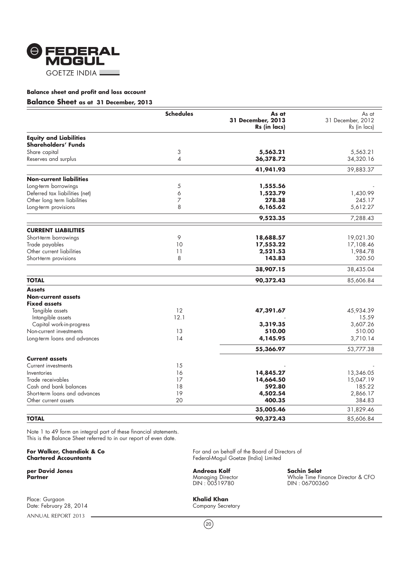

### **Balance sheet and profit and loss account**

### **Balance Sheet as at 31 December, 2013**

|                                | <b>Schedules</b> | As at<br>31 December, 2013<br>Rs (in lacs) | As at<br>31 December, 2012<br>Rs (in lacs) |
|--------------------------------|------------------|--------------------------------------------|--------------------------------------------|
| <b>Equity and Liabilities</b>  |                  |                                            |                                            |
| <b>Shareholders' Funds</b>     |                  |                                            |                                            |
| Share capital                  | 3                | 5,563.21                                   | 5,563.21                                   |
| Reserves and surplus           | 4                | 36,378.72                                  | 34,320.16                                  |
|                                |                  | 41,941.93                                  | 39,883.37                                  |
| <b>Non-current liabilities</b> |                  |                                            |                                            |
| Long-term borrowings           | 5                | 1,555.56                                   |                                            |
| Deferred tax liabilities (net) | 6                | 1,523.79                                   | 1,430.99                                   |
| Other long term liabilities    | 7                | 278.38                                     | 245.17                                     |
| Long-term provisions           | 8                | 6,165.62                                   | 5,612.27                                   |
|                                |                  | 9,523.35                                   | 7,288.43                                   |
| <b>CURRENT LIABILITIES</b>     |                  |                                            |                                            |
| Short-term borrowings          | 9                | 18,688.57                                  | 19,021.30                                  |
| Trade payables                 | 10               | 17,553.22                                  | 17,108.46                                  |
| Other current liabilities      | 11               | 2,521.53                                   | 1,984.78                                   |
| Short-term provisions          | 8                | 143.83                                     | 320.50                                     |
|                                |                  | 38,907.15                                  | 38,435.04                                  |
| <b>TOTAL</b>                   |                  | 90,372.43                                  | 85,606.84                                  |
| <b>Assets</b>                  |                  |                                            |                                            |
| <b>Non-current assets</b>      |                  |                                            |                                            |
| <b>Fixed assets</b>            |                  |                                            |                                            |
| Tangible assets                | 12               | 47,391.67                                  | 45,934.39                                  |
| Intangible assets              | 12.1             |                                            | 15.59                                      |
| Capital work-in-progress       |                  | 3,319.35                                   | 3,607.26                                   |
| Non-current investments        | 13               | 510.00                                     | 510.00                                     |
| Long-term loans and advances   | 14               | 4,145.95                                   | 3,710.14                                   |
|                                |                  | 55,366.97                                  | 53,777.38                                  |
| <b>Current assets</b>          |                  |                                            |                                            |
| Current investments            | 15               |                                            |                                            |
| Inventories                    | 16               | 14,845.27                                  | 13,346.05                                  |
| Trade receivables              | 17               | 14,664.50                                  | 15,047.19                                  |
| Cash and bank balances         | 18               | 592.80                                     | 185.22                                     |
| Short-term loans and advances  | 19               | 4,502.54                                   | 2,866.17                                   |
| Other current assets           | 20               | 400.35                                     | 384.83                                     |
|                                |                  | 35,005.46                                  | 31,829.46                                  |
| <b>TOTAL</b>                   |                  | 90,372.43                                  | 85,606.84                                  |

Note 1 to 49 form an integral part of these financial statements. This is the Balance Sheet referred to in our report of even date.

Place: Gurgaon **Canadia American Company Secretary**<br>
Date: February 28, 2014 **Company Secretary** Date: February 28, 2014

ANNUAL REPORT 2013

**For Walker, Chandiok & Co** For and on behalf of the Board of Directors of **Chartered Accountants** Federal-Mogul Goetze (India) Limited

**per David Jones Andreas Kolf Sachin Selot** Managing Director<br>DIN : 00519780

Whole Time Finance Director & CFO<br>DIN: 06700360

 $(20)$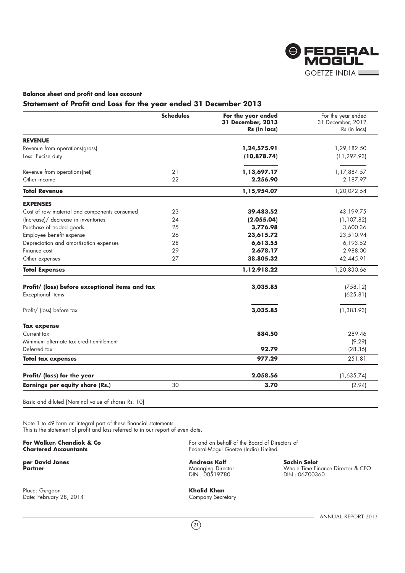

### **Balance sheet and profit and loss account**

### **Statement of Profit and Loss for the year ended 31 December 2013**

|                                                 | <b>Schedules</b> | For the year ended<br>31 December, 2013<br>Rs (in lacs) | For the year ended<br>31 December, 2012<br>Rs (in lacs) |
|-------------------------------------------------|------------------|---------------------------------------------------------|---------------------------------------------------------|
| <b>REVENUE</b>                                  |                  |                                                         |                                                         |
| Revenue from operations(gross)                  |                  | 1,24,575.91                                             | 1,29,182.50                                             |
| Less: Excise duty                               |                  | (10, 878.74)                                            | (11, 297.93)                                            |
| Revenue from operations(net)                    | 21               | 1,13,697.17                                             | 1,17,884.57                                             |
| Other income                                    | 22               | 2,256.90                                                | 2,187.97                                                |
| <b>Total Revenue</b>                            |                  | 1,15,954.07                                             | 1,20,072.54                                             |
| <b>EXPENSES</b>                                 |                  |                                                         |                                                         |
| Cost of raw material and components consumed    | 23               | 39,483.52                                               | 43,199.75                                               |
| (Increase)/ decrease in inventories             | 24               | (2,055.04)                                              | (1, 107.82)                                             |
| Purchase of traded goods                        | 25               | 3,776.98                                                | 3,600.36                                                |
| Employee benefit expense                        | 26               | 23,615.72                                               | 23,510.94                                               |
| Depreciation and amortisation expenses          | 28               | 6,613.55                                                | 6,193.52                                                |
| Finance cost                                    | 29               | 2,678.17                                                | 2,988.00                                                |
| Other expenses                                  | 27               | 38,805.32                                               | 42,445.91                                               |
| <b>Total Expenses</b>                           |                  | 1,12,918.22                                             | 1,20,830.66                                             |
| Profit/ (loss) before exceptional items and tax |                  | 3,035.85                                                | (758.12)                                                |
| Exceptional items                               |                  |                                                         | (625.81)                                                |
| Profit/ (loss) before tax                       |                  | 3,035.85                                                | (1, 383.93)                                             |
| <b>Tax expense</b>                              |                  |                                                         |                                                         |
| Current tax                                     |                  | 884.50                                                  | 289.46                                                  |
| Minimum alternate tax credit entitlement        |                  |                                                         | (9.29)                                                  |
| Deferred tax                                    |                  | 92.79                                                   | (28.36)                                                 |
| <b>Total tax expenses</b>                       |                  | 977.29                                                  | 251.81                                                  |
| Profit/ (loss) for the year                     |                  | 2,058.56                                                | (1,635.74)                                              |
| Earnings per equity share (Rs.)                 | 30               | 3.70                                                    | (2.94)                                                  |

Basic and diluted [Nominal value of shares Rs. 10]

Note 1 to 49 form an integral part of these financial statements. This is the statement of profit and loss referred to in our report of even date.

**per David Jones Andreas Kolf Sachin Selot**

Place: Gurgaon **Canadia American Communist Communist Communist Communist Communist Communist Communist Communist Communist Communist Communist Communist Communist Communist Communist Communist Communist Communist Communist** Date: February 28, 2014

**For Walker, Chandiok & Co** For and on behalf of the Board of Directors of **Chartered Accountants**<br> **Chartered Accountants Chartered Accountants** Federal-Mogul Goetze (India) Limited

Managing Director<br>DIN : 00519780

**Partners** Management Director & CFO<br>DIN : 06700360

 $(21)$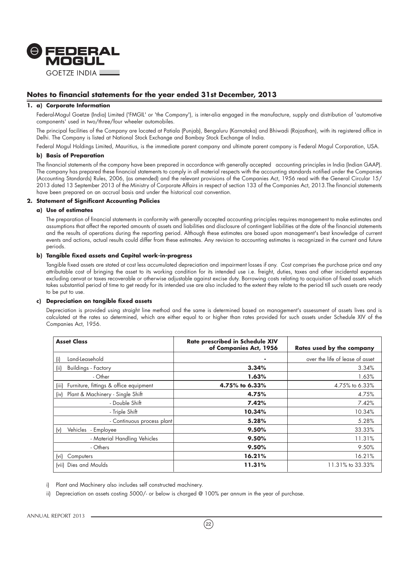

### **Notes to financial statements for the year ended 31st December, 2013**

### **1. a) Corporate Information**

Federal-Mogul Goetze (India) Limited ('FMGIL' or 'the Company'), is inter-alia engaged in the manufacture, supply and distribution of 'automotive components' used in two/three/four wheeler automobiles.

The principal facilities of the Company are located at Patiala (Punjab), Bengaluru (Karnataka) and Bhiwadi (Rajasthan), with its registered office in Delhi. The Company is listed at National Stock Exchange and Bombay Stock Exchange of India.

Federal Mogul Holdings Limited, Mauritius, is the immediate parent company and ultimate parent company is Federal Mogul Corporation, USA.

### **b) Basis of Preparation**

The financial statements of the company have been prepared in accordance with generally accepted accounting principles in India (Indian GAAP). The company has prepared these financial statements to comply in all material respects with the accounting standards notified under the Companies (Accounting Standards) Rules, 2006, (as amended) and the relevant provisions of the Companies Act, 1956 read with the General Circular 15/ 2013 dated 13 September 2013 of the Ministry of Corporate Affairs in respect of section 133 of the Companies Act, 2013.The financial statements have been prepared on an accrual basis and under the historical cost convention.

### **2. Statement of Significant Accounting Policies**

### **a) Use of estimates**

The preparation of financial statements in conformity with generally accepted accounting principles requires management to make estimates and assumptions that affect the reported amounts of assets and liabilities and disclosure of contingent liabilities at the date of the financial statements and the results of operations during the reporting period. Although these estimates are based upon management's best knowledge of current events and actions, actual results could differ from these estimates. Any revision to accounting estimates is recognized in the current and future periods.

### **b) Tangible fixed assets and Capital work-in-progress**

Tangible fixed assets are stated at cost less accumulated depreciation and impairment losses if any. Cost comprises the purchase price and any attributable cost of bringing the asset to its working condition for its intended use i.e. freight, duties, taxes and other incidental expenses excluding cenvat or taxes recoverable or otherwise adjustable against excise duty. Borrowing costs relating to acquisition of fixed assets which takes substantial period of time to get ready for its intended use are also included to the extent they relate to the period till such assets are ready to be put to use.

### **c) Depreciation on tangible fixed assets**

Depreciation is provided using straight line method and the same is determined based on management's assessment of assets lives and is calculated at the rates so determined, which are either equal to or higher than rates provided for such assets under Schedule XIV of the Companies Act, 1956.

| <b>Asset Class</b>                              | Rate prescribed in Schedule XIV<br>of Companies Act, 1956 | Rates used by the company       |
|-------------------------------------------------|-----------------------------------------------------------|---------------------------------|
| Land-Leasehold<br>(i)                           | ٠                                                         | over the life of lease of asset |
| (i)<br><b>Buildings - Factory</b>               | 3.34%                                                     | 3.34%                           |
| - Other                                         | 1.63%                                                     | 1.63%                           |
| Furniture, fittings & office equipment<br>(iii) | 4.75% to 6.33%                                            | 4.75% to 6.33%                  |
| Plant & Machinery - Single Shift<br>(iv)        | 4.75%                                                     | 4.75%                           |
| - Double Shift                                  | 7.42%                                                     | 7.42%                           |
| - Triple Shift                                  | $10.34\%$                                                 | 10.34%                          |
| - Continuous process plant                      | 5.28%                                                     | 5.28%                           |
| Vehicles - Employee<br>$\{v\}$                  | 9.50%                                                     | 33.33%                          |
| - Material Handling Vehicles                    | 9.50%                                                     | 11.31%                          |
| - Others                                        | 9.50%                                                     | 9.50%                           |
| Computers<br>$(v_i)$                            | 16.21%                                                    | 16.21%                          |
| (vii) Dies and Moulds                           | 11.31%                                                    | 11.31% to 33.33%                |

i) Plant and Machinery also includes self constructed machinery.

ii) Depreciation on assets costing 5000/- or below is charged @ 100% per annum in the year of purchase.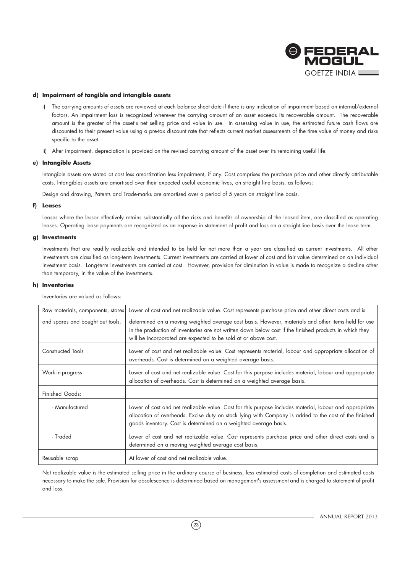

### **d) Impairment of tangible and intangible assets**

- i) The carrying amounts of assets are reviewed at each balance sheet date if there is any indication of impairment based on internal/external factors. An impairment loss is recognized wherever the carrying amount of an asset exceeds its recoverable amount. The recoverable amount is the greater of the asset's net selling price and value in use. In assessing value in use, the estimated future cash flows are discounted to their present value using a pre-tax discount rate that reflects current market assessments of the time value of money and risks specific to the asset.
- ii) After impairment, depreciation is provided on the revised carrying amount of the asset over its remaining useful life.

### **e) Intangible Assets**

Intangible assets are stated at cost less amortization less impairment, if any. Cost comprises the purchase price and other directly attributable costs. Intangibles assets are amortised over their expected useful economic lives, on straight line basis, as follows:

Design and drawing, Patents and Trade-marks are amortised over a period of 5 years on straight line basis.

### **f) Leases**

Leases where the lessor effectively retains substantially all the risks and benefits of ownership of the leased item, are classified as operating leases. Operating lease payments are recognized as an expense in statement of profit and loss on a straight-line basis over the lease term.

### **g) Investments**

Investments that are readily realizable and intended to be held for not more than a year are classified as current investments. All other investments are classified as long-term investments. Current investments are carried at lower of cost and fair value determined on an individual investment basis. Long-term investments are carried at cost. However, provision for diminution in value is made to recognize a decline other than temporary, in the value of the investments.

### **h) Inventories**

Inventories are valued as follows:

| Raw materials, components, stores | Lower of cost and net realizable value. Cost represents purchase price and other direct costs and is                                                                                                                                                                                 |
|-----------------------------------|--------------------------------------------------------------------------------------------------------------------------------------------------------------------------------------------------------------------------------------------------------------------------------------|
| and spares and bought out tools.  | determined on a moving weighted average cost basis. However, materials and other items held for use<br>in the production of inventories are not written down below cost if the finished products in which they<br>will be incorporated are expected to be sold at or above cost.     |
| Constructed Tools                 | Lower of cost and net realizable value. Cost represents material, labour and appropriate allocation of<br>overheads. Cost is determined on a weighted average basis.                                                                                                                 |
| Work-in-progress                  | Lower of cost and net realizable value. Cost for this purpose includes material, labour and appropriate<br>allocation of overheads. Cost is determined on a weighted average basis.                                                                                                  |
| Finished Goods:                   |                                                                                                                                                                                                                                                                                      |
| - Manufactured                    | Lower of cost and net realizable value. Cost for this purpose includes material, labour and appropriate<br>allocation of overheads. Excise duty on stock lying with Company is added to the cost of the finished<br>goods inventory. Cost is determined on a weighted average basis. |
| - Traded                          | Lower of cost and net realizable value. Cost represents purchase price and other direct costs and is<br>determined on a moving weighted average cost basis.                                                                                                                          |
| Reusable scrap                    | At lower of cost and net realizable value.                                                                                                                                                                                                                                           |

Net realizable value is the estimated selling price in the ordinary course of business, less estimated costs of completion and estimated costs necessary to make the sale. Provision for obsolescence is determined based on management's assessment and is charged to statement of profit and loss.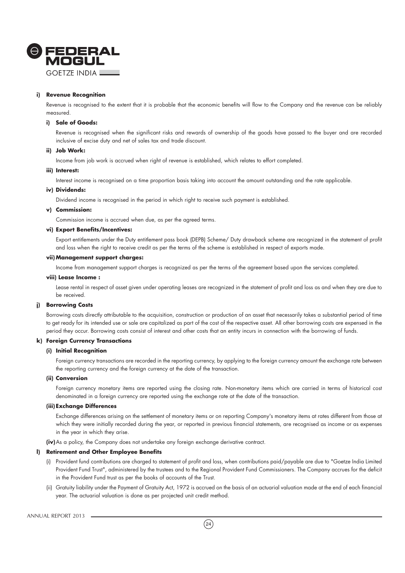

### **i) Revenue Recognition**

Revenue is recognised to the extent that it is probable that the economic benefits will flow to the Company and the revenue can be reliably measured.

### **i) Sale of Goods:**

Revenue is recognised when the significant risks and rewards of ownership of the goods have passed to the buyer and are recorded inclusive of excise duty and net of sales tax and trade discount.

### **ii) Job Work:**

Income from job work is accrued when right of revenue is established, which relates to effort completed.

### **iii) Interest:**

Interest income is recognised on a time proportion basis taking into account the amount outstanding and the rate applicable.

### **iv) Dividends:**

Dividend income is recognised in the period in which right to receive such payment is established.

### **v) Commission:**

Commission income is accrued when due, as per the agreed terms.

### **vi) Export Benefits/Incentives:**

Export entitlements under the Duty entitlement pass book (DEPB) Scheme/ Duty drawback scheme are recognized in the statement of profit and loss when the right to receive credit as per the terms of the scheme is established in respect of exports made.

### **vii) Management support charges:**

Income from management support charges is recognized as per the terms of the agreement based upon the services completed.

#### **viii) Lease Income :**

Lease rental in respect of asset given under operating leases are recognized in the statement of profit and loss as and when they are due to be received.

### **j) Borrowing Costs**

Borrowing costs directly attributable to the acquisition, construction or production of an asset that necessarily takes a substantial period of time to get ready for its intended use or sale are capitalized as part of the cost of the respective asset. All other borrowing costs are expensed in the period they occur. Borrowing costs consist of interest and other costs that an entity incurs in connection with the borrowing of funds.

### **k) Foreign Currency Transactions**

### **(i) Initial Recognition**

Foreign currency transactions are recorded in the reporting currency, by applying to the foreign currency amount the exchange rate between the reporting currency and the foreign currency at the date of the transaction.

### **(ii) Conversion**

Foreign currency monetary items are reported using the closing rate. Non-monetary items which are carried in terms of historical cost denominated in a foreign currency are reported using the exchange rate at the date of the transaction.

### **(iii) Exchange Differences**

Exchange differences arising on the settlement of monetary items or on reporting Company's monetary items at rates different from those at which they were initially recorded during the year, or reported in previous financial statements, are recognised as income or as expenses in the year in which they arise.

**(iv)**As a policy, the Company does not undertake any foreign exchange derivative contract.

### **l) Retirement and Other Employee Benefits**

- (i) Provident fund contributions are charged to statement of profit and loss, when contributions paid/payable are due to "Goetze India Limited Provident Fund Trust", administered by the trustees and to the Regional Provident Fund Commissioners. The Company accrues for the deficit in the Provident Fund trust as per the books of accounts of the Trust.
- (ii) Gratuity liability under the Payment of Gratuity Act, 1972 is accrued on the basis of an actuarial valuation made at the end of each financial year. The actuarial valuation is done as per projected unit credit method.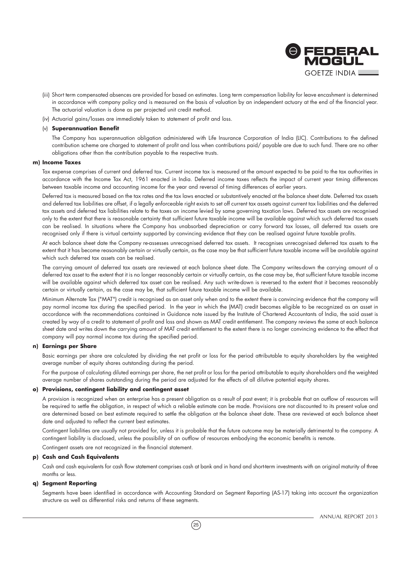

- (iii) Short term compensated absences are provided for based on estimates. Long term compensation liability for leave encashment is determined in accordance with company policy and is measured on the basis of valuation by an independent actuary at the end of the financial year. The actuarial valuation is done as per projected unit credit method.
- (iv) Actuarial gains/losses are immediately taken to statement of profit and loss.

### (v) **Superannuation Benefit**

The Company has superannuation obligation administered with Life Insurance Corporation of India (LIC). Contributions to the defined contribution scheme are charged to statement of profit and loss when contributions paid/ payable are due to such fund. There are no other obligations other than the contribution payable to the respective trusts.

### **m) Income Taxes**

Tax expense comprises of current and deferred tax. Current income tax is measured at the amount expected to be paid to the tax authorities in accordance with the Income Tax Act, 1961 enacted in India. Deferred income taxes reflects the impact of current year timing differences between taxable income and accounting income for the year and reversal of timing differences of earlier years.

Deferred tax is measured based on the tax rates and the tax laws enacted or substantively enacted at the balance sheet date. Deferred tax assets and deferred tax liabilities are offset, if a legally enforceable right exists to set off current tax assets against current tax liabilities and the deferred tax assets and deferred tax liabilities relate to the taxes on income levied by same governing taxation laws. Deferred tax assets are recognised only to the extent that there is reasonable certainty that sufficient future taxable income will be available against which such deferred tax assets can be realised. In situations where the Company has unabsorbed depreciation or carry forward tax losses, all deferred tax assets are recognised only if there is virtual certainty supported by convincing evidence that they can be realised against future taxable profits.

At each balance sheet date the Company re-assesses unrecognised deferred tax assets. It recognises unrecognised deferred tax assets to the extent that it has become reasonably certain or virtually certain, as the case may be that sufficient future taxable income will be available against which such deferred tax assets can be realised.

The carrying amount of deferred tax assets are reviewed at each balance sheet date. The Company writes-down the carrying amount of a deferred tax asset to the extent that it is no longer reasonably certain or virtually certain, as the case may be, that sufficient future taxable income will be available against which deferred tax asset can be realised. Any such write-down is reversed to the extent that it becomes reasonably certain or virtually certain, as the case may be, that sufficient future taxable income will be available.

Minimum Alternate Tax ("MAT") credit is recognised as an asset only when and to the extent there is convincing evidence that the company will pay normal income tax during the specified period. In the year in which the (MAT) credit becomes eligible to be recognized as an asset in accordance with the recommendations contained in Guidance note issued by the Institute of Chartered Accountants of India, the said asset is created by way of a credit to statement of profit and loss and shown as MAT credit entitlement. The company reviews the same at each balance sheet date and writes down the carrying amount of MAT credit entitlement to the extent there is no longer convincing evidence to the effect that company will pay normal income tax during the specified period.

### **n) Earnings per Share**

Basic earnings per share are calculated by dividing the net profit or loss for the period attributable to equity shareholders by the weighted average number of equity shares outstanding during the period.

For the purpose of calculating diluted earnings per share, the net profit or loss for the period attributable to equity shareholders and the weighted average number of shares outstanding during the period are adjusted for the effects of all dilutive potential equity shares.

### **o) Provisions, contingent liability and contingent asset**

A provision is recognized when an enterprise has a present obligation as a result of past event; it is probable that an outflow of resources will be required to settle the obligation, in respect of which a reliable estimate can be made. Provisions are not discounted to its present value and are determined based on best estimate required to settle the obligation at the balance sheet date. These are reviewed at each balance sheet date and adjusted to reflect the current best estimates.

Contingent liabilities are usually not provided for, unless it is probable that the future outcome may be materially detrimental to the company. A contingent liability is disclosed, unless the possibility of an outflow of resources embodying the economic benefits is remote.

Contingent assets are not recognized in the financial statement.

### **p) Cash and Cash Equivalents**

Cash and cash equivalents for cash flow statement comprises cash at bank and in hand and short-term investments with an original maturity of three months or less.

### **q) Segment Reporting**

Segments have been identified in accordance with Accounting Standard on Segment Reporting (AS-17) taking into account the organization structure as well as differential risks and returns of these segments.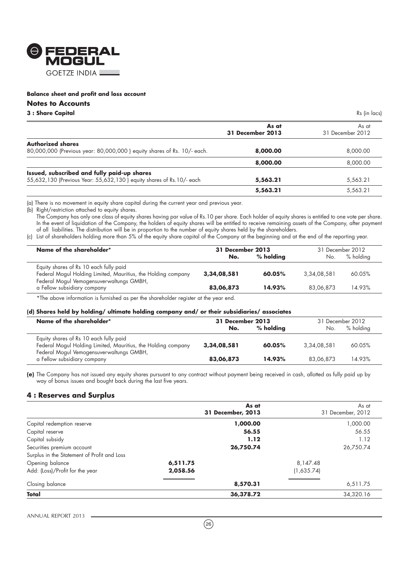

### **Balance sheet and profit and loss account**

### **Notes to Accounts**

**3 : Share Capital** Rs (in lacs) and **RS** (in lacs) and **RS** (in lacs) and **RS** (in lacs) and **RS** (in lacs) and **RS** (in lacs) and **RS** (in lacs) and **RS** (in lacs) and **RS** (in lacs) and **RS** (in lacs) and **RS** (in lacs)

|                                                                        | As at<br><b>31 December 2013</b> | As at<br>31 December 2012 |
|------------------------------------------------------------------------|----------------------------------|---------------------------|
| <b>Authorized shares</b>                                               |                                  |                           |
| 80,000,000 (Previous year: 80,000,000) equity shares of Rs. 10/- each. | 8,000.00                         | 8,000.00                  |
|                                                                        | 8,000.00                         | 8,000.00                  |
| Issued, subscribed and fully paid-up shares                            |                                  |                           |
| 55,632,130 (Previous Year: 55,632,130) equity shares of Rs.10/- each   | 5,563,21                         | 5.563.21                  |
|                                                                        | 5,563.21                         | 5.563.21                  |

(a) There is no movement in equity share capital during the current year and previous year.

The Company has only one class of equity shares having par value of Rs.10 per share. Each holder of equity shares is entitled to one vote per share. In the event of liquidation of the Company, the holders of equity shares will be entitled to receive remaining assets of the Company, after payment of all liabilities. The distribution will be in proportion to the number of equity shares held by the shareholders.

(c) List of shareholders holding more than 5% of the equity share capital of the Company at the beginning and at the end of the reporting year.

| Name of the shareholder*                                                                                                                            | <b>31 December 2013</b> |             |             | 31 December 2012 |  |
|-----------------------------------------------------------------------------------------------------------------------------------------------------|-------------------------|-------------|-------------|------------------|--|
|                                                                                                                                                     | No.                     | $%$ holdina | No.         | % holding        |  |
| Equity shares of Rs 10 each fully paid<br>Federal Mogul Holding Limited, Mauritius, the Holding company<br>Federal Mogul Vemogensuverwaltungs GMBH, | 3,34,08,581             | 60.05%      | 3,34,08,581 | 60.05%           |  |
| a Fellow subsidiary company                                                                                                                         | 83,06,873               | 14.93%      | 83,06,873   | 14.93%           |  |
|                                                                                                                                                     |                         |             |             |                  |  |

\*The above information is furnished as per the shareholder register at the year end.

### **(d) Shares held by holding/ ultimate holding company and/ or their subsidiaries/ associates**

| Name of the shareholder*                                                                                                                            | <b>31 December 2013</b> |             |             | 31 December 2012 |
|-----------------------------------------------------------------------------------------------------------------------------------------------------|-------------------------|-------------|-------------|------------------|
|                                                                                                                                                     | No.                     | $%$ holdina | No.         | % holding        |
| Equity shares of Rs 10 each fully paid<br>Federal Mogul Holding Limited, Mauritius, the Holding company<br>Federal Mogul Vemogensuverwaltungs GMBH, | 3,34,08,581             | 60.05%      | 3.34.08.581 | 60.05%           |
| a Fellow subsidiary company                                                                                                                         | 83,06,873               | 14.93%      | 83,06,873   | 14.93%           |

**(e)** The Company has not issued any equity shares pursuant to any contract without payment being received in cash, allotted as fully paid up by way of bonus issues and bought back during the last five years.

### **4 : Reserves and Surplus**

| 31 December, 2012<br>1,000.00 |
|-------------------------------|
|                               |
|                               |
| 56.55                         |
| 1.12                          |
| 26,750.74                     |
|                               |
| 8,147.48                      |
| (1,635.74)                    |
| 6,511.75                      |
| 34,320.16                     |
|                               |

<sup>(</sup>b) Right/restriction attached to equity shares.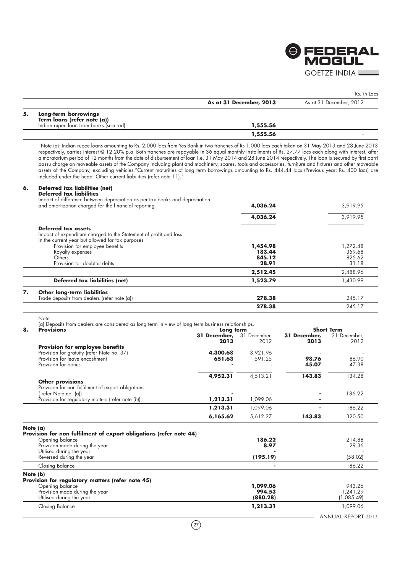

|    |                                                     |                         | Rs. in Lacs             |
|----|-----------------------------------------------------|-------------------------|-------------------------|
|    |                                                     | As at 31 December, 2013 | As at 31 December, 2012 |
| 5. | Long-term borrowings<br>Term loans (refer note (a)) |                         |                         |
|    | Indian rupee loan from banks (secured)              | 1,555.56                |                         |
|    |                                                     | 1,555.56                |                         |

"Note (a): Indian rupee loans amounting to Rs. 2,000 lacs from Yes Bank in two tranches of Rs 1,000 lacs each taken on 31 May 2013 and 28 June 2013 respectively, carries interest @ 12.20% p.a. Both tranches are repayable in 36 equal monthly installments of Rs. 27.77 lacs each along with interest, after a moratorium period of 12 months from the date of disbursement of loan i.e. 31 May 2014 and 28 June 2014 respectively. The loan is secured by first parri passu charge on moveable assets of the Company including plant and machinery, spares, tools and accessories, furniture and fixtures and other moveable assets of the Company, excluding vehicles."Current maturities of long term borrowings amounting to Rs. 444.44 lacs (Previous year: Rs. 400 lacs) are included under the head 'Other current liabilities (refer note 11)."

### **6. Deferred tax liabilities (net)**

**Deferred tax liabilities** Impact of difference between depreciation as per tax books and depreciation and amortization charged for the financial reporting and amortization charged for the financial reporting **4,036.24** 3,919.95

| 4,036.24 | 3,919.95 |
|----------|----------|
|          |          |
|          |          |
| 1,454.98 | 1.272.48 |
| 183.44   | 359.68   |
| 845.12   | 825.62   |
| 28.91    | 31.18    |
| 2,512.45 | 2.488.96 |
| 1,523.79 | 1.430.99 |
|          |          |
| 278.38   | 245.17   |
| 278.38   | 245.17   |
|          |          |

Note:

(a) Deposits from dealers are considered as long term in view of long term business relationships.

| <b>Provisions</b>                                  | Long term            |                      | <b>Short Term</b>    |                      |
|----------------------------------------------------|----------------------|----------------------|----------------------|----------------------|
|                                                    | 31 December,<br>2013 | 31 December,<br>2012 | 31 December,<br>2013 | 31 December,<br>2012 |
| <b>Provision for employee benefits</b>             |                      |                      |                      |                      |
| Provision for gratuity (refer Note no. 37)         | 4,300.68             | 3,921.96             |                      |                      |
| Provision for leave encashment                     | 651.63               | 591.25               | 98.76                | 86.90                |
| Provision for bonus                                |                      |                      | 45.07                | 47.38                |
|                                                    | 4,952.31             | 4.513.21             | 143.83               | 134.28               |
| <b>Other provisions</b>                            |                      |                      |                      |                      |
| Provision for non fulfilment of export obligations |                      |                      |                      |                      |
| refer Note no. (a))                                |                      |                      | ۰                    | 186.22               |
| Provision for regulatory matters (refer note (b))  | 1,213.31             | 1,099.06             | ۰                    |                      |
|                                                    | 1,213.31             | 1,099.06             |                      | 186.22               |
|                                                    | 6,165.62             | 5,612.27             | 143.83               | 320.50               |

| Opening balance                                  | 186.22   | 214.88     |
|--------------------------------------------------|----------|------------|
| Provision made during the year                   | 8.97     | 29.36      |
| Utilised during the year                         |          |            |
| Reversed during the year                         | (195.19) | (58.02)    |
| Closing Balance                                  |          | 186.22     |
| Note (b)                                         |          |            |
| Provision for regulatory matters (refer note 45) |          |            |
| Opening balance                                  | 1,099.06 | 943.26     |
| Provision made during the year                   | 994.53   | 1.241.29   |
| Utilised during the year                         | (880.28) | (1,085.49) |
| Closing Balance                                  | 1,213.31 | 1.099.06   |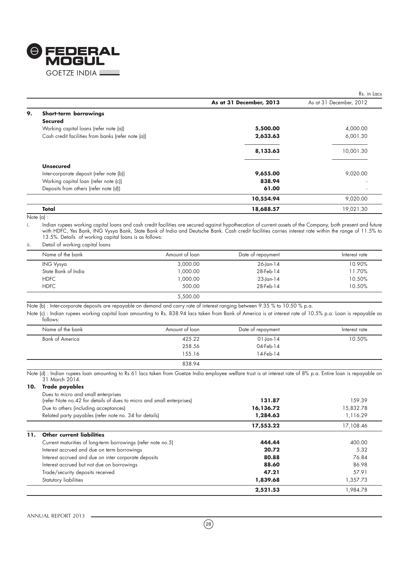

|    |                                                    |                         | Rs. in Lacs             |
|----|----------------------------------------------------|-------------------------|-------------------------|
|    |                                                    | As at 31 December, 2013 | As at 31 December, 2012 |
| 9. | <b>Short-term borrowings</b>                       |                         |                         |
|    | <b>Secured</b>                                     |                         |                         |
|    | Working capital loans (refer note (a))             | 5,500.00                | 4,000.00                |
|    | Cash credit facilities from banks (refer note (a)) | 2,633.63                | 6,001.30                |
|    |                                                    | 8,133.63                | 10,001.30               |
|    | <b>Unsecured</b>                                   |                         |                         |
|    | Inter-corporate deposit (refer note (b))           | 9,655.00                | 9,020.00                |
|    | Working capital loan (refer note (c))              | 838.94                  |                         |
|    | Deposits from others (refer note (d))              | 61.00                   |                         |
|    |                                                    | 10,554.94               | 9,020.00                |
|    | Total                                              | 18,688.57               | 19,021.30               |

Note (a) :

i. Indian rupees working capital loans and cash credit facilities are secured against hypothecation of current assets of the Company, both present and future with HDFC, Yes Bank, ING Vysya Bank, State Bank of India and Deutsche Bank. Cash credit facilities carries interest rate within the range of 11.5% to 13.5%. Details of working capital loans is as follows:

ii. Detail of working capital loans

| Name of the bank    | Amount of loan | Date of repayment | Interest rate |
|---------------------|----------------|-------------------|---------------|
| ING Vysya           | 3,000.00       | $26$ -Jan- $14$   | 10.90%        |
| State Bank of India | 00.000.1       | 28-Feb-14         | 11.70%        |
| <b>HDFC</b>         | 00.000,        | $23$ -Jan-14      | 10.50%        |
| <b>HDFC</b>         | 500.00         | 28-Feb-14         | 10.50%        |
|                     | 5,500.00       |                   |               |

Note (b) : Inter-corporate deposits are repayable on demand and carry rate of interest ranging between 9.35 % to 10.50 % p.a.

Note (c) : Indian rupees working capital loan amounting to Rs. 838.94 lacs taken from Bank of America is at interest rate of 10.5% p.a. Loan is repayable as follows:

| Name of the bank       | Amount of loan | Date of repayment | Interest rate |
|------------------------|----------------|-------------------|---------------|
| <b>Bank of America</b> | 425.22         | $01$ -Jan- $14$   | 10.50%        |
|                        | 258.56         | 04-Feb-14         |               |
|                        | 155.16         | 14-Feb-14         |               |
|                        | 838.94         |                   |               |

Note (d) : Indian rupees loan amounting to Rs 61 lacs taken from Goetze India employee welfare trust is at interest rate of 8% p.a. Entire loan is repayable on 31 March 2014.

### **10. Trade payables**

|     | Dues to micro and small enterprises                                   |           |           |
|-----|-----------------------------------------------------------------------|-----------|-----------|
|     | (refer Note no.42 for details of dues to micro and small enterprises) | 131.87    | 159.39    |
|     | Due to others (including acceptances)                                 | 16,136.72 | 15,832.78 |
|     | Related party payables (refer note no. 34 for details)                | 1,284.63  | 1,116.29  |
|     |                                                                       | 17,553.22 | 17,108.46 |
| 11. | <b>Other current liabilities</b>                                      |           |           |
|     | Current maturities of long-term borrowings (refer note no.5)          | 444.44    | 400.00    |
|     | Interest accrued and due on term borrowings                           | 20.72     | 5.32      |
|     | Interest accrued and due on inter corporate deposits                  | 80.88     | 76.84     |
|     | Interest accrued but not due on borrowings                            | 88.60     | 86.98     |
|     | Trade/security deposits received                                      | 47.21     | 57.91     |
|     | Statutory liabilities                                                 | 1,839.68  | 1,357.73  |
|     |                                                                       | 2,521.53  | 1,984.78  |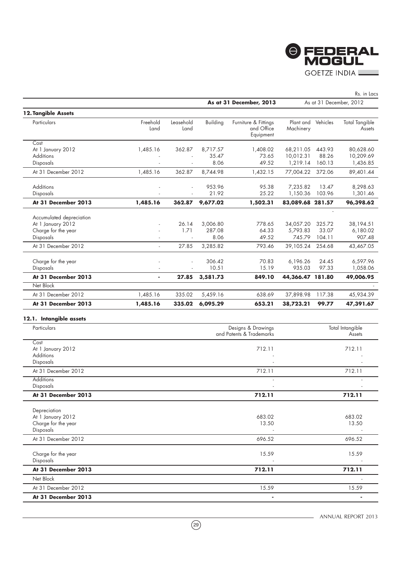

Rs. in Lacs

|                          |                          |                   |                 | As at 31 December, 2013                         |                        | As at 31 December, 2012 |                                 |
|--------------------------|--------------------------|-------------------|-----------------|-------------------------------------------------|------------------------|-------------------------|---------------------------------|
| 12. Tangible Assets      |                          |                   |                 |                                                 |                        |                         |                                 |
| Particulars              | Freehold<br>Land         | Leasehold<br>Land | <b>Building</b> | Furniture & Fittings<br>and Office<br>Equipment | Plant and<br>Machinery | Vehicles                | <b>Total Tangible</b><br>Assets |
| Cost                     |                          |                   |                 |                                                 |                        |                         |                                 |
| At 1 January 2012        | 1,485.16                 | 362.87            | 8,717.57        | 1,408.02                                        | 68,211.05              | 443.93                  | 80,628.60                       |
| <b>Additions</b>         |                          |                   | 35.47           | 73.65                                           | 10.012.31              | 88.26                   | 10.209.69                       |
| <b>Disposals</b>         |                          |                   | 8.06            | 49.52                                           | 1,219.14               | 160.13                  | 1,436.85                        |
| At 31 December 2012      | 1,485.16                 | 362.87            | 8.744.98        | 1,432.15                                        | 77,004.22              | 372.06                  | 89,401.44                       |
| <b>Additions</b>         |                          | ÷,                | 953.96          | 95.38                                           | 7,235.82               | 13.47                   | 8,298.63                        |
| Disposals                |                          |                   | 21.92           | 25.22                                           | 1.150.36               | 103.96                  | 1,301.46                        |
| At 31 December 2013      | 1,485.16                 | 362.87            | 9,677.02        | 1,502.31                                        | 83,089.68 281.57       |                         | 96,398.62                       |
| Accumulated depreciation |                          |                   |                 |                                                 |                        |                         |                                 |
| At 1 January 2012        |                          | 26.14             | 3,006.80        | 778.65                                          | 34.057.20              | 325.72                  | 38.194.51                       |
| Charge for the year      |                          | 1.71              | 287.08          | 64.33                                           | 5,793.83               | 33.07                   | 6,180.02                        |
| <b>Disposals</b>         |                          |                   | 8.06            | 49.52                                           | 745.79                 | 104.11                  | 907.48                          |
| At 31 December 2012      | $\overline{\phantom{a}}$ | 27.85             | 3,285.82        | 793.46                                          | 39,105.24              | 254.68                  | 43,467.05                       |
| Charge for the year      |                          | ÷.                | 306.42          | 70.83                                           | 6.196.26               | 24.45                   | 6.597.96                        |
| <b>Disposals</b>         |                          |                   | 10.51           | 15.19                                           | 935.03                 | 97.33                   | 1,058.06                        |
| At 31 December 2013      | ۰                        | 27.85             | 3,581.73        | 849.10                                          | 44,366.47 181.80       |                         | 49,006.95                       |
| Net Block                |                          |                   |                 |                                                 |                        |                         |                                 |
| At 31 December 2012      | 1.485.16                 | 335.02            | 5,459.16        | 638.69                                          | 37,898.98              | 117.38                  | 45,934.39                       |
| At 31 December 2013      | 1,485.16                 | 335.02            | 6,095.29        | 653.21                                          | 38,723.21              | 99.77                   | 47,391.67                       |

### **12.1. Intangible assets**

| Particulars                                                           | Designs & Drawings<br>and Patents & Trademarks | Total Intangible<br>Assets |
|-----------------------------------------------------------------------|------------------------------------------------|----------------------------|
| Cost<br>At 1 January 2012<br><b>Additions</b>                         | 712.11                                         | 712.11                     |
| Disposals                                                             |                                                |                            |
| At 31 December 2012                                                   | 712.11                                         | 712.11                     |
| <b>Additions</b><br>Disposals                                         | ٠                                              |                            |
| At 31 December 2013                                                   | 712.11                                         | 712.11                     |
| Depreciation<br>At 1 January 2012<br>Charge for the year<br>Disposals | 683.02<br>13.50                                | 683.02<br>13.50            |
| At 31 December 2012                                                   | 696.52                                         | 696.52                     |
| Charge for the year<br>Disposals                                      | 15.59                                          | 15.59                      |
| At 31 December 2013                                                   | 712.11                                         | 712.11                     |
| Net Block                                                             |                                                |                            |
| At 31 December 2012                                                   | 15.59                                          | 15.59                      |
| At 31 December 2013                                                   | ٠                                              |                            |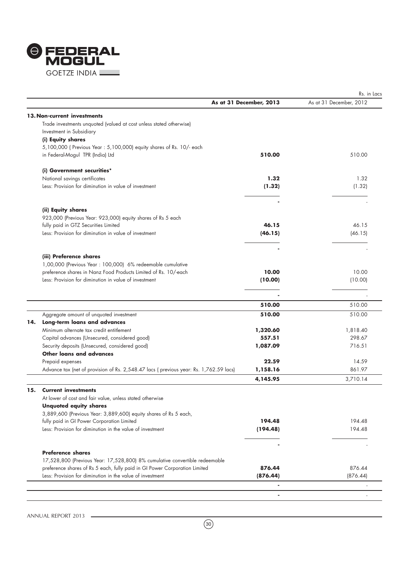

|     |                                                                                        |                         | Rs. in Lacs             |
|-----|----------------------------------------------------------------------------------------|-------------------------|-------------------------|
|     |                                                                                        | As at 31 December, 2013 | As at 31 December, 2012 |
|     | 13. Non-current investments                                                            |                         |                         |
|     | Trade investments unquoted (valued at cost unless stated otherwise)                    |                         |                         |
|     | Investment in Subsidiary                                                               |                         |                         |
|     | (i) Equity shares                                                                      |                         |                         |
|     | 5,100,000 (Previous Year: 5,100,000) equity shares of Rs. 10/- each                    |                         |                         |
|     | in Federal-Mogul TPR (India) Ltd                                                       | 510.00                  | 510.00                  |
|     | (i) Government securities*                                                             |                         |                         |
|     | National savings certificates                                                          | 1.32                    | 1.32                    |
|     | Less: Provision for diminution in value of investment                                  | (1.32)                  | (1.32)                  |
|     |                                                                                        |                         |                         |
|     | (ii) Equity shares                                                                     |                         |                         |
|     | 923,000 (Previous Year: 923,000) equity shares of Rs 5 each                            |                         |                         |
|     | fully paid in GTZ Securities Limited                                                   | 46.15                   | 46.15                   |
|     | Less: Provision for diminution in value of investment                                  | (46.15)                 | (46.15)                 |
|     |                                                                                        |                         |                         |
|     | (iii) Preference shares                                                                |                         |                         |
|     | 1,00,000 (Previous Year: 100,000) 6% redeemable cumulative                             |                         |                         |
|     | preference shares in Nanz Food Products Limited of Rs. 10/-each                        | 10.00                   | 10.00                   |
|     | Less: Provision for diminution in value of investment                                  | (10.00)                 | (10.00)                 |
|     |                                                                                        |                         |                         |
|     |                                                                                        | 510.00                  | 510.00                  |
|     | Aggregate amount of unquoted investment                                                | 510.00                  | 510.00                  |
| 14. | Long-term loans and advances                                                           |                         |                         |
|     | Minimum alternate tax credit entitlement                                               | 1,320.60                | 1,818.40                |
|     | Capital advances (Unsecured, considered good)                                          | 557.51                  | 298.67                  |
|     | Security deposits (Unsecured, considered good)                                         | 1,087.09                | 716.51                  |
|     | Other loans and advances                                                               |                         |                         |
|     | Prepaid expenses                                                                       | 22.59                   | 14.59                   |
|     | Advance tax (net of provision of Rs. 2,548.47 lacs ( previous year: Rs. 1,762.59 lacs) | 1,158.16                | 861.97                  |
|     |                                                                                        | 4,145.95                | 3,710.14                |
| 15. | <b>Current investments</b>                                                             |                         |                         |
|     | At lower of cost and fair value, unless stated otherwise                               |                         |                         |
|     | <b>Unquoted equity shares</b>                                                          |                         |                         |
|     | 3,889,600 (Previous Year: 3,889,600) equity shares of Rs 5 each,                       |                         |                         |
|     | fully paid in GI Power Corporation Limited                                             | 194.48                  | 194.48                  |
|     | Less: Provision for diminution in the value of investment                              | (194.48)                | 194.48                  |
|     |                                                                                        |                         |                         |
|     | <b>Preference shares</b>                                                               |                         |                         |
|     | 17,528,800 (Previous Year: 17,528,800) 8% cumulative convertible redeemable            |                         |                         |
|     | preference shares of Rs 5 each, fully paid in GI Power Corporation Limited             | 876.44                  | 876.44                  |
|     | Less: Provision for diminution in the value of investment                              | (876.44)                | (876.44)                |
|     |                                                                                        |                         |                         |
|     |                                                                                        |                         |                         |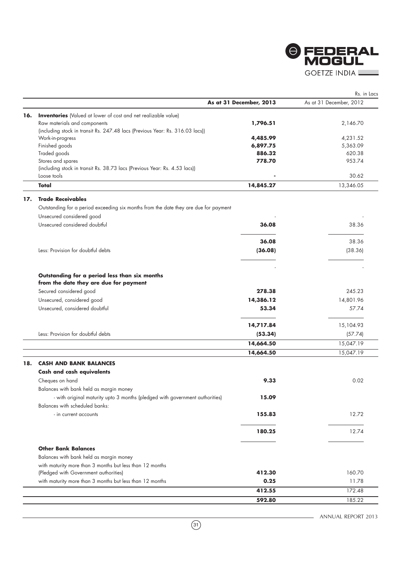

|     |                                                                                           |                         | Rs. in Lacs             |
|-----|-------------------------------------------------------------------------------------------|-------------------------|-------------------------|
|     |                                                                                           | As at 31 December, 2013 | As at 31 December, 2012 |
| 16. | <b>Inventories</b> (Valued at lower of cost and net realizable value)                     |                         |                         |
|     | Raw materials and components                                                              | 1,796.51                | 2,146.70                |
|     | (including stock in transit Rs. 247.48 lacs (Previous Year: Rs. 316.03 lacs))             |                         |                         |
|     | Work-in-progress                                                                          | 4,485.99                | 4,231.52                |
|     | Finished goods                                                                            | 6,897.75                | 5,363.09                |
|     | Traded goods                                                                              | 886.32                  | 620.38                  |
|     | Stores and spares                                                                         | 778.70                  | 953.74                  |
|     | (including stock in transit Rs. 38.73 lacs (Previous Year: Rs. 4.53 lacs))<br>Loose tools |                         | 30.62                   |
|     | Total                                                                                     | 14,845.27               | 13,346.05               |
| 17. | <b>Trade Receivables</b>                                                                  |                         |                         |
|     |                                                                                           |                         |                         |
|     | Outstanding for a period exceeding six months from the date they are due for payment      |                         |                         |
|     | Unsecured considered good                                                                 |                         |                         |
|     | Unsecured considered doubtful                                                             | 36.08                   | 38.36                   |
|     |                                                                                           | 36.08                   | 38.36                   |
|     | Less: Provision for doubtful debts                                                        | (36.08)                 | (38.36)                 |
|     |                                                                                           |                         |                         |
|     |                                                                                           |                         |                         |
|     | Outstanding for a period less than six months<br>from the date they are due for payment   |                         |                         |
|     | Secured considered good                                                                   | 278.38                  | 245.23                  |
|     | Unsecured, considered good                                                                | 14,386.12               | 14,801.96               |
|     | Unsecured, considered doubtful                                                            | 53.34                   | 57.74                   |
|     |                                                                                           |                         |                         |
|     | Less: Provision for doubtful debts                                                        | 14,717.84<br>(53.34)    | 15,104.93<br>(57.74)    |
|     |                                                                                           | 14,664.50               | 15,047.19               |
|     |                                                                                           | 14,664.50               | 15,047.19               |
| 18. | <b>CASH AND BANK BALANCES</b>                                                             |                         |                         |
|     | Cash and cash equivalents                                                                 |                         |                         |
|     | Cheques on hand                                                                           | 9.33                    | 0.02                    |
|     | Balances with bank held as margin money                                                   |                         |                         |
|     | - with original maturity upto 3 months (pledged with government authorities)              | 15.09                   |                         |
|     | Balances with scheduled banks:                                                            |                         |                         |
|     | - in current accounts                                                                     | 155.83                  | 12.72                   |
|     |                                                                                           |                         |                         |
|     |                                                                                           | 180.25                  | 12.74                   |
|     | <b>Other Bank Balances</b>                                                                |                         |                         |
|     | Balances with bank held as margin money                                                   |                         |                         |
|     | with maturity more than 3 months but less than 12 months                                  |                         |                         |
|     | (Pledged with Government authorities)                                                     | 412.30                  | 160.70                  |
|     | with maturity more than 3 months but less than 12 months                                  | 0.25                    | 11.78                   |
|     |                                                                                           | 412.55                  | 172.48                  |
|     |                                                                                           | 592.80                  | 185.22                  |
|     |                                                                                           |                         |                         |

 $\circled{31}$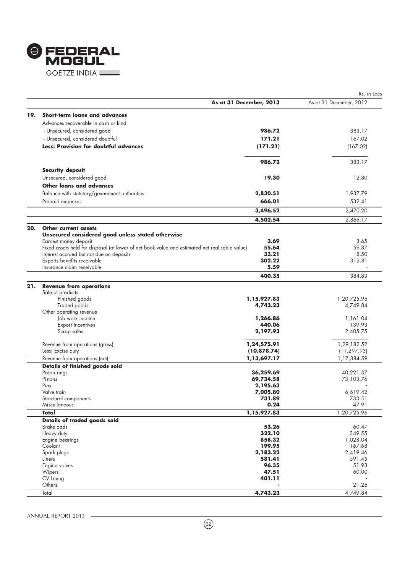

| As at 31 December, 2013<br>As at 31 December, 2012<br>Short-term loans and advances<br>19.<br>Advances recoverable in cash or kind<br>986.72<br>- Unsecured, considered good<br>383.17<br>- Unsecured, considered doubtful<br>171.21<br>167.02<br><b>Less: Provision for doubtful advances</b><br>(171.21)<br>(167.02)<br>986.72<br>383.17<br><b>Security deposit</b><br>Unsecured, considered good<br>19.30<br>12.80<br>Other loans and advances<br>Balance with statutory/government authorities<br>2,830.51<br>1,937.79<br>666.01<br>532.41<br>Prepaid expenses<br>3,496.52<br>2,470.20<br>4,502.54<br>2,866.17<br>20.<br>Other current assets<br>Unsecured considered good unless stated otherwise<br>3.69<br>3.65<br>Earnest money deposit<br>Fixed assets held for disposal (at lower of net book value and estimated net realisable value)<br>55.64<br>59.87<br>Interest accrued but not due on deposits<br>33.21<br>8.50<br>302.22<br>Exports benefits receivable<br>312.81<br>Insurance claim receivable<br>5.59<br>400.35<br>384.83<br>21.<br><b>Revenue from operations</b><br>Sale of products<br>Finished goods<br>1,15,927.83<br>1,20,725.96<br>Traded goods<br>4,743.23<br>4,749.84<br>Other operating revenue<br>Job work income<br>1,266.86<br>1,161.04<br>440.06<br>139.93<br>Export incentives<br>2,197.93<br>Scrap sales<br>2,405.75<br>1,24,575.91<br>1,29,182.52<br>Revenue from operations (gross)<br>(10, 878.74)<br>(11, 297.93)<br>Less: Excise duty<br>1,13,697.17<br>1,17,884.59<br>Revenue from operations (net)<br>Details of finished goods sold<br>36,259.69<br>40,221.37<br>Piston rings<br>69,734.58<br>73,103.76<br>Pistons<br>Pins<br>2,195.63<br>Valve train<br>7,005.80<br>6,619.42<br>731.89<br>733.51<br>Structural components<br>0.24<br>47.91<br>Miscellaneous<br>Total<br>1,15,927.83<br>1,20,725.96<br>Details of traded goods sold<br>Brake pads<br>53.26<br>60.47<br>322.10<br>349.55<br>Heavy duty<br>858.32<br>Engine bearings<br>1,028.04<br>199.95<br>Coolant<br>167.68<br>2,183.22<br>2,419.46<br>Spark plugs<br>591.45<br>Liners<br>581.41<br>Engine valves<br>96.35<br>51.93<br>47.51<br>60.00<br>Wipers<br>CV Lining<br>401.11<br>21.26<br>Others<br>4,743.23<br>4,749.84<br>Total |  |  | Rs. in Lacs |
|------------------------------------------------------------------------------------------------------------------------------------------------------------------------------------------------------------------------------------------------------------------------------------------------------------------------------------------------------------------------------------------------------------------------------------------------------------------------------------------------------------------------------------------------------------------------------------------------------------------------------------------------------------------------------------------------------------------------------------------------------------------------------------------------------------------------------------------------------------------------------------------------------------------------------------------------------------------------------------------------------------------------------------------------------------------------------------------------------------------------------------------------------------------------------------------------------------------------------------------------------------------------------------------------------------------------------------------------------------------------------------------------------------------------------------------------------------------------------------------------------------------------------------------------------------------------------------------------------------------------------------------------------------------------------------------------------------------------------------------------------------------------------------------------------------------------------------------------------------------------------------------------------------------------------------------------------------------------------------------------------------------------------------------------------------------------------------------------------------------------------------------------------------------------------------------------------------------------------------------|--|--|-------------|
|                                                                                                                                                                                                                                                                                                                                                                                                                                                                                                                                                                                                                                                                                                                                                                                                                                                                                                                                                                                                                                                                                                                                                                                                                                                                                                                                                                                                                                                                                                                                                                                                                                                                                                                                                                                                                                                                                                                                                                                                                                                                                                                                                                                                                                          |  |  |             |
|                                                                                                                                                                                                                                                                                                                                                                                                                                                                                                                                                                                                                                                                                                                                                                                                                                                                                                                                                                                                                                                                                                                                                                                                                                                                                                                                                                                                                                                                                                                                                                                                                                                                                                                                                                                                                                                                                                                                                                                                                                                                                                                                                                                                                                          |  |  |             |
|                                                                                                                                                                                                                                                                                                                                                                                                                                                                                                                                                                                                                                                                                                                                                                                                                                                                                                                                                                                                                                                                                                                                                                                                                                                                                                                                                                                                                                                                                                                                                                                                                                                                                                                                                                                                                                                                                                                                                                                                                                                                                                                                                                                                                                          |  |  |             |
|                                                                                                                                                                                                                                                                                                                                                                                                                                                                                                                                                                                                                                                                                                                                                                                                                                                                                                                                                                                                                                                                                                                                                                                                                                                                                                                                                                                                                                                                                                                                                                                                                                                                                                                                                                                                                                                                                                                                                                                                                                                                                                                                                                                                                                          |  |  |             |
|                                                                                                                                                                                                                                                                                                                                                                                                                                                                                                                                                                                                                                                                                                                                                                                                                                                                                                                                                                                                                                                                                                                                                                                                                                                                                                                                                                                                                                                                                                                                                                                                                                                                                                                                                                                                                                                                                                                                                                                                                                                                                                                                                                                                                                          |  |  |             |
|                                                                                                                                                                                                                                                                                                                                                                                                                                                                                                                                                                                                                                                                                                                                                                                                                                                                                                                                                                                                                                                                                                                                                                                                                                                                                                                                                                                                                                                                                                                                                                                                                                                                                                                                                                                                                                                                                                                                                                                                                                                                                                                                                                                                                                          |  |  |             |
|                                                                                                                                                                                                                                                                                                                                                                                                                                                                                                                                                                                                                                                                                                                                                                                                                                                                                                                                                                                                                                                                                                                                                                                                                                                                                                                                                                                                                                                                                                                                                                                                                                                                                                                                                                                                                                                                                                                                                                                                                                                                                                                                                                                                                                          |  |  |             |
|                                                                                                                                                                                                                                                                                                                                                                                                                                                                                                                                                                                                                                                                                                                                                                                                                                                                                                                                                                                                                                                                                                                                                                                                                                                                                                                                                                                                                                                                                                                                                                                                                                                                                                                                                                                                                                                                                                                                                                                                                                                                                                                                                                                                                                          |  |  |             |
|                                                                                                                                                                                                                                                                                                                                                                                                                                                                                                                                                                                                                                                                                                                                                                                                                                                                                                                                                                                                                                                                                                                                                                                                                                                                                                                                                                                                                                                                                                                                                                                                                                                                                                                                                                                                                                                                                                                                                                                                                                                                                                                                                                                                                                          |  |  |             |
|                                                                                                                                                                                                                                                                                                                                                                                                                                                                                                                                                                                                                                                                                                                                                                                                                                                                                                                                                                                                                                                                                                                                                                                                                                                                                                                                                                                                                                                                                                                                                                                                                                                                                                                                                                                                                                                                                                                                                                                                                                                                                                                                                                                                                                          |  |  |             |
|                                                                                                                                                                                                                                                                                                                                                                                                                                                                                                                                                                                                                                                                                                                                                                                                                                                                                                                                                                                                                                                                                                                                                                                                                                                                                                                                                                                                                                                                                                                                                                                                                                                                                                                                                                                                                                                                                                                                                                                                                                                                                                                                                                                                                                          |  |  |             |
|                                                                                                                                                                                                                                                                                                                                                                                                                                                                                                                                                                                                                                                                                                                                                                                                                                                                                                                                                                                                                                                                                                                                                                                                                                                                                                                                                                                                                                                                                                                                                                                                                                                                                                                                                                                                                                                                                                                                                                                                                                                                                                                                                                                                                                          |  |  |             |
|                                                                                                                                                                                                                                                                                                                                                                                                                                                                                                                                                                                                                                                                                                                                                                                                                                                                                                                                                                                                                                                                                                                                                                                                                                                                                                                                                                                                                                                                                                                                                                                                                                                                                                                                                                                                                                                                                                                                                                                                                                                                                                                                                                                                                                          |  |  |             |
|                                                                                                                                                                                                                                                                                                                                                                                                                                                                                                                                                                                                                                                                                                                                                                                                                                                                                                                                                                                                                                                                                                                                                                                                                                                                                                                                                                                                                                                                                                                                                                                                                                                                                                                                                                                                                                                                                                                                                                                                                                                                                                                                                                                                                                          |  |  |             |
|                                                                                                                                                                                                                                                                                                                                                                                                                                                                                                                                                                                                                                                                                                                                                                                                                                                                                                                                                                                                                                                                                                                                                                                                                                                                                                                                                                                                                                                                                                                                                                                                                                                                                                                                                                                                                                                                                                                                                                                                                                                                                                                                                                                                                                          |  |  |             |
|                                                                                                                                                                                                                                                                                                                                                                                                                                                                                                                                                                                                                                                                                                                                                                                                                                                                                                                                                                                                                                                                                                                                                                                                                                                                                                                                                                                                                                                                                                                                                                                                                                                                                                                                                                                                                                                                                                                                                                                                                                                                                                                                                                                                                                          |  |  |             |
|                                                                                                                                                                                                                                                                                                                                                                                                                                                                                                                                                                                                                                                                                                                                                                                                                                                                                                                                                                                                                                                                                                                                                                                                                                                                                                                                                                                                                                                                                                                                                                                                                                                                                                                                                                                                                                                                                                                                                                                                                                                                                                                                                                                                                                          |  |  |             |
|                                                                                                                                                                                                                                                                                                                                                                                                                                                                                                                                                                                                                                                                                                                                                                                                                                                                                                                                                                                                                                                                                                                                                                                                                                                                                                                                                                                                                                                                                                                                                                                                                                                                                                                                                                                                                                                                                                                                                                                                                                                                                                                                                                                                                                          |  |  |             |
|                                                                                                                                                                                                                                                                                                                                                                                                                                                                                                                                                                                                                                                                                                                                                                                                                                                                                                                                                                                                                                                                                                                                                                                                                                                                                                                                                                                                                                                                                                                                                                                                                                                                                                                                                                                                                                                                                                                                                                                                                                                                                                                                                                                                                                          |  |  |             |
|                                                                                                                                                                                                                                                                                                                                                                                                                                                                                                                                                                                                                                                                                                                                                                                                                                                                                                                                                                                                                                                                                                                                                                                                                                                                                                                                                                                                                                                                                                                                                                                                                                                                                                                                                                                                                                                                                                                                                                                                                                                                                                                                                                                                                                          |  |  |             |
|                                                                                                                                                                                                                                                                                                                                                                                                                                                                                                                                                                                                                                                                                                                                                                                                                                                                                                                                                                                                                                                                                                                                                                                                                                                                                                                                                                                                                                                                                                                                                                                                                                                                                                                                                                                                                                                                                                                                                                                                                                                                                                                                                                                                                                          |  |  |             |
|                                                                                                                                                                                                                                                                                                                                                                                                                                                                                                                                                                                                                                                                                                                                                                                                                                                                                                                                                                                                                                                                                                                                                                                                                                                                                                                                                                                                                                                                                                                                                                                                                                                                                                                                                                                                                                                                                                                                                                                                                                                                                                                                                                                                                                          |  |  |             |
|                                                                                                                                                                                                                                                                                                                                                                                                                                                                                                                                                                                                                                                                                                                                                                                                                                                                                                                                                                                                                                                                                                                                                                                                                                                                                                                                                                                                                                                                                                                                                                                                                                                                                                                                                                                                                                                                                                                                                                                                                                                                                                                                                                                                                                          |  |  |             |
|                                                                                                                                                                                                                                                                                                                                                                                                                                                                                                                                                                                                                                                                                                                                                                                                                                                                                                                                                                                                                                                                                                                                                                                                                                                                                                                                                                                                                                                                                                                                                                                                                                                                                                                                                                                                                                                                                                                                                                                                                                                                                                                                                                                                                                          |  |  |             |
|                                                                                                                                                                                                                                                                                                                                                                                                                                                                                                                                                                                                                                                                                                                                                                                                                                                                                                                                                                                                                                                                                                                                                                                                                                                                                                                                                                                                                                                                                                                                                                                                                                                                                                                                                                                                                                                                                                                                                                                                                                                                                                                                                                                                                                          |  |  |             |
|                                                                                                                                                                                                                                                                                                                                                                                                                                                                                                                                                                                                                                                                                                                                                                                                                                                                                                                                                                                                                                                                                                                                                                                                                                                                                                                                                                                                                                                                                                                                                                                                                                                                                                                                                                                                                                                                                                                                                                                                                                                                                                                                                                                                                                          |  |  |             |
|                                                                                                                                                                                                                                                                                                                                                                                                                                                                                                                                                                                                                                                                                                                                                                                                                                                                                                                                                                                                                                                                                                                                                                                                                                                                                                                                                                                                                                                                                                                                                                                                                                                                                                                                                                                                                                                                                                                                                                                                                                                                                                                                                                                                                                          |  |  |             |
|                                                                                                                                                                                                                                                                                                                                                                                                                                                                                                                                                                                                                                                                                                                                                                                                                                                                                                                                                                                                                                                                                                                                                                                                                                                                                                                                                                                                                                                                                                                                                                                                                                                                                                                                                                                                                                                                                                                                                                                                                                                                                                                                                                                                                                          |  |  |             |
|                                                                                                                                                                                                                                                                                                                                                                                                                                                                                                                                                                                                                                                                                                                                                                                                                                                                                                                                                                                                                                                                                                                                                                                                                                                                                                                                                                                                                                                                                                                                                                                                                                                                                                                                                                                                                                                                                                                                                                                                                                                                                                                                                                                                                                          |  |  |             |
|                                                                                                                                                                                                                                                                                                                                                                                                                                                                                                                                                                                                                                                                                                                                                                                                                                                                                                                                                                                                                                                                                                                                                                                                                                                                                                                                                                                                                                                                                                                                                                                                                                                                                                                                                                                                                                                                                                                                                                                                                                                                                                                                                                                                                                          |  |  |             |
|                                                                                                                                                                                                                                                                                                                                                                                                                                                                                                                                                                                                                                                                                                                                                                                                                                                                                                                                                                                                                                                                                                                                                                                                                                                                                                                                                                                                                                                                                                                                                                                                                                                                                                                                                                                                                                                                                                                                                                                                                                                                                                                                                                                                                                          |  |  |             |
|                                                                                                                                                                                                                                                                                                                                                                                                                                                                                                                                                                                                                                                                                                                                                                                                                                                                                                                                                                                                                                                                                                                                                                                                                                                                                                                                                                                                                                                                                                                                                                                                                                                                                                                                                                                                                                                                                                                                                                                                                                                                                                                                                                                                                                          |  |  |             |
|                                                                                                                                                                                                                                                                                                                                                                                                                                                                                                                                                                                                                                                                                                                                                                                                                                                                                                                                                                                                                                                                                                                                                                                                                                                                                                                                                                                                                                                                                                                                                                                                                                                                                                                                                                                                                                                                                                                                                                                                                                                                                                                                                                                                                                          |  |  |             |
|                                                                                                                                                                                                                                                                                                                                                                                                                                                                                                                                                                                                                                                                                                                                                                                                                                                                                                                                                                                                                                                                                                                                                                                                                                                                                                                                                                                                                                                                                                                                                                                                                                                                                                                                                                                                                                                                                                                                                                                                                                                                                                                                                                                                                                          |  |  |             |
|                                                                                                                                                                                                                                                                                                                                                                                                                                                                                                                                                                                                                                                                                                                                                                                                                                                                                                                                                                                                                                                                                                                                                                                                                                                                                                                                                                                                                                                                                                                                                                                                                                                                                                                                                                                                                                                                                                                                                                                                                                                                                                                                                                                                                                          |  |  |             |
|                                                                                                                                                                                                                                                                                                                                                                                                                                                                                                                                                                                                                                                                                                                                                                                                                                                                                                                                                                                                                                                                                                                                                                                                                                                                                                                                                                                                                                                                                                                                                                                                                                                                                                                                                                                                                                                                                                                                                                                                                                                                                                                                                                                                                                          |  |  |             |
|                                                                                                                                                                                                                                                                                                                                                                                                                                                                                                                                                                                                                                                                                                                                                                                                                                                                                                                                                                                                                                                                                                                                                                                                                                                                                                                                                                                                                                                                                                                                                                                                                                                                                                                                                                                                                                                                                                                                                                                                                                                                                                                                                                                                                                          |  |  |             |
|                                                                                                                                                                                                                                                                                                                                                                                                                                                                                                                                                                                                                                                                                                                                                                                                                                                                                                                                                                                                                                                                                                                                                                                                                                                                                                                                                                                                                                                                                                                                                                                                                                                                                                                                                                                                                                                                                                                                                                                                                                                                                                                                                                                                                                          |  |  |             |
|                                                                                                                                                                                                                                                                                                                                                                                                                                                                                                                                                                                                                                                                                                                                                                                                                                                                                                                                                                                                                                                                                                                                                                                                                                                                                                                                                                                                                                                                                                                                                                                                                                                                                                                                                                                                                                                                                                                                                                                                                                                                                                                                                                                                                                          |  |  |             |
|                                                                                                                                                                                                                                                                                                                                                                                                                                                                                                                                                                                                                                                                                                                                                                                                                                                                                                                                                                                                                                                                                                                                                                                                                                                                                                                                                                                                                                                                                                                                                                                                                                                                                                                                                                                                                                                                                                                                                                                                                                                                                                                                                                                                                                          |  |  |             |
|                                                                                                                                                                                                                                                                                                                                                                                                                                                                                                                                                                                                                                                                                                                                                                                                                                                                                                                                                                                                                                                                                                                                                                                                                                                                                                                                                                                                                                                                                                                                                                                                                                                                                                                                                                                                                                                                                                                                                                                                                                                                                                                                                                                                                                          |  |  |             |
|                                                                                                                                                                                                                                                                                                                                                                                                                                                                                                                                                                                                                                                                                                                                                                                                                                                                                                                                                                                                                                                                                                                                                                                                                                                                                                                                                                                                                                                                                                                                                                                                                                                                                                                                                                                                                                                                                                                                                                                                                                                                                                                                                                                                                                          |  |  |             |
|                                                                                                                                                                                                                                                                                                                                                                                                                                                                                                                                                                                                                                                                                                                                                                                                                                                                                                                                                                                                                                                                                                                                                                                                                                                                                                                                                                                                                                                                                                                                                                                                                                                                                                                                                                                                                                                                                                                                                                                                                                                                                                                                                                                                                                          |  |  |             |
|                                                                                                                                                                                                                                                                                                                                                                                                                                                                                                                                                                                                                                                                                                                                                                                                                                                                                                                                                                                                                                                                                                                                                                                                                                                                                                                                                                                                                                                                                                                                                                                                                                                                                                                                                                                                                                                                                                                                                                                                                                                                                                                                                                                                                                          |  |  |             |
|                                                                                                                                                                                                                                                                                                                                                                                                                                                                                                                                                                                                                                                                                                                                                                                                                                                                                                                                                                                                                                                                                                                                                                                                                                                                                                                                                                                                                                                                                                                                                                                                                                                                                                                                                                                                                                                                                                                                                                                                                                                                                                                                                                                                                                          |  |  |             |
|                                                                                                                                                                                                                                                                                                                                                                                                                                                                                                                                                                                                                                                                                                                                                                                                                                                                                                                                                                                                                                                                                                                                                                                                                                                                                                                                                                                                                                                                                                                                                                                                                                                                                                                                                                                                                                                                                                                                                                                                                                                                                                                                                                                                                                          |  |  |             |
|                                                                                                                                                                                                                                                                                                                                                                                                                                                                                                                                                                                                                                                                                                                                                                                                                                                                                                                                                                                                                                                                                                                                                                                                                                                                                                                                                                                                                                                                                                                                                                                                                                                                                                                                                                                                                                                                                                                                                                                                                                                                                                                                                                                                                                          |  |  |             |
|                                                                                                                                                                                                                                                                                                                                                                                                                                                                                                                                                                                                                                                                                                                                                                                                                                                                                                                                                                                                                                                                                                                                                                                                                                                                                                                                                                                                                                                                                                                                                                                                                                                                                                                                                                                                                                                                                                                                                                                                                                                                                                                                                                                                                                          |  |  |             |
|                                                                                                                                                                                                                                                                                                                                                                                                                                                                                                                                                                                                                                                                                                                                                                                                                                                                                                                                                                                                                                                                                                                                                                                                                                                                                                                                                                                                                                                                                                                                                                                                                                                                                                                                                                                                                                                                                                                                                                                                                                                                                                                                                                                                                                          |  |  |             |
|                                                                                                                                                                                                                                                                                                                                                                                                                                                                                                                                                                                                                                                                                                                                                                                                                                                                                                                                                                                                                                                                                                                                                                                                                                                                                                                                                                                                                                                                                                                                                                                                                                                                                                                                                                                                                                                                                                                                                                                                                                                                                                                                                                                                                                          |  |  |             |
|                                                                                                                                                                                                                                                                                                                                                                                                                                                                                                                                                                                                                                                                                                                                                                                                                                                                                                                                                                                                                                                                                                                                                                                                                                                                                                                                                                                                                                                                                                                                                                                                                                                                                                                                                                                                                                                                                                                                                                                                                                                                                                                                                                                                                                          |  |  |             |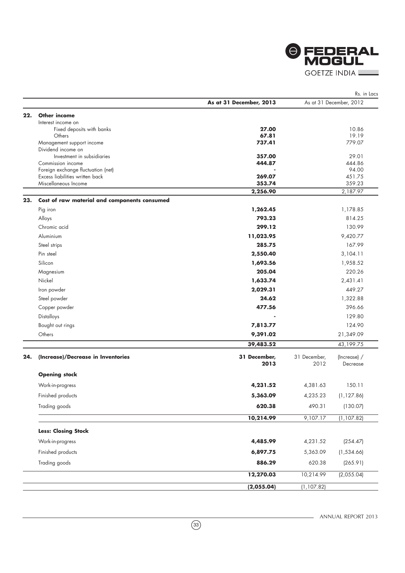

|     |                                                 |                         |                      | Rs. in Lacs              |
|-----|-------------------------------------------------|-------------------------|----------------------|--------------------------|
|     |                                                 | As at 31 December, 2013 |                      | As at 31 December, 2012  |
| 22. | Other income                                    |                         |                      |                          |
|     | Interest income on                              |                         |                      |                          |
|     | Fixed deposits with banks                       | 27.00                   |                      | 10.86                    |
|     | Others                                          | 67.81<br>737.41         |                      | 19.19<br>779.07          |
|     | Management support income<br>Dividend income on |                         |                      |                          |
|     | Investment in subsidiaries                      | 357.00                  |                      | 29.01                    |
|     | Commission income                               | 444.87                  |                      | 444.86                   |
|     | Foreign exchange fluctuation (net)              |                         | 94.00                |                          |
|     | Excess liabilities written back                 | 269.07                  |                      | 451.75                   |
|     | Miscellaneous Income                            | 353.74<br>2,256.90      |                      | 359.23<br>2,187.97       |
| 23. | Cost of raw material and components consumed    |                         |                      |                          |
|     | Pig iron                                        | 1,262.45                |                      | 1,178.85                 |
|     | Alloys                                          | 793.23                  |                      | 814.25                   |
|     | Chromic acid                                    | 299.12                  |                      | 130.99                   |
|     | Aluminium                                       | 11,023.95               | 9,420.77             |                          |
|     | Steel strips                                    | 285.75                  | 167.99               |                          |
|     | Pin steel                                       | 2,550.40                | 3,104.11             |                          |
|     | Silicon                                         | 1,693.56                | 1,958.52             |                          |
|     | Magnesium                                       | 205.04                  | 220.26               |                          |
|     | Nickel                                          | 1,633.74                |                      | 2,431.41                 |
|     | Iron powder                                     | 2,029.31                | 449.27               |                          |
|     | Steel powder                                    | 24.62                   | 1,322.88             |                          |
|     | Copper powder                                   | 477.56                  |                      | 396.66                   |
|     | Distalloys                                      |                         |                      | 129.80                   |
|     | Bought out rings                                | 7,813.77                |                      | 124.90                   |
|     | Others                                          | 9,391.02                |                      | 21,349.09                |
|     |                                                 | 39,483.52               |                      | 43,199.75                |
| 24. | (Increase)/Decrease in Inventories              | 31 December,<br>2013    | 31 December,<br>2012 | (Increase) /<br>Decrease |
|     | <b>Opening stock</b>                            |                         |                      |                          |
|     | Work-in-progress                                | 4,231.52                | 4,381.63             | 150.11                   |
|     | Finished products                               | 5,363.09                | 4,235.23             | (1, 127.86)              |
|     | Trading goods                                   | 620.38                  | 490.31               | (130.07)                 |
|     |                                                 | 10,214.99               | 9,107.17             | (1, 107.82)              |
|     | <b>Less: Closing Stock</b>                      |                         |                      |                          |
|     | Work-in-progress                                | 4,485.99                | 4,231.52             | (254.47)                 |
|     | Finished products                               | 6,897.75                | 5,363.09             | (1,534.66)               |
|     | Trading goods                                   | 886.29                  | 620.38               | (265.91)                 |
|     |                                                 | 12,270.03               | 10,214.99            | (2,055.04)               |
|     |                                                 |                         |                      |                          |
|     |                                                 | (2,055.04)              | (1, 107.82)          |                          |

33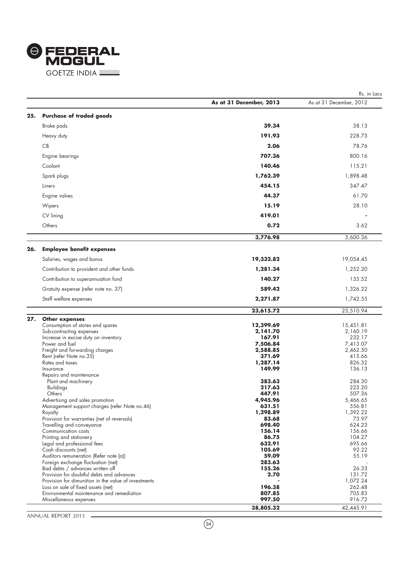

|     |                                                                               |                         | Rs. in Lacs             |
|-----|-------------------------------------------------------------------------------|-------------------------|-------------------------|
|     |                                                                               | As at 31 December, 2013 | As at 31 December, 2012 |
| 25. | <b>Purchase of traded goods</b>                                               |                         |                         |
|     | <b>Brake</b> pads                                                             | 39.34                   | 38.13                   |
|     | Heavy duty                                                                    | 191.93                  | 228.73                  |
|     | CB                                                                            | 2.06                    | 78.76                   |
|     | Engine bearings                                                               | 707.36                  | 800.16                  |
|     | Coolant                                                                       | 140.46                  | 115.21                  |
|     | Spark plugs                                                                   | 1,762.39                | 1,898.48                |
|     | Liners                                                                        | 454.15                  | 347.47                  |
|     | Engine valves                                                                 | 44.37                   | 61.70                   |
|     | Wipers                                                                        | 15.19                   | 28.10                   |
|     | CV lining                                                                     | 419.01                  |                         |
|     | Others                                                                        | 0.72                    | 3.62                    |
|     |                                                                               |                         |                         |
|     |                                                                               | 3,776.98                | 3,600.36                |
| 26. | <b>Employee benefit expenses</b>                                              |                         |                         |
|     | Salaries, wages and bonus                                                     | 19,332.82               | 19,054.45               |
|     | Contribution to provident and other funds                                     | 1,281.34                | 1,252.20                |
|     | Contribution to superannuation fund                                           | 140.27                  | 135.52                  |
|     | Gratuity expense (refer note no. 37)                                          | 589.42                  | 1,326.22                |
|     | Staff welfare expenses                                                        | 2,271.87                | 1,742.55                |
|     |                                                                               | 23,615.72               | 23,510.94               |
| 27. | Other expenses                                                                |                         |                         |
|     | Consumption of stores and spares<br>Sub-contracting expenses                  | 12,399.69<br>2,141.70   | 15,451.81<br>2,160.19   |
|     | Increase in excise duty on inventory                                          | 167.91                  | 232.17                  |
|     | Power and fuel                                                                | 7,506.84                | 7,413.07                |
|     | Freight and forwarding charges<br>Rent (refer Note no.35)                     | 2,588.85<br>371.69      | 2,462.50<br>415.66      |
|     | Rates and taxes                                                               | 1,287.14                | 826.32                  |
|     | Insurance                                                                     | 149.99                  | 136.13                  |
|     | Repairs and maintenance                                                       |                         |                         |
|     | Plant and machinery                                                           | 383.63<br>217.63        | 284.30                  |
|     | <b>Buildings</b><br>Others                                                    | 447.91                  | 223.20<br>507.36        |
|     | Advertising and sales promotion                                               | 4,945.96                | 5,466.65                |
|     | Management support charges (refer Note no.46)                                 | 631.51                  | 556.81                  |
|     | Royalty                                                                       | 1,298.89                | 1,392.22                |
|     | Provision for warranties (net of reversals)                                   | 83.68                   | 73.97                   |
|     | Travelling and conveyance<br>Communication costs                              | 698.40<br>156.14        | 624.23<br>156.66        |
|     | Printing and stationery                                                       | 86.75                   | 104.27                  |
|     | Legal and professional fees                                                   | 632.91                  | 695.66                  |
|     | Cash discounts (net)                                                          | 105.69                  | 92.22                   |
|     | Auditors remuneration (Refer note (a))                                        | 59.09                   | 55.19                   |
|     | Foreign exchange fluctuation (net)                                            | 283.63                  |                         |
|     | Bad debts / advances written off<br>Provision for doubtful debts and advances | 155.26                  | 26.33                   |
|     | Provision for dimunition in the value of investments                          | 2.70                    | 131.72<br>1,072.24      |
|     | Loss on sale of fixed assets (net)                                            | 196.38                  | 262.48                  |
|     | Environmental maintenance and remediation                                     | 807.85                  | 705.83                  |
|     | Miscellaneous expenses                                                        | 997.50                  | 916.72                  |
|     |                                                                               | 38,805.32               | 42,445.91               |

ANNUAL REPORT 2013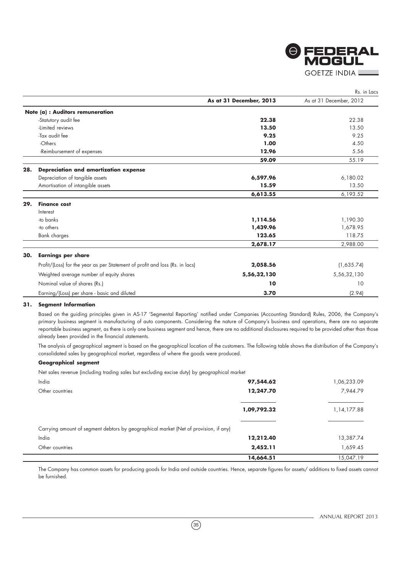

Rs. in Lacs

|     |                                                                              |                         | KS. In Lacs             |
|-----|------------------------------------------------------------------------------|-------------------------|-------------------------|
|     |                                                                              | As at 31 December, 2013 | As at 31 December, 2012 |
|     | Note (a) : Auditors remuneration                                             |                         |                         |
|     | -Statutory audit fee                                                         | 22.38                   | 22.38                   |
|     | -Limited reviews                                                             | 13.50                   | 13.50                   |
|     | -Tax audit fee                                                               | 9.25                    | 9.25                    |
|     | -Others                                                                      | 1.00                    | 4.50                    |
|     | -Reimbursement of expenses                                                   | 12.96                   | 5.56                    |
|     |                                                                              | 59.09                   | 55.19                   |
| 28. | Depreciation and amortization expense                                        |                         |                         |
|     | Depreciation of tangible assets                                              | 6,597.96                | 6,180.02                |
|     | Amortisation of intangible assets                                            | 15.59                   | 13.50                   |
|     |                                                                              | 6,613.55                | 6,193.52                |
| 29. | <b>Finance cost</b>                                                          |                         |                         |
|     | Interest                                                                     |                         |                         |
|     | -to banks                                                                    | 1,114.56                | 1,190.30                |
|     | -to others                                                                   | 1,439.96                | 1,678.95                |
|     | Bank charges                                                                 | 123.65                  | 118.75                  |
|     |                                                                              | 2,678.17                | 2,988.00                |
| 30. | <b>Earnings per share</b>                                                    |                         |                         |
|     | Profit/(Loss) for the year as per Statement of profit and loss (Rs. in lacs) | 2,058.56                | (1,635.74)              |
|     | Weighted average number of equity shares                                     | 5,56,32,130             | 5,56,32,130             |
|     | Nominal value of shares (Rs.)                                                | 10                      | 10                      |
|     | Earning/(Loss) per share - basic and diluted                                 | 3.70                    | (2.94)                  |

### **31. Segment Information**

Based on the guiding principles given in AS-17 'Segmental Reporting' notified under Companies (Accounting Standard) Rules, 2006, the Company's primary business segment is manufacturing of auto components. Considering the nature of Company's business and operations, there are no separate reportable business segment, as there is only one business segment and hence, there are no additional disclosures required to be provided other than those already been provided in the financial statements.

The analysis of geographical segment is based on the geographical location of the customers. The following table shows the distribution of the Company's consolidated sales by geographical market, regardless of where the goods were produced.

### **Geographical segment**

Net sales revenue (including trading sales but excluding excise duty) by geographical market

| India                                                                                | 97,544.62   | 1,06,233.09   |
|--------------------------------------------------------------------------------------|-------------|---------------|
| Other countries                                                                      | 12,247.70   | 7,944.79      |
|                                                                                      | 1,09,792.32 | 1, 14, 177.88 |
| Carrying amount of segment debtors by geographical market (Net of provision, if any) |             |               |
| India                                                                                | 12,212.40   | 13,387.74     |
| Other countries                                                                      | 2,452.11    | 1,659.45      |
|                                                                                      | 14,664.51   | 15,047.19     |

The Company has common assets for producing goods for India and outside countries. Hence, separate figures for assets/ additions to fixed assets cannot be furnished.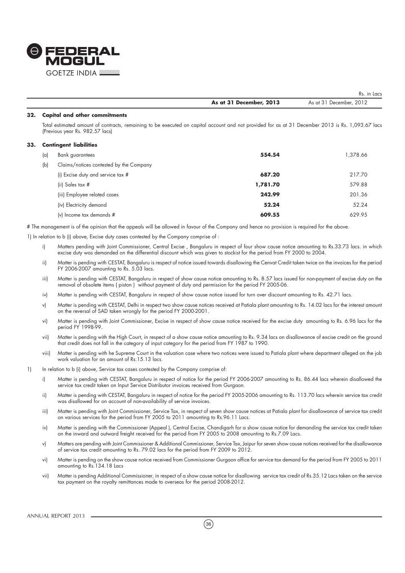

|     | As at 31 December, 2013<br>As at 31 December, 2012                                                                                                                                   |
|-----|--------------------------------------------------------------------------------------------------------------------------------------------------------------------------------------|
| 32. | <b>Capital and other commitments</b>                                                                                                                                                 |
|     | Total estimated amount of contracts, remaining to be executed on capital account and not provided for as at 31 December 2013 is Rs. 1,093.67 lacs<br>(Previous year Rs. 982.57 lacs) |
|     | 33. Contingent liabilities                                                                                                                                                           |

Rs. in Lacs

| (a) | Bank quarantees                         | 554.54   | 378.66. ا |
|-----|-----------------------------------------|----------|-----------|
| (b) | Claims/notices contested by the Company |          |           |
|     | (i) Excise duty and service tax #       | 687.20   | 217.70    |
|     | (ii) Sales tax #                        | 1,781.70 | 579.88    |
|     | (iii) Employee related cases            | 242.99   | 201.36    |
|     | (iv) Electricity demand                 | 52.24    | 52.24     |
|     | (v) Income tax demands #                | 609.55   | 629.95    |

# The management is of the opinion that the appeals will be allowed in favour of the Company and hence no provision is required for the above.

1) In relation to b (i) above, Excise duty cases contested by the Company comprise of :

- i) Matters pending with Joint Commissioner, Central Excise, Bangaluru in respect of four show cause notice amounting to Rs.33.73 lacs. in which excise duty was demanded on the differential discount which was given to stockist for the period from FY 2000 to 2004.
- ii) Matter is pending with CESTAT, Bangaluru is respect of notice issued towards disallowing the Cenvat Credit taken twice on the invoices for the period FY 2006-2007 amounting to Rs. 5.03 lacs.
- iii) Matter is pending with CESTAT, Bangaluru in respect of show cause notice amounting to Rs. 8.57 lacs issued for non-payment of excise duty on the removal of obsolete items ( piston ) without payment of duty and permission for the period FY 2005-06.
- iv) Matter is pending with CESTAT, Bangaluru in respect of show cause notice issued for turn over discount amounting to Rs. 42.71 lacs.
- v) Matter is pending with CESTAT, Delhi in respect two show cause notices received at Patiala plant amounting to Rs. 14.02 lacs for the interest amount on the reversal of SAD taken wrongly for the period FY 2000-2001.
- vi) Matter is pending with Joint Commissioner, Excise in respect of show cause notice received for the excise duty amounting to Rs. 6.96 lacs for the period FY 1998-99.
- vii) Matter is pending with the High Court, in respect of a show cause notice amounting to Rs. 9.34 lacs on disallowance of excise credit on the ground that credit does not fall in the category of input category for the period from FY 1987 to 1990.
- viii) Matter is pending with he Supreme Court in the valuation case where two notices were issued to Patiala plant where department alleged on the job work valuation for an amount of Rs.15.13 lacs.
- 1) In relation to b (i) above, Service tax cases contested by the Company comprise of:
	- i) Matter is pending with CESTAT, Bangaluru in respect of notice for the period FY 2006-2007 amounting to Rs. 86.44 lacs wherein disallowed the service tax credit taken on Input Service Distributor invoices received from Gurgaon.
	- ii) Matter is pending with CESTAT, Bangaluru in respect of notice for the period FY 2005-2006 amounting to Rs. 113.70 lacs wherein service tax credit was disallowed for on account of non-availability of service invoices.
	- iii) Matter is pending with Joint Commissioner, Service Tax, in respect of seven show cause notices at Patiala plant for disallowance of service tax credit on various services for the period from FY 2005 to 2011 amounting to Rs.96.11 Lacs.
	- iv) Matter is pending with the Commissioner (Appeal ), Central Excise, Chandigarh for a show cause notice for demanding the service tax credit taken on the inward and outward freight received for the period from FY 2005 to 2008 amounting to Rs.7.09 Lacs.
	- v) Matters are pending with Joint Commissioner & Additional Commissioner, Service Tax, Jaipur for seven show cause notices received for the disallowance of service tax credit amounting to Rs. 79.02 lacs for the period from FY 2009 to 2012.
	- vi) Matter is pending on the show cause notice received from Commissioner Gurgaon office for service tax demand for the period from FY 2005 to 2011 amounting to Rs.134.18 Lacs
	- vii) Matter is pending Additional Commissioner, in respect of a show cause notice for disallowing service tax credit of Rs.35.12 Lacs taken on the service tax payment on the royalty remittances made to overseas for the period 2008-2012.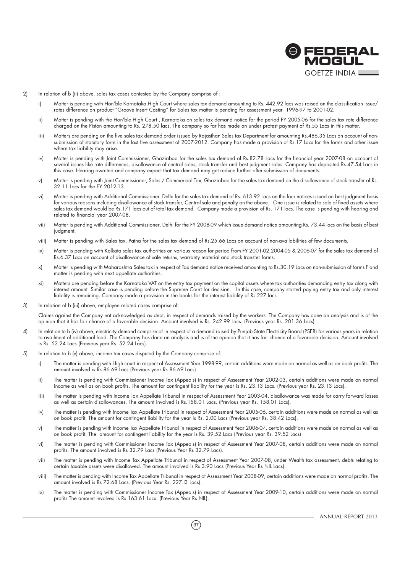

- 2) In relation of b (ii) above, sales tax cases contested by the Company comprise of :
	- i) Matter is pending with Hon'ble Karnataka High Court where sales tax demand amounting to Rs. 442.92 lacs was raised on the classification issue/ rates difference on product "Groove Insert Casting" for Sales tax matter is pending for assessment year 1996-97 to 2001-02.
	- ii) Matter is pending with the Hon'ble High Court , Karnataka on sales tax demand notice for the period FY 2005-06 for the sales tax rate difference charged on the Piston amounting to Rs. 278.50 lacs. The company so far has made an under protest payment of Rs.55 Lacs in this matter.
	- iii) Matters are pending on the five sales tax demand order issued by Rajasthan Sales tax Department for amounting Rs.486.35 Lacs on account of nonsubmission of statutory form in the last five assessment of 2007-2012. Company has made a provision of Rs.17 Lacs for the forms and other issue where tax liability may arise.
	- iv) Matter is pending with Joint Commissioner, Ghaziabad for the sales tax demand of Rs.82.78 Lacs for the financial year 2007-08 on account of several issues like rate differences, disallowance of central sales, stock transfer and best judgment sales. Company has deposited Rs.47.54 Lacs in this case. Hearing awaited and company expect that tax demand may get reduce further after submission of documents.
	- v) Matter is pending with Joint Commissioner, Sales / Commercial Tax, Ghaziabad for the sales tax demand on the disallowance of stock transfer of Rs. 32.11 Lacs for the FY 2012-13.
	- vi) Matter is pending with Additional Commissioner, Delhi for the sales tax demand of Rs. 613.92 Lacs on the four notices issued on best judgment basis for various reasons including disallowance of stock transfer, Central sale and penalty on the above. One issue is related to sale of fixed assets where sales tax demand would be Rs.171 lacs out of total tax demand. Company made a provision of Rs. 171 lacs. The case is pending with hearing and related to financial year 2007-08.
	- vii) Matter is pending with Additional Commissioner, Delhi for the FY 2008-09 which issue demand notice amounting Rs. 73.44 lacs on the basis of best judament.
	- viii) Matter is pending with Sales tax, Patna for the sales tax demand of Rs.25.66 Lacs on account of non-availabilities of few documents.
	- ix) Matter is pending with Kolkata sales tax authorities on various reason for period from FY 2001-02,2004-05 & 2006-07 for the sales tax demand of Rs.6.37 Lacs on account of disallowance of sale returns, warranty material and stock transfer forms.
	- x) Matter is pending with Maharashtra Sales tax in respect of Tax demand notice received amounting to Rs.30.19 Lacs on non-submission of forms F and matter is pending with next appellate authorities.
	- xi) Matters are pending before the Karnataka VAT on the entry tax payment on the capital assets where tax authorities demanding entry tax along with interest amount. Similar case is pending before the Supreme Court for decision. In this case, company started paying entry tax and only interest liability is remaining. Company made a provision in the books for the interest liability of Rs.227 lacs.
- 3) In relation of b (iii) above, employee related cases comprise of:

Claims against the Company not acknowledged as debt, in respect of demands raised by the workers. The Company has done an analysis and is of the opinion that it has fair chance of a favorable decision. Amount involved is Rs. 242.99 Lacs. (Previous year Rs. 201.36 Lacs)

- 4) In relation to b (iv) above, electricity demand comprise of in respect of a demand raised by Punjab State Electricity Board (PSEB) for various years in relation to availment of additional load. The Company has done an analysis and is of the opinion that it has fair chance of a favorable decision. Amount involved is Rs. 52.24 Lacs (Previous year Rs. 52.24 Lacs).
- 5) In relation to b (v) above, income tax cases disputed by the Company comprise of:
	- i) The matter is pending with High court in respect of Assessment Year 1998-99, certain additions were made on normal as well as on book profits. The amount involved is Rs 86.69 Lacs (Previous year Rs 86.69 Lacs).
	- ii) The matter is pending with Commissioner Income Tax (Appeals) in respect of Assessment Year 2002-03, certain additions were made on normal income as well as on book profits. The amount for contingent liability for the year is Rs. 23.13 Lacs. (Previous year Rs. 23.13 Lacs).
	- iii) The matter is pending with Income Tax Appellate Tribunal in respect of Assessment Year 2003-04, disallowance was made for carry forward losses as well as certain disallowances. The amount involved is Rs.158.01 Lacs. (Previous year Rs. 158.01 Lacs).
	- iv) The matter is pending with Income Tax Appellate Tribunal in respect of Assessment Year 2005-06, certain additions were made on normal as well as on book profit. The amount for contingent liability for the year is Rs. 2.00 Lacs (Previous year Rs. 38.42 Lacs).
	- v) The matter is pending with Income Tax Appellate Tribunal in respect of Assessment Year 2006-07, certain additions were made on normal as well as on book profit. The amount for contingent liability for the year is Rs. 39.52 Lacs (Previous year Rs. 39.52 Lacs)
	- vi) The matter is pending with Commissioner Income Tax (Appeals) in respect of Assessment Year 2007-08, certain additions were made on normal profits. The amount involved is Rs 32.79 Lacs (Previous Year Rs 32.79 Lacs).
	- vii) The matter is pending with Income Tax Appellate Tribunal in respect of Assessment Year 2007-08, under Wealth tax assessment, debts relating to certain taxable assets were disallowed. The amount involved is Rs 3.90 Lacs (Previous Year Rs NIL Lacs).
	- viii) The matter is pending with Income Tax Appellate Tribunal in respect of Assessment Year 2008-09, certain additions were made on normal profits. The amount involved is Rs 72.68 Lacs. (Previous Year Rs. 227.l3 Lacs).
	- ix) The matter is pending with Commissioner Income Tax (Appeals) in respect of Assessment Year 2009-10, certain additions were made on normal profits.The amount involved is Rs 163.61 Lacs. (Previous Year Rs NIL).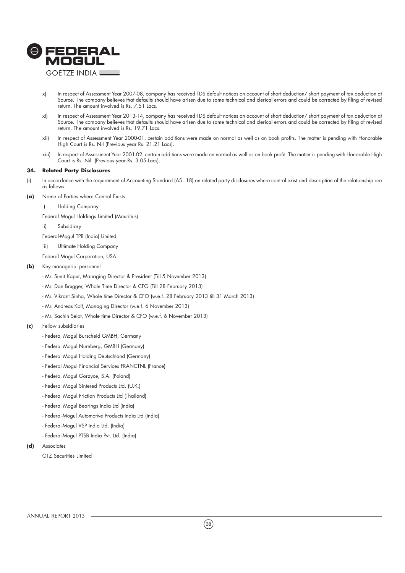

- x) In respect of Assessment Year 2007-08, company has received TDS default notices on account of short deduction/ short payment of tax deduction at Source. The company believes that defaults should have arisen due to some technical and clerical errors and could be corrected by filing of revised return. The amount involved is Rs. 7.51 Lacs.
- xi) In respect of Assessment Year 2013-14, company has received TDS default notices on account of short deduction/ short payment of tax deduction at Source. The company believes that defaults should have arisen due to some technical and clerical errors and could be corrected by filing of revised return. The amount involved is Rs. 19.71 Lacs.
- xii) In respect of Assessment Year 2000-01, certain additions were made on normal as well as on book profits. The matter is pending with Honorable High Court is Rs. Nil (Previous year Rs. 21.21 Lacs).
- xiii) In respect of Assessment Year 2001-02, certain additions were made on normal as well as on book profit. The matter is pending with Honorable High Court is Rs. Nil (Previous year Rs. 3.05 Lacs).

# **34. Related Party Disclosures**

- (i) In accordance with the requirement of Accounting Standard (AS 18) on related party disclosures where control exist and description of the relationship are as follows:
- **(a)** Name of Parties where Control Exists
	- i) Holding Company

Federal Mogul Holdings Limited (Mauritius)

ii) Subsidiary

- Federal-Mogul TPR (India) Limited
- iii) Ultimate Holding Company
- Federal Mogul Corporation, USA

# **(b)** Key managerial personnel

- Mr. Sunit Kapur, Managing Director & President (Till 5 November 2013)
- Mr. Dan Brugger, Whole Time Director & CFO (Till 28 February 2013)
- Mr. Vikrant Sinha, Whole time Director & CFO (w.e.f. 28 February 2013 till 31 March 2013)
- Mr. Andreas Kolf, Managing Director (w.e.f. 6 November 2013)
- Mr. Sachin Selot, Whole time Director & CFO (w.e.f. 6 November 2013)

# **(c)** Fellow subsidiaries

- Federal Mogul Burscheid GMBH, Germany
- Federal Mogul Nurnberg, GMBH (Germany)
- Federal Mogul Holding Deutschland (Germany)
- Federal Mogul Financial Services FRANCTNL (France)
- Federal Mogul Gorzyce, S.A. (Poland)
- Federal Mogul Sintered Products Ltd. (U.K.)
- Federal Mogul Friction Products Ltd (Thailand)
- Federal Mogul Bearings India Ltd (India)
- Federal-Mogul Automotive Products India Ltd (India)
- Federal-Mogul VSP India Ltd. (India)
- Federal-Mogul PTSB India Pvt. Ltd. (India)
- **(d)** Associates

GTZ Securities Limited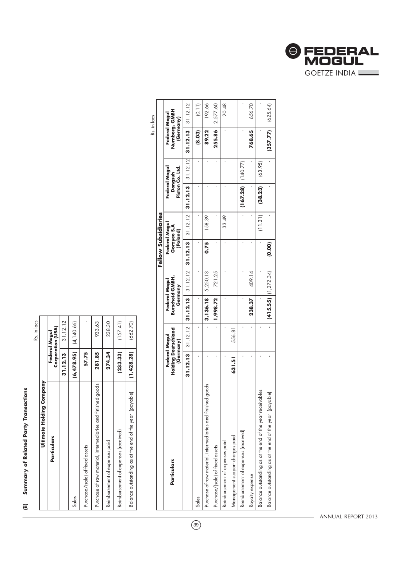# Summary of Related Party Transactions **(ii) Summary of Related Party Transactions** $\widehat{\Xi}$

| ٤<br>ř |  |
|--------|--|
|        |  |
| ╯      |  |

| Ultimate Holding Company                                    |            |                                    |
|-------------------------------------------------------------|------------|------------------------------------|
| Particulars                                                 |            | Corporation (USA)<br>Federal Mogul |
|                                                             | 31.12.13   | 31.12.12                           |
| Sales                                                       | (6,478.95) | (4, 140.66)                        |
| Purchase/(sale) of fixed assets                             | 57.75      |                                    |
| Purchase of raw material, intermediaries and finished goods | 281.85     | 933.63                             |
| Reimbursement of expenses paid                              | 274.34     | 238.30                             |
| Reimbursement of expenses (received)                        | (233.33)   | (157.41)                           |
| Balance outstanding as at the end of the year (payable)     | (1,428.28) | (662.70)                           |
|                                                             |            |                                    |

Rs. in lacs

|                                                             |                                  |               |          |                                             | Fellow Subsidiaries |                                          |                     |                                             |                             |               |
|-------------------------------------------------------------|----------------------------------|---------------|----------|---------------------------------------------|---------------------|------------------------------------------|---------------------|---------------------------------------------|-----------------------------|---------------|
| Particulars                                                 | Holding Deutschland<br>(Germany) | Federal Mogul |          | Burscheid GMBH,<br>Federal Mogul<br>Germany |                     | Federal Mogul<br>Gorzyee S.A<br>(Poland) |                     | Federal Mogul<br>Piston Co. Ltd.<br>Dongsuh | Nurnberg, GMBH<br>(Germany) | Federal Mogul |
|                                                             |                                  |               |          | 31.12.13 31.12.12 31.12.13 31.12.12         | 31.12.13            | 31.12.12                                 | $31.12.13$ 31.12.12 |                                             | $31.12.13$ 31.12.12         |               |
| Sales                                                       |                                  |               |          |                                             |                     |                                          |                     |                                             | (8.03)                      | (0.11)        |
| Purchase of raw material, intermediaries and finished goods |                                  |               | 3,136.18 | 5,250.13                                    | 0.75                | 158.39                                   |                     |                                             | 89.22                       | 192.66        |
| Purchase/(sale) of fixed assets                             |                                  |               | 1,998.72 | 721.25                                      |                     |                                          |                     |                                             | 255.86                      | 2,577.60      |
| Reimbursement of expenses paid                              |                                  |               |          |                                             |                     | 33.49                                    |                     |                                             |                             | 20.48         |
| Management support charges paid                             | 631.51                           | 556.81        |          |                                             |                     |                                          |                     |                                             |                             |               |
| Reimbursement of expenses (received)                        |                                  |               |          |                                             |                     |                                          | (167.28)            | (140.77)                                    |                             |               |
| Royalty expense                                             |                                  |               | 238.37   | 409.14                                      |                     |                                          |                     |                                             | 768.65                      | 656.70        |
| Balance outstanding as at the end of the year receivables   |                                  |               |          |                                             |                     | (11.31)                                  | (38.23)             | (63.95)                                     |                             |               |
| Balance outstanding as at the end of the year (payable)     |                                  |               |          | $(415.55)$ $(1,272.34)$                     | (0.00)              |                                          |                     |                                             | (357.77)                    | (625.64)      |

39

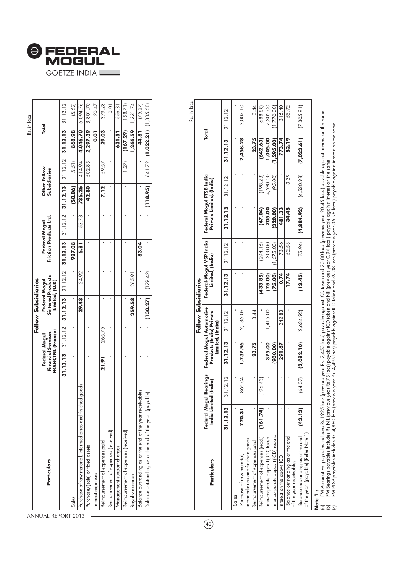

|                                                                  |       |                                                                 | Fellow Subsidiaries        |                                                      |          |                                         |                     |                              |                                  | Rs. in lacs    |
|------------------------------------------------------------------|-------|-----------------------------------------------------------------|----------------------------|------------------------------------------------------|----------|-----------------------------------------|---------------------|------------------------------|----------------------------------|----------------|
| Particulars                                                      |       | FRANCTNL (France)<br><b>Financial Services</b><br>Federal Mogul |                            | Sintered Products<br>Federal Mogul<br>Limited, (U.K) |          | Friction Products Ltd.<br>Federal Mogul |                     | Other Fellow<br>Subsidiaries | Total                            |                |
|                                                                  |       |                                                                 | 31.12.13 31.12.12 31.12.13 | 31.12.12                                             | 31.12.13 | 31.12.12                                | $31.12.13$ 31.12.12 |                              | 31.12.13                         | 131.12.12      |
| Sales                                                            |       |                                                                 |                            |                                                      | 927.08   |                                         | (50.06)             | (5.51)                       | 868.98                           | (5.62)         |
| red goods<br>Purchase of raw material, intermediaries and finish |       |                                                                 | 29.48                      | 24.92                                                | 5.81     | 53.73                                   | 785.26              | 414.94                       | 4,046.70                         | 6,094.76       |
| Purchase/(sale) of fixed assets                                  |       |                                                                 |                            |                                                      |          |                                         | 42.80               | 502.85                       | 2,297.39                         | 3,801.70       |
| Interest expenses                                                |       |                                                                 |                            |                                                      |          |                                         |                     |                              | ō.o                              | 20.47          |
| Reimbursement of expenses paid                                   | 21.91 | 265.75                                                          |                            |                                                      |          |                                         | 7.12                | 59.57                        | 29.03                            | 379.28         |
| Reimbursement of expenses (received)                             |       |                                                                 |                            |                                                      |          |                                         |                     |                              |                                  | $\overline{0}$ |
| Management support charges                                       |       |                                                                 |                            |                                                      |          |                                         |                     |                              | 631.51                           | 556.81         |
| Reimbursement of expenses (received)                             |       |                                                                 |                            |                                                      |          |                                         |                     | (1.27)                       | (167.29)                         | (158.71)       |
| Royalty expense                                                  |       |                                                                 | 259.58                     | 265.9                                                |          |                                         |                     |                              | 1,266.59                         | 1,331.74       |
| Balance outstanding as at the end of the year receivables        |       |                                                                 |                            |                                                      | 83.04    |                                         |                     |                              | 44.81                            | (75.27)        |
| Balance outstanding as at the end of the year (payable)          |       |                                                                 | (130.27)                   | (129.42)                                             |          |                                         | (118.95)            |                              | $641.72$ (1,022.21) $(1,385.68)$ |                |
|                                                                  |       |                                                                 |                            |                                                      |          |                                         |                     |                              |                                  |                |

Rs. in lacs

|                                                                        |            |                                        |                                                                          | Fellow Subsidiaries |                                             |          |                                                      |            |             |            |
|------------------------------------------------------------------------|------------|----------------------------------------|--------------------------------------------------------------------------|---------------------|---------------------------------------------|----------|------------------------------------------------------|------------|-------------|------------|
| Particulars                                                            | India Limi | Federal Mogul Bearings<br>ited (India) | Federal Mogul Automotive<br>Products (India) Private<br>Limited, (India) |                     | Federal-Mogul VSP India<br>Limited, (India) |          | Federal Mogul PTSB India<br>Private Limited, (India) |            | Total       |            |
|                                                                        | 31.12.13   | 31.12.12                               | 31.12.13                                                                 | 31.12.12            | 31.12.13                                    | 31.12.12 | 31.12.13                                             | 31.12.12   | 31.12.13    | 31.12.12   |
| Sales                                                                  |            |                                        |                                                                          |                     |                                             |          |                                                      |            |             |            |
| Purchase of raw material                                               | 720.31     | 866.04                                 | 1,737.96                                                                 | 2,136.06            |                                             |          |                                                      |            | 2,458.28    | 3,002.10   |
| intermediaries and finished goods                                      |            |                                        |                                                                          |                     |                                             |          |                                                      |            |             |            |
| Reimbursement of expenses paid                                         |            |                                        | 23.75                                                                    | 3.44                |                                             |          |                                                      |            | 23.75       | 3.44       |
| Reimbursement of expenses (recd.)                                      | (161.74)   | (196.43)                               |                                                                          |                     | (433.85)                                    | (294.16) | (47.04)                                              | (198.28)   | (642.63)    | (688.88)   |
| nter-corporate deposit (ICD) taken                                     |            |                                        | 375.00                                                                   | 1,415.00            | (75.00)                                     | 1,300.00 | 705.00                                               | 4,590.00   | 1,005.00    | 7,305.00   |
| nter-corporate deposit (ICD) repaid                                    |            |                                        | (90.00)                                                                  |                     | (75.00)                                     | 1,675.00 | (320.00)                                             | (95.00)    | (1, 295.00) | 1,770.00   |
| Interest on the above ICD                                              |            |                                        | 291.67                                                                   | 242.83              | 0.74                                        | 73.56    | 481.33                                               |            | 773.74      | 316.40     |
| Balance outstanding as at the end<br>of the year receivables           |            |                                        |                                                                          |                     | 17.74                                       | 52.53    | 34.45                                                | 3.39       | 52.19       | 55.92      |
| Balance outstanding as at the end<br>of the year (payable) (Refer Note | (43.13)    | (64.07)                                | (2,082.10)                                                               | (2,634.92)          | (13.45)                                     | (75.94)  | (4,884.92)                                           | (4,530.98) | (7,023.61)  | (7,305.91) |
| .<br>Pote                                                              |            |                                        |                                                                          |                     |                                             |          |                                                      |            |             |            |

FM Automotive payables includes Rs 1925 lacs (previous year Rs. 2,450 lacs) payable against ICD taken and 20.80 lacs (previous year 20.45 lacs ) payable against interest on the same.<br>FM Bearings payables includes Rs NII (p (a) FM Automotive payables includes Rs 1925 lacs (previous year Rs. 2,450 lacs) payable against ICD taken and 20.80 lacs (previous year 20.45 lacs ) payable against interest on the same.

(b) FM Bearings payables includes Rs NIL (previous year Rs 75 lacs) payable against ICD taken and Nil (previous year 0.94 lacs ) payable against interest on the same.  $\overline{CD}$ 

(c) FM PTSB payables includes Rs. 4,880 lacs (previous year Rs. 4,495 lacs) payable against ICD taken and 39.38 lacs (previous year 35.98 lacs ) payable against interest on the same.

ANNUAL REPORT 2013

 $\overline{\phantom{a}}$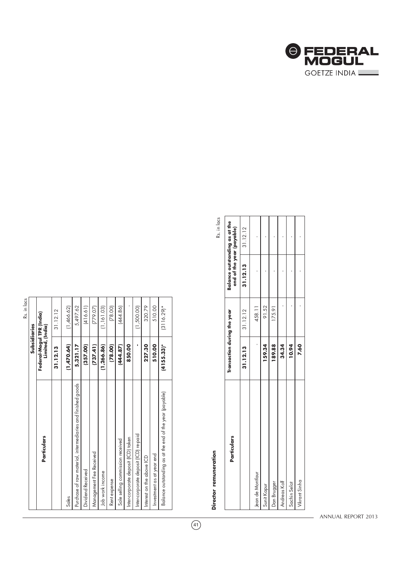|                                                             |                                               | Rs. in lacs   |
|-------------------------------------------------------------|-----------------------------------------------|---------------|
|                                                             | Subsidiaries                                  |               |
| Particulars                                                 | Federal-Mogul TPR (India)<br>Limited, (India) |               |
|                                                             | 31.12.13                                      | 31.12.12      |
| Sales                                                       | (1,470.64)                                    | (1,466.62)    |
| Purchase of raw material, intermediaries and finished goods | 5,321.17                                      | 5,497.62      |
| Dividend Received                                           | (357.00)                                      | (416.61)      |
| Management Fee Received                                     | (737.41)                                      | [779.07]      |
| Job work income                                             | (1, 266.86)                                   | (1, 161.03)   |
| Rent expense                                                | (78.00)                                       | (78.00)       |
| Sole selling commission received                            | (444.87)                                      | (444.86)      |
| Inter-corporate deposit (ICD) taken                         | 850.00                                        |               |
| Inter-corporate deposit (ICD) re-paid                       |                                               | (1,500.00)    |
| Interest on the above ICD                                   | 227.30                                        | 320.79        |
| Investment as at year end                                   | 510.00                                        | 510.00        |
| Balance outstanding as at the end of the year (payable)     | $(4155.33)^*$                                 | $(3116.29)^*$ |

# Director remuneration **Director remuneration**

 $\overline{41}$ 

| Balance outstanding as at the<br>end of the year (payable)<br>31.12.13<br>91.52<br>458.11<br>175.91<br>31.12.12<br>Transaction during the year<br>31.12.13<br>189.88<br>10.94<br>7.60<br>159.34<br>34.34<br>Particulars<br>Jean de Montlaur<br>Vikrant Sinha<br>Andreas Kolf<br>Dan Brugger<br>Sachin Selot<br>Sunit Kapur | Director remuneration |  | Rs. in lacs |
|----------------------------------------------------------------------------------------------------------------------------------------------------------------------------------------------------------------------------------------------------------------------------------------------------------------------------|-----------------------|--|-------------|
|                                                                                                                                                                                                                                                                                                                            |                       |  |             |
|                                                                                                                                                                                                                                                                                                                            |                       |  | 31.12.12    |
|                                                                                                                                                                                                                                                                                                                            |                       |  |             |
|                                                                                                                                                                                                                                                                                                                            |                       |  |             |
|                                                                                                                                                                                                                                                                                                                            |                       |  |             |
|                                                                                                                                                                                                                                                                                                                            |                       |  |             |
|                                                                                                                                                                                                                                                                                                                            |                       |  |             |
|                                                                                                                                                                                                                                                                                                                            |                       |  |             |



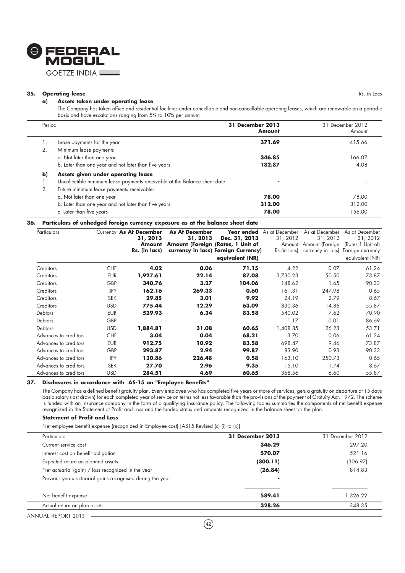

# **35. Operating lease** Rs. in Lacs **Rs. in Lacs**

# **a) Assets taken under operating lease**

The Company has taken office and residential facilities under cancellable and non-cancellable operating leases, which are renewable on a periodic basis and have escalations ranging from 5% to 10% per annum

| Period       |                                                                           | <b>31 December 2013</b><br>Amount | 31 December 2012<br>Amount |
|--------------|---------------------------------------------------------------------------|-----------------------------------|----------------------------|
|              | Lease payments for the year                                               | 371.69                            | 415.66                     |
| 2.           | Minimum lease payments                                                    |                                   |                            |
|              | a. Not later than one year                                                | 346.85                            | 166.07                     |
|              | b. Later than one year and not later than five years                      | 182.87                            | 4.08                       |
| $\mathbf{b}$ | Assets given under operating lease                                        |                                   |                            |
|              | Uncollectible minimum lease payments receivable at the Balance sheet date | -                                 |                            |
| 2.           | Future minimum lease payments receivable:                                 |                                   |                            |
|              | a. Not later than one year                                                | 78.00                             | 78.00                      |
|              | b. Later than one year and not later than five years                      | 312.00                            | 312.00                     |
|              | c. Later than five years                                                  | 78.00                             | 156.00                     |

### **36. Particulars of unhedged foreign currency exposure as at the balance sheet date**

| Particulars           |            | Currency As At December<br>31, 2013<br>Amount<br>Rs. (in lacs) | <b>As At December</b><br>31, 2013 | Year ended<br>Dec. 31, 2013<br>Amount (Foreign (Rates, 1 Unit of<br>currency in lacs) Foreign Currency)<br>equivalent INR) | As at December<br>31, 2012<br>Amount<br>Rs.(in lacs) | As at December<br>31, 2012<br>Amount (Foreign | As at December<br>31, 2012<br>(Rates, 1 Unit of)<br>currency in lacs) Foreign currency<br>equivalent INR) |
|-----------------------|------------|----------------------------------------------------------------|-----------------------------------|----------------------------------------------------------------------------------------------------------------------------|------------------------------------------------------|-----------------------------------------------|-----------------------------------------------------------------------------------------------------------|
| Creditors             | <b>CHF</b> | 4.02                                                           | 0.06                              | 71.15                                                                                                                      | 4.22                                                 | 0.07                                          | 61.24                                                                                                     |
| Creditors             | EUR        | 1,927.61                                                       | 22.14                             | 87.08                                                                                                                      | 3,730.23                                             | 50.50                                         | 73.87                                                                                                     |
| Creditors             | <b>GBP</b> | 340.76                                                         | 3.27                              | 104.06                                                                                                                     | 148.62                                               | 1.65                                          | 90.33                                                                                                     |
| Creditors             | JPY        | 162.16                                                         | 269.33                            | 0.60                                                                                                                       | 161.31                                               | 247.98                                        | 0.65                                                                                                      |
| Creditors             | <b>SEK</b> | 29.85                                                          | 3.01                              | 9.92                                                                                                                       | 24.19                                                | 2.79                                          | 8.67                                                                                                      |
| Creditors             | <b>USD</b> | 775.44                                                         | 12.29                             | 63.09                                                                                                                      | 830.36                                               | 14.86                                         | 55.87                                                                                                     |
| <b>Debtors</b>        | <b>EUR</b> | 529.93                                                         | 6.34                              | 83.58                                                                                                                      | 540.02                                               | 7.62                                          | 70.90                                                                                                     |
| <b>Debtors</b>        | GBP        |                                                                | $\overline{\phantom{a}}$          |                                                                                                                            | 1.17                                                 | 0.01                                          | 86.69                                                                                                     |
| <b>Debtors</b>        | <b>USD</b> | 1,884.81                                                       | 31.08                             | 60.65                                                                                                                      | 1,408.85                                             | 26.23                                         | 53.71                                                                                                     |
| Advances to creditors | <b>CHF</b> | 3.04                                                           | 0.04                              | 68.21                                                                                                                      | 3.70                                                 | 0.06                                          | 61.24                                                                                                     |
| Advances to creditors | <b>EUR</b> | 912.75                                                         | 10.92                             | 83.58                                                                                                                      | 698.47                                               | 9.46                                          | 73.87                                                                                                     |
| Advances to creditors | <b>GBP</b> | 293.87                                                         | 2.94                              | 99.87                                                                                                                      | 83.90                                                | 0.93                                          | 90.33                                                                                                     |
| Advances to creditors | JPY        | 130.86                                                         | 226.48                            | 0.58                                                                                                                       | 163.10                                               | 250.73                                        | 0.65                                                                                                      |
| Advances to creditors | <b>SEK</b> | 27.70                                                          | 2.96                              | 9.35                                                                                                                       | 15.10                                                | 1.74                                          | 8.67                                                                                                      |
| Advances to creditors | <b>USD</b> | 284.51                                                         | 4.69                              | 60.65                                                                                                                      | 368.56                                               | 6.60                                          | 55.87                                                                                                     |

# **37. Disclosures in accordance with AS-15 on "Employee Benefits"**

The Company has a defined benefit gratuity plan. Every employee who has completed five years or more of services, gets a gratuity on departure at 15 days basic salary (last drawn) for each completed year of service on terms not less favorable than the provisions of the payment of Gratuity Act, 1972. The scheme is funded with an insurance company in the form of a qualifying insurance policy. The following tables summaries the components of net benefit expense recognized in the Statement of Profit and Loss and the funded status and amounts recognized in the balance sheet for the plan.

### **Statement of Profit and Loss**

Net employee benefit expense (recognized in Employee cost) [AS15 Revised (c) (i) to (x)]

| <b>Particulars</b>                                        | <b>31 December 2013</b> | 31 December 2012 |
|-----------------------------------------------------------|-------------------------|------------------|
| Current service cost                                      | 346.29                  | 297.20           |
| Interest cost on benefit obligation                       | 570.07                  | 521.16           |
| Expected return on planned assets                         | (300.11)                | (306.97)         |
| Net actuarial (gain) / loss recognized in the year        | (26.84)                 | 814.83           |
| Previous years actuarial gains recognised during the year |                         |                  |
| Net benefit expense                                       | 589.41                  | 1,326.22         |
| Actual return on plan assets                              | 328.26                  | 348.35           |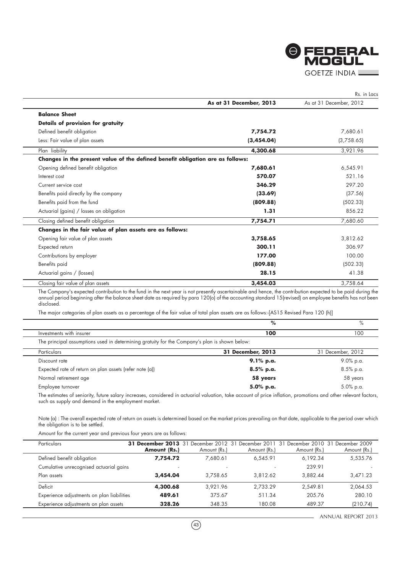**O** FEDERAL<br>MOGUL **GOETZE INDIA \_** 

| <b>Balance Sheet</b><br>Details of provision for gratuity                      | As at 31 December, 2013<br>7,754.72 | As at 31 December, 2012 |
|--------------------------------------------------------------------------------|-------------------------------------|-------------------------|
|                                                                                |                                     |                         |
|                                                                                |                                     |                         |
|                                                                                |                                     |                         |
| Defined benefit obligation                                                     |                                     | 7,680.61                |
| Less: Fair value of plan assets                                                | (3,454.04)                          | (3,758.65)              |
| Plan liability                                                                 | 4,300.68                            | 3,921.96                |
| Changes in the present value of the defined benefit obligation are as follows: |                                     |                         |
| Opening defined benefit obligation                                             | 7,680.61                            | 6,545.91                |
| Interest cost                                                                  | 570.07                              | 521.16                  |
| Current service cost                                                           | 346.29                              | 297.20                  |
| Benefits paid directly by the company                                          | (33.69)                             | (37.56)                 |
| Benefits paid from the fund                                                    | (809.88)                            | (502.33)                |
| Actuarial (gains) / losses on obligation                                       | 1.31                                | 856.22                  |
| Closing defined benefit obligation                                             | 7,754.71                            | 7,680.60                |
| Changes in the fair value of plan assets are as follows:                       |                                     |                         |
| Opening fair value of plan assets                                              | 3,758.65                            | 3,812.62                |
| Expected return                                                                | 300.11                              | 306.97                  |
| Contributions by employer                                                      | 177.00                              | 100.00                  |
| Benefits paid                                                                  | (809.88)                            | (502.33)                |
| Actuarial gains / (losses)                                                     | 28.15                               | 41.38                   |
| Closing fair value of plan assets                                              | 3,454.03                            | 3,758.64                |

The Company's expected contribution to the fund in the next year is not presently ascertainable and hence, the contribution expected to be paid during the annual period beginning after the balance sheet date as required by para 120(o) of the accounting standard 15(revised) on employee benefits has not been disclosed.

The major categories of plan assets as a percentage of the fair value of total plan assets are as follows:-[AS15 Revised Para 120 (h)]

| Investments with insurer<br>100<br>100<br>The principal assumptions used in determining gratuity for the Company's plan is shown below:<br>31 December, 2013<br>31 December, 2012<br>Particulars<br>9.1% p.a.<br>9.0% p.a.<br>Discount rate<br>$8.5%$ p.a.<br>Expected rate of return on plan assets (refer note (a))<br>$8.5\%$ p.a.<br>Normal retirement age<br>58 years<br>58 years<br>5.0% p.a.<br>$5.0\%$ p.a.<br>Employee turnover | % | % |
|------------------------------------------------------------------------------------------------------------------------------------------------------------------------------------------------------------------------------------------------------------------------------------------------------------------------------------------------------------------------------------------------------------------------------------------|---|---|
|                                                                                                                                                                                                                                                                                                                                                                                                                                          |   |   |
|                                                                                                                                                                                                                                                                                                                                                                                                                                          |   |   |
|                                                                                                                                                                                                                                                                                                                                                                                                                                          |   |   |
|                                                                                                                                                                                                                                                                                                                                                                                                                                          |   |   |
|                                                                                                                                                                                                                                                                                                                                                                                                                                          |   |   |
|                                                                                                                                                                                                                                                                                                                                                                                                                                          |   |   |
|                                                                                                                                                                                                                                                                                                                                                                                                                                          |   |   |

The estimates of seniority, future salary increases, considered in actuarial valuation, take account of price inflation, promotions and other relevant factors, such as supply and demand in the employment market.

Note (a) : The overall expected rate of return on assets is determined based on the market prices prevailing on that date, applicable to the period over which the obligation is to be settled.

Amount for the current year and previous four years are as follows:

| Particulars                                | <b>31 December 2013</b> 31 December 2012 31 December 2011 31 |                          |              |              | December 2010 31 December 2009 |
|--------------------------------------------|--------------------------------------------------------------|--------------------------|--------------|--------------|--------------------------------|
|                                            | Amount (Rs.)                                                 | Amount (Rs.)             | Amount (Rs.) | Amount (Rs.) | Amount (Rs.)                   |
| Defined benefit obligation                 | 7.754.72                                                     | 7.680.61                 | 6.545.91     | 6.192.34     | 5.535.76                       |
| Cumulative unrecognised actuarial gains    |                                                              | $\overline{\phantom{a}}$ |              | 239.91       |                                |
| Plan assets                                | 3,454.04                                                     | 3.758.65                 | 3.812.62     | 3.882.44     | 3.471.23                       |
| Deficit                                    | 4,300.68                                                     | 3.921.96                 | 2.733.29     | 2.549.81     | 2,064.53                       |
| Experience adjustments on plan liabilities | 489.61                                                       | 375.67                   | 511.34       | 205.76       | 280.10                         |
| Experience adjustments on plan assets      | 328.26                                                       | 348.35                   | 180.08       | 489.37       | (210.74)                       |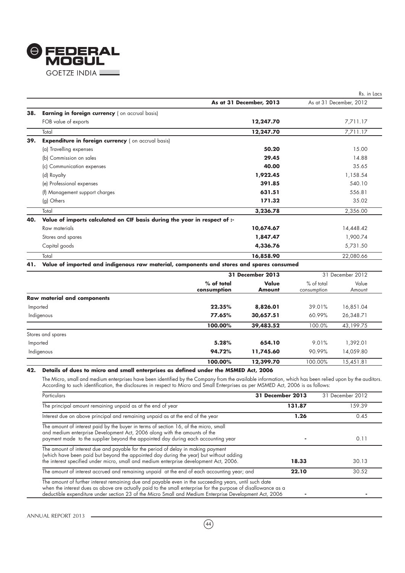

|          |                                                                                                                                                                                                                                                                                              |        |                         |             | Rs. in Lacs             |
|----------|----------------------------------------------------------------------------------------------------------------------------------------------------------------------------------------------------------------------------------------------------------------------------------------------|--------|-------------------------|-------------|-------------------------|
|          |                                                                                                                                                                                                                                                                                              |        | As at 31 December, 2013 |             | As at 31 December, 2012 |
| 38.      | <b>Earning in foreign currency</b> (on accrual basis)                                                                                                                                                                                                                                        |        |                         |             |                         |
|          | FOB value of exports                                                                                                                                                                                                                                                                         |        | 12,247.70               |             | 7,711.17                |
|          | Total                                                                                                                                                                                                                                                                                        |        | 12,247.70               |             | 7,711.17                |
| 39.      | Expenditure in foreign currency (on accrual basis)                                                                                                                                                                                                                                           |        |                         |             |                         |
|          | (a) Travelling expenses                                                                                                                                                                                                                                                                      |        | 50.20                   |             | 15.00                   |
|          | (b) Commission on sales                                                                                                                                                                                                                                                                      |        | 29.45                   |             | 14.88                   |
|          | (c) Communication expenses                                                                                                                                                                                                                                                                   |        | 40.00                   |             | 35.65                   |
|          | (d) Royalty                                                                                                                                                                                                                                                                                  |        | 1,922.45                |             | 1,158.54                |
|          | (e) Professional expenses                                                                                                                                                                                                                                                                    |        | 391.85                  |             | 540.10                  |
|          | (f) Management support charges                                                                                                                                                                                                                                                               |        | 631.51                  |             | 556.81                  |
|          | (g) Others                                                                                                                                                                                                                                                                                   |        | 171.32                  |             | 35.02                   |
|          | Total                                                                                                                                                                                                                                                                                        |        | 3,236.78                |             | 2,356.00                |
| 40.      | Value of imports calculated on CIF basis during the year in respect of :-                                                                                                                                                                                                                    |        |                         |             |                         |
|          | Raw materials                                                                                                                                                                                                                                                                                |        | 10,674.67               |             | 14,448.42               |
|          | Stores and spares                                                                                                                                                                                                                                                                            |        | 1,847.47                |             | 1,900.74                |
|          | Capital goods                                                                                                                                                                                                                                                                                |        | 4,336.76                |             | 5,731.50                |
|          | Total                                                                                                                                                                                                                                                                                        |        | 16,858.90               |             | 22,080.66               |
| 41.      | Value of imported and indigenous raw material, components and stores and spares consumed                                                                                                                                                                                                     |        |                         |             |                         |
|          |                                                                                                                                                                                                                                                                                              |        | <b>31 December 2013</b> |             | 31 December 2012        |
|          | $%$ of total                                                                                                                                                                                                                                                                                 |        | Value                   | % of total  | Value                   |
|          | consumption<br><b>Raw material and components</b>                                                                                                                                                                                                                                            |        | Amount                  | consumption | Amount                  |
| Imported |                                                                                                                                                                                                                                                                                              | 22.35% | 8,826.01                | 39.01%      | 16,851.04               |
|          | Indigenous                                                                                                                                                                                                                                                                                   | 77.65% | 30,657.51               | 60.99%      | 26,348.71               |
|          |                                                                                                                                                                                                                                                                                              |        |                         |             |                         |
|          | 100.00%                                                                                                                                                                                                                                                                                      |        | 39,483.52               | 100.0%      | 43,199.75               |
|          | Stores and spares                                                                                                                                                                                                                                                                            |        |                         |             |                         |
| Imported |                                                                                                                                                                                                                                                                                              | 5.28%  | 654.10                  | 9.01%       | 1,392.01                |
|          | Indigenous                                                                                                                                                                                                                                                                                   | 94.72% | 11,745.60               | 90.99%      | 14,059.80               |
|          | 100.00%                                                                                                                                                                                                                                                                                      |        | 12,399.70               | 100.00%     | 15,451.81               |
| 42.      | Details of dues to micro and small enterprises as defined under the MSMED Act, 2006                                                                                                                                                                                                          |        |                         |             |                         |
|          | The Micro, small and medium enterprises have been identified by the Company from the available information, which has been relied upon by the auditors.<br>According to such identification, the disclosures in respect to Micro and Small Enterprises as per MSMED Act, 2006 is as follows: |        |                         |             |                         |
|          | Particulars                                                                                                                                                                                                                                                                                  |        | <b>31 December 2013</b> |             | 31 December 2012        |
|          | The principal amount remaining uppered as at the end of year.                                                                                                                                                                                                                                |        |                         | 121 07      | 150.20                  |

| The principal amount remaining unpaid as at the end of year                                                                                                                                                                                                                                                                        | 131.87 | 159.39 |
|------------------------------------------------------------------------------------------------------------------------------------------------------------------------------------------------------------------------------------------------------------------------------------------------------------------------------------|--------|--------|
| Interest due on above principal and remaining unpaid as at the end of the year                                                                                                                                                                                                                                                     | 1.26   | 0.45   |
| The amount of interest paid by the buyer in terms of section 16, of the micro, small<br>and medium enterprise Development Act, 2006 along with the amounts of the<br>payment made to the supplier beyond the appointed day during each accounting year                                                                             |        | 0.11   |
| The amount of interest due and payable for the period of delay in making payment<br>(which have been paid but beyond the appointed day during the year) but without adding<br>the interest specified under micro, small and medium enterprise development Act, 2006.                                                               | 18.33  | 30.13  |
| The amount of interest accrued and remaining unpaid at the end of each accounting year; and                                                                                                                                                                                                                                        | 22.10  | 30.52  |
| The amount of further interest remaining due and payable even in the succeeding years, until such date<br>when the interest dues as above are actually paid to the small enterprise for the purpose of disallowance as a<br>deductible expenditure under section 23 of the Micro Small and Medium Enterprise Development Act, 2006 |        |        |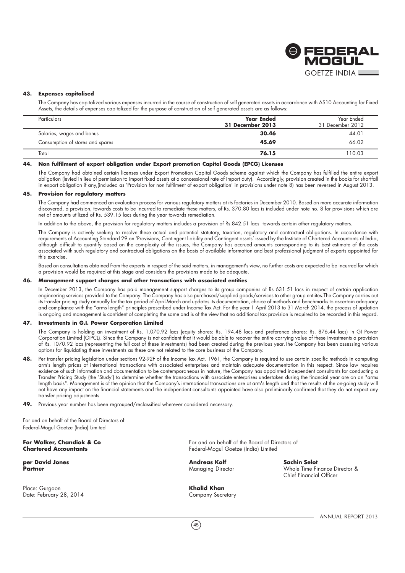

# **43. Expenses capitalised**

The Company has capitalized various expenses incurred in the course of construction of self generated assets in accordance with AS10 Accounting for Fixed Assets, the details of expenses capitalized for the purpose of construction of self generated assets are as follows:

| <b>Particulars</b>               | <b>Year Ended</b><br>31 December 2013 | Year Ended<br>31 December 2012 |
|----------------------------------|---------------------------------------|--------------------------------|
| Salaries, wages and bonus        | 30.46                                 | 44.01                          |
| Consumption of stores and spares | 45.69                                 | 66.02                          |
| Total                            | 76.15                                 | 110.03                         |

### **44. Non fulfilment of export obligation under Export promotion Capital Goods (EPCG) Licenses**

The Company had obtained certain licenses under Export Promotion Capital Goods scheme against which the Company has fulfilled the entire export obligation (levied in lieu of permission to import fixed assets at a concessional rate of import duty). Accordingly, provision created in the books for shortfall in export obligation if any,(included as 'Provision for non fulfilment of export obligation' in provisions under note 8) has been reversed in August 2013.

#### **45. Provision for regulatory matters**

The Company had commenced an evaluation process for various regulatory matters at its factories in December 2010. Based on more accurate information discovered, a provision, towards costs to be incurred to remediate these matters, of Rs. 370.80 lacs is included under note no. 8 for provisions which are net of amounts utilized of Rs. 539.15 lacs during the year towards remediation.

In addition to the above, the provision for regulatory matters includes a provision of Rs.842.51 lacs towards certain other regulatory matters.

The Company is actively seeking to resolve these actual and potential statutory, taxation, regulatory and contractual obligations. In accordance with requirements of Accounting Standard 29 on 'Provisions, Contingent liability and Contingent assets' issued by the Institute of Chartered Accountants of India, although difficult to quantify based on the complexity of the issues, the Company has accrued amounts corresponding to its best estimate of the costs associated with such regulatory and contractual obligations on the basis of available information and best professional judgment of experts appointed for this exercise.

Based on consultations obtained from the experts in respect of the said matters, in management's view, no further costs are expected to be incurred for which a provision would be required at this stage and considers the provisions made to be adequate.

# **46. Management support charges and other transactions with associated entities**

In December 2013, the Company has paid management support charges to its group companies of Rs 631.51 lacs in respect of certain application engineering services provided to the Company. The Company has also purchased/supplied goods/services to other group entiites.The Company carries out its transfer pricing study annually for the tax period of April-March and updates its documentation, choice of methods and benchmarks to ascertain adequacy and compliance with the "arms length" principles prescribed under Income Tax Act. For the year 1 April 2013 to 31 March 2014, the process of updation is ongoing and management is confident of completing the same and is of the view that no additional tax provision is required to be recorded in this regard.

#### **47. Investments in G.I. Power Corporation Limited**

The Company is holding an investment of Rs. 1,070.92 lacs (equity shares: Rs. 194.48 lacs and preference shares: Rs. 876.44 lacs) in GI Power Corporation Limited (GIPCL). Since the Company is not confident that it would be able to recover the entire carrying value of these investments a provision of Rs. 1070.92 lacs (representing the full cost of these investments) had been created during the previous year.The Company has been assessing various options for liquidating these investments as these are not related to the core business of the Company.

- **48.** Per transfer pricing legislation under sections 92-92F of the Income Tax Act, 1961, the Company is required to use certain specific methods in computing arm's length prices of international transactions with associated enterprises and maintain adequate documentation in this respect. Since law requires existence of such information and documentation to be contemporaneous in nature, the Company has appointed independent consultants for conducting a Transfer Pricing Study (the 'Study') to determine whether the transactions with associate enterprises undertaken during the financial year are on an "arms length basis". Management is of the opinion that the Company's international transactions are at arm's length and that the results of the on-going study will not have any impact on the financial statements and the independent consultants appointed have also preliminarily confirmed that they do not expect any transfer pricing adjustments.
- **49.** Previous year number has been regrouped/reclassified wherever considered necessary.

For and on behalf of the Board of Directors of Federal-Mogul Goetze (India) Limited

Place: Gurgaon **Khalid Khan** Date: February 28, 2014

**For Walker, Chandiok & Co** For and on behalf of the Board of Directors of **Chartered Accountants**<br> **Chartered Accountants** Federal-Mogul Goetze (India) Limited

**per David Jones Andreas Kolf Sachin Selot**

**Whole Time Finance Director &** Chief Financial Officer

 $(45)$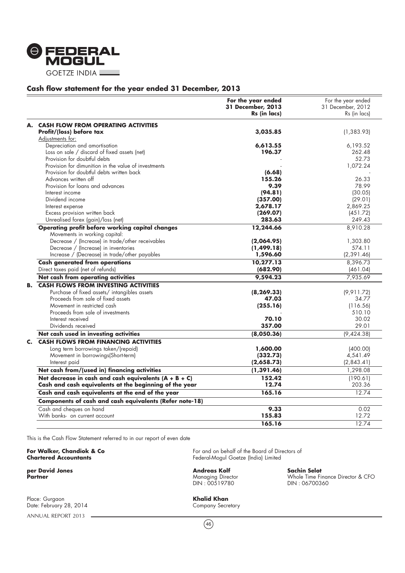

# **Cash flow statement for the year ended 31 December, 2013**

|    |                                                                                  | For the year ended<br>31 December, 2013<br>Rs (in lacs) | For the year ended<br>31 December, 2012<br>Rs (in lacs) |
|----|----------------------------------------------------------------------------------|---------------------------------------------------------|---------------------------------------------------------|
| А. | <b>CASH FLOW FROM OPERATING ACTIVITIES</b>                                       |                                                         |                                                         |
|    | Profit/(loss) before tax                                                         | 3,035.85                                                | (1, 383.93)                                             |
|    | Adjustments for:                                                                 |                                                         |                                                         |
|    | Depreciation and amortisation                                                    | 6,613.55                                                | 6,193.52                                                |
|    | Loss on sale / discard of fixed assets (net)                                     | 196.37                                                  | 262.48                                                  |
|    | Provision for doubtful debts                                                     |                                                         | 52.73                                                   |
|    | Provision for dimunition in the value of investments                             |                                                         | 1,072.24                                                |
|    | Provision for doubtful debts written back                                        | (6.68)                                                  |                                                         |
|    | Advances written off<br>Provision for loans and advances                         | 155.26<br>9.39                                          | 26.33<br>78.99                                          |
|    | Interest income                                                                  | (94.81)                                                 | (30.05)                                                 |
|    | Dividend income                                                                  | (357.00)                                                | (29.01)                                                 |
|    | Interest expense                                                                 | 2,678.17                                                | 2,869.25                                                |
|    | Excess provision written back                                                    | (269.07)                                                | (451.72)                                                |
|    | Unrealised forex (gain)/loss (net)                                               | 283.63                                                  | 249.43                                                  |
|    | Operating profit before working capital changes                                  | 12,244.66                                               | 8,910.28                                                |
|    | Movements in working capital:                                                    |                                                         |                                                         |
|    | Decrease / (Increase) in trade/other receivables                                 | (2,064.95)                                              | 1,303.80                                                |
|    | Decrease / (Increase) in inventories                                             | (1,499.18)                                              | 574.11                                                  |
|    | Increase / (Decrease) in trade/other payables                                    | 1,596.60                                                | (2, 391.46)                                             |
|    | <b>Cash generated from operations</b>                                            | 10,277.13                                               | 8,396.73                                                |
|    | Direct taxes paid (net of refunds)                                               | (682.90)                                                | (461.04)                                                |
|    | Net cash from operating activities                                               | 9,594.23                                                | 7,935.69                                                |
|    | <b>B. CASH FLOWS FROM INVESTING ACTIVITIES</b>                                   |                                                         |                                                         |
|    | Purchase of fixed assets/ intangibles assets                                     | (8, 269.33)                                             | (9, 911, 72)                                            |
|    | Proceeds from sale of fixed assets                                               | 47.03                                                   | 34.77                                                   |
|    | Movement in restricted cash                                                      | (255.16)                                                | (116.56)                                                |
|    | Proceeds from sale of investments                                                |                                                         | 510.10                                                  |
|    | Interest received<br>Dividends received                                          | 70.10<br>357.00                                         | 30.02<br>29.01                                          |
|    |                                                                                  |                                                         |                                                         |
|    | Net cash used in investing activities<br>C. CASH FLOWS FROM FINANCING ACTIVITIES | (8,050.36)                                              | (9, 424.38)                                             |
|    | Long term borrowings taken/(repaid)                                              | 1,600.00                                                | (400.00)                                                |
|    | Movement in borrowings(Short-term)                                               | (332.73)                                                | 4,541.49                                                |
|    | Interest paid                                                                    | (2,658.73)                                              | (2,843.41)                                              |
|    | Net cash from/(used in) financing activities                                     | (1, 391.46)                                             | 1,298.08                                                |
|    | Net decrease in cash and cash equivalents $(A + B + C)$                          | 152.42                                                  | (190.61)                                                |
|    | Cash and cash equivalents at the beginning of the year                           | 12.74                                                   | 203.36                                                  |
|    | Cash and cash equivalents at the end of the year                                 | 165.16                                                  | 12.74                                                   |
|    | Components of cash and cash equivalents (Refer note-18)                          |                                                         |                                                         |
|    |                                                                                  | 9.33                                                    |                                                         |
|    | Cash and cheques on hand<br>With banks- on current account                       | 155.83                                                  | 0.02<br>12.72                                           |
|    |                                                                                  | 165.16                                                  | 12.74                                                   |
|    |                                                                                  |                                                         |                                                         |

This is the Cash Flow Statement referred to in our report of even date

**per David Jones Andreas Kolf Sachin Selot**

ANNUAL REPORT 2013 Place: Gurgaon **Khalid Khan** Date: February 28, 2014 Company Secretary

**For Walker, Chandiok & Co** For and on behalf of the Board of Directors of **Chartered Accountants**<br> **Chartered Accountants Chartered Accountants** Federal-Mogul Goetze (India) Limited

Managing Director<br>DIN : 00519780

Whole Time Finance Director & CFO<br>DIN: 06700360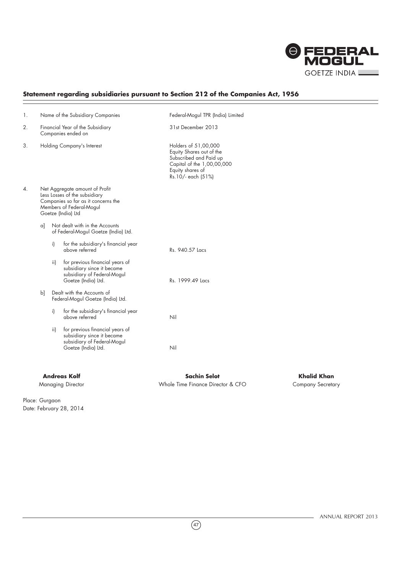

# **Statement regarding subsidiaries pursuant to Section 212 of the Companies Act, 1956**

| 1. |    |     | Name of the Subsidiary Companies                                                                                                                         | Federal-Mogul TPR (India) Limited                                                                                                                   |
|----|----|-----|----------------------------------------------------------------------------------------------------------------------------------------------------------|-----------------------------------------------------------------------------------------------------------------------------------------------------|
| 2. |    |     | Financial Year of the Subsidiary<br>Companies ended on                                                                                                   | 31st December 2013                                                                                                                                  |
| 3. |    |     | Holding Company's Interest                                                                                                                               | Holders of 51,00,000<br>Equity Shares out of the<br>Subscribed and Paid up<br>Capital of the 1,00,00,000<br>Equity shares of<br>Rs. 10/- each (51%) |
| 4. |    |     | Net Aggregate amount of Profit<br>Less Losses of the subsidiary<br>Companies so far as it concerns the<br>Members of Federal-Mogul<br>Goetze (India) Ltd |                                                                                                                                                     |
|    | αI |     | Not dealt with in the Accounts<br>of Federal-Mogul Goetze (India) Ltd.                                                                                   |                                                                                                                                                     |
|    |    | i)  | for the subsidiary's financial year<br>above referred                                                                                                    | Rs. 940.57 Lacs                                                                                                                                     |
|    |    | ii) | for previous financial years of<br>subsidiary since it became<br>subsidiary of Federal-Mogul<br>Goetze (India) Ltd.                                      | Rs. 1999.49 Lacs                                                                                                                                    |
|    | b  |     | Dealt with the Accounts of<br>Federal-Mogul Goetze (India) Ltd.                                                                                          |                                                                                                                                                     |
|    |    | i)  | for the subsidiary's financial year<br>above referred                                                                                                    | Nil                                                                                                                                                 |
|    |    | ii) | for previous financial years of<br>subsidiary since it became<br>subsidiary of Federal-Mogul<br>Goetze (India) Ltd.                                      | Nil                                                                                                                                                 |

**Andreas Kolf** Sachin Selot Sachin Selot Khalid Khan Managing Director **Managing Director** Whole Time Finance Director & CFO Company Secretary

Place: Gurgaon Date: February 28, 2014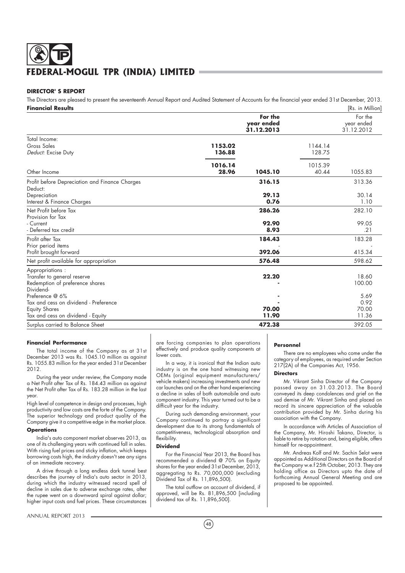# **DIRECTOR' S REPORT**

The Directors are pleased to present the seventeenth Annual Report and Audited Statement of Accounts for the financial year ended 31st December, 2013.

| <b>Financial Results</b>                                                                       |                   |                                     |                   | [Rs. in Million]                    |
|------------------------------------------------------------------------------------------------|-------------------|-------------------------------------|-------------------|-------------------------------------|
|                                                                                                |                   | For the<br>year ended<br>31.12.2013 |                   | For the<br>year ended<br>31.12.2012 |
| Total Income:<br>Gross Sales<br>Deduct: Excise Duty                                            | 1153.02<br>136.88 |                                     | 1144.14<br>128.75 |                                     |
| Other Income                                                                                   | 1016.14<br>28.96  | 1045.10                             | 1015.39<br>40.44  | 1055.83                             |
| Profit before Depreciation and Finance Charges                                                 |                   | 316.15                              |                   | 313.36                              |
| Deduct:<br>Depreciation<br>Interest & Finance Charges                                          |                   | 29.13<br>0.76                       |                   | 30.14<br>1.10                       |
| Net Profit before Tax                                                                          |                   | 286.26                              |                   | 282.10                              |
| Provision for Tax<br>- Current<br>- Deferred tax credit                                        |                   | 92.90<br>8.93                       |                   | 99.05<br>.21                        |
| Profit after Tax                                                                               |                   | 184.43                              |                   | 183.28                              |
| Prior period items<br>Profit brought forward                                                   |                   | 392.06                              |                   | 415.34                              |
| Net profit available for appropriation                                                         |                   | 576.48                              |                   | 598.62                              |
| Appropriations:<br>Transfer to general reserve<br>Redemption of preference shares<br>Dividend- |                   | 22.20                               |                   | 18.60<br>100.00                     |
| Preference @ 6%<br>Tax and cess on dividend - Preference<br><b>Equity Shares</b>               |                   | 70.00                               |                   | 5.69<br>0.92<br>70.00               |
| Tax and cess on dividend - Equity                                                              |                   | 11.90                               |                   | 11.36                               |
| Surplus carried to Balance Sheet                                                               |                   | 472.38                              |                   | 392.05                              |

# **Financial Performance**

The total income of the Company as at 31st December 2013 was Rs. 1045.10 million as against Rs. 1055.83 million for the year ended 31st December 2012.

During the year under review, the Company made a Net Profit after Tax of Rs. 184.43 million as against the Net Profit after Tax of Rs. 183.28 million in the last year.

High level of competence in design and processes, high productivity and low costs are the forte of the Company. The superior technology and product quality of the Company give it a competitive edge in the market place.

**Operations**

India's auto component market observes 2013, as one of its challenging years with continued fall in sales. With rising fuel prices and sticky inflation, which keeps borrowing costs high, the industry doesn't see any signs of an immediate recovery.

A drive through a long endless dark tunnel best describes the journey of India's auto sector in 2013, during which the industry witnessed record spell of decline in sales due to adverse exchange rates, after the rupee went on a downward spiral against dollar; higher input costs and fuel prices. These circumstances are forcing companies to plan operations effectively and produce quality components at lower costs.

In a way, it is ironical that the Indian auto industry is on the one hand witnessing new OEMs (original equipment manufacturers/ vehicle makers) increasing investments and new car launches and on the other hand experiencing a decline in sales of both automobile and auto component industry. This year turned out to be a difficult year for the industry.

During such demanding environment, your Company continued to portray a significant development due to its strong fundamentals of competitiveness, technological absorption and flexibility.

### **Dividend**

For the Financial Year 2013, the Board has recommended a dividend @ 70% on Equity shares for the year ended 31st December, 2013, aggregating to Rs. 70,000,000 (excluding Dividend Tax of Rs. 11,896,500).

The total outflow on account of dividend, if approved, will be Rs. 81,896,500 [including dividend tax of Rs. 11,896,500].

# **Personnel**

There are no employees who come under the category of employees, as required under Section 217(2A) of the Companies Act, 1956.

# **Directors**

Mr. Vikrant Sinha Director of the Company passed away on 31.03.2013. The Board conveyed its deep condolences and grief on the sad demise of Mr. Vikrant Sinha and placed on record its sincere appreciation of the valuable contribution provided by Mr. Sinha during his association with the Company.

In accordance with Articles of Association of the Company, Mr. Hiroshi Takano, Director, is liable to retire by rotation and, being eligible, offers himself for re-appointment.

Mr. Andreas Kolf and Mr. Sachin Selot were appointed as Additional Directors on the Board of the Company w.e.f 25th October, 2013. They are holding office as Directors upto the date of forthcoming Annual General Meeting and are proposed to be appointed.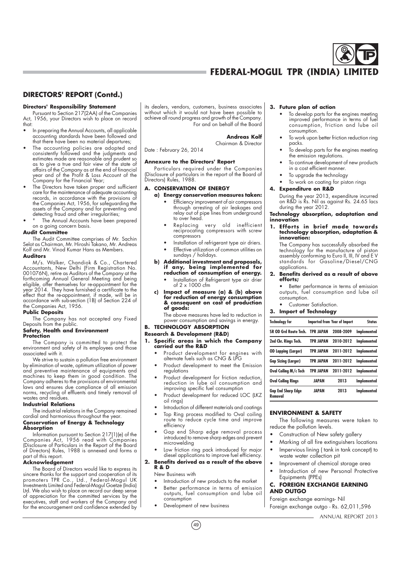# **DIRECTORS' REPORT (Contd.)**

### **Directors' Responsibility Statement**

Pursuant to Section 217(2AA) of the Companies Act, 1956, your Directors wish to place on record that:

- In preparing the Annual Accounts, all applicable accounting standards have been followed and that there have been no material departures;
- The accounting policies are adopted and consistently followed and the judgments and estimates made are reasonable and prudent so as to give a true and fair view of the state of affairs of the Company as at the end of financial year and of the Profit & Loss Account of the Company for the Financial Year;
- The Directors have taken proper and sufficient care for the maintenance of adequate accounting records, in accordance with the provisions of the Companies Act, 1956, for safeguarding the assets of the Company and for preventing and detecting fraud and other irregularities;
- The Annual Accounts have been prepared on a going concern basis.

# **Audit Committee**

The Audit Committee comprises of Mr. Sachin Selot as Chairman, Mr. Hiroshi Takano, Mr. Andreas Kolf and Mr. Vinod Kumar Hans as Members. **Auditors**

M/s. Walker, Chandiok & Co., Chartered Accountants, New Delhi (Firm Registration No. 001076N), retire as Auditors of the Company at the forthcoming Annual General Meeting and being eligible, offer themselves for re-appointment for the year 2014. They have furnished a certificate to the effect that the re-appointment, if made, will be in accordance with sub-section (1B) of Section 224 of the Companies Act, 1956.

# **Public Deposits**

The Company has not accepted any Fixed Deposits from the public.

# **Safety, Health and Environment**

**Protection**

The Company is committed to protect the environment and safety of its employees and those associated with it.

We strive to sustain a pollution free environment by elimination of waste, optimum utilization of power and preventive maintenance of equipments and machines to keep them in good condition. The Company adheres to the provisions of environmental laws and ensures due compliance of all emission norms, recycling of effluents and timely removal of wastes and residues.

# **Industrial Relations**

The industrial relations in the Company remained cordial and harmonious throughout the year.

### **Conservation of Energy & Technology Absorption**

Information pursuant to Section 217(1)(e) of the Companies Act, 1956 read with Companies (Disclosure of Particulars in the Report of the Board of Directors) Rules, 1988 is annexed and forms a part of this report.

# **Acknowledgement**

The Board of Directors would like to express its sincere thanks for the support and cooperation of its promoters TPR Co., Ltd., Federal-Mogul UK Investments Limited and Federal-Mogul Goetze (India) Ltd. We also wish to place on record our deep sense of appreciation for the committed services by the executives, staff and workers of the Company and for the encouragement and confidence extended by its dealers, vendors, customers, business associates without which it would not have been possible to achieve all round progress and growth of the Company. For and on behalf of the Board

# **Andreas Kolf**

Chairman & Director

Date : February 26, 2014

# **Annexure to the Directors' Report**

Particulars required under the Companies (Disclosure of particulars in the report of the Board of Directors) Rules, 1988.

# **A. CONSERVATION OF ENERGY**

- **a) Energy conservation measures taken:**
	- Efficiency improvement of air compressors through arresting of air leakages and relay out of pipe lines from underground to over head.
	- Replacing very old inefficient reciprocating compressors with screw compressors
	- Installation of refrigerant type air driers. • Effective utilization of common utilities on sundays / holidays.

# **b) Additional investment and proposals,** if any, being implemented for<br>reduction of consumption of energy.

- Installation of Refrigerant type air drier of 2 x 1000 cfm
- **c) Impact of measure (a) & (b) above for reduction of energy consumption & consequent on cost of production of goods:**

The above measures have led to reduction in power consumption and savings in energy.

# **B. TECHNOLOGY ABSORPTION**

**Research & Development (R&D)**

- **1. Specific areas in which the Company carried out the R&D**
	- Product development for engines with alternate fuels such as CNG & LPG
	- Product development to meet the Emission regulations
	- Product development for friction reduction, reduction in lube oil consumption and improving specific fuel consumption
	- Product development for reduced LOC (LKZ oil rings)
	- Introduction of different materials and coatings
	- Top Ring process modified to Oval coiling route to reduce cycle time and improve efficiency
	- Gap end Sharp edge removal process introduced to remove sharp edges and prevent microwelding
	- Low friction ring pack introduced for major diesel applications to improve fuel efficiency.

# **2. Benefits derived as a result of the above R & D**

New Business with

- Introduction of new products to the market
- Better performance in terms of emission outputs, fuel consumption and lube oil consumption
- Development of new business

# **3. Future plan of action**

- To develop parts for the engines meeting improved performance in terms of fuel consumption, friction and lube oil consumption.
- To work upon better friction reduction ring packs.
- To develop parts for the engines meeting the emission regulations.
- To continue development of new products in a cost efficient manner.
- To upgrade the technology
- To work on coating for piston rings
- **4. Expenditure on R&D**

During the year 2013, expenditure incurred on R&D is Rs. Nil as against Rs. 24.65 lacs during the year 2012.

**Technology absorption, adaptation and innovation**

**1. Efforts in brief made towards technology absorption, adaptation & innovation:**

The Company has successfully absorbed the technology for the manufacture of piston assembly conforming to Euro II, III, IV and E V standards for Gasoline/Diesel/CNG applications.

### **2. Benefits derived as a result of above efforts;**

Better performance in terms of emission outputs, fuel consumption and lube oil consumption.

- Customer Satisfaction.
- **3. Import of Technology**

| <b>Technology for</b>                |                  | Imported from Year of Import | <b>Status</b>      |
|--------------------------------------|------------------|------------------------------|--------------------|
| SR OD Grd Route Tech.                | <b>TPR JAPAN</b> | 2008-2009                    | <b>Implemented</b> |
| 2nd Chr. Rings Tech.                 | TPR JAPAN        | 2010-2012                    | Implemented        |
| <b>OD Lapping (Larger)</b>           | <b>TPR JAPAN</b> | 2011-2012                    | <b>Implemented</b> |
| <b>Gap Sizing (Larger)</b>           | <b>TPR JAPAN</b> | 2011-2012                    | <b>Implemented</b> |
| Oval Coiling M/c Tech                | TPR JAPAN        | 2011-2012                    | <b>Implemented</b> |
| <b>Oval Coiling Rings</b>            | JAPAN            | 2013                         | <b>Implemented</b> |
| <b>Gap End Sharp Edge</b><br>Removal | <b>JAPAN</b>     | 2013                         | <b>Implemented</b> |

# **ENVIRONMENT & SAFETY**

The following measures were taken to reduce the pollution levels.

- Construction of New safety gallery
- Marking of all fire extinguishers locations
- Impervious lining ( tank in tank concept) to waste water collection pit
- Improvement of chemical storage area
- Introduction of new Personal Protective Equipments (PPEs)

# **C. FOREIGN EXCHANGE EARNING AND OUTGO**

Foreign exchange earnings- Nil Foreign exchange outgo - Rs. 62,011,596

 $(49)$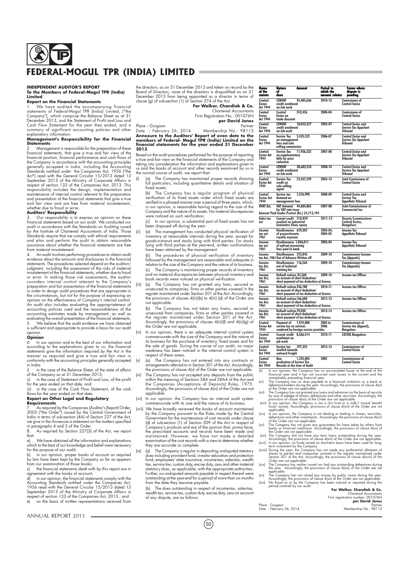#### **INDEPENDENT AUDITOR'S REPORT To the Members of Federal-Mogul TPR (India) Limited**

#### **Report on the Financial Statements**

1. We have audited the accompanying financial statements of Federal-Mogul TPR (India) Limited, ("the Company"), which comprise the Balance Sheet as at 31 December 2013, and the Statement of Profit and Loss and Cash Flow Statement for the year then ended, and a summary of significant accounting policies and other explanatory information.

# **Management's Responsibility for the Financial Statements**

2. Management is responsible for the preparation of these<br>financial statements, that give a true and fair view of the<br>financial position, financial performance and cash flows of<br>the Company in accordance with the accountin generally accepted in India, including the Accounting Standards notified under the Companies Act, 1956 ("the Act") read with the General Circular 15/2013 dated 13 September 2013 of the Ministry of Corporate Affairs in respect of section 133 of the Companies Act, 2013. This responsibility includes the design, implementation and<br>maintenance of internal control relevant to the preparation<br>and presentation of the financial statements that give a true<br>and fair view and are free from material miss whether due to fraud or error.

#### **Auditors' Responsibility**

3. Our responsibility is to express an opinion on these tinancial statements based on our audit. We conducted our<br>audit in accordance with the Standards on Auditing issued<br>by the Institute of Chartered Accountants of India. Those<br>Standards require that we comply with ethical re from material misstatement.

4. An audit involves performing procedures to obtain audit evidence about the amounts and disclosures in the financial statements. The procedures selected depend on the auditors' judgment, including the assessment of the risks of material<br>misstatement of the financial statements, whether due to fraud<br>or error. In making those risk assessments, the auditor<br>considers internal control relevant to the in order to design audit procedures that are appropriate in the circumstances, but not for the purpose of expressing an<br>opinion on the effectiveness of Company's internal control.<br>An audit also includes evaluating the appropriateness of<br>accounting policies used and the reasonablene accounting estimates made by management, as well as evaluating the overall presentation of the financial statements. 5. We believe that the audit evidence we have obtained is sufficient and appropriate to provide a basis for our audit opinion.

# **Opinion**

6. In our opinion and to the best of our information and according to the explanations given to us, the financial statements give the information required by the Act in the manner so required and give a true and fair view in conformity with the accounting principles generally accepted in India:

i) in the case of the Balance Sheet, of the state of affairs of the Company as at 31 December 2013;

ii) in the case of Statement of Profit and Loss, of the profit for the year ended on that date; and

iii) in the case of the Cash Flow Statement, of the cash flows for the year ended on that date.

#### **Report on Other Legal and Regulatory Requirements**

7. As required by the Companies (Auditor's Report) Order, 2003 ("the Order") issued by the Central Government of India in terms of sub-section (4A) of Section 227 of the Act, we give in the Annexure a statement on the matters specified in paragraphs 4 and 5 of the Order.

8. As required by Section 227(3) of the Act, we report that:

a) We have obtained all the information and explanations which to the best of our knowledge and belief were necessary

for the purpose of our audit; b) in our opinion, proper books of account as required by law have been kept by the Company so far as appears from our examination of those books;

c) the financial statements dealt with by this report are in agreement with the books of account;<br>d) in our opinion, the financial states

in our opinion, the financial statements comply with the Accounting Standards notified under the Companies Act, 1956 read with the General Circular 15/2013 dated 13 September 2013 of the Ministry of Corporate Affairs in respect of section 133 of the Companies Act, 2013 ; and on the basis of written representations received from

#### ANNUAL REPORT 2013

the directors, as on 31 December 2013 and taken on record by the Board of Directors, none of the directors is disqualified as on 31 December 2013 from being appointed as a director in terms of clause (g) of sub-section (1) of Section 274 of the Act.

**For Walker, Chandiok & Co.** Chartered Accountants

Firm Registration No.: 001076N

**per David Jones**

# Place : Gurgaon<br>113 Partner - Partner Partner<br>113 Membership No.: 98113 Date : February 26, 2014 Membership No.: 98113<br>**Annexure to the Auditors' Report of even date to the**<br>members of Federal- Mogul TPR (India) Limited on the<br>financial statements for the year ended 31 December **2013**

Based on the audit procedures performed for the purpose of reporting a true and fair view on the financial statements of the Company and taking into consideration the information and explanations given to us and the books of account and other records examined by us in the normal course of audit, we report that:

(i) (a) The Company has maintained proper records showing full particulars, including quantitative details and situation of fixed assets.

(b) The Company has a regular program of physical<br>verification of its fixed assets under which fixed assets are<br>verified in a phased manner over a period of three years, which,<br>in our opinion, is reasonable having regard t

(c) In our opinion, a substantial part of fixed assets has not been disposed off during the year.

(ii) (a) The management has conducted physical verification of inventory at reasonable intervals during the year, except for goods-in-transit and stocks lying with third parties. For stocks lying with third parties at the year-end, written confirmations have been obtained by the management.

(b) The procedures of physical verification of inventory followed by the management are reasonable and adequate in relation to the size of the Company and the nature of its business.

(c) The Company is maintaining proper records of inventory and no material discrepancies between physical inventory and book records were noticed on physical verification. (iii) (a) The Company has not granted any loan, secured or

unsecured to companies, firms or other parties covered in the register maintained under Section 301 of the Act. Accordingly, the provisions of clauses 4(iii)(b) to 4(iii) (d) of the Order are not applicable.

(b) The Company has not taken any loans, secured or unsecured from companies, firms or other parties covered in the register maintained under Section 301 of the Act. Accordingly, the provisions of clauses 4(iii)(f) and 4(iii)(g) of the Order are not applicable.

(iv) In our opinion, there is an adequate internal control system commensurate with the size of the Company and the nature of its business for the purchase of inventory, fixed assets and for the sale of goods. During the course of our audit, no major weakness has been noticed in the internal control system in respect of these areas.

(v) (a) The Company has not entered into any contracts or arrangements referred to in Section 301 of the Act. Accordingly, the provisions of clause 4(v) of the Order are not applicable.

(vi) The Company has not accepted any deposits from the public within the meaning of Sections 58A and 58AA of the Act and the Companies (Acceptance of Deposits) Rules, 1975. Accordingly, the provisions of clause 4(vi) of the Order are not applicable.

(vii) In our opinion, the Company has an internal audit system commensurate with its size and the nature of its business.

We have broadly reviewed the books of account maintained by the Company pursuant to the Rules made by the Central Government for the maintenance of cost records under clause (d) of sub-section (1) of Section 209 of the Act in respect of Company's products and are of the opinion that, prima facie, the prescribed accounts and records have been made and maintained. However, we have not made a detailed examination of the cost records with a view to determine whether they are accurate or complete.

(ix) (a) The Company is regular in depositing undisputed statutory dues including provident fund, investor education and protection fund, employees' state insurance, income-tax, sales-tax, wealth tax, service tax, custom duty, excise duty, cess and other material statutory dues, as applicable, with the appropriate authorities. Further, no undisputed amounts payable in respect thereof were outstanding at the year-end for a period of more than six months from the date they become payable.

(b) The dues outstanding in respect of income-tax, sales-tax, wealth tax, service tax, custom duty, excise duty, cess on account of any dispute, are as follows:

| Name<br>of the<br>statute            | <b>Nature</b><br>of<br>dues                                             | Amount                                                                         | Period to<br>which the<br>amount relates | Forum where<br>dispute is<br>pending                                  |
|--------------------------------------|-------------------------------------------------------------------------|--------------------------------------------------------------------------------|------------------------------------------|-----------------------------------------------------------------------|
| Central<br>Excise<br>Act 1944        | <b>CENVAT</b><br>credit availment<br>on Job work                        | 34,485,636                                                                     | 2010-13                                  | <b>Comissioner of</b><br><b>Central Excise</b>                        |
| Central<br>Excise<br>Act 1944        | Central<br><b>Excise on</b><br>trade discount                           | 242.426                                                                        | 2000-04                                  | <b>Comissioner of</b><br><b>Central Excise</b>                        |
| Central<br>Excise<br>Act 1944        | <b>CENVAT</b><br>credit availment<br>on Job work                        | 18,053,327                                                                     | 2005-07                                  | Central Excise and<br>Service Tax Appelant<br>Tribunal                |
| Central<br>Excise<br>Act 1944        | Service Tax<br>on management<br>fees and sole<br>selling commission     | 2,435,525                                                                      | 2006-07                                  | Central Excise and<br>Service Tax Appelant<br>Tribunal                |
| Central<br><b>Excise Act</b><br>1944 | Service Tax<br>on supplementary<br>bills for price<br>reduction         | 11.936.332                                                                     | 2007-08                                  | Central Excise and<br><b>Service Tax Appelant</b><br>Tribunal         |
| Central<br>Excise<br>Act 1944        | <b>CENVAT</b><br>credit availment<br>on Job work                        | 30,683,233                                                                     | 2008-10                                  | <b>Central Excise and</b><br>Service Tax Appelant<br>Tribunal         |
| Central<br>Excise Act<br>1944        | Service Tax<br>credit on<br>sole selling<br>agent                       | 22.437.249                                                                     | 2005-13                                  | Joint Comissioner of<br><b>Central Excise</b>                         |
| Central<br>Excise Act<br>1944        | Service tax<br>demand on<br>management fees                             | 7,376,990                                                                      | 2008-09                                  | <b>Central Excise and</b><br><b>Service Tax</b><br>Appellate Tribunal |
| KVAT Act,                            | <b>VAT demand</b>                                                       | 44,684,865<br>for VAT rate issue<br>Amount Paid Under Protest (Rs.) 24,713,194 | 2007-08                                  | Joint Commissioner of<br><b>Commercial tax</b>                        |
| Sales tax<br>act                     | Cenvat credit 210.059<br>availed on industrial<br>laminates Glass epoxy |                                                                                | 2011-12                                  | <b>Deputy Commissioner</b><br>Central Excise,<br>Bangaluru            |
| Income<br>tax act<br>1961            | Disallowance 659,302<br>of proportionate<br>royalty expense             |                                                                                | 2003-04<br>2004-05                       | Income Tax<br><b>Appellate Tribunal</b>                               |
| Income<br>tax act<br>1961            | Disallowance 1,846,011<br>of upfront processing<br>fees paid to bank    |                                                                                | 2003-04                                  | <b>Income Tax</b><br>Appellate Tribunal                               |
| Income                               | <b>Disallowance</b><br>tax Act, 1961 Out of Advance Written off         | 252,843                                                                        | 2009-10                                  | Commissioner Income<br><b>Tax (Appeals)</b>                           |
| Income<br>tax Act,<br>1961           | Disallowance<br>out of technical<br>training fee                        | 116,564                                                                        | 2009-10                                  | Commissioner Income<br>Tax (Appeals)                                  |
| Income<br>tax Act,<br>1961           | Default notices 82,360                                                  | on account of short deduction/<br>short payment of tax deduction at Source.    | 2009-10                                  | Income tax Officer                                                    |
| Income<br>tax Act,<br>1961           | Default notices 246,780                                                 | on account of short deduction/<br>short payment of tax deduction at Source.    | 2010-11                                  | <b>Income tax Officer</b>                                             |
| Income<br>tax Act,<br>1961           | Default notices 166,600                                                 | on account of short deduction/<br>short payment of tax deduction at Source.    | 2012-13                                  | Income tax Officer                                                    |
| Income<br>tax Act,<br>1961           | Default notices 70,030                                                  | on account of short deduction/<br>short payment of tax deduction at Source.    | 2013-14                                  | <b>Income tax Officer</b>                                             |
| Central<br>Excise Act<br>1944        | Payment of<br>service tax on services                                   | 1,974,000<br>rendered by foreign service provider.                             | 2004 to<br>2006                          | Commissioner of<br>Service tax (Appeal),<br>Bangaluru                 |
| Central<br>Excise<br><b>Act 1944</b> | Cenvat credit<br>availment on<br>job work                               | 8,566,414                                                                      | 2010-11                                  | <b>CESTAT, Bangaluru</b>                                              |
| Central<br>Excise<br><b>Act 1944</b> | Service tax<br>availed towards<br>outward freight                       | 197,352                                                                        | 2012-13                                  | Commissioner of<br><b>Central Excise</b>                              |
| Central<br>Excise                    | Non<br>production of Service Tax                                        | 1,235,005                                                                      | 2005                                     | <b>Commissioner of</b><br><b>Central Excise</b>                       |

**Central Moment Case of the Case of Central Existe Central Existe production of Service Tax Central Existe Central Existe Records at the eime of Auditor (** $\frac{1}{2}$  **In our copinion, the Company has no accumulated losses in** 

(xiv) In our opinion, the Company is not dealing or trading in shares, securities, debentures and other investments. Accordingly, the provisions of clause 4(xiv) The Company of the Order are not applicable.<br>
(xv) The Compa

Accordingly, the provisions of clause 4(xx) of the Order are not applicable.<br>(xxi) No fraud on or by the Company has been noticed or reported during the<br>period covered by our audit. **For Walker, Chandiok & Co.**

Chartered Accountants Firm registration number: 001076N

**per David Jones**

Place : Gurgaon Partner Date : February 26, 2014 Membership No.: 98113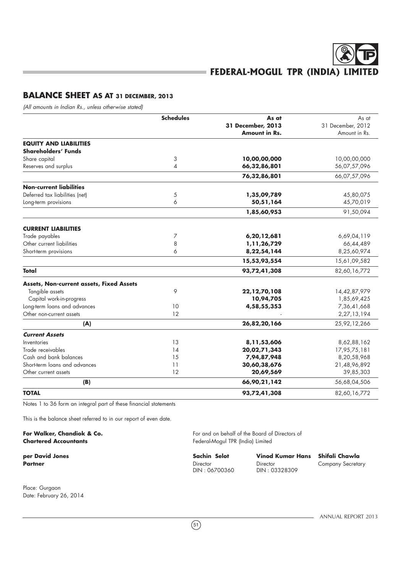# **BALANCE SHEET AS AT 31 DECEMBER, 2013**

(All amounts in Indian Rs., unless otherwise stated)

|                                          | <b>Schedules</b> | As at                | As at             |
|------------------------------------------|------------------|----------------------|-------------------|
|                                          |                  | 31 December, 2013    | 31 December, 2012 |
|                                          |                  | <b>Amount in Rs.</b> | Amount in Rs.     |
| <b>EQUITY AND LIABILITIES</b>            |                  |                      |                   |
| Shareholders' Funds                      |                  |                      |                   |
| Share capital                            | 3                | 10,00,00,000         | 10,00,00,000      |
| Reserves and surplus                     | 4                | 66,32,86,801         | 56,07,57,096      |
|                                          |                  | 76,32,86,801         | 66,07,57,096      |
| <b>Non-current liabilities</b>           |                  |                      |                   |
| Deferred tax liabilities (net)           | 5                | 1,35,09,789          | 45,80,075         |
| Long-term provisions                     | 6                | 50,51,164            | 45,70,019         |
|                                          |                  | 1,85,60,953          | 91,50,094         |
| <b>CURRENT LIABILITIES</b>               |                  |                      |                   |
| Trade payables                           | 7                | 6,20,12,681          | 6,69,04,119       |
| Other current liabilities                | 8                | 1, 11, 26, 729       | 66,44,489         |
| Short-term provisions                    | 6                | 8,22,54,144          | 8,25,60,974       |
|                                          |                  | 15,53,93,554         | 15,61,09,582      |
| Total                                    |                  | 93,72,41,308         | 82,60,16,772      |
| Assets, Non-current assets, Fixed Assets |                  |                      |                   |
| Tangible assets                          | 9                | 22, 12, 70, 108      | 14,42,87,979      |
| Capital work-in-progress                 |                  | 10,94,705            | 1,85,69,425       |
| Long-term loans and advances             | 10               | 4,58,55,353          | 7,36,41,668       |
| Other non-current assets                 | 12               |                      | 2,27,13,194       |
| (A)                                      |                  | 26,82,20,166         | 25,92,12,266      |
| <b>Current Assets</b>                    |                  |                      |                   |
| Inventories                              | 13               | 8,11,53,606          | 8,62,88,162       |
| Trade receivables                        | 14               | 20,02,71,343         | 17,95,75,181      |
| Cash and bank balances                   | 15               | 7,94,87,948          | 8,20,58,968       |
| Short-term loans and advances            | 11               | 30,60,38,676         | 21,48,96,892      |
| Other current assets                     | 12               | 20,69,569            | 39,85,303         |
| (B)                                      |                  | 66,90,21,142         | 56,68,04,506      |
| <b>TOTAL</b>                             |                  | 93,72,41,308         | 82,60,16,772      |

Notes 1 to 36 form an integral part of these financial statements

This is the balance sheet referred to in our report of even date.

Place: Gurgaon Date: February 26, 2014

**For Walker, Chandiok & Co. For and on behalf of the Board of Directors of For and on behalf of the Board of Directors of Chartered Accountants Chartered Accountants Federal-Mogul TPR** (India) Limited

**per David Jones Sachin Selot Vinod Kumar Hans Shifali Chawla** Partner **Partner** Company Secretary **Partner** Director Director Director Company Secretary DIN: 06700360 DIN: 03328309 DIN : 03328309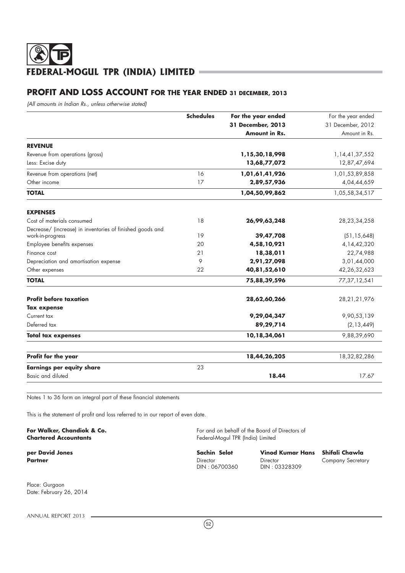# **PROFIT AND LOSS ACCOUNT FOR THE YEAR ENDED 31 DECEMBER, 2013**

(All amounts in Indian Rs., unless otherwise stated)

|                                                           | <b>Schedules</b> | For the year ended   | For the year ended |
|-----------------------------------------------------------|------------------|----------------------|--------------------|
|                                                           |                  | 31 December, 2013    | 31 December, 2012  |
|                                                           |                  | <b>Amount in Rs.</b> | Amount in Rs.      |
| <b>REVENUE</b>                                            |                  |                      |                    |
| Revenue from operations (gross)                           |                  | 1,15,30,18,998       | 1, 14, 41, 37, 552 |
| Less: Excise duty                                         |                  | 13,68,77,072         | 12,87,47,694       |
| Revenue from operations (net)                             | 16               | 1,01,61,41,926       | 1,01,53,89,858     |
| Other income                                              | 17               | 2,89,57,936          | 4,04,44,659        |
| <b>TOTAL</b>                                              |                  | 1,04,50,99,862       | 1,05,58,34,517     |
| <b>EXPENSES</b>                                           |                  |                      |                    |
| Cost of materials consumed                                | 18               | 26,99,63,248         | 28, 23, 34, 258    |
| Decrease/ (increase) in inventories of finished goods and |                  |                      |                    |
| work-in-progress                                          | 19               | 39,47,708            | (51, 15, 648)      |
| Employee benefits expenses                                | 20               | 4,58,10,921          | 4, 14, 42, 320     |
| Finance cost                                              | 21               | 18,38,011            | 22,74,988          |
| Depreciation and amortisation expense                     | 9                | 2,91,27,098          | 3,01,44,000        |
| Other expenses                                            | 22               | 40,81,52,610         | 42, 26, 32, 623    |
| <b>TOTAL</b>                                              |                  | 75,88,39,596         | 77, 37, 12, 541    |
| <b>Profit before taxation</b>                             |                  | 28,62,60,266         | 28, 21, 21, 976    |
| <b>Tax expense</b>                                        |                  |                      |                    |
| Current tax                                               |                  | 9,29,04,347          | 9,90,53,139        |
| Deferred tax                                              |                  | 89,29,714            | (2, 13, 449)       |
| <b>Total tax expenses</b>                                 |                  | 10,18,34,061         | 9,88,39,690        |
| Profit for the year                                       |                  | 18,44,26,205         | 18,32,82,286       |
| <b>Earnings per equity share</b>                          | 23               |                      |                    |
| <b>Basic and diluted</b>                                  |                  | 18.44                | 17.67              |

Notes 1 to 36 form an integral part of these financial statements

This is the statement of profit and loss referred to in our report of even date.

**per David Jones Sachin Selot Vinod Kumar Hans Shifali Chawla**

Place: Gurgaon Date: February 26, 2014

ANNUAL REPORT 2013

**For Walker, Chandiok & Co.** For and on behalf of the Board of Directors of Chartered Accountants<br> **Chartered Accountants** Federal-Mogul TPR (India) Limited

DIN : 06700360

Partner **Partner** Company Secretary **Partner** Director Director Director Company Secretary DIN: 06700360 DIN: 03328309

 $(52)$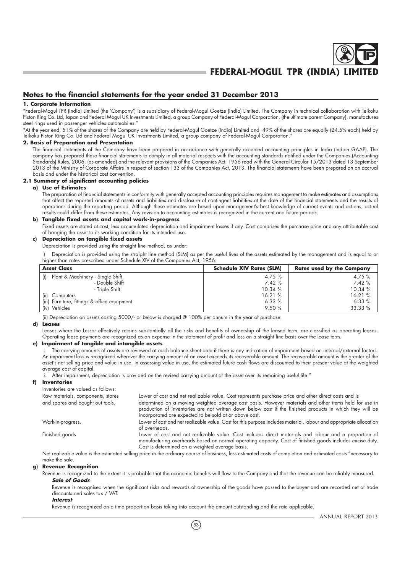# **Notes to the financial statements for the year ended 31 December 2013**

# **1. Corporate Information**

"Federal-Mogul TPR (India) Limited (the 'Company') is a subsidiary of Federal-Mogul Goetze (India) Limited. The Company in technical collaboration with Teikoku Piston Ring Co. Ltd, Japan and Federal Mogul UK Investments Limited, a group Company of Federal-Mogul Corporation, (the ultimate parent Company), manufactures steel rings used in passenger vehicles automobiles."

"At the year end, 51% of the shares of the Company are held by Federal-Mogul Goetze (India) Limited and 49% of the shares are equally (24.5% each) held by Teikoku Piston Ring Co. Ltd and Federal Mogul UK Investments Limited, a group company of Federal-Mogul Corporation."

### **2. Basis of Preparation and Presentation**

The financial statements of the Company have been prepared in accordance with generally accepted accounting principles in India (Indian GAAP). The company has prepared these financial statements to comply in all material respects with the accounting standards notified under the Companies (Accounting Standards) Rules, 2006, (as amended) and the relevant provisions of the Companies Act, 1956 read with the General Circular 15/2013 dated 13 September 2013 of the Ministry of Corporate Affairs in respect of section 133 of the Companies Act, 2013. The financial statements have been prepared on an accrual basis and under the historical cost convention.

# **2.1 Summary of significant accounting policies**

# **a) Use of Estimates**

The preparation of financial statements in conformity with generally accepted accounting principles requires management to make estimates and assumptions that affect the reported amounts of assets and liabilities and disclosure of contingent liabilities at the date of the financial statements and the results of operations during the reporting period. Although these estimates are based upon management's best knowledge of current events and actions, actual results could differ from these estimates. Any revision to accounting estimates is recognized in the current and future periods.

# **b) Tangible fixed assets and capital work-in-progress**

Fixed assets are stated at cost, less accumulated depreciation and impairment losses if any. Cost comprises the purchase price and any attributable cost of bringing the asset to its working condition for its intended use.

# **c) Depreciation on tangible fixed assets**

Depreciation is provided using the straight line method, as under:

i) Depreciation is provided using the straight line method (SLM) as per the useful lives of the assets estimated by the management and is equal to or higher than rates prescribed under Schedule XIV of the Companies Act, 1956:

| <b>Asset Class</b>                           | <b>Schedule XIV Rates (SLM)</b> | <b>Rates used by the Company</b> |
|----------------------------------------------|---------------------------------|----------------------------------|
| Plant & Machinery - Single Shift<br>(i)      | 4.75 $%$                        | 4.75 $%$                         |
| - Double Shift                               | 7.42%                           | 7.42%                            |
| - Triple Shift                               | 10.34%                          | 10.34%                           |
| (iii)<br>Computers                           | 16.21%                          | 16.21%                           |
| (iii) Furniture, fittings & office equipment | 6.33%                           | 6.33%                            |
| (iv) Vehicles                                | 9.50%                           | 33.33 %                          |

(ii) Depreciation on assets costing 5000/- or below is charged @ 100% per annum in the year of purchase.

### **d) Leases**

Leases where the Lessor effectively retains substantially all the risks and benefits of ownership of the leased term, are classified as operating leases. Operating lease payments are recognized as an expense in the statement of profit and loss on a straight line basis over the lease term.

# **e) Impairment of tangible and intangible assets**

i. The carrying amounts of assets are reviewed at each balance sheet date if there is any indication of impairment based on internal/external factors. An impairment loss is recognized wherever the carrying amount of an asset exceeds its recoverable amount. The recoverable amount is the greater of the asset's net selling price and value in use. In assessing value in use, the estimated future cash flows are discounted to their present value at the weighted average cost of capital.

ii. After impairment, depreciation is provided on the revised carrying amount of the asset over its remaining useful life."

# **f) Inventories**

| Inventories are valued as follows: |                                                                                                                                                                                                                                                                             |
|------------------------------------|-----------------------------------------------------------------------------------------------------------------------------------------------------------------------------------------------------------------------------------------------------------------------------|
| Raw materials, components, stores  | Lower of cost and net realizable value. Cost represents purchase price and other direct costs and is                                                                                                                                                                        |
| and spares and bought out tools.   | determined on a moving weighted average cost basis. However materials and other items held for use in<br>production of inventories are not written down below cost if the finished products in which they will be<br>incorporated are expected to be sold at or above cost. |
| Work-in-progress.                  | Lower of cost and net realizable value. Cost for this purpose includes material, labour and appropriate allocation<br>of overheads.                                                                                                                                         |
| Finished goods                     | Lower of cost and net realizable value. Cost includes direct materials and labour and a proportion of<br>manufacturing overheads based on normal operating capacity. Cost of finished goods includes excise duty.<br>Cost is determined on a weighted average basis.        |

Net realizable value is the estimated selling price in the ordinary course of business, less estimated costs of completion and estimated costs "necessary to make the sale.

# **g) Revenue Recognition**

Revenue is recognized to the extent it is probable that the economic benefits will flow to the Company and that the revenue can be reliably measured. **Sale of Goods**

Revenue is recognised when the significant risks and rewards of ownership of the goods have passed to the buyer and are recorded net of trade discounts and sales tax / VAT.

#### **Interest**

Revenue is recognized on a time proportion basis taking into account the amount outstanding and the rate applicable.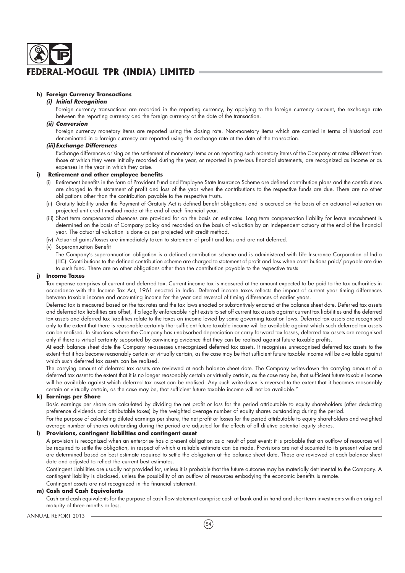# **h) Foreign Currency Transactions**

# **(i) Initial Recognition**

Foreign currency transactions are recorded in the reporting currency, by applying to the foreign currency amount, the exchange rate between the reporting currency and the foreign currency at the date of the transaction.

# **(ii) Conversion**

Foreign currency monetary items are reported using the closing rate. Non-monetary items which are carried in terms of historical cost denominated in a foreign currency are reported using the exchange rate at the date of the transaction.

# **(iii) Exchange Differences**

Exchange differences arising on the settlement of monetary items or on reporting such monetary items of the Company at rates different from those at which they were initially recorded during the year, or reported in previous financial statements, are recognized as income or as expenses in the year in which they arise.

# **i) Retirement and other employee benefits**

- (i) Retirement benefits in the form of Provident Fund and Employee State Insurance Scheme are defined contribution plans and the contributions are charged to the statement of profit and loss of the year when the contributions to the respective funds are due. There are no other obligations other than the contribution payable to the respective trusts.
- (ii) Gratuity liability under the Payment of Gratuity Act is defined benefit obligations and is accrued on the basis of an actuarial valuation on projected unit credit method made at the end of each financial year.
- (iii) Short term compensated absences are provided for on the basis on estimates. Long term compensation liability for leave encashment is determined on the basis of Company policy and recorded on the basis of valuation by an independent actuary at the end of the financial year. The actuarial valuation is done as per projected unit credit method.
- (iv) Actuarial gains/losses are immediately taken to statement of profit and loss and are not deferred.
- (v) Superannuation Benefit

The Company's superannuation obligation is a defined contribution scheme and is administered with Life Insurance Corporation of India (LIC). Contributions to the defined contribution scheme are charged to statement of profit and loss when contributions paid/ payable are due to such fund. There are no other obligations other than the contribution payable to the respective trusts.

# **j) Income Taxes**

Tax expense comprises of current and deferred tax. Current income tax is measured at the amount expected to be paid to the tax authorities in accordance with the Income Tax Act, 1961 enacted in India. Deferred income taxes reflects the impact of current year timing differences between taxable income and accounting income for the year and reversal of timing differences of earlier years.

Deferred tax is measured based on the tax rates and the tax laws enacted or substantively enacted at the balance sheet date. Deferred tax assets and deferred tax liabilities are offset, if a legally enforceable right exists to set off current tax assets against current tax liabilities and the deferred tax assets and deferred tax liabilities relate to the taxes on income levied by same governing taxation laws. Deferred tax assets are recognised only to the extent that there is reasonable certainty that sufficient future taxable income will be available against which such deferred tax assets can be realised. In situations where the Company has unabsorbed depreciation or carry forward tax losses, deferred tax assets are recognised only if there is virtual certainty supported by convincing evidence that they can be realised against future taxable profits.

At each balance sheet date the Company re-assesses unrecognized deferred tax assets. It recognises unrecognised deferred tax assets to the extent that it has become reasonably certain or virtually certain, as the case may be that sufficient future taxable income will be available against which such deferred tax assets can be realised.

The carrying amount of deferred tax assets are reviewed at each balance sheet date. The Company writes-down the carrying amount of a deferred tax asset to the extent that it is no longer reasonably certain or virtually certain, as the case may be, that sufficient future taxable income will be available against which deferred tax asset can be realised. Any such write-down is reversed to the extent that it becomes reasonably certain or virtually certain, as the case may be, that sufficient future taxable income will not be available."

# **k) Earnings per Share**

Basic earnings per share are calculated by dividing the net profit or loss for the period attributable to equity shareholders (after deducting preference dividends and attributable taxes) by the weighted average number of equity shares outstanding during the period.

For the purpose of calculating diluted earnings per share, the net profit or losses for the period attributable to equity shareholders and weighted average number of shares outstanding during the period are adjusted for the effects of all dilutive potential equity shares.

# **l) Provisions, contingent liabilities and contingent asset**

A provision is recognized when an enterprise has a present obligation as a result of past event; it is probable that an outflow of resources will be required to settle the obligation, in respect of which a reliable estimate can be made. Provisions are not discounted to its present value and are determined based on best estimate required to settle the obligation at the balance sheet date. These are reviewed at each balance sheet date and adjusted to reflect the current best estimates.

Contingent Liabilities are usually not provided for, unless it is probable that the future outcome may be materially detrimental to the Company. A contingent liability is disclosed, unless the possibility of an outflow of resources embodying the economic benefits is remote. Contingent assets are not recognized in the financial statement.

# **m) Cash and Cash Equivalents**

Cash and cash equivalents for the purpose of cash flow statement comprise cash at bank and in hand and short-term investments with an original maturity of three months or less.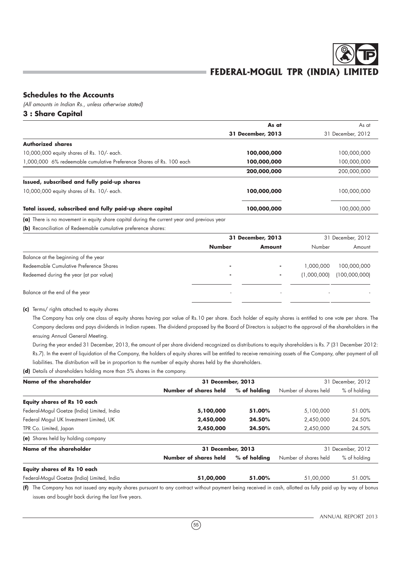# **Schedules to the Accounts**

(All amounts in Indian Rs., unless otherwise stated)

# **3 : Share Capital**

|                                                                                                                                                                                                                                   | As at             | As at             |
|-----------------------------------------------------------------------------------------------------------------------------------------------------------------------------------------------------------------------------------|-------------------|-------------------|
|                                                                                                                                                                                                                                   | 31 December, 2013 | 31 December, 2012 |
| <b>Authorized shares</b>                                                                                                                                                                                                          |                   |                   |
| 10,000,000 equity shares of Rs. 10/- each.                                                                                                                                                                                        | 100,000,000       | 100,000,000       |
| 1,000,000 6% redeemable cumulative Preference Shares of Rs. 100 each                                                                                                                                                              | 100,000,000       | 100,000,000       |
|                                                                                                                                                                                                                                   | 200,000,000       | 200,000,000       |
| Issued, subscribed and fully paid-up shares                                                                                                                                                                                       |                   |                   |
| 10,000,000 equity shares of Rs. 10/- each.                                                                                                                                                                                        | 100,000,000       | 100,000,000       |
| Total issued, subscribed and fully paid-up share capital                                                                                                                                                                          | 100,000,000       | 100,000,000       |
| $\mathbf{A}$ , we have the contribution of the contribution of the contribution of the contribution of the contribution of the contribution of the contribution of the contribution of the contribution of the contribution of th |                   |                   |

**(a)** There is no movement in equity share capital during the current year and previous year

**<sup>(</sup>b)** Reconciliation of Redeemable cumulative preference shares:

|                                         | 31 December, 2013 |               | 31 December, 2012 |               |
|-----------------------------------------|-------------------|---------------|-------------------|---------------|
|                                         | <b>Number</b>     | <b>Amount</b> | Number            | Amount        |
| Balance at the beginning of the year    |                   |               |                   |               |
| Redeemable Cumulative Preference Shares |                   | ۰             | 1,000,000         | 100,000,000   |
| Redeemed during the year (at par value) | ۰                 | ٠             | (1,000,000)       | (100,000,000) |
| Balance at the end of the year          |                   |               |                   |               |

# **(c)** Terms/ rights attached to equity shares

The Company has only one class of equity shares having par value of Rs.10 per share. Each holder of equity shares is entitled to one vote per share. The Company declares and pays dividends in Indian rupees. The dividend proposed by the Board of Directors is subject to the approval of the shareholders in the ensuing Annual General Meeting.

During the year ended 31 December, 2013, the amount of per share dividend recognized as distributions to equity shareholders is Rs. 7 (31 December 2012: Rs.7). In the event of liquidation of the Company, the holders of equity shares will be entitled to receive remaining assets of the Company, after payment of all liabilities. The distribution will be in proportion to the number of equity shares held by the shareholders.

**(d)** Details of shareholders holding more than 5% shares in the company.

| Name of the shareholder                                                                                                                                     | 31 December, 2013     | 31 December, 2012 |                       |                   |
|-------------------------------------------------------------------------------------------------------------------------------------------------------------|-----------------------|-------------------|-----------------------|-------------------|
|                                                                                                                                                             | Number of shares held | % of holding      | Number of shares held | % of holding      |
| <b>Equity shares of Rs 10 each</b>                                                                                                                          |                       |                   |                       |                   |
| Federal-Mogul Goetze (India) Limited, India                                                                                                                 | 5,100,000             | 51.00%            | 5,100,000             | 51.00%            |
| Federal Mogul UK Investment Limited, UK                                                                                                                     | 2,450,000             | 24.50%            | 2,450,000             | 24.50%            |
| TPR Co. Limited, Japan                                                                                                                                      | 2,450,000             | 24.50%            | 2,450,000             | 24.50%            |
| (e) Shares held by holding company                                                                                                                          |                       |                   |                       |                   |
| Name of the shareholder                                                                                                                                     | 31 December, 2013     |                   |                       | 31 December, 2012 |
|                                                                                                                                                             | Number of shares held | % of holding      | Number of shares held | % of holding      |
| <b>Equity shares of Rs 10 each</b>                                                                                                                          |                       |                   |                       |                   |
| Federal-Mogul Goetze (India) Limited, India                                                                                                                 | 51,00,000             | 51.00%            | 51,00,000             | 51.00%            |
| (6) The Company has not issued any equity shares pursuant to any contract without payment being received in cash, allotted as fully paid up by way of bonus |                       |                   |                       |                   |

**(f)** The Company has not issued any equity shares pursuant to any contract without payment being received in cash, allotted as fully paid up by way of bonus issues and bought back during the last five years.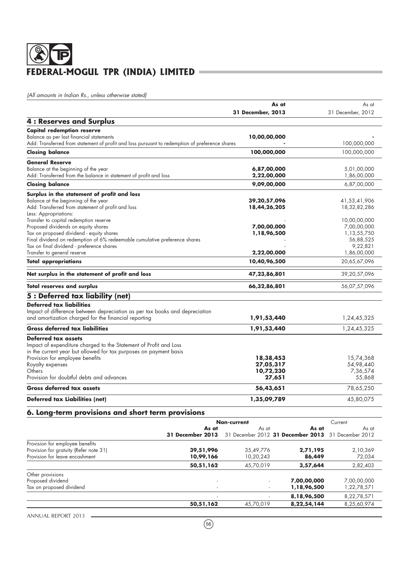(All amounts in Indian Rs., unless otherwise stated)

| <b>31 December, 2013</b><br><b>4 : Reserves and Surplus</b><br><b>Capital redemption reserve</b><br>Balance as per last financial statements<br>10,00,00,000<br>Add: Transferred from statement of profit and loss pursuant to redemption of preference shares<br>100,000,000<br><b>Closing balance</b><br>100,000,000<br>100,000,000<br><b>General Reserve</b><br>Balance at the beginning of the year<br>6,87,00,000<br>5,01,00,000<br>Add: Transferred from the balance in statement of profit and loss<br>2,22,00,000<br>1,86,00,000<br>9,09,00,000<br><b>Closing balance</b><br>6,87,00,000<br>Surplus in the statement of profit and loss<br>Balance at the beginning of the year<br>39,20,57,096<br>41,53,41,906<br>Add: Transferred from statement of profit and loss<br>18,44,26,205<br>18,32,82,286<br>Less: Appropriations:<br>Transfer to capital redemption reserve<br>10,00,00,000<br>7,00,00,000<br>Proposed dividends on equity shares<br>Tax on proposed dividend - equity shares<br>1,18,96,500<br>Final dividend on redemption of 6% redeemable cumulative preference shares<br>Tax on final dividend - preference shares<br>Transfer to general reserve<br>2,22,00,000<br>1,86,00,000<br><b>Total appropriations</b><br>10,40,96,500<br>Net surplus in the statement of profit and loss<br>47,23,86,801<br>66,32,86,801<br>and amortization charged for the financial reporting<br>1,91,53,440 | As at | As at              |
|--------------------------------------------------------------------------------------------------------------------------------------------------------------------------------------------------------------------------------------------------------------------------------------------------------------------------------------------------------------------------------------------------------------------------------------------------------------------------------------------------------------------------------------------------------------------------------------------------------------------------------------------------------------------------------------------------------------------------------------------------------------------------------------------------------------------------------------------------------------------------------------------------------------------------------------------------------------------------------------------------------------------------------------------------------------------------------------------------------------------------------------------------------------------------------------------------------------------------------------------------------------------------------------------------------------------------------------------------------------------------------------------------------------------|-------|--------------------|
|                                                                                                                                                                                                                                                                                                                                                                                                                                                                                                                                                                                                                                                                                                                                                                                                                                                                                                                                                                                                                                                                                                                                                                                                                                                                                                                                                                                                                    |       | 31 December, 2012  |
|                                                                                                                                                                                                                                                                                                                                                                                                                                                                                                                                                                                                                                                                                                                                                                                                                                                                                                                                                                                                                                                                                                                                                                                                                                                                                                                                                                                                                    |       |                    |
|                                                                                                                                                                                                                                                                                                                                                                                                                                                                                                                                                                                                                                                                                                                                                                                                                                                                                                                                                                                                                                                                                                                                                                                                                                                                                                                                                                                                                    |       |                    |
|                                                                                                                                                                                                                                                                                                                                                                                                                                                                                                                                                                                                                                                                                                                                                                                                                                                                                                                                                                                                                                                                                                                                                                                                                                                                                                                                                                                                                    |       |                    |
|                                                                                                                                                                                                                                                                                                                                                                                                                                                                                                                                                                                                                                                                                                                                                                                                                                                                                                                                                                                                                                                                                                                                                                                                                                                                                                                                                                                                                    |       |                    |
|                                                                                                                                                                                                                                                                                                                                                                                                                                                                                                                                                                                                                                                                                                                                                                                                                                                                                                                                                                                                                                                                                                                                                                                                                                                                                                                                                                                                                    |       |                    |
|                                                                                                                                                                                                                                                                                                                                                                                                                                                                                                                                                                                                                                                                                                                                                                                                                                                                                                                                                                                                                                                                                                                                                                                                                                                                                                                                                                                                                    |       |                    |
|                                                                                                                                                                                                                                                                                                                                                                                                                                                                                                                                                                                                                                                                                                                                                                                                                                                                                                                                                                                                                                                                                                                                                                                                                                                                                                                                                                                                                    |       |                    |
|                                                                                                                                                                                                                                                                                                                                                                                                                                                                                                                                                                                                                                                                                                                                                                                                                                                                                                                                                                                                                                                                                                                                                                                                                                                                                                                                                                                                                    |       |                    |
|                                                                                                                                                                                                                                                                                                                                                                                                                                                                                                                                                                                                                                                                                                                                                                                                                                                                                                                                                                                                                                                                                                                                                                                                                                                                                                                                                                                                                    |       |                    |
|                                                                                                                                                                                                                                                                                                                                                                                                                                                                                                                                                                                                                                                                                                                                                                                                                                                                                                                                                                                                                                                                                                                                                                                                                                                                                                                                                                                                                    |       |                    |
|                                                                                                                                                                                                                                                                                                                                                                                                                                                                                                                                                                                                                                                                                                                                                                                                                                                                                                                                                                                                                                                                                                                                                                                                                                                                                                                                                                                                                    |       |                    |
|                                                                                                                                                                                                                                                                                                                                                                                                                                                                                                                                                                                                                                                                                                                                                                                                                                                                                                                                                                                                                                                                                                                                                                                                                                                                                                                                                                                                                    |       |                    |
|                                                                                                                                                                                                                                                                                                                                                                                                                                                                                                                                                                                                                                                                                                                                                                                                                                                                                                                                                                                                                                                                                                                                                                                                                                                                                                                                                                                                                    |       |                    |
|                                                                                                                                                                                                                                                                                                                                                                                                                                                                                                                                                                                                                                                                                                                                                                                                                                                                                                                                                                                                                                                                                                                                                                                                                                                                                                                                                                                                                    |       | 7,00,00,000        |
|                                                                                                                                                                                                                                                                                                                                                                                                                                                                                                                                                                                                                                                                                                                                                                                                                                                                                                                                                                                                                                                                                                                                                                                                                                                                                                                                                                                                                    |       | 1,13,55,750        |
|                                                                                                                                                                                                                                                                                                                                                                                                                                                                                                                                                                                                                                                                                                                                                                                                                                                                                                                                                                                                                                                                                                                                                                                                                                                                                                                                                                                                                    |       | 56,88,525          |
|                                                                                                                                                                                                                                                                                                                                                                                                                                                                                                                                                                                                                                                                                                                                                                                                                                                                                                                                                                                                                                                                                                                                                                                                                                                                                                                                                                                                                    |       | 9,22,821           |
| <b>Total reserves and surplus</b><br>5 : Deferred tax liability (net)<br><b>Deferred tax liabilities</b><br>Impact of difference between depreciation as per tax books and depreciation                                                                                                                                                                                                                                                                                                                                                                                                                                                                                                                                                                                                                                                                                                                                                                                                                                                                                                                                                                                                                                                                                                                                                                                                                            |       |                    |
|                                                                                                                                                                                                                                                                                                                                                                                                                                                                                                                                                                                                                                                                                                                                                                                                                                                                                                                                                                                                                                                                                                                                                                                                                                                                                                                                                                                                                    |       | 20,65,67,096       |
|                                                                                                                                                                                                                                                                                                                                                                                                                                                                                                                                                                                                                                                                                                                                                                                                                                                                                                                                                                                                                                                                                                                                                                                                                                                                                                                                                                                                                    |       | 39,20,57,096       |
|                                                                                                                                                                                                                                                                                                                                                                                                                                                                                                                                                                                                                                                                                                                                                                                                                                                                                                                                                                                                                                                                                                                                                                                                                                                                                                                                                                                                                    |       | 56,07,57,096       |
|                                                                                                                                                                                                                                                                                                                                                                                                                                                                                                                                                                                                                                                                                                                                                                                                                                                                                                                                                                                                                                                                                                                                                                                                                                                                                                                                                                                                                    |       |                    |
|                                                                                                                                                                                                                                                                                                                                                                                                                                                                                                                                                                                                                                                                                                                                                                                                                                                                                                                                                                                                                                                                                                                                                                                                                                                                                                                                                                                                                    |       |                    |
|                                                                                                                                                                                                                                                                                                                                                                                                                                                                                                                                                                                                                                                                                                                                                                                                                                                                                                                                                                                                                                                                                                                                                                                                                                                                                                                                                                                                                    |       |                    |
|                                                                                                                                                                                                                                                                                                                                                                                                                                                                                                                                                                                                                                                                                                                                                                                                                                                                                                                                                                                                                                                                                                                                                                                                                                                                                                                                                                                                                    |       | 1,24,45,325        |
| <b>Gross deferred tax liabilities</b><br>1,91,53,440                                                                                                                                                                                                                                                                                                                                                                                                                                                                                                                                                                                                                                                                                                                                                                                                                                                                                                                                                                                                                                                                                                                                                                                                                                                                                                                                                               |       | 1,24,45,325        |
| <b>Deferred tax assets</b>                                                                                                                                                                                                                                                                                                                                                                                                                                                                                                                                                                                                                                                                                                                                                                                                                                                                                                                                                                                                                                                                                                                                                                                                                                                                                                                                                                                         |       |                    |
| Impact of expenditure charged to the Statement of Profit and Loss                                                                                                                                                                                                                                                                                                                                                                                                                                                                                                                                                                                                                                                                                                                                                                                                                                                                                                                                                                                                                                                                                                                                                                                                                                                                                                                                                  |       |                    |
| in the current year but allowed for tax purposes on payment basis                                                                                                                                                                                                                                                                                                                                                                                                                                                                                                                                                                                                                                                                                                                                                                                                                                                                                                                                                                                                                                                                                                                                                                                                                                                                                                                                                  |       |                    |
| Provision for employee benefits<br>18,38,453                                                                                                                                                                                                                                                                                                                                                                                                                                                                                                                                                                                                                                                                                                                                                                                                                                                                                                                                                                                                                                                                                                                                                                                                                                                                                                                                                                       |       | 15,74,368          |
| Royalty expenses<br>27,05,317                                                                                                                                                                                                                                                                                                                                                                                                                                                                                                                                                                                                                                                                                                                                                                                                                                                                                                                                                                                                                                                                                                                                                                                                                                                                                                                                                                                      |       | 54,98,440          |
| Others<br>10,72,230<br>Provision for doubtful debts and advances<br>27,651                                                                                                                                                                                                                                                                                                                                                                                                                                                                                                                                                                                                                                                                                                                                                                                                                                                                                                                                                                                                                                                                                                                                                                                                                                                                                                                                         |       | 7,36,574<br>55,868 |
|                                                                                                                                                                                                                                                                                                                                                                                                                                                                                                                                                                                                                                                                                                                                                                                                                                                                                                                                                                                                                                                                                                                                                                                                                                                                                                                                                                                                                    |       |                    |
| <b>Gross deferred tax assets</b><br>56,43,651                                                                                                                                                                                                                                                                                                                                                                                                                                                                                                                                                                                                                                                                                                                                                                                                                                                                                                                                                                                                                                                                                                                                                                                                                                                                                                                                                                      |       | 78,65,250          |
| <b>Deferred tax Liabilities (net)</b><br>1,35,09,789                                                                                                                                                                                                                                                                                                                                                                                                                                                                                                                                                                                                                                                                                                                                                                                                                                                                                                                                                                                                                                                                                                                                                                                                                                                                                                                                                               |       | 45,80,075          |

# **6. Long-term provisions and short term provisions**

|                                        | Non-current             |           |                                                    | Current     |  |
|----------------------------------------|-------------------------|-----------|----------------------------------------------------|-------------|--|
|                                        | As at                   | As at     | As at                                              | As at       |  |
|                                        | <b>31 December 2013</b> |           | 31 December 2012 31 December 2013 31 December 2012 |             |  |
| Provision for employee benefits        |                         |           |                                                    |             |  |
| Provision for gratuity (Refer note 31) | 39,51,996               | 35,49,776 | 2,71,195                                           | 2,10,369    |  |
| Provision for leave encashment         | 10,99,166               | 10,20,243 | 86,449                                             | 72,034      |  |
|                                        | 50,51,162               | 45,70,019 | 3,57,644                                           | 2,82,403    |  |
| Other provisions                       |                         |           |                                                    |             |  |
| Proposed dividend                      |                         |           | 7,00,00,000                                        | 7,00,00,000 |  |
| Tax on proposed dividend               |                         | ۰         | 1,18,96,500                                        | 1,22,78,571 |  |
|                                        |                         |           | 8,18,96,500                                        | 8,22,78,571 |  |
|                                        | 50,51,162               | 45,70,019 | 8,22,54,144                                        | 8,25,60,974 |  |
|                                        |                         |           |                                                    |             |  |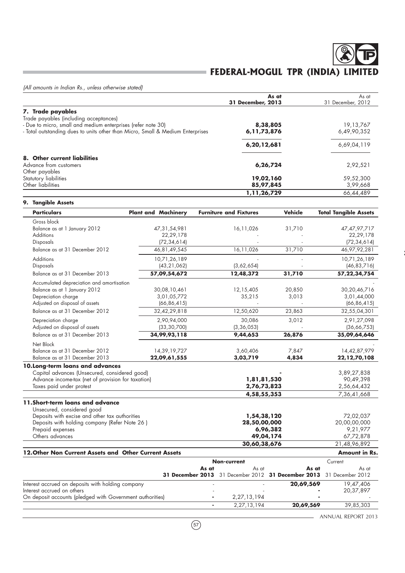(All amounts in Indian Rs., unless otherwise stated)

|                                                                                | As at<br>31 December, 2013 | As at<br>31 December, 2012 |
|--------------------------------------------------------------------------------|----------------------------|----------------------------|
| 7. Trade payables                                                              |                            |                            |
| Trade payables (including acceptances)                                         |                            |                            |
| - Due to micro, small and medium enterprises (refer note 30)                   | 8,38,805                   | 19, 13, 767                |
| - Total outstanding dues to units other than Micro, Small & Medium Enterprises | 6, 11, 73, 876             | 6,49,90,352                |
|                                                                                | 6,20,12,681                | 6,69,04,119                |
| 8. Other current liabilities                                                   |                            |                            |
| Advance from customers                                                         | 6,26,724                   | 2,92,521                   |
| Other payables                                                                 |                            |                            |
| Statutory liabilities                                                          | 19,02,160                  | 59,52,300                  |
| Other liabilities                                                              | 85,97,845                  | 3,99,668                   |
|                                                                                | 1, 11, 26, 729             | 66,44,489                  |

|                                                                                                                                                                                                                                                          | 9. Tangible Assets                                                                                                                                                   |                                                                      |                                           |                                                                    |                                                              |
|----------------------------------------------------------------------------------------------------------------------------------------------------------------------------------------------------------------------------------------------------------|----------------------------------------------------------------------------------------------------------------------------------------------------------------------|----------------------------------------------------------------------|-------------------------------------------|--------------------------------------------------------------------|--------------------------------------------------------------|
|                                                                                                                                                                                                                                                          | <b>Particulars</b>                                                                                                                                                   | <b>Plant and Machinery</b>                                           | <b>Furniture and Fixtures</b>             | <b>Vehicle</b>                                                     | <b>Total Tangible Assets</b>                                 |
|                                                                                                                                                                                                                                                          | Gross block<br>Balance as at 1 January 2012<br><b>Additions</b><br>Disposals                                                                                         | 47, 31, 54, 981<br>22,29,178<br>(72, 34, 614)                        | 16,11,026                                 | 31,710                                                             | 47, 47, 97, 717<br>22, 29, 178<br>(72, 34, 614)              |
|                                                                                                                                                                                                                                                          | Balance as at 31 December 2012                                                                                                                                       | 46,81,49,545                                                         | 16,11,026                                 | 31,710                                                             | 46,97,92,281                                                 |
|                                                                                                                                                                                                                                                          | <b>Additions</b><br>Disposals                                                                                                                                        | 10,71,26,189<br>(43, 21, 062)                                        | (3,62,654)                                |                                                                    | 10,71,26,189<br>(46, 83, 716)                                |
|                                                                                                                                                                                                                                                          | Balance as at 31 December 2013                                                                                                                                       | 57,09,54,672                                                         | 12,48,372                                 | 31,710                                                             | 57, 22, 34, 754                                              |
|                                                                                                                                                                                                                                                          | Accumulated depreciation and amortisation<br>Balance as at 1 January 2012<br>Depreciation charge<br>Adjusted on disposal of assets<br>Balance as at 31 December 2012 | 30,08,10,461<br>3,01,05,772<br>(66, 86, 415)<br>32,42,29,818         | 12,15,405<br>35,215<br>12,50,620          | 20,850<br>3,013<br>23,863                                          | 30,20,46,716<br>3,01,44,000<br>(66, 86, 415)<br>32,55,04,301 |
| 2,90,94,000<br>Depreciation charge<br>Adjusted on disposal of assets<br>(33, 30, 700)<br>Balance as at 31 December 2013<br>34,99,93,118<br>Net Block<br>Balance as at 31 December 2012<br>14,39,19,727<br>Balance as at 31 December 2013<br>22,09,61,555 |                                                                                                                                                                      |                                                                      | 30,086<br>(3, 36, 053)<br>9,44,653        | 3,012<br>26,876                                                    | 2,91,27,098<br>(36, 66, 753)<br>35,09,64,646                 |
|                                                                                                                                                                                                                                                          |                                                                                                                                                                      | 7,847<br>3,60,406<br>3,03,719<br>4,834                               |                                           | 14,42,87,979<br>22, 12, 70, 108                                    |                                                              |
| 10. Long-term loans and advances<br>Capital advances (Unsecured, considered good)<br>Advance income-tax (net of provision for taxation)<br>Taxes paid under protest                                                                                      |                                                                                                                                                                      |                                                                      | 1,81,81,530<br>2,76,73,823<br>4,58,55,353 |                                                                    | 3,89,27,838<br>90,49,398<br>2,56,64,432<br>7,36,41,668       |
| 11. Short-term loans and advance<br>Unsecured, considered good<br>Deposits with excise and other tax authorities<br>Deposits with holding company (Refer Note 26)<br>Prepaid expenses<br>Others advances                                                 |                                                                                                                                                                      | 1,54,38,120<br>28,50,00,000<br>6,96,382<br>49,04,174<br>30,60,38,676 |                                           | 72,02,037<br>20,00,00,000<br>9,21,977<br>67,72,878<br>21,48,96,892 |                                                              |
|                                                                                                                                                                                                                                                          | 12. Other Non Current Assets and Other Current Assets                                                                                                                |                                                                      |                                           |                                                                    | <b>Amount in Rs.</b>                                         |
|                                                                                                                                                                                                                                                          |                                                                                                                                                                      |                                                                      | Non-current                               |                                                                    | Current                                                      |
|                                                                                                                                                                                                                                                          |                                                                                                                                                                      |                                                                      | $A = 1$                                   |                                                                    | $A = 1$                                                      |

|                                                           | As at  | As at       | As at                                                               | As at     |
|-----------------------------------------------------------|--------|-------------|---------------------------------------------------------------------|-----------|
|                                                           |        |             | 31 December 2013 31 December 2012 31 December 2013 31 December 2012 |           |
| Interest accrued on deposits with holding company         | $\sim$ |             | 20,69,569                                                           | 19.47.406 |
| Interest accrued on others                                |        |             | ۰                                                                   | 20.37.897 |
| On deposit accounts (pledged with Government authorities) |        | 2.27.13.194 | $\overline{\phantom{a}}$                                            |           |
|                                                           |        | 2,27,13,194 | 20,69,569                                                           | 39,85,303 |
|                                                           |        |             |                                                                     |           |

ANNUAL REPORT 2013

2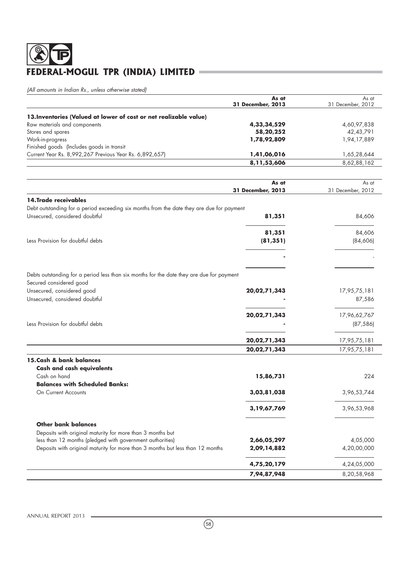# $\overline{\mathbb{P}}$ FEDERAL-MOGUL TPR (INDIA) LIMITED

(All amounts in Indian Rs., unless otherwise stated)

| (All amounts in Indian Rs., unless otherwise stated)                                                                 |                            |                            |
|----------------------------------------------------------------------------------------------------------------------|----------------------------|----------------------------|
|                                                                                                                      | As at<br>31 December, 2013 | As at<br>31 December, 2012 |
|                                                                                                                      |                            |                            |
| 13. Inventories (Valued at lower of cost or net realizable value)                                                    |                            |                            |
| Raw materials and components                                                                                         | 4,33,34,529                | 4,60,97,838                |
| Stores and spares                                                                                                    | 58,20,252                  | 42,43,791                  |
| Work-in-progress<br>Finished goods (Includes goods in transit                                                        | 1,78,92,809                | 1,94,17,889                |
| Current Year Rs. 8,992,267 Previous Year Rs. 6,892,657)                                                              | 1,41,06,016                | 1,65,28,644                |
|                                                                                                                      | 8,11,53,606                | 8,62,88,162                |
|                                                                                                                      |                            |                            |
|                                                                                                                      | As at                      | As at                      |
|                                                                                                                      | 31 December, 2013          | 31 December, 2012          |
| 14. Trade receivables                                                                                                |                            |                            |
| Debt outstanding for a period exceeding six months from the date they are due for payment                            |                            |                            |
| Unsecured, considered doubtful                                                                                       | 81,351                     | 84,606                     |
|                                                                                                                      | 81,351                     | 84,606                     |
| Less Provision for doubtful debts                                                                                    | (81, 351)                  | (84,606)                   |
|                                                                                                                      |                            |                            |
|                                                                                                                      |                            |                            |
|                                                                                                                      |                            |                            |
| Debts outstanding for a period less than six months for the date they are due for payment<br>Secured considered good |                            |                            |
| Unsecured, considered good                                                                                           | 20,02,71,343               | 17,95,75,181               |
| Unsecured, considered doubtful                                                                                       |                            | 87,586                     |
|                                                                                                                      |                            |                            |
|                                                                                                                      | 20,02,71,343               | 17,96,62,767               |
| Less Provision for doubtful debts                                                                                    |                            | (87, 586)                  |
|                                                                                                                      |                            |                            |
|                                                                                                                      | 20,02,71,343               | 17,95,75,181               |
|                                                                                                                      | 20,02,71,343               | 17,95,75,181               |
| 15. Cash & bank balances                                                                                             |                            |                            |
| Cash and cash equivalents                                                                                            |                            |                            |
| Cash on hand                                                                                                         | 15,86,731                  | 224                        |
| <b>Balances with Scheduled Banks:</b>                                                                                |                            |                            |
| On Current Accounts                                                                                                  | 3,03,81,038                | 3,96,53,744                |
|                                                                                                                      | 3,19,67,769                | 3,96,53,968                |
|                                                                                                                      |                            |                            |
| <b>Other bank balances</b><br>Deposits with original maturity for more than 3 months but                             |                            |                            |
| less than 12 months (pledged with government authorities)                                                            | 2,66,05,297                | 4,05,000                   |
| Deposits with original maturity for more than 3 months but less than 12 months                                       | 2,09,14,882                | 4,20,00,000                |
|                                                                                                                      |                            |                            |
|                                                                                                                      | 4,75,20,179                | 4,24,05,000                |
|                                                                                                                      | 7,94,87,948                | 8,20,58,968                |
|                                                                                                                      |                            |                            |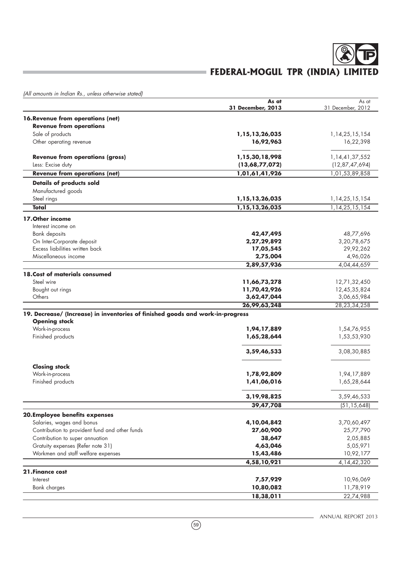(All amounts in Indian Rs., unless otherwise stated)

| <b>Revenue from operations</b><br>Sale of products<br>1, 15, 13, 26, 035<br>1, 14, 25, 15, 154<br>Other operating revenue<br>16,92,963<br>16,22,398<br>1, 14, 41, 37, 552<br>1,15,30,18,998<br><b>Revenue from operations (gross)</b><br>Less: Excise duty<br>(13,68,77,072)<br>(12, 87, 47, 694)<br>1,01,53,89,858<br><b>Revenue from operations (net)</b><br>1,01,61,41,926<br><b>Details of products sold</b><br>Manufactured goods<br>Steel rings<br>1,15,13,26,035<br>1, 14, 25, 15, 154<br>Total<br>1,15,13,26,035<br>1, 14, 25, 15, 154<br>Interest income on<br><b>Bank</b> deposits<br>42,47,495<br>48,77,696<br>On Inter-Corporate deposit<br>2,27,29,892<br>3,20,78,675<br>Excess liabilities written back<br>29,92,262<br>17,05,545<br>Miscellaneous income<br>2,75,004<br>4,96,026<br>2,89,57,936<br>4,04,44,659<br>Steel wire<br>11,66,73,278<br>12,71,32,450<br>11,70,42,926<br>12,45,35,824<br>Bought out rings<br>Others<br>3,62,47,044<br>3,06,65,984<br>28, 23, 34, 258<br>26,99,63,248<br>19. Decrease/ (Increase) in inventories of finished goods and work-in-progress<br><b>Opening stock</b><br>Work-in-process<br>1,94,17,889<br>1,54,76,955<br>Finished products<br>1,65,28,644<br>1,53,53,930<br>3,59,46,533<br>3,08,30,885<br><b>Closing stock</b><br>Work-in-process<br>1,78,92,809<br>1,94,17,889<br>Finished products<br>1,65,28,644<br>1,41,06,016<br>3,19,98,825<br>3,59,46,533<br>39,47,708<br>(51, 15, 648)<br>Salaries, wages and bonus<br>4,10,04,842<br>3,70,60,497<br>Contribution to provident fund and other funds<br>27,60,900<br>25,77,790<br>Contribution to super annuation<br>38,647<br>2,05,885<br>Gratuity expenses (Refer note 31)<br>4,63,046<br>5,05,971<br>Workmen and staff welfare expenses<br>15,43,486<br>10,92,177<br>4,58,10,921<br>4, 14, 42, 320<br>10,96,069<br>7,57,929<br>Interest<br>10,80,082<br><b>Bank</b> charges<br>11,78,919<br>18,38,011<br>22,74,988 |                                      | As at<br>31 December, 2013 | As at<br>31 December, 2012 |
|------------------------------------------------------------------------------------------------------------------------------------------------------------------------------------------------------------------------------------------------------------------------------------------------------------------------------------------------------------------------------------------------------------------------------------------------------------------------------------------------------------------------------------------------------------------------------------------------------------------------------------------------------------------------------------------------------------------------------------------------------------------------------------------------------------------------------------------------------------------------------------------------------------------------------------------------------------------------------------------------------------------------------------------------------------------------------------------------------------------------------------------------------------------------------------------------------------------------------------------------------------------------------------------------------------------------------------------------------------------------------------------------------------------------------------------------------------------------------------------------------------------------------------------------------------------------------------------------------------------------------------------------------------------------------------------------------------------------------------------------------------------------------------------------------------------------------------------------------------------------------------------------------------------------------|--------------------------------------|----------------------------|----------------------------|
|                                                                                                                                                                                                                                                                                                                                                                                                                                                                                                                                                                                                                                                                                                                                                                                                                                                                                                                                                                                                                                                                                                                                                                                                                                                                                                                                                                                                                                                                                                                                                                                                                                                                                                                                                                                                                                                                                                                              | 16. Revenue from operations (net)    |                            |                            |
|                                                                                                                                                                                                                                                                                                                                                                                                                                                                                                                                                                                                                                                                                                                                                                                                                                                                                                                                                                                                                                                                                                                                                                                                                                                                                                                                                                                                                                                                                                                                                                                                                                                                                                                                                                                                                                                                                                                              |                                      |                            |                            |
|                                                                                                                                                                                                                                                                                                                                                                                                                                                                                                                                                                                                                                                                                                                                                                                                                                                                                                                                                                                                                                                                                                                                                                                                                                                                                                                                                                                                                                                                                                                                                                                                                                                                                                                                                                                                                                                                                                                              |                                      |                            |                            |
|                                                                                                                                                                                                                                                                                                                                                                                                                                                                                                                                                                                                                                                                                                                                                                                                                                                                                                                                                                                                                                                                                                                                                                                                                                                                                                                                                                                                                                                                                                                                                                                                                                                                                                                                                                                                                                                                                                                              |                                      |                            |                            |
|                                                                                                                                                                                                                                                                                                                                                                                                                                                                                                                                                                                                                                                                                                                                                                                                                                                                                                                                                                                                                                                                                                                                                                                                                                                                                                                                                                                                                                                                                                                                                                                                                                                                                                                                                                                                                                                                                                                              |                                      |                            |                            |
|                                                                                                                                                                                                                                                                                                                                                                                                                                                                                                                                                                                                                                                                                                                                                                                                                                                                                                                                                                                                                                                                                                                                                                                                                                                                                                                                                                                                                                                                                                                                                                                                                                                                                                                                                                                                                                                                                                                              |                                      |                            |                            |
|                                                                                                                                                                                                                                                                                                                                                                                                                                                                                                                                                                                                                                                                                                                                                                                                                                                                                                                                                                                                                                                                                                                                                                                                                                                                                                                                                                                                                                                                                                                                                                                                                                                                                                                                                                                                                                                                                                                              |                                      |                            |                            |
|                                                                                                                                                                                                                                                                                                                                                                                                                                                                                                                                                                                                                                                                                                                                                                                                                                                                                                                                                                                                                                                                                                                                                                                                                                                                                                                                                                                                                                                                                                                                                                                                                                                                                                                                                                                                                                                                                                                              |                                      |                            |                            |
|                                                                                                                                                                                                                                                                                                                                                                                                                                                                                                                                                                                                                                                                                                                                                                                                                                                                                                                                                                                                                                                                                                                                                                                                                                                                                                                                                                                                                                                                                                                                                                                                                                                                                                                                                                                                                                                                                                                              |                                      |                            |                            |
|                                                                                                                                                                                                                                                                                                                                                                                                                                                                                                                                                                                                                                                                                                                                                                                                                                                                                                                                                                                                                                                                                                                                                                                                                                                                                                                                                                                                                                                                                                                                                                                                                                                                                                                                                                                                                                                                                                                              |                                      |                            |                            |
|                                                                                                                                                                                                                                                                                                                                                                                                                                                                                                                                                                                                                                                                                                                                                                                                                                                                                                                                                                                                                                                                                                                                                                                                                                                                                                                                                                                                                                                                                                                                                                                                                                                                                                                                                                                                                                                                                                                              |                                      |                            |                            |
|                                                                                                                                                                                                                                                                                                                                                                                                                                                                                                                                                                                                                                                                                                                                                                                                                                                                                                                                                                                                                                                                                                                                                                                                                                                                                                                                                                                                                                                                                                                                                                                                                                                                                                                                                                                                                                                                                                                              | 17. Other income                     |                            |                            |
|                                                                                                                                                                                                                                                                                                                                                                                                                                                                                                                                                                                                                                                                                                                                                                                                                                                                                                                                                                                                                                                                                                                                                                                                                                                                                                                                                                                                                                                                                                                                                                                                                                                                                                                                                                                                                                                                                                                              |                                      |                            |                            |
|                                                                                                                                                                                                                                                                                                                                                                                                                                                                                                                                                                                                                                                                                                                                                                                                                                                                                                                                                                                                                                                                                                                                                                                                                                                                                                                                                                                                                                                                                                                                                                                                                                                                                                                                                                                                                                                                                                                              |                                      |                            |                            |
|                                                                                                                                                                                                                                                                                                                                                                                                                                                                                                                                                                                                                                                                                                                                                                                                                                                                                                                                                                                                                                                                                                                                                                                                                                                                                                                                                                                                                                                                                                                                                                                                                                                                                                                                                                                                                                                                                                                              |                                      |                            |                            |
|                                                                                                                                                                                                                                                                                                                                                                                                                                                                                                                                                                                                                                                                                                                                                                                                                                                                                                                                                                                                                                                                                                                                                                                                                                                                                                                                                                                                                                                                                                                                                                                                                                                                                                                                                                                                                                                                                                                              |                                      |                            |                            |
|                                                                                                                                                                                                                                                                                                                                                                                                                                                                                                                                                                                                                                                                                                                                                                                                                                                                                                                                                                                                                                                                                                                                                                                                                                                                                                                                                                                                                                                                                                                                                                                                                                                                                                                                                                                                                                                                                                                              |                                      |                            |                            |
|                                                                                                                                                                                                                                                                                                                                                                                                                                                                                                                                                                                                                                                                                                                                                                                                                                                                                                                                                                                                                                                                                                                                                                                                                                                                                                                                                                                                                                                                                                                                                                                                                                                                                                                                                                                                                                                                                                                              |                                      |                            |                            |
|                                                                                                                                                                                                                                                                                                                                                                                                                                                                                                                                                                                                                                                                                                                                                                                                                                                                                                                                                                                                                                                                                                                                                                                                                                                                                                                                                                                                                                                                                                                                                                                                                                                                                                                                                                                                                                                                                                                              | <b>18.Cost of materials consumed</b> |                            |                            |
|                                                                                                                                                                                                                                                                                                                                                                                                                                                                                                                                                                                                                                                                                                                                                                                                                                                                                                                                                                                                                                                                                                                                                                                                                                                                                                                                                                                                                                                                                                                                                                                                                                                                                                                                                                                                                                                                                                                              |                                      |                            |                            |
|                                                                                                                                                                                                                                                                                                                                                                                                                                                                                                                                                                                                                                                                                                                                                                                                                                                                                                                                                                                                                                                                                                                                                                                                                                                                                                                                                                                                                                                                                                                                                                                                                                                                                                                                                                                                                                                                                                                              |                                      |                            |                            |
|                                                                                                                                                                                                                                                                                                                                                                                                                                                                                                                                                                                                                                                                                                                                                                                                                                                                                                                                                                                                                                                                                                                                                                                                                                                                                                                                                                                                                                                                                                                                                                                                                                                                                                                                                                                                                                                                                                                              |                                      |                            |                            |
|                                                                                                                                                                                                                                                                                                                                                                                                                                                                                                                                                                                                                                                                                                                                                                                                                                                                                                                                                                                                                                                                                                                                                                                                                                                                                                                                                                                                                                                                                                                                                                                                                                                                                                                                                                                                                                                                                                                              |                                      |                            |                            |
|                                                                                                                                                                                                                                                                                                                                                                                                                                                                                                                                                                                                                                                                                                                                                                                                                                                                                                                                                                                                                                                                                                                                                                                                                                                                                                                                                                                                                                                                                                                                                                                                                                                                                                                                                                                                                                                                                                                              |                                      |                            |                            |
|                                                                                                                                                                                                                                                                                                                                                                                                                                                                                                                                                                                                                                                                                                                                                                                                                                                                                                                                                                                                                                                                                                                                                                                                                                                                                                                                                                                                                                                                                                                                                                                                                                                                                                                                                                                                                                                                                                                              |                                      |                            |                            |
|                                                                                                                                                                                                                                                                                                                                                                                                                                                                                                                                                                                                                                                                                                                                                                                                                                                                                                                                                                                                                                                                                                                                                                                                                                                                                                                                                                                                                                                                                                                                                                                                                                                                                                                                                                                                                                                                                                                              |                                      |                            |                            |
|                                                                                                                                                                                                                                                                                                                                                                                                                                                                                                                                                                                                                                                                                                                                                                                                                                                                                                                                                                                                                                                                                                                                                                                                                                                                                                                                                                                                                                                                                                                                                                                                                                                                                                                                                                                                                                                                                                                              |                                      |                            |                            |
|                                                                                                                                                                                                                                                                                                                                                                                                                                                                                                                                                                                                                                                                                                                                                                                                                                                                                                                                                                                                                                                                                                                                                                                                                                                                                                                                                                                                                                                                                                                                                                                                                                                                                                                                                                                                                                                                                                                              |                                      |                            |                            |
|                                                                                                                                                                                                                                                                                                                                                                                                                                                                                                                                                                                                                                                                                                                                                                                                                                                                                                                                                                                                                                                                                                                                                                                                                                                                                                                                                                                                                                                                                                                                                                                                                                                                                                                                                                                                                                                                                                                              |                                      |                            |                            |
|                                                                                                                                                                                                                                                                                                                                                                                                                                                                                                                                                                                                                                                                                                                                                                                                                                                                                                                                                                                                                                                                                                                                                                                                                                                                                                                                                                                                                                                                                                                                                                                                                                                                                                                                                                                                                                                                                                                              |                                      |                            |                            |
|                                                                                                                                                                                                                                                                                                                                                                                                                                                                                                                                                                                                                                                                                                                                                                                                                                                                                                                                                                                                                                                                                                                                                                                                                                                                                                                                                                                                                                                                                                                                                                                                                                                                                                                                                                                                                                                                                                                              |                                      |                            |                            |
|                                                                                                                                                                                                                                                                                                                                                                                                                                                                                                                                                                                                                                                                                                                                                                                                                                                                                                                                                                                                                                                                                                                                                                                                                                                                                                                                                                                                                                                                                                                                                                                                                                                                                                                                                                                                                                                                                                                              |                                      |                            |                            |
|                                                                                                                                                                                                                                                                                                                                                                                                                                                                                                                                                                                                                                                                                                                                                                                                                                                                                                                                                                                                                                                                                                                                                                                                                                                                                                                                                                                                                                                                                                                                                                                                                                                                                                                                                                                                                                                                                                                              |                                      |                            |                            |
|                                                                                                                                                                                                                                                                                                                                                                                                                                                                                                                                                                                                                                                                                                                                                                                                                                                                                                                                                                                                                                                                                                                                                                                                                                                                                                                                                                                                                                                                                                                                                                                                                                                                                                                                                                                                                                                                                                                              | 20. Employee benefits expenses       |                            |                            |
|                                                                                                                                                                                                                                                                                                                                                                                                                                                                                                                                                                                                                                                                                                                                                                                                                                                                                                                                                                                                                                                                                                                                                                                                                                                                                                                                                                                                                                                                                                                                                                                                                                                                                                                                                                                                                                                                                                                              |                                      |                            |                            |
|                                                                                                                                                                                                                                                                                                                                                                                                                                                                                                                                                                                                                                                                                                                                                                                                                                                                                                                                                                                                                                                                                                                                                                                                                                                                                                                                                                                                                                                                                                                                                                                                                                                                                                                                                                                                                                                                                                                              |                                      |                            |                            |
|                                                                                                                                                                                                                                                                                                                                                                                                                                                                                                                                                                                                                                                                                                                                                                                                                                                                                                                                                                                                                                                                                                                                                                                                                                                                                                                                                                                                                                                                                                                                                                                                                                                                                                                                                                                                                                                                                                                              |                                      |                            |                            |
|                                                                                                                                                                                                                                                                                                                                                                                                                                                                                                                                                                                                                                                                                                                                                                                                                                                                                                                                                                                                                                                                                                                                                                                                                                                                                                                                                                                                                                                                                                                                                                                                                                                                                                                                                                                                                                                                                                                              |                                      |                            |                            |
|                                                                                                                                                                                                                                                                                                                                                                                                                                                                                                                                                                                                                                                                                                                                                                                                                                                                                                                                                                                                                                                                                                                                                                                                                                                                                                                                                                                                                                                                                                                                                                                                                                                                                                                                                                                                                                                                                                                              |                                      |                            |                            |
|                                                                                                                                                                                                                                                                                                                                                                                                                                                                                                                                                                                                                                                                                                                                                                                                                                                                                                                                                                                                                                                                                                                                                                                                                                                                                                                                                                                                                                                                                                                                                                                                                                                                                                                                                                                                                                                                                                                              |                                      |                            |                            |
|                                                                                                                                                                                                                                                                                                                                                                                                                                                                                                                                                                                                                                                                                                                                                                                                                                                                                                                                                                                                                                                                                                                                                                                                                                                                                                                                                                                                                                                                                                                                                                                                                                                                                                                                                                                                                                                                                                                              | 21.Finance cost                      |                            |                            |
|                                                                                                                                                                                                                                                                                                                                                                                                                                                                                                                                                                                                                                                                                                                                                                                                                                                                                                                                                                                                                                                                                                                                                                                                                                                                                                                                                                                                                                                                                                                                                                                                                                                                                                                                                                                                                                                                                                                              |                                      |                            |                            |
|                                                                                                                                                                                                                                                                                                                                                                                                                                                                                                                                                                                                                                                                                                                                                                                                                                                                                                                                                                                                                                                                                                                                                                                                                                                                                                                                                                                                                                                                                                                                                                                                                                                                                                                                                                                                                                                                                                                              |                                      |                            |                            |
|                                                                                                                                                                                                                                                                                                                                                                                                                                                                                                                                                                                                                                                                                                                                                                                                                                                                                                                                                                                                                                                                                                                                                                                                                                                                                                                                                                                                                                                                                                                                                                                                                                                                                                                                                                                                                                                                                                                              |                                      |                            |                            |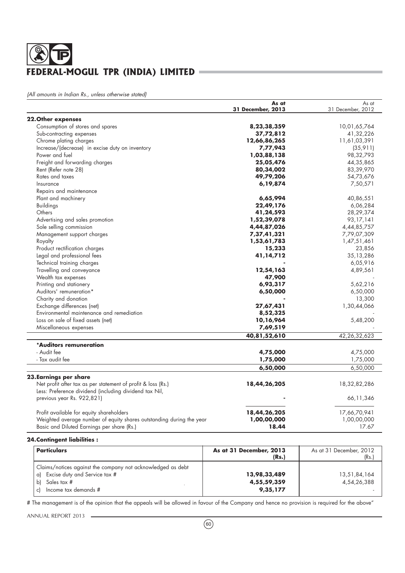(All amounts in Indian Rs., unless otherwise stated)

|                                                                      | As at<br>31 December, 2013 | As at             |
|----------------------------------------------------------------------|----------------------------|-------------------|
|                                                                      |                            | 31 December, 2012 |
| 22. Other expenses                                                   |                            |                   |
| Consumption of stores and spares                                     | 8,23,38,359                | 10,01,65,764      |
| Sub-contracting expenses                                             | 37,72,812                  | 41,32,226         |
| Chrome plating charges                                               | 12,66,86,265               | 11,61,03,391      |
| Increase/(decrease) in excise duty on inventory                      | 7,77,943                   | (35, 911)         |
| Power and fuel                                                       | 1,03,88,138                | 98,32,793         |
| Freight and forwarding charges                                       | 25,05,476                  | 44, 35, 865       |
| Rent (Refer note 28)                                                 | 80,34,002                  | 83,39,970         |
| Rates and taxes                                                      | 49,79,206                  | 54,73,676         |
| Insurance                                                            | 6,19,874                   | 7,50,571          |
| Repairs and maintenance                                              |                            |                   |
| Plant and machinery                                                  | 6,65,994                   | 40,86,551         |
| <b>Buildings</b>                                                     | 22,49,176                  | 6,06,284          |
| Others                                                               | 41,24,593                  | 28, 29, 374       |
| Advertising and sales promotion                                      | 1,52,39,078                | 93,17,141         |
| Sole selling commission                                              | 4,44,87,026                | 4,44,85,757       |
|                                                                      |                            |                   |
| Management support charges                                           | 7,37,41,321                | 7,79,07,309       |
| Royalty                                                              | 1,53,61,783                | 1,47,51,461       |
| Product rectification charges                                        | 15,233                     | 23,856            |
| Legal and professional fees                                          | 41,14,712                  | 35,13,286         |
| Technical training charges                                           |                            | 6,05,916          |
| Travelling and conveyance                                            | 12,54,163                  | 4,89,561          |
| Wealth tax expenses                                                  | 47,900                     |                   |
| Printing and stationery                                              | 6,93,317                   | 5,62,216          |
| Auditors' remuneration*                                              | 6,50,000                   | 6,50,000          |
| Charity and donation                                                 |                            | 13,300            |
| Exchange differences (net)                                           | 27,67,431                  | 1,30,44,066       |
| Environmental maintenance and remediation                            | 8,52,325                   |                   |
| Loss on sale of fixed assets (net)                                   | 10,16,964                  | 5,48,200          |
| Miscellaneous expenses                                               | 7,69,519                   |                   |
|                                                                      | 40,81,52,610               | 42, 26, 32, 623   |
| *Auditors remuneration                                               |                            |                   |
| - Audit fee                                                          | 4,75,000                   | 4,75,000          |
| - Tax audit fee                                                      | 1,75,000                   | 1,75,000          |
|                                                                      | 6,50,000                   | 6,50,000          |
| 23. Earnings per share                                               |                            |                   |
| Net profit after tax as per statement of profit & loss (Rs.)         | 18,44,26,205               | 18,32,82,286      |
| Less: Preference dividend (including dividend tax Nil,               |                            |                   |
| previous year Rs. 922,821)                                           |                            | 66,11,346         |
|                                                                      |                            |                   |
| Profit available for equity shareholders                             | 18,44,26,205               | 17,66,70,941      |
| Weighted average number of equity shares outstanding during the year | 1,00,00,000                | 1,00,00,000       |
| Basic and Diluted Earnings per share (Rs.)                           | 18.44                      | 17.67             |
|                                                                      |                            |                   |

# **24.Contingent liabilities :**

| <b>Particulars</b>                                                                                                                                   | As at 31 December, 2013<br>(Rs.)        | As at 31 December, 2012<br>(Rs.) |
|------------------------------------------------------------------------------------------------------------------------------------------------------|-----------------------------------------|----------------------------------|
| Claims/notices against the company not acknowledged as debt<br>a) Excise duty and Service tax $#$<br>Sales tax #<br>bl<br>Income tax demands #<br>c) | 13,98,33,489<br>4,55,59,359<br>9,35,177 | 13,51,84,164<br>4,54,26,388      |

# The management is of the opinion that the appeals will be allowed in favour of the Company and hence no provision is required for the above"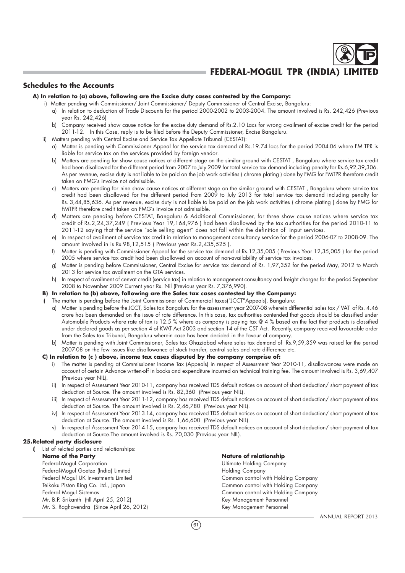# **Schedules to the Accounts**

# **A) In relation to (a) above, following are the Excise duty cases contested by the Company:**

- i) Matter pending with Commissioner/ Joint Commissioner/ Deputy Commissioner of Central Excise, Bangaluru:
	- a) In relation to deduction of Trade Discounts for the period 2000-2002 to 2003-2004. The amount involved is Rs. 242,426 (Previous year Rs. 242,426)
	- b) Company received show cause notice for the excise duty demand of Rs.2.10 Lacs for wrong availment of excise credit for the period 2011-12. In this Case, reply is to be filed before the Deputy Commissioner, Excise Bangaluru.
- ii) Matters pending with Central Excise and Service Tax Appellate Tribunal (CESTAT):
	- a) Matter is pending with Commissioner Appeal for the service tax demand of Rs.19.74 lacs for the period 2004-06 where FM TPR is liable for service tax on the services provided by foreign vendor.
	- b) Matters are pending for show cause notices at different stage on the similar ground with CESTAT , Bangaluru where service tax credit had been disallowed for the different period from 2007 to July 2009 for total service tax demand including penalty for Rs.6,92,39,306. As per revenue, excise duty is not liable to be paid on the job work activities ( chrome plating ) done by FMG for FMTPR therefore credit taken on FMG's invoice not admissible.
	- c) Matters are pending for nine show cause notices at different stage on the similar ground with CESTAT , Bangaluru where service tax credit had been disallowed for the different period from 2009 to July 2013 for total service tax demand including penalty for Rs. 3,44,85,636. As per revenue, excise duty is not liable to be paid on the job work activities ( chrome plating ) done by FMG for FMTPR therefore credit taken on FMG's invoice not admissible.
	- d) Matters are pending before CESTAT, Bangaluru & Additional Commissioner, for three show cause notices where service tax credit of Rs.2,24,37,249 ( Previous Year 19,164,976 ) had been disallowed by the tax authorities for the period 2010-11 to 2011-12 saying that the service "sole selling agent" does not fall within the definition of input services.
	- e) In respect of availment of service tax credit in relation to management consultancy service for the period 2006-07 to 2008-09. The amount involved in is Rs.98,12,515 ( Previous year Rs.2,435,525 ).
	- f) Matter is pending with Commissioner Appeal for the service tax demand of Rs.12,35,005 ( Previous Year 12,35,005 ) for the period 2005 where service tax credit had been disallowed on account of non-availability of service tax invoices.
	- g) Matter is pending before Commissioner, Central Excise for service tax demand of Rs. 1,97,352 for the period May, 2012 to March 2013 for service tax availment on the GTA services.
	- h) In respect of availment of cenvat credit (service tax) in relation to management consultancy and freight charges for the period September 2008 to November 2009 Current year Rs. Nil (Previous year Rs. 7,376,990).

# **B) In relation to (b) above, following are the Sales tax cases contested by the Company:**

- i) The matter is pending before the Joint Commissioner of Commercial taxes("JCCT"Appeals), Bangaluru:
	- a) Matter is pending before the JCCT, Sales tax Bangaluru for the assessment year 2007-08 wherein differential sales tax / VAT of Rs. 4.46 crore has been demanded on the issue of rate difference. In this case, tax authorities contended that goods should be classified under Automobile Products where rate of tax is 12.5 % where as company is paying tax @ 4 % based on the fact that products is classified under declared goods as per section 4 of KVAT Act 2003 and section 14 of the CST Act. Recently, company received favourable order from the Sales tax Tribunal, Bangaluru wherein case has been decided in the favour of company.
	- b) Matter is pending with Joint Commissioner, Sales tax Ghaziabad where sales tax demand of Rs.9,59,359 was raised for the period 2007-08 on the few issues like disallowance of stock transfer, central sales and rate difference etc.

# **C) In relation to (c ) above, income tax cases disputed by the company comprise of:**

- i) The matter is pending at Commissioner Income Tax (Appeals) in respect of Assessment Year 2010-11, disallowances were made on account of certain Advance wrtten-off in books and expenditure incurred on technical training fee. The amount involved is Rs. 3,69,407 (Previous year NIL).
- ii) In respect of Assessment Year 2010-11, company has received TDS default notices on account of short deduction/ short payment of tax deduction at Source. The amount involved is Rs. 82,360 (Previous year NIL).
- iii) In respect of Assessment Year 2011-12, company has received TDS default notices on account of short deduction/ short payment of tax deduction at Source. The amount involved is Rs. 2,46,780 (Previous year NIL).
- iv) In respect of Assessment Year 2013-14, company has received TDS default notices on account of short deduction/ short payment of tax deduction at Source. The amount involved is Rs. 1,66,600 (Previous year NIL).
- v) In respect of Assessment Year 2014-15, company has received TDS default notices on account of short deduction/ short payment of tax deduction at Source.The amount involved is Rs. 70,030 (Previous year NIL).

# **25.Related party disclosure**

i) List of related parties and relationships:

Federal-Mogul Corporation Ultimate Holding Company Federal-Mogul Goetze (India) Limited **Figure 2016** Holding Company Federal Mogul UK Investments Limited **Common Control with Holding Company** Teikoku Piston Ring Co. Ltd., Japan Common control with Holding Company Federal Mogul Sistemas Common control with Holding Company Mr. B.P. Srikanth (till April 25, 2012) Key Management Personnel Mr. S. Raghavendra (Since April 26, 2012) Key Management Personnel

# **Name of the Party Community Community Community Community Community Community Community Community Community Community Community Community Community Community Community Community Community Community Community Community Com**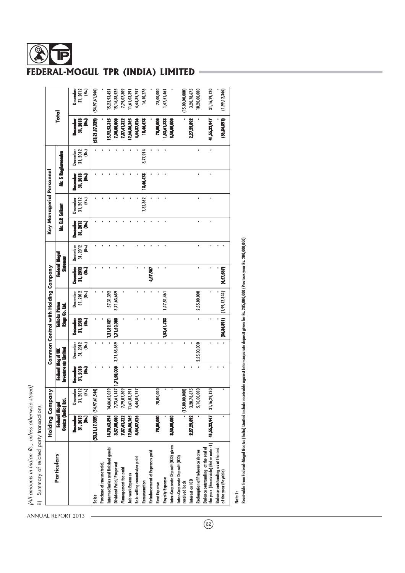| (All amounts in Indian Rs., unless otherwise stated)<br>Summary of related party transactions<br>$\equiv$ |                                    |                                                    |                                                    |                                     |                                     |                               |                                                |                              |                                   |                               |                                                       |                               |                                    |                               |
|-----------------------------------------------------------------------------------------------------------|------------------------------------|----------------------------------------------------|----------------------------------------------------|-------------------------------------|-------------------------------------|-------------------------------|------------------------------------------------|------------------------------|-----------------------------------|-------------------------------|-------------------------------------------------------|-------------------------------|------------------------------------|-------------------------------|
|                                                                                                           |                                    | Holding Company                                    |                                                    |                                     | Common Control with Holding Company |                               |                                                |                              |                                   | Key Managerial Personnel      |                                                       |                               |                                    |                               |
| Particulars                                                                                               | Federal Mogu                       | Geetze (India) Ltd.                                | <b>Investments Limited</b><br>Federal Mogul UK     |                                     | Teikoku Piston<br>Rings Co. Ltd.    |                               | Federal Mogu<br><b>Sistemas</b>                |                              | Mr. B.P. Srikani                  |                               | <b>Mr. S Raghavendra</b>                              |                               | Total                              |                               |
|                                                                                                           | 31, 2013<br>Lé.<br><b>December</b> | December<br>31, 2012<br>$\overline{\mathbb{R}}$ .) | 31, 2013<br>December<br>$\widehat{\mathbf{g}}$     | 31, 2012<br><b>December</b><br>és.) | 31, 2013<br>December<br><u>a</u>    | 31, 2012<br>December<br>(Rs.) | 31, 2013<br>December<br>$\widehat{\mathbf{g}}$ | 31,2012<br>December<br>(Rs.) | 31, 2013<br><b>December</b><br>මූ | 31, 2012<br>December<br>(Rs.) | 31, 2013<br><b>December</b><br>$\widehat{\mathbf{g}}$ | December<br>31, 2012<br>(Rs.) | 31, 2013<br><b>December</b><br>ຼີເ | 31, 2012<br>December<br>(Rs.) |
| Sales                                                                                                     |                                    | $(53,21,17,339)$ (54,97,61,544)                    |                                                    |                                     |                                     |                               |                                                |                              |                                   |                               |                                                       |                               | [53, 21, 17, 339]                  | (54, 97, 61, 544)             |
| Purchase of raw material,                                                                                 |                                    |                                                    |                                                    |                                     |                                     |                               |                                                |                              |                                   |                               |                                                       |                               |                                    |                               |
| Intermediaries and finished goods                                                                         | 14,70,63,894                       | 14,66,62,059                                       |                                                    |                                     | 1,21,89,421                         | 57,31,392                     |                                                |                              |                                   |                               |                                                       |                               | 15,92,53,315                       | 15,23,93,451                  |
| Dividend Paid / Proposed                                                                                  | 3,57,00,000                        |                                                    | 7,73,61,147   1,50,000   3,71,63,689   1,71,03,000 |                                     |                                     | 3,71,63,689                   |                                                |                              |                                   |                               |                                                       |                               | <b>DOOC'OO'OO'Z</b>                | 15,16,88,525                  |
| Management fee paid                                                                                       | 7,37,41,322                        | 7,79,07,309                                        |                                                    |                                     |                                     |                               |                                                |                              |                                   |                               |                                                       |                               | 7,37,41,322                        | 7,79,07,309                   |
| Job work Expenses                                                                                         | 12,66,86,265                       | 11,61,03,391                                       |                                                    |                                     |                                     |                               |                                                |                              |                                   |                               |                                                       |                               | 12,66,86,265                       | 11,61,03,391                  |
| Sole selling commission paid                                                                              | 4,44,87,026                        | 4,44,85,757                                        |                                                    |                                     |                                     |                               |                                                |                              |                                   |                               |                                                       |                               | 4,44,87,026                        | 4,44,85,757                   |
| Remuneration                                                                                              |                                    |                                                    |                                                    |                                     |                                     |                               |                                                |                              |                                   | 7,32,362                      | 18,46,478                                             | 8,77,914                      | 18,46,478                          | 16,10,276                     |
| Reimbursement of Expenses paid                                                                            |                                    |                                                    |                                                    |                                     |                                     |                               | 4,57,567                                       |                              |                                   |                               |                                                       |                               |                                    |                               |
| Rent Expense                                                                                              | 78,00,000                          | 78,00,000                                          |                                                    |                                     |                                     |                               |                                                |                              |                                   |                               |                                                       |                               | 78,00,000                          | 78,00,000                     |
| Royalty Expense                                                                                           |                                    |                                                    |                                                    |                                     | 1,53,61,783                         | 1,47,51,461                   | t                                              |                              |                                   |                               |                                                       |                               | 53,61,783                          | 1,47,51,461                   |
| Inter-Corporate Deposit (ICD) given                                                                       | 8,50,000,000                       |                                                    |                                                    |                                     |                                     |                               |                                                |                              |                                   |                               |                                                       |                               | 000,00,02,8                        |                               |
| Inter-Corporate Deposit (ICD)<br>received back                                                            |                                    | (15,00,00,000)                                     | ï                                                  |                                     |                                     |                               |                                                |                              |                                   |                               |                                                       |                               |                                    | (15,00,00,000)                |
| Interest on ICD                                                                                           | 2,27,29,892                        | 3,20,78,675                                        |                                                    |                                     |                                     |                               |                                                |                              |                                   |                               |                                                       |                               | 2,27,29,892                        | 3,20,78,675                   |
| Redemption of Preference shares                                                                           |                                    | 5,10,00,000                                        |                                                    | $-$   2,55,00,000                   |                                     | 2,55,00,000                   | ٠                                              |                              |                                   | ı                             | ٠                                                     |                               |                                    | 10,20,00,000                  |
| the year (Receivable) (Refer note -1)<br>Balance outstanding at the end of                                |                                    | 41,55,32,947 31,16,29,120                          |                                                    |                                     |                                     |                               |                                                |                              |                                   | ı                             |                                                       | ×,                            | 41,55,32,947                       | 31, 16, 29, 120               |
| Balance outstanding as at the end<br>of the year (Payable)                                                |                                    |                                                    |                                                    |                                     | $(86,84,891)$ $(1,99,12,344)$       |                               | (4,57,567)                                     |                              |                                   |                               |                                                       |                               | (86,84,891)                        | (1, 99, 12, 344)              |
|                                                                                                           |                                    |                                                    |                                                    |                                     |                                     |                               |                                                |                              |                                   |                               |                                                       |                               |                                    |                               |

ම

 $\mathbf{F}% _{0}$ 

Note 1:<br>Receivable from Federal-Mogul Goetze (India) Limited include receivable against Inter-corporate deposit given for Rs. 285,000,000 (Previous year Rs. 200,000,000) Receivable from Federal-Mogul Goetze (India) Limited include receivable against Inter-corporate deposit given for Rs. 285,000,000 (Previous year Rs. 200,000,000)

ANNUAL REPORT 2013

L.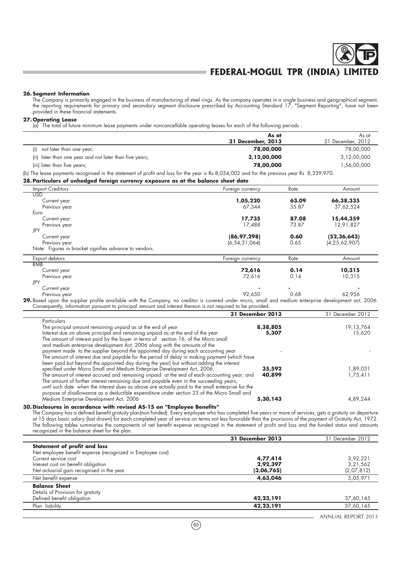# **26. Segment Information**

The Company is primarily engaged in the business of manufacturing of steel rings. As the company operates in a single business and geographical segment, the reporting requirements for primary and secondary segment disclosure prescribed by Accounting Standard 17, "Segment Reporting", have not been provided in these financial statements.

# **27. Operating Lease**

(a) The total of future minimum lease payments under noncancellable operating leases for each of the following periods :

|                                                         | As at             | As at             |
|---------------------------------------------------------|-------------------|-------------------|
|                                                         | 31 December, 2013 | 31 December, 2012 |
| (i) not later than one year;                            | 78,00,000         | 78,00,000         |
| (ii) later than one year and not later than five years; | 3,12,00,000       | 3,12,00,000       |
| (iii) later than five years;                            | 78,00,000         | 1,56,00,000       |

(b) The lease payments recognised in the statement of profit and loss for the year is Rs 8,034,002 and for the previous year Rs 8,339,970.

### **28. Particulars of unhedged foreign currency exposure as at the balance sheet date**

| <b>Import Creditors</b>                                | Foreign currency | Rate  | Amount           |
|--------------------------------------------------------|------------------|-------|------------------|
| <b>USD</b>                                             |                  |       |                  |
| Current year                                           | 1,05,220         | 63.09 | 66,38,335        |
| Previous year                                          | 67,344           | 55.87 | 37,62,524        |
| Euro                                                   |                  |       |                  |
| Current year                                           | 17,735           | 87.08 | 15,44,359        |
| Previous year                                          | 17,488           | 73.87 | 12,91,827        |
| JPY                                                    |                  |       |                  |
| Current year                                           | (86, 97, 298)    | 0.60  | (52, 36, 643)    |
| Previous year                                          | (6, 54, 31, 064) | 0.65  | (4, 25, 62, 907) |
| Note: Figures in bracket signifies advance to vendors. |                  |       |                  |
| Export debtors                                         | Foreign currency | Rate  | Amount           |
| <b>RMB</b>                                             |                  |       |                  |
| Current year                                           | 72,616           | 0.14  | 10,315           |
| Previous year                                          | 72,616           | 0.14  | 10,315           |
| JPY                                                    |                  |       |                  |
| Current year                                           |                  | ۰     |                  |
| Previous year                                          | 92,650           | 0.68  | 62,956           |

**29.** Based upon the supplier profile available with the Company, no creditor is covered under micro, small and medium enterprise development act, 2006. Consequently, information pursuant to principal amount and interest thereon is not required to be provided.

|                                                                                                   | <b>31 December 2013</b> | 31 December 2012 |
|---------------------------------------------------------------------------------------------------|-------------------------|------------------|
| Particulars                                                                                       |                         |                  |
| The principal amount remaining unpaid as at the end of year                                       | 8,38,805                | 19, 13, 764      |
| Interest due on above principal and remaining unpaid as at the end of the year                    | 5,307                   | 15,620           |
| The amount of interest paid by the buyer in terms of section 16, of the Micro small               |                         |                  |
| and medium enterprise development Act, 2006 along with the amounts of the                         |                         |                  |
| payment made to the supplier beyond the appointed day during each accounting year                 |                         |                  |
| The amount of interest due and payable for the period of delay in making payment (which have      |                         |                  |
| been paid but beyond the appointed day during the year) but without adding the interest           |                         |                  |
| specified under Micro Small and Medium Enterprise Development Act, 2006.                          | 35,592                  | 1,89,031         |
| The amount of interest accrued and remaining unpaid at the end of each accounting year; and       | 40,899                  | 1,73,411         |
| The amount of further interest remaining due and payable even in the succeeding years,            |                         |                  |
| until such date when the interest dues as above are actually paid to the small enterprise for the |                         |                  |
| purpose of disallowance as a deductible expenditure under section 23 of the Micro Small and       |                         |                  |
| Medium Enterprise Development Act, 2006                                                           | 5,30,143                | 4,89,244         |

# **30. Disclosures in accordance with revised AS-15 on "Employee Benefits"**

The Company has a defined benefit gratuity plan(non funded). Every employee who has completed five years or more of services, gets a gratuity on departure at 15 days basic salary (last drawn) for each completed year of service on terms not less favorable than the provisions of the payment of Gratuity Act, 1972. The following tables summaries the components of net benefit expense recognized in the statement of profit and loss and the funded status and amounts recognized in the balance sheet for the plan.

|                                                            | <b>31 December 2013</b> | 31 December 2012 |
|------------------------------------------------------------|-------------------------|------------------|
| <b>Statement of profit and loss</b>                        |                         |                  |
| Net employee benefit expense (recognized in Employee cost) |                         |                  |
| Current service cost                                       | 4,77,414                | 3,92,221         |
| Interest cost on benefit obligation                        | 2,92,397                | 3, 21, 562       |
| Net actuarial gain recognised in the year                  | (3,06,765)              | (2,07,812)       |
| Net benefit expense                                        | 4,63,046                | 5,05,971         |
| <b>Balance Sheet</b>                                       |                         |                  |
| Details of Provision for gratuity                          |                         |                  |
| Defined benefit obligation                                 | 42,23,191               | 37,60,145        |
| Plan liability                                             | 42,23,191               | 37,60,145        |
|                                                            |                         |                  |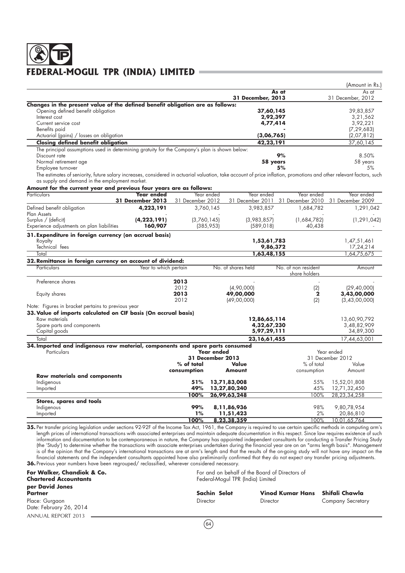|                                                                                                                                                                                                                        |                                       |                  |                         |                               |          |                                      | (Amount in Rs.)                   |
|------------------------------------------------------------------------------------------------------------------------------------------------------------------------------------------------------------------------|---------------------------------------|------------------|-------------------------|-------------------------------|----------|--------------------------------------|-----------------------------------|
|                                                                                                                                                                                                                        |                                       |                  |                         |                               | As at    |                                      | As at                             |
| Changes in the present value of the defined benefit obligation are as follows:                                                                                                                                         |                                       |                  |                         | 31 December, 2013             |          |                                      | 31 December, 2012                 |
| Opening defined benefit obligation                                                                                                                                                                                     |                                       |                  |                         | 37,60,145                     |          |                                      | 39,83,857                         |
| Interest cost                                                                                                                                                                                                          |                                       |                  |                         | 2,92,397                      |          |                                      | 3, 21, 562                        |
| Current service cost                                                                                                                                                                                                   |                                       |                  |                         | 4,77,414                      |          |                                      | 3,92,221                          |
| Benefits paid                                                                                                                                                                                                          |                                       |                  |                         |                               |          |                                      | (7, 29, 683)                      |
| Actuarial (gains) / losses on obligation                                                                                                                                                                               |                                       |                  |                         | (3,06,765)                    |          |                                      | (2,07,812)                        |
| <b>Closing defined benefit obligation</b>                                                                                                                                                                              |                                       |                  |                         | 42,23,191                     |          |                                      | 37,60,145                         |
| The principal assumptions used in determining gratuity for the Company's plan is shown below:                                                                                                                          |                                       |                  |                         |                               |          |                                      |                                   |
| Discount rate                                                                                                                                                                                                          |                                       |                  |                         |                               | 9%       |                                      | 8.50%                             |
| Normal retirement age                                                                                                                                                                                                  |                                       |                  |                         |                               | 58 years |                                      | 58 years                          |
| Employee turnover                                                                                                                                                                                                      |                                       |                  |                         |                               | 5%       |                                      | 5%                                |
|                                                                                                                                                                                                                        |                                       |                  |                         |                               |          |                                      |                                   |
| The estimates of seniority, future salary increases, considered in actuarial valuation, take account of price inflation, promotions and other relevant factors, such<br>as supply and demand in the employment market. |                                       |                  |                         |                               |          |                                      |                                   |
| Amount for the current year and previous four years are as follows:                                                                                                                                                    |                                       |                  |                         |                               |          |                                      |                                   |
| Particulars                                                                                                                                                                                                            | <b>Year ended</b><br>31 December 2013 | 31 December 2012 | Year ended              | Year ended                    |          | Year ended                           | Year ended                        |
|                                                                                                                                                                                                                        | 4,223,191                             |                  | 3.760.145               | 31 December 2011<br>3,983,857 |          | 1,684,782                            | 31 December 2010 31 December 2009 |
| Defined benefit obligation<br>Plan Assets                                                                                                                                                                              |                                       |                  |                         |                               |          |                                      | 1,291,042                         |
| Surplus / (deficit)                                                                                                                                                                                                    | (4, 223, 191)                         |                  | (3,760,145)             | (3,983,857)                   |          | (1,684,782)                          | (1, 291, 042)                     |
| Experience adjustments on plan liabilities                                                                                                                                                                             | 160,907                               |                  | (385, 953)              | (589, 018)                    |          | 40,438                               |                                   |
|                                                                                                                                                                                                                        |                                       |                  |                         |                               |          |                                      |                                   |
| 31. Expenditure in foreign currency (on accrual basis)                                                                                                                                                                 |                                       |                  |                         |                               |          |                                      |                                   |
| Royalty                                                                                                                                                                                                                |                                       |                  |                         | 1,53,61,783                   |          |                                      | 1,47,51,461                       |
| Technical fees                                                                                                                                                                                                         |                                       |                  |                         | 9,86,372                      |          |                                      | 17,24,214                         |
| Total                                                                                                                                                                                                                  |                                       |                  |                         | 1,63,48,155                   |          |                                      | 1,64,75,675                       |
| 32. Remittance in foreign currency on account of dividend:                                                                                                                                                             |                                       |                  |                         |                               |          |                                      |                                   |
| Particulars                                                                                                                                                                                                            | Year to which pertain                 |                  |                         | No. of shares held            |          | No. of non resident<br>share holders | Amount                            |
|                                                                                                                                                                                                                        |                                       |                  |                         |                               |          |                                      |                                   |
|                                                                                                                                                                                                                        |                                       |                  |                         |                               |          |                                      |                                   |
| Preference shares                                                                                                                                                                                                      |                                       | 2013             |                         |                               |          |                                      |                                   |
|                                                                                                                                                                                                                        |                                       | 2012             |                         | (4,90,000)                    |          | (2)                                  | (29, 40, 000)                     |
| Equity shares                                                                                                                                                                                                          |                                       | 2013             |                         | 49,00,000                     |          | $\mathbf{2}$                         | 3,43,00,000                       |
|                                                                                                                                                                                                                        |                                       | 2012             |                         | (49,00,000)                   |          | (2)                                  | (3,43,00,000)                     |
| Note: Figures in bracket pertains to previous year                                                                                                                                                                     |                                       |                  |                         |                               |          |                                      |                                   |
| 33. Value of imports calculated on CIF basis (On accrual basis)                                                                                                                                                        |                                       |                  |                         |                               |          |                                      |                                   |
| Raw materials                                                                                                                                                                                                          |                                       |                  |                         | 12,86,65,114                  |          |                                      | 13,60,90,792                      |
| Spare parts and components                                                                                                                                                                                             |                                       |                  |                         | 4,32,67,230                   |          |                                      | 3,48,82,909                       |
| Capital goods                                                                                                                                                                                                          |                                       |                  |                         | 5,97,29,111                   |          |                                      | 34,89,300                         |
| Total                                                                                                                                                                                                                  |                                       |                  |                         | 23, 16, 61, 455               |          |                                      | 17,44,63,001                      |
| 34. Imported and indigenous raw material, components and spare parts consumed                                                                                                                                          |                                       |                  |                         |                               |          |                                      |                                   |
| Particulars                                                                                                                                                                                                            |                                       |                  | Year ended              |                               |          |                                      | Year ended                        |
|                                                                                                                                                                                                                        |                                       |                  | <b>31 December 2013</b> |                               |          |                                      | 31 December 2012                  |
|                                                                                                                                                                                                                        |                                       | $%$ of total     |                         | Value                         |          | $%$ of total                         | Value                             |
| <b>Raw materials and components</b>                                                                                                                                                                                    |                                       | consumption      |                         | Amount                        |          | consumption                          | Amount                            |
| Indigenous                                                                                                                                                                                                             |                                       | 51%              |                         | 13,71,83,008                  |          | 55%                                  | 15,52,01,808                      |
| Imported                                                                                                                                                                                                               |                                       | 49%              |                         |                               |          | 45%                                  | 12,71,32,450                      |
|                                                                                                                                                                                                                        |                                       | 100%             |                         | 13,27,80,240<br>26,99,63,248  |          | 100%                                 | 28, 23, 34, 258                   |
| Stores, spares and tools                                                                                                                                                                                               |                                       |                  |                         |                               |          |                                      |                                   |
| Indigenous                                                                                                                                                                                                             |                                       | 99%              |                         | 8,11,86,936                   |          | 98%                                  | 9,80,78,954                       |
| Imported                                                                                                                                                                                                               |                                       | 1%<br>100%       |                         | 11,51,423                     |          | 2%<br>100%                           | 20,86,810                         |

length prices of international transactions with associated enterprises and maintain adequate documentation in this respect. Since law requires existence of such information and documentation to be contemporaneous in nature, the Company has appointed independent consultants for conducting a Transfer Pricing Study (the 'Study') to determine whether the transactions with associate enterprises undertaken during the financial year are on an "arms length basis". Management is of the opinion that the Company's international transactions are at arm's length and that the results of the on-going study will not have any impact on the financial statements and the independent consultants appointed have also preliminarily confirmed that they do not expect any transfer pricing adjustments. **36.** Previous year numbers have been regrouped/ reclassified, wherever considered necessary.

| For Walker, Chandiok & Co.<br><b>Chartered Accountants</b> | For and on behalf of the Board of Directors of<br>Federal-Mogul TPR (India) Limited |                  |                   |  |  |
|------------------------------------------------------------|-------------------------------------------------------------------------------------|------------------|-------------------|--|--|
| per David Jones<br><b>Partner</b>                          | Sachin Selot                                                                        | Vinod Kumar Hans | Shifali Chawla    |  |  |
| Place: Gurgaon<br>Date: February 26, 2014                  | Director                                                                            | Director         | Company Secretary |  |  |
| <b>ANNUAL REPORT 2013</b>                                  |                                                                                     |                  |                   |  |  |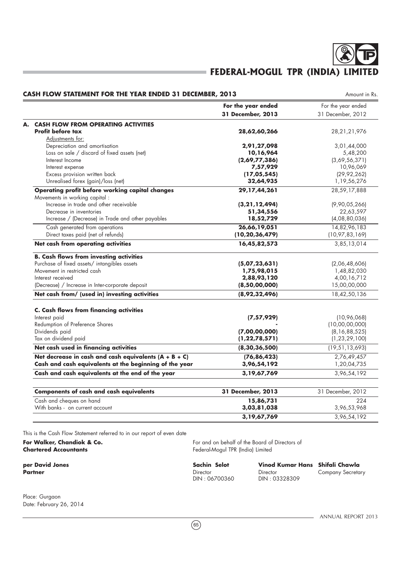| CASH FLOW STATEMENT FOR THE YEAR ENDED 31 DECEMBER, 2013                                       |                    | Amount in Rs.      |
|------------------------------------------------------------------------------------------------|--------------------|--------------------|
|                                                                                                | For the year ended | For the year ended |
|                                                                                                | 31 December, 2013  | 31 December, 2012  |
| <b>CASH FLOW FROM OPERATING ACTIVITIES</b>                                                     |                    |                    |
| <b>Profit before tax</b>                                                                       | 28,62,60,266       | 28, 21, 21, 976    |
| Adjustments for:                                                                               |                    |                    |
| Depreciation and amortisation                                                                  | 2,91,27,098        | 3,01,44,000        |
| Loss on sale / discard of fixed assets (net)                                                   | 10,16,964          | 5,48,200           |
| Interest Income                                                                                | (2,69,77,386)      | (3,69,56,371)      |
| Interest expense                                                                               | 7,57,929           | 10,96,069          |
| Excess provision written back                                                                  | (17, 05, 545)      | (29, 92, 262)      |
| Unrealised forex (gain)/loss (net)                                                             | 32,64,935          | 1,19,56,276        |
| Operating profit before working capital changes                                                | 29, 17, 44, 261    | 28,59,17,888       |
| Movements in working capital :<br>Increase in trade and other receivable                       | (3, 21, 12, 494)   | (9,90,05,266)      |
| Decrease in inventories                                                                        | 51,34,556          | 22,63,597          |
| Increase / (Decrease) in Trade and other payables                                              | 18,52,729          | (4,08,80,036)      |
| Cash generated from operations                                                                 | 26,66,19,051       | 14,82,96,183       |
| Direct taxes paid (net of refunds)                                                             | (10, 20, 36, 479)  | (10, 97, 83, 169)  |
| Net cash from operating activities                                                             | 16,45,82,573       | 3,85,13,014        |
|                                                                                                |                    |                    |
| <b>B. Cash flows from investing activities</b><br>Purchase of fixed assets/ intangibles assets | (5,07,23,631)      | (2,06,48,606)      |
| Movement in restricted cash                                                                    | 1,75,98,015        | 1,48,82,030        |
| Interest received                                                                              | 2,88,93,120        | 4,00,16,712        |
| (Decrease) / Increase in Inter-corporate deposit                                               | (8,50,00,000)      | 15,00,00,000       |
| Net cash from/ (used in) investing activities                                                  | (8,92,32,496)      | 18,42,50,136       |
|                                                                                                |                    |                    |
| <b>C. Cash flows from financing activities</b>                                                 |                    |                    |
| Interest paid                                                                                  | (7, 57, 929)       | (10,96,068)        |
| Redumption of Preference Shares                                                                |                    | (10,00,00,000)     |
| Dividends paid                                                                                 | (7,00,00,000)      | (8, 16, 88, 525)   |
| Tax on dividend paid                                                                           | (1, 22, 78, 571)   | (1, 23, 29, 100)   |
| Net cash used in financing activities                                                          | (8, 30, 36, 500)   | (19, 51, 13, 693)  |
| Net decrease in cash and cash equivalents $(A + B + C)$                                        | (76, 86, 423)      | 2,76,49,457        |
| Cash and cash equivalents at the beginning of the year                                         | 3,96,54,192        | 1,20,04,735        |
| Cash and cash equivalents at the end of the year                                               | 3, 19, 67, 769     | 3,96,54,192        |
| <b>Components of cash and cash equivalents</b>                                                 | 31 December, 2013  | 31 December, 2012  |
| Cash and cheques on hand                                                                       | 15,86,731          | 224                |
| With banks - on current account                                                                | 3,03,81,038        | 3,96,53,968        |
|                                                                                                | 3,19,67,769        | 3,96,54,192        |

This is the Cash Flow Statement referred to in our report of even date

For Walker, Chandiok & Co. **For Walker, Chandiok & Co.** For and on behalf of the Board of Directors of **Chartered Accountants Chartered Accountants Federal-Mogul TPR** (India) Limited

**per David Jones**<br> **per David Jones** Sachin Selot Minod Kumar Hans Shifali Chawla<br>
Director Director Director Company Secreta

Director Director Director Company Secretary<br> **PDIN**: 06700360 DIN: 03328309 Director<br>DIN : 03328309

Place: Gurgaon Date: February 26, 2014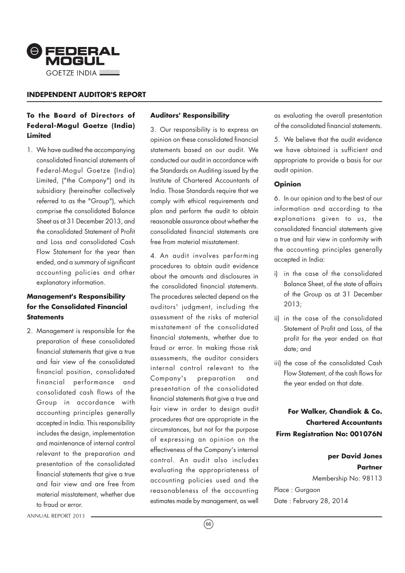

# **INDEPENDENT AUDITOR'S REPORT**

# **To the Board of Directors of Federal-Mogul Goetze (India) Limited**

1. We have audited the accompanying consolidated financial statements of Federal-Mogul Goetze (India) Limited, ("the Company") and its subsidiary (hereinafter collectively referred to as the "Group"), which comprise the consolidated Balance Sheet as at 31 December 2013, and the consolidated Statement of Profit and Loss and consolidated Cash Flow Statement for the year then ended, and a summary of significant accounting policies and other explanatory information.

# **Management's Responsibility for the Consolidated Financial Statements**

2. Management is responsible for the preparation of these consolidated financial statements that give a true and fair view of the consolidated financial position, consolidated financial performance and consolidated cash flows of the Group in accordance with accounting principles generally accepted in India. This responsibility includes the design, implementation and maintenance of internal control relevant to the preparation and presentation of the consolidated financial statements that give a true and fair view and are free from material misstatement, whether due to fraud or error.

# **Auditors' Responsibility**

3. Our responsibility is to express an opinion on these consolidated financial statements based on our audit. We conducted our audit in accordance with the Standards on Auditing issued by the Institute of Chartered Accountants of India. Those Standards require that we comply with ethical requirements and plan and perform the audit to obtain reasonable assurance about whether the consolidated financial statements are free from material misstatement.

4. An audit involves performing procedures to obtain audit evidence about the amounts and disclosures in the consolidated financial statements. The procedures selected depend on the auditors' judgment, including the assessment of the risks of material misstatement of the consolidated financial statements, whether due to fraud or error. In making those risk assessments, the auditor considers internal control relevant to the Company's preparation and presentation of the consolidated financial statements that give a true and fair view in order to design audit procedures that are appropriate in the circumstances, but not for the purpose of expressing an opinion on the effectiveness of the Company's internal control. An audit also includes evaluating the appropriateness of accounting policies used and the reasonableness of the accounting estimates made by management, as well

as evaluating the overall presentation of the consolidated financial statements.

5. We believe that the audit evidence we have obtained is sufficient and appropriate to provide a basis for our audit opinion.

# **Opinion**

6. In our opinion and to the best of our information and according to the explanations given to us, the consolidated financial statements give a true and fair view in conformity with the accounting principles generally accepted in India:

- i) in the case of the consolidated Balance Sheet, of the state of affairs of the Group as at 31 December 2013;
- ii) in the case of the consolidated Statement of Profit and Loss, of the profit for the year ended on that date; and
- iii) the case of the consolidated Cash Flow Statement, of the cash flows for the year ended on that date.

**For Walker, Chandiok & Co. Chartered Accountants Firm Registration No: 001076N**

**per David Jones Partner** Membership No: 98113 Place : Gurgaon Date : February 28, 2014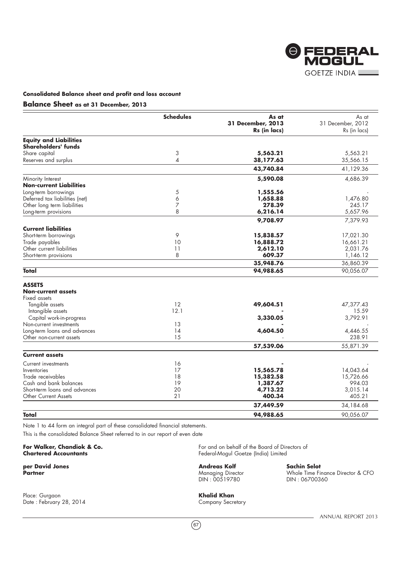

# **Consolidated Balance sheet and profit and loss account**

# **Balance Sheet as at 31 December, 2013**

|                                | <b>Schedules</b>  | As at<br>31 December, 2013<br>Rs (in lacs) | As at<br>31 December, 2012<br>Rs (in lacs) |
|--------------------------------|-------------------|--------------------------------------------|--------------------------------------------|
| <b>Equity and Liabilities</b>  |                   |                                            |                                            |
| <b>Shareholders' funds</b>     |                   |                                            |                                            |
| Share capital                  | 3<br>4            | 5,563.21                                   | 5,563.21                                   |
| Reserves and surplus           |                   | 38,177.63                                  | 35,566.15                                  |
|                                |                   | 43,740.84                                  | 41,129.36                                  |
| Minority Interest              |                   | 5,590.08                                   | 4,686.39                                   |
| <b>Non-current Liabilities</b> |                   |                                            |                                            |
| Long-term borrowings           | 5                 | 1,555.56                                   |                                            |
| Deferred tax liabilities (net) | 6                 | 1,658.88                                   | 1,476.80                                   |
| Other long term liabilities    | 7                 | 278.39                                     | 245.17                                     |
| Long-term provisions           | 8                 | 6,216.14                                   | 5,657.96                                   |
|                                |                   | 9,708.97                                   | 7,379.93                                   |
| <b>Current liabilities</b>     |                   |                                            |                                            |
| Short-term borrowings          | 9                 | 15,838.57                                  | 17,021.30                                  |
| Trade payables                 | 10                | 16,888.72                                  | 16,661.21                                  |
| Other current liabilities      | 11                | 2,612.10                                   | 2,031.76                                   |
| Short-term provisions          | 8                 | 609.37                                     | 1,146.12                                   |
|                                |                   | 35,948.76                                  | 36,860.39                                  |
| Total                          |                   | 94,988.65                                  | 90,056.07                                  |
| <b>ASSETS</b>                  |                   |                                            |                                            |
| <b>Non-current assets</b>      |                   |                                            |                                            |
| Fixed assets                   |                   |                                            |                                            |
| Tangible assets                | $12 \overline{ }$ | 49,604.51                                  | 47,377.43                                  |
| Intangible assets              | 12.1              |                                            | 15.59                                      |
| Capital work-in-progress       |                   | 3,330.05                                   | 3,792.91                                   |
| Non-current investments        | 13                |                                            |                                            |
| Long-term loans and advances   | 14                | 4,604.50                                   | 4,446.55                                   |
| Other non-current assets       | 15                |                                            | 238.91                                     |
|                                |                   | 57,539.06                                  | 55,871.39                                  |
| <b>Current assets</b>          |                   |                                            |                                            |
| Current investments            | 16                |                                            |                                            |
| Inventories                    | 17                | 15,565.78                                  | 14,043.64                                  |
| Trade receivables              | 18                | 15,382.58                                  | 15,726.66                                  |
| Cash and bank balances         | 19                | 1,387.67                                   | 994.03                                     |
| Short-term loans and advances  | 20                | 4,713.22                                   | 3,015.14                                   |
| Other Current Assets           | 21                | 400.34                                     | 405.21                                     |
|                                |                   | 37,449.59                                  | 34,184.68                                  |
| Total                          |                   | 94,988.65                                  | 90,056.07                                  |

Note 1 to 44 form an integral part of these consolidated financial statements.

This is the consolidated Balance Sheet referred to in our report of even date

**per David Jones Andreas Kolf Sachin Selot**

Place: Gurgaon **Khalid Khan** Date : February 28, 2014

**For Walker, Chandiok & Co.** The South of the Board of Directors of Chartered Accountants of the Board of Directors of Chartered Accountants of Chartered Accountants of the Board of Directors of Chartered Accountants of th **Chartered Accountants** Federal-Mogul Goetze (India) Limited

**Partners Managing Director Controls Controller** Whole Time Finance Director & CFO<br>
DIN: 00519780 DIN: 06700360 DIN : 06700360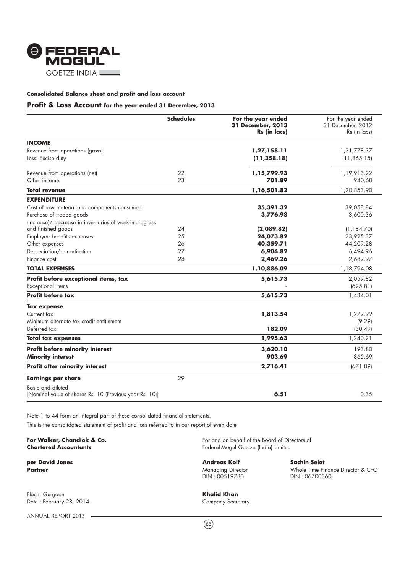

# **Consolidated Balance sheet and profit and loss account**

# **Profit & Loss Account for the year ended 31 December, 2013**

|                                                                                     | <b>Schedules</b> | For the year ended<br>31 December, 2013<br>Rs (in lacs) | For the year ended<br>31 December, 2012<br>Rs (in lacs) |
|-------------------------------------------------------------------------------------|------------------|---------------------------------------------------------|---------------------------------------------------------|
| <b>INCOME</b>                                                                       |                  |                                                         |                                                         |
| Revenue from operations (gross)                                                     |                  | 1,27,158.11                                             | 1,31,778.37                                             |
| Less: Excise duty                                                                   |                  | (11, 358.18)                                            | (11, 865.15)                                            |
| Revenue from operations (net)                                                       | 22               | 1,15,799.93                                             | 1,19,913.22                                             |
| Other income                                                                        | 23               | 701.89                                                  | 940.68                                                  |
| <b>Total revenue</b>                                                                |                  | 1,16,501.82                                             | 1,20,853.90                                             |
| <b>EXPENDITURE</b>                                                                  |                  |                                                         |                                                         |
| Cost of raw material and components consumed                                        |                  | 35,391.32                                               | 39,058.84                                               |
| Purchase of traded goods                                                            |                  | 3,776.98                                                | 3,600.36                                                |
| (Increase)/ decrease in inventories of work-in-progress                             |                  |                                                         |                                                         |
| and finished goods                                                                  | 24               | (2,089.82)                                              | (1, 184.70)                                             |
| Employee benefits expenses                                                          | 25               | 24,073.82                                               | 23,925.37                                               |
| Other expenses                                                                      | 26               | 40,359.71                                               | 44,209.28                                               |
| Depreciation/ amortisation                                                          | 27               | 6,904.82                                                | 6,494.96                                                |
| Finance cost                                                                        | 28               | 2.469.26                                                | 2,689.97                                                |
| <b>TOTAL EXPENSES</b>                                                               |                  | 1,10,886.09                                             | 1,18,794.08                                             |
| Profit before exceptional items, tax                                                |                  | 5,615.73                                                | 2,059.82                                                |
| Exceptional items                                                                   |                  |                                                         | (625.81)                                                |
| Profit before tax                                                                   |                  | 5,615.73                                                | 1,434.01                                                |
| <b>Tax expense</b>                                                                  |                  |                                                         |                                                         |
| Current tax                                                                         |                  | 1,813.54                                                | 1,279.99                                                |
| Minimum alternate tax credit entitlement                                            |                  |                                                         | (9.29)                                                  |
| Deferred tax                                                                        |                  | 182.09                                                  | (30.49)                                                 |
| <b>Total tax expenses</b>                                                           |                  | 1,995.63                                                | 1,240.21                                                |
| Profit before minority interest                                                     |                  | 3,620.10                                                | 193.80                                                  |
| <b>Minority interest</b>                                                            |                  | 903.69                                                  | 865.69                                                  |
| <b>Profit after minority interest</b>                                               |                  | 2,716.41                                                | (671.89)                                                |
| <b>Earnings per share</b>                                                           | 29               |                                                         |                                                         |
| <b>Basic and diluted</b><br>[Nominal value of shares Rs. 10 (Previous year:Rs. 10)] |                  | 6.51                                                    | 0.35                                                    |

Note 1 to 44 form an integral part of these consolidated financial statements.

This is the consolidated statement of profit and loss referred to in our report of even date

**per David Jones Andreas Kolf Sachin Selot**

Place: Gurgaon **Khalid Khan** Date : February 28, 2014 Company Secretary

ANNUAL REPORT 2013

For Walker, Chandiok & Co. **For Walker, Chandiok & Co. For and on behalf of the Board of Directors of Chartered Accountants** Federal-Mogul Goetze (India) Limited

Managing Director<br>DIN : 00519780

**Partner Partner Managing Director** Whole Time Finance Director & CFO<br>DIN: 00519780 DIN: 006700360

 $(68)$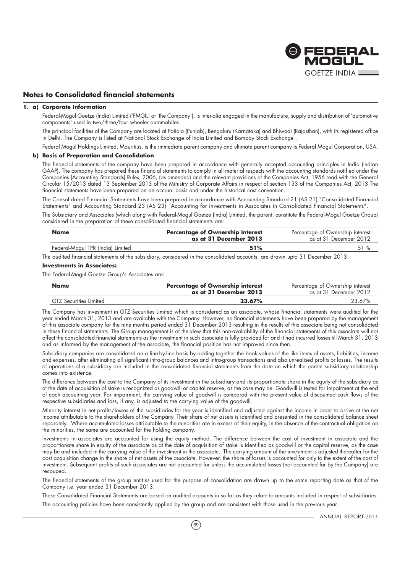

# **Notes to Consolidated financial statements**

# **1. a) Corporate Information**

Federal-Mogul Goetze (India) Limited ('FMGIL' or 'the Company'), is inter-alia engaged in the manufacture, supply and distribution of 'automotive components' used in two/three/four wheeler automobiles.

The principal facilities of the Company are located at Patiala (Punjab), Bengaluru (Karnataka) and Bhiwadi (Rajasthan), with its registered office in Delhi. The Company is listed at National Stock Exchange of India Limited and Bombay Stock Exchange .

Federal Mogul Holdings Limited, Mauritius, is the immediate parent company and ultimate parent company is Federal Mogul Corporation, USA.

#### **b) Basis of Preparation and Consolidation**

The financial statements of the company have been prepared in accordance with generally accepted accounting principles in India (Indian GAAP). The company has prepared these financial statements to comply in all material respects with the accounting standards notified under the Companies (Accounting Standards) Rules, 2006, (as amended) and the relevant provisions of the Companies Act, 1956 read with the General Circular 15/2013 dated 13 September 2013 of the Ministry of Corporate Affairs in respect of section 133 of the Companies Act, 2013.The financial statements have been prepared on an accrual basis and under the historical cost convention.

The Consolidated Financial Statements have been prepared in accordance with Accounting Standard 21 (AS 21) "Consolidated Financial Statements" and Accounting Standard 23 (AS 23) "Accounting for investments in Associates in Consolidated Financial Statements".

The Subsidiary and Associates (which along with Federal-Mogul Goetze (India) Limited, the parent, constitute the Federal-Mogul Goetze Group) considered in the preparation of these consolidated financial statements are:

| <b>Name</b>                       | <b>Percentage of Ownership interest</b><br>as at 31 December 2013 | Percentage of Ownership interest<br>as at 31 December 2012 |
|-----------------------------------|-------------------------------------------------------------------|------------------------------------------------------------|
| Federal-Mogul TPR (India) Limited | 51%                                                               |                                                            |

The audited financial statements of the subsidiary, considered in the consolidated accounts, are drawn upto 31 December 2013.

# **Investments in Associates:**

The Federal-Mogul Goetze Group's Associates are:

| <b>Name</b>                   | <b>Percentage of Ownership interest</b><br>as at 31 December 2013 | Percentage of Ownership interest<br>as at 31 December 2012 |
|-------------------------------|-------------------------------------------------------------------|------------------------------------------------------------|
| <b>GTZ</b> Securities Limited | 23.67%                                                            | 23.67%                                                     |

The Company has investment in GTZ Securities Limited which is considered as an associate, whose financial statements were audited for the year ended March 31, 2013 and are available with the Company. However, no financial statements have been prepared by the management of this associate company for the nine months period ended 31 December 2013 resulting in the results of this associate being not consolidated in these financial statements. The Group management is of the view that this non-availability of the financial statements of this associate will not affect the consolidated financial statements as the investment in such associate is fully provided for and it had incurred losses till March 31, 2013 and as informed by the management of the associate, the financial position has not improved since then.

Subsidiary companies are consolidated on a line-by-line basis by adding together the book values of the like items of assets, liabilities, income and expenses, after eliminating all significant intra-group balances and intra-group transactions and also unrealised profits or losses. The results of operations of a subsidiary are included in the consolidated financial statements from the date on which the parent subsidiary relationship comes into existence.

The difference between the cost to the Company of its investment in the subsidiary and its proportionate share in the equity of the subsidiary as at the date of acquisition of stake is recognized as goodwill or capital reserve, as the case may be. Goodwill is tested for impairment at the end of each accounting year. For impairment, the carrying value of goodwill is compared with the present value of discounted cash flows of the respective subsidiaries and loss, if any, is adjusted to the carrying value of the goodwill.

Minority interest in net profits/losses of the subsidiaries for the year is identified and adjusted against the income in order to arrive at the net income attributable to the shareholders of the Company. Their share of net assets is identified and presented in the consolidated balance sheet separately. Where accumulated losses attributable to the minorities are in excess of their equity, in the absence of the contractual obligation on the minorities, the same are accounted for the holding company.

Investments in associates are accounted for using the equity method. The difference between the cost of investment in associate and the proportionate share in equity of the associate as at the date of acquisition of stake is identified as goodwill or the capital reserve, as the case may be and included in the carrying value of the investment in the associate. The carrying amount of the investment is adjusted thereafter for the post acquisition change in the share of net assets of the associate. However, the share of losses is accounted for only to the extent of the cost of investment. Subsequent profits of such associates are not accounted for unless the accumulated losses (not accounted for by the Company) are recouped.

The financial statements of the group entities used for the purpose of consolidation are drawn up to the same reporting date as that of the Company i.e. year ended 31 December 2013.

These Consolidated Financial Statements are based on audited accounts in so far as they relate to amounts included in respect of subsidiaries. The accounting policies have been consistently applied by the group and are consistent with those used in the previous year.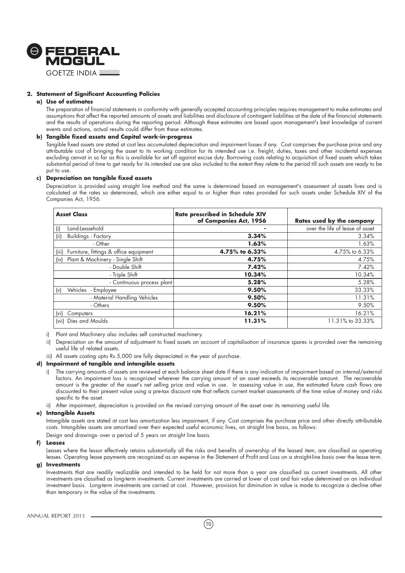

# **2. Statement of Significant Accounting Policies**

# **a) Use of estimates**

The preparation of financial statements in conformity with generally accepted accounting principles requires management to make estimates and assumptions that affect the reported amounts of assets and liabilities and disclosure of contingent liabilities at the date of the financial statements and the results of operations during the reporting period. Although these estimates are based upon management's best knowledge of current events and actions, actual results could differ from these estimates.

# **b) Tangible fixed assets and Capital work-in-progress**

Tangible fixed assets are stated at cost less accumulated depreciation and impairment losses if any. Cost comprises the purchase price and any attributable cost of bringing the asset to its working condition for its intended use i.e. freight, duties, taxes and other incidental expenses excluding cenvat in so far as this is available for set off against excise duty. Borrowing costs relating to acquisition of fixed assets which takes substantial period of time to get ready for its intended use are also included to the extent they relate to the period till such assets are ready to be put to use.

# **c) Depreciation on tangible fixed assets**

Depreciation is provided using straight line method and the same is determined based on management's assessment of assets lives and is calculated at the rates so determined, which are either equal to or higher than rates provided for such assets under Schedule XIV of the Companies Act, 1956.

| <b>Asset Class</b>                              | <b>Rate prescribed in Schedule XIV</b><br>of Companies Act, 1956 | Rates used by the company       |
|-------------------------------------------------|------------------------------------------------------------------|---------------------------------|
| Land-Leasehold<br>(i)                           |                                                                  | over the life of lease of asset |
| <b>Buildings - Factory</b><br>(iii)             | 3.34%                                                            | 3.34%                           |
| - Other                                         | 1.63%                                                            | 1.63%                           |
| Furniture, fittings & office equipment<br>(iii) | 4.75% to 6.33%                                                   | 4.75% to 6.33%                  |
| Plant & Machinery - Single Shift<br>(iv)        | 4.75%                                                            | 4.75%                           |
| - Double Shift                                  | 7.42%                                                            | 7.42%                           |
| - Triple Shift                                  | 10.34%                                                           | 10.34%                          |
| - Continuous process plant                      | 5.28%                                                            | 5.28%                           |
| Vehicles - Employee<br>$\lvert \vee \rvert$     | 9.50%                                                            | 33.33%                          |
| - Material Handling Vehicles                    | 9.50%                                                            | 11.31%                          |
| - Others                                        | 9.50%                                                            | 9.50%                           |
| Computers<br>(v <sub>i</sub> )                  | 16.21%                                                           | 16.21%                          |
| (vii) Dies and Moulds                           | 11.31%                                                           | 11.31% to 33.33%                |

i) Plant and Machinery also includes self constructed machinery.

- ii) Depreciation on the amount of adjustment to fixed assets on account of capitalisation of insurance spares is provided over the remaining useful life of related assets.
- iii) All assets costing upto Rs 5,000 are fully depreciated in the year of purchase.

# **d) Impairment of tangible and intangible assets**

i) The carrying amounts of assets are reviewed at each balance sheet date if there is any indication of impairment based on internal/external factors. An impairment loss is recognized wherever the carrying amount of an asset exceeds its recoverable amount. The recoverable amount is the greater of the asset's net selling price and value in use. In assessing value in use, the estimated future cash flows are discounted to their present value using a pre-tax discount rate that reflects current market assessments of the time value of money and risks specific to the asset.

ii) After impairment, depreciation is provided on the revised carrying amount of the asset over its remaining useful life.

# **e) Intangible Assets**

Intangible assets are stated at cost less amortization less impairment, if any. Cost comprises the purchase price and other directly attributable costs. Intangibles assets are amortised over their expected useful economic lives, on straight line basis, as follows:

Design and drawings- over a period of 5 years on straight line basis.

# **f) Leases**

Leases where the lessor effectively retains substantially all the risks and benefits of ownership of the leased item, are classified as operating leases. Operating lease payments are recognized as an expense in the Statement of Profit and Loss on a straight-line basis over the lease term.

# **g) Investments**

Investments that are readily realizable and intended to be held for not more than a year are classified as current investments. All other investments are classified as long-term investments. Current investments are carried at lower of cost and fair value determined on an individual investment basis. Long-term investments are carried at cost. However, provision for diminution in value is made to recognize a decline other than temporary in the value of the investments.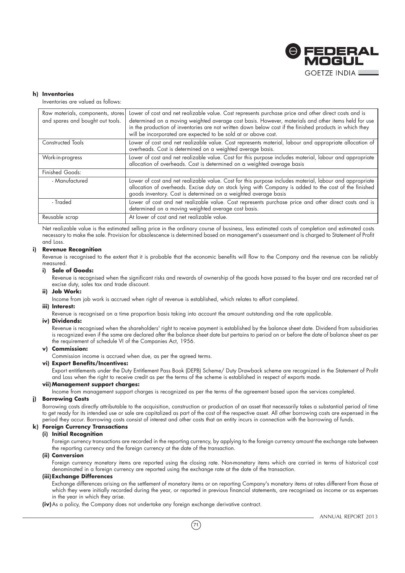

# **h) Inventories**

Inventories are valued as follows:

| Raw materials, components, stores<br>and spares and bought out tools. | Lower of cost and net realizable value. Cost represents purchase price and other direct costs and is<br>determined on a moving weighted average cost basis. However, materials and other items held for use<br>in the production of inventories are not written down below cost if the finished products in which they<br>will be incorporated are expected to be sold at or above cost. |
|-----------------------------------------------------------------------|------------------------------------------------------------------------------------------------------------------------------------------------------------------------------------------------------------------------------------------------------------------------------------------------------------------------------------------------------------------------------------------|
| Constructed Tools                                                     | Lower of cost and net realizable value. Cost represents material, labour and appropriate allocation of<br>overheads. Cost is determined on a weighted average basis.                                                                                                                                                                                                                     |
| Work-in-progress                                                      | Lower of cost and net realizable value. Cost for this purpose includes material, labour and appropriate<br>allocation of overheads. Cost is determined on a weighted average basis                                                                                                                                                                                                       |
| Finished Goods:                                                       |                                                                                                                                                                                                                                                                                                                                                                                          |
| - Manufactured                                                        | Lower of cost and net realizable value. Cost for this purpose includes material, labour and appropriate<br>allocation of overheads. Excise duty on stock lying with Company is added to the cost of the finished<br>goods inventory. Cost is determined on a weighted average basis                                                                                                      |
| - Traded                                                              | Lower of cost and net realizable value. Cost represents purchase price and other direct costs and is<br>determined on a moving weighted average cost basis.                                                                                                                                                                                                                              |
| Reusable scrap                                                        | At lower of cost and net realizable value.                                                                                                                                                                                                                                                                                                                                               |

Net realizable value is the estimated selling price in the ordinary course of business, less estimated costs of completion and estimated costs necessary to make the sale. Provision for obsolescence is determined based on management's assessment and is charged to Statement of Profit and Loss.

# **i) Revenue Recognition**

Revenue is recognised to the extent that it is probable that the economic benefits will flow to the Company and the revenue can be reliably measured.

# **i) Sale of Goods:**

Revenue is recognised when the significant risks and rewards of ownership of the goods have passed to the buyer and are recorded net of excise duty, sales tax and trade discount.

# **ii) Job Work:**

Income from job work is accrued when right of revenue is established, which relates to effort completed.

# **iii) Interest:**

Revenue is recognised on a time proportion basis taking into account the amount outstanding and the rate applicable.

# **iv) Dividends:**

Revenue is recognised when the shareholders' right to receive payment is established by the balance sheet date. Dividend from subsidiaries is recognized even if the same are declared after the balance sheet date but pertains to period on or before the date of balance sheet as per the requirement of schedule VI of the Companies Act, 1956.

# **v) Commission:**

Commission income is accrued when due, as per the agreed terms.

# **vi) Export Benefits/Incentives:**

Export entitlements under the Duty Entitlement Pass Book (DEPB) Scheme/ Duty Drawback scheme are recognized in the Statement of Profit and Loss when the right to receive credit as per the terms of the scheme is established in respect of exports made.

# **vii) Management support charges:**

Income from management support charges is recognized as per the terms of the agreement based upon the services completed.

# **j) Borrowing Costs**

Borrowing costs directly attributable to the acquisition, construction or production of an asset that necessarily takes a substantial period of time to get ready for its intended use or sale are capitalized as part of the cost of the respective asset. All other borrowing costs are expensed in the period they occur. Borrowing costs consist of interest and other costs that an entity incurs in connection with the borrowing of funds.

# **k) Foreign Currency Transactions**

# **(i) Initial Recognition**

Foreign currency transactions are recorded in the reporting currency, by applying to the foreign currency amount the exchange rate between the reporting currency and the foreign currency at the date of the transaction.

# **(ii) Conversion**

Foreign currency monetary items are reported using the closing rate. Non-monetary items which are carried in terms of historical cost denominated in a foreign currency are reported using the exchange rate at the date of the transaction.

#### **(iii) Exchange Differences**

Exchange differences arising on the settlement of monetary items or on reporting Company's monetary items at rates different from those at which they were initially recorded during the year, or reported in previous financial statements, are recognised as income or as expenses in the year in which they arise.

# **(iv)**As a policy, the Company does not undertake any foreign exchange derivative contract.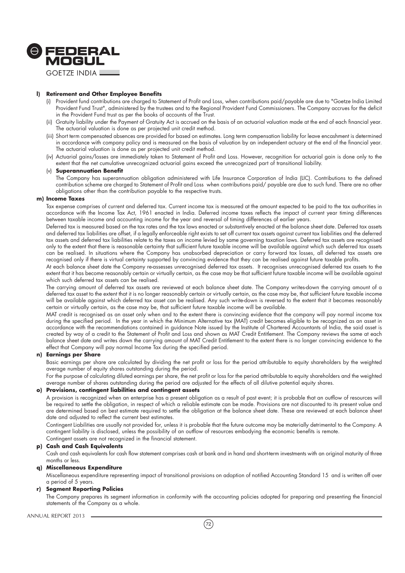

# **l) Retirement and Other Employee Benefits**

- (i) Provident fund contributions are charged to Statement of Profit and Loss, when contributions paid/payable are due to "Goetze India Limited Provident Fund Trust", administered by the trustees and to the Regional Provident Fund Commissioners. The Company accrues for the deficit in the Provident Fund trust as per the books of accounts of the Trust.
- (ii) Gratuity liability under the Payment of Gratuity Act is accrued on the basis of an actuarial valuation made at the end of each financial year. The actuarial valuation is done as per projected unit credit method.
- (iii) Short term compensated absences are provided for based on estimates. Long term compensation liability for leave encashment is determined in accordance with company policy and is measured on the basis of valuation by an independent actuary at the end of the financial year. The actuarial valuation is done as per projected unit credit method.
- (iv) Actuarial gains/losses are immediately taken to Statement of Profit and Loss. However, recognition for actuarial gain is done only to the extent that the net cumulative unrecognized actuarial gains exceed the unrecognized part of transitional liability.

# (v) **Superannuation Benefit**

The Company has superannuation obligation administered with Life Insurance Corporation of India (LIC). Contributions to the defined contribution scheme are charged to Statement of Profit and Loss when contributions paid/ payable are due to such fund. There are no other obligations other than the contribution payable to the respective trusts.

## **m) Income Taxes**

Tax expense comprises of current and deferred tax. Current income tax is measured at the amount expected to be paid to the tax authorities in accordance with the Income Tax Act, 1961 enacted in India. Deferred income taxes reflects the impact of current year timing differences between taxable income and accounting income for the year and reversal of timing differences of earlier years.

Deferred tax is measured based on the tax rates and the tax laws enacted or substantively enacted at the balance sheet date. Deferred tax assets and deferred tax liabilities are offset, if a legally enforceable right exists to set off current tax assets against current tax liabilities and the deferred tax assets and deferred tax liabilities relate to the taxes on income levied by same governing taxation laws. Deferred tax assets are recognised only to the extent that there is reasonable certainty that sufficient future taxable income will be available against which such deferred tax assets can be realised. In situations where the Company has unabsorbed depreciation or carry forward tax losses, all deferred tax assets are recognised only if there is virtual certainty supported by convincing evidence that they can be realised against future taxable profits.

At each balance sheet date the Company re-assesses unrecognised deferred tax assets. It recognises unrecognised deferred tax assets to the extent that it has become reasonably certain or virtually certain, as the case may be that sufficient future taxable income will be available against which such deferred tax assets can be realised.

The carrying amount of deferred tax assets are reviewed at each balance sheet date. The Company writes-down the carrying amount of a deferred tax asset to the extent that it is no longer reasonably certain or virtually certain, as the case may be, that sufficient future taxable income will be available against which deferred tax asset can be realised. Any such write-down is reversed to the extent that it becomes reasonably certain or virtually certain, as the case may be, that sufficient future taxable income will be available.

MAT credit is recognised as an asset only when and to the extent there is convincing evidence that the company will pay normal income tax during the specified period. In the year in which the Minimum Alternative tax (MAT) credit becomes eligible to be recognized as an asset in accordance with the recommendations contained in guidance Note issued by the Institute of Chartered Accountants of India, the said asset is created by way of a credit to the Statement of Profit and Loss and shown as MAT Credit Entitlement. The Company reviews the same at each balance sheet date and writes down the carrying amount of MAT Credit Entitlement to the extent there is no longer convincing evidence to the effect that Company will pay normal Income Tax during the specified period.

# **n) Earnings per Share**

Basic earnings per share are calculated by dividing the net profit or loss for the period attributable to equity shareholders by the weighted average number of equity shares outstanding during the period.

For the purpose of calculating diluted earnings per share, the net profit or loss for the period attributable to equity shareholders and the weighted average number of shares outstanding during the period are adjusted for the effects of all dilutive potential equity shares.

# **o) Provisions, contingent liabilities and contingent assets**

A provision is recognized when an enterprise has a present obligation as a result of past event; it is probable that an outflow of resources will be required to settle the obligation, in respect of which a reliable estimate can be made. Provisions are not discounted to its present value and are determined based on best estimate required to settle the obligation at the balance sheet date. These are reviewed at each balance sheet date and adjusted to reflect the current best estimates.

Contingent Liabilities are usually not provided for, unless it is probable that the future outcome may be materially detrimental to the Company. A contingent liability is disclosed, unless the possibility of an outflow of resources embodying the economic benefits is remote. Contingent assets are not recognized in the financial statement.

# **p) Cash and Cash Equivalents**

Cash and cash equivalents for cash flow statement comprises cash at bank and in hand and short-term investments with an original maturity of three months or less.

# **q) Miscellaneous Expenditure**

Miscellaneous expenditure representing impact of transitional provisions on adoption of notified Accounting Standard 15 and is written off over a period of 5 years.

# **r) Segment Reporting Policies**

The Company prepares its segment information in conformity with the accounting policies adopted for preparing and presenting the financial statements of the Company as a whole.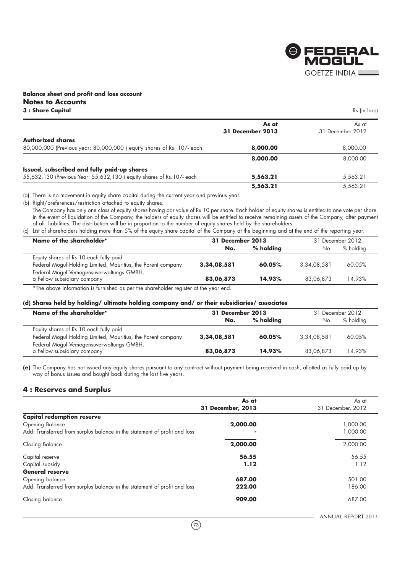

# **Balance sheet and profit and loss account**

**Notes to Accounts**<br>3 : Share Capital

| 3 : Share Capital                                                      |                         | Rs (in lacs)     |
|------------------------------------------------------------------------|-------------------------|------------------|
|                                                                        | As at                   | As at            |
|                                                                        | <b>31 December 2013</b> | 31 December 2012 |
| <b>Authorized shares</b>                                               |                         |                  |
| 80,000,000 (Previous year: 80,000,000) equity shares of Rs. 10/- each. | 8,000.00                | 8,000.00         |
|                                                                        | 8,000.00                | 8,000.00         |
| Issued, subscribed and fully paid-up shares                            |                         |                  |
| 55,632,130 (Previous Year: 55,632,130) equity shares of Rs.10/- each   | 5,563.21                | 5,563.21         |
|                                                                        | 5,563.21                | 5.563.21         |

(a) There is no movement in equity share capital during the current year and previous year.

(b) Right/preferences/restriction attached to equity shares.

The Company has only one class of equity shares having par value of Rs.10 per share. Each holder of equity shares is entitled to one vote per share. In the event of liquidation of the Company, the holders of equity shares will be entitled to receive remaining assets of the Company, after payment of all liabilities. The distribution will be in proportion to the number of equity shares held by the shareholders.

(c) List of shareholders holding more than 5% of the equity share capital of the Company at the beginning and at the end of the reporting year.

| Name of the shareholder*                                                                                                                      | <b>31 December 2013</b> |           |             | 31 December 2012 |
|-----------------------------------------------------------------------------------------------------------------------------------------------|-------------------------|-----------|-------------|------------------|
|                                                                                                                                               | No.                     | % holding | No.         | % holding        |
| Equity shares of Rs 10 each fully paid                                                                                                        |                         |           |             |                  |
| Federal Mogul Holding Limited, Mauritius, the Parent company                                                                                  | 3,34,08,581             | 60.05%    | 3.34.08.581 | 60.05%           |
| Federal Mogul Vemogensuverwaltungs GMBH,                                                                                                      |                         |           |             |                  |
| a Fellow subsidiary company                                                                                                                   | 83,06,873               | 14.93%    | 83,06,873   | 14.93%           |
| with a collapse of considering to form the ch<br>المتحدث والمستحدث والمستند والمتعارف والمتحال والمتحال والمتحاول والمستحدث والمتحدث والمتحدث |                         |           |             |                  |

The above information is furnished as per the shareholder register at the year end.

#### **(d) Shares held by holding/ ultimate holding company and/ or their subsidiaries/ associates**

| Name of the shareholder*                                                                                                                           | <b>31 December 2013</b> |             |             | 31 December 2012 |
|----------------------------------------------------------------------------------------------------------------------------------------------------|-------------------------|-------------|-------------|------------------|
|                                                                                                                                                    | No.                     | $%$ holdina | No.         | % holding        |
| Equity shares of Rs 10 each fully paid<br>Federal Mogul Holding Limited, Mauritius, the Parent company<br>Federal Mogul Vemogensuverwaltungs GMBH, | 3,34,08,581             | 60.05%      | 3,34,08,581 | 60.05%           |
| a Fellow subsidiary company                                                                                                                        | 83,06,873               | 14.93%      | 83,06,873   | 14.93%           |

**(e)** The Company has not issued any equity shares pursuant to any contract without payment being received in cash, allotted as fully paid up by way of bonus issues and bought back during the last five years.

# **4 : Reserves and Surplus**

|                                                                           | As at             | As at             |
|---------------------------------------------------------------------------|-------------------|-------------------|
|                                                                           | 31 December, 2013 | 31 December, 2012 |
| Capital redemption reserve                                                |                   |                   |
| Opening Balance                                                           | 2,000.00          | 1,000.00          |
| Add: Transferred from surplus balance in the statement of profit and loss |                   | 1,000.00          |
| <b>Closing Balance</b>                                                    | 2,000.00          | 2,000.00          |
| Capital reserve                                                           | 56.55             | 56.55             |
| Capital subsidy                                                           | 1.12              | 1.12              |
| <b>General reserve</b>                                                    |                   |                   |
| Opening balance                                                           | 687.00            | 501.00            |
| Add: Transferred from surplus balance in the statement of profit and loss | 222.00            | 186.00            |
| Closing balance                                                           | 909.00            | 687.00            |
|                                                                           |                   |                   |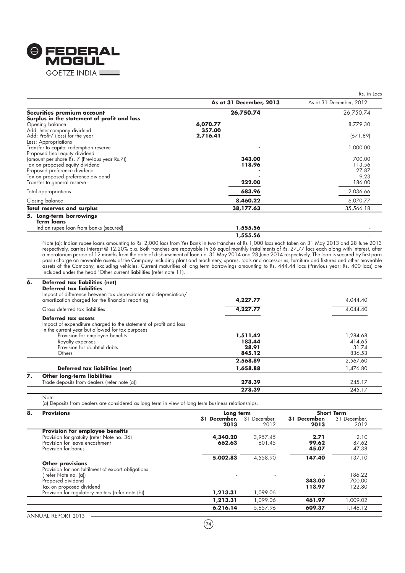

|                                                                                                    |                         | Rs. in Lacs             |
|----------------------------------------------------------------------------------------------------|-------------------------|-------------------------|
|                                                                                                    | As at 31 December, 2013 | As at 31 December, 2012 |
| Securities premium account<br>Surplus in the statement of profit and loss                          | 26,750.74               | 26,750.74               |
| Opening balance<br>Add: Inter-company dividend                                                     | 6,070.77<br>357.00      | 8,779.30                |
| Add: Profit/ (loss) for the year<br>Less: Appropriations                                           | 2,716.41                | (671.89)                |
| Transfer to capital redemption reserve<br>Proposed final equity dividend                           |                         | 1,000.00                |
| (amount per share Rs. 7 (Previous year Rs.7))<br>Tax on proposed equity dividend                   | 343.00<br>118.96        | 700.00<br>113.56        |
| Proposed preference dividend<br>Tax on proposed preference dividend<br>Transfer to general reserve | 222.00                  | 27.87<br>9.23<br>186.00 |
| Total appropriations                                                                               | 683.96                  | 2,036.66                |
| Closing balance                                                                                    | 8,460.22                | 6,070.77                |
| Total reserves and surplus                                                                         | 38,177.63               | 35,566.18               |
| 5. Long-term borrowings<br><b>Term loans</b>                                                       |                         |                         |

| ı trom<br>secured)<br>loan<br>banks<br>Indian<br>rupee | .     |  |
|--------------------------------------------------------|-------|--|
|                                                        | ----- |  |
|                                                        |       |  |

Note (a): Indian rupee loans amounting to Rs. 2,000 lacs from Yes Bank in two tranches of Rs 1,000 lacs each taken on 31 May 2013 and 28 June 2013 respectively, carries interest @ 12.20% p.a. Both tranches are repayable in 36 equal monthly installments of Rs. 27.77 lacs each along with interest, after a moratorium period of 12 months from the date of disbursement of loan i.e. 31 May 2014 and 28 June 2014 respectively. The loan is secured by first parri passu charge on moveable assets of the Company including plant and machinery, spares, tools and accessories, furniture and fixtures and other moveable assets of the Company, excluding vehicles. Current maturities of long term borrowings amounting to Rs. 444.44 lacs (Previous year: Rs. 400 lacs) are included under the head 'Other current liabilities (refer note 11).

# **6. Deferred tax liabilities (net)**

| 7. | Other long-term liabilities                                       |          |          |
|----|-------------------------------------------------------------------|----------|----------|
|    | Deferred tax liabilities (net)                                    | 1,658.88 | 1.476.80 |
|    |                                                                   | 2,568.89 | 2,567.60 |
|    | Others                                                            | 845.12   | 836.53   |
|    | Provision for doubtful debts                                      | 28.91    | 31.74    |
|    | Royalty expenses                                                  | 183.44   | 414.65   |
|    | Provision for employee benefits                                   | 1,511.42 | 1,284.68 |
|    | in the current year but allowed for tax purposes                  |          |          |
|    | Impact of expenditure charged to the statement of profit and loss |          |          |
|    | Deferred tax assets                                               |          |          |
|    | Gross deferred tax liabilities                                    | 4,227.77 | 4,044.40 |
|    | amortization charged for the financial reporting                  | 4,227.77 | 4,044.40 |
|    | Impact of difference between tax depreciation and depreciation/   |          |          |
|    | <b>Deferred tax liabilities</b>                                   |          |          |

Note:

(a) Deposits from dealers are considered as long term in view of long term business relationships.

| 8. Provisions | Long term | <b>Short Term</b> |
|---------------|-----------|-------------------|
|               |           |                   |

| 31 December,<br>2013 | 31 December.<br>2012 | 31 December,<br>2013   | 31 December,<br>2012       |
|----------------------|----------------------|------------------------|----------------------------|
| 4,340.20<br>662.63   | 3.957.45<br>601.45   | 2.71<br>99.62<br>45.07 | 2.10<br>87.62<br>47.38     |
| 5,002.83             | 4,558.90             | 147.40                 | 137.10                     |
|                      |                      | 343.00<br>118.97       | 186.22<br>700.00<br>122.80 |
| 1,213.31             | 1.099.06             |                        |                            |
| 1,213.31             | 1.099.06             | 461.97                 | 1.009.02                   |
| 6,216.14             | 5.657.96             | 609.37                 | 1.146.12                   |
|                      |                      |                        |                            |

Trade deposits from dealers (refer note (a)) **278.39** 245.17

 **278.39** 245.17

ANNUAL REPORT 2013

 $\overline{a}$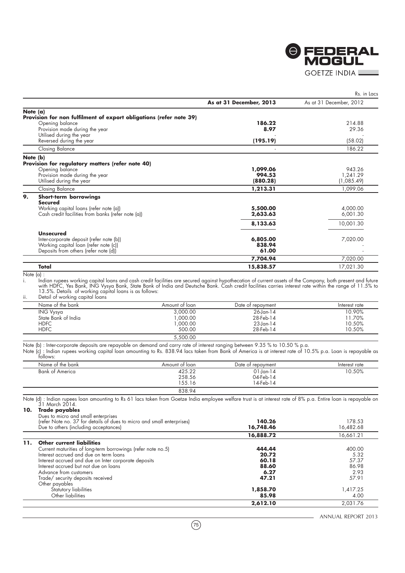**O** FEDERAL<br>MOGUL **GOETZE INDIA \_** 

|                                                                                                                                            |                         | Rs. in Lacs             |
|--------------------------------------------------------------------------------------------------------------------------------------------|-------------------------|-------------------------|
|                                                                                                                                            | As at 31 December, 2013 | As at 31 December, 2012 |
| Note $(a)$                                                                                                                                 |                         |                         |
| Provision for non fulfilment of export obligations (refer note 39)                                                                         |                         |                         |
| Opening balance                                                                                                                            | 186.22                  | 214.88                  |
| Provision made during the year                                                                                                             | 8.97                    | 29.36                   |
| Utilised during the year<br>Reversed during the year                                                                                       | (195.19)                |                         |
|                                                                                                                                            |                         | (58.02)                 |
| <b>Closing Balance</b>                                                                                                                     |                         | 186.22                  |
| Note (b)                                                                                                                                   |                         |                         |
| Provision for regulatory matters (refer note 40)                                                                                           |                         |                         |
| Opening balance                                                                                                                            | 1,099.06                | 943.26                  |
| Provision made during the year                                                                                                             | 994.53                  | 1.241.29                |
| Utilised during the year                                                                                                                   | (880.28)                | (1,085.49)              |
| <b>Closing Balance</b>                                                                                                                     | 1,213.31                | 1,099.06                |
| 9.<br><b>Short-term borrowings</b>                                                                                                         |                         |                         |
| <b>Secured</b>                                                                                                                             |                         |                         |
| Working capital loans (refer note (a))                                                                                                     | 5,500.00                | 4.000.00                |
| Cash credit facilities from banks (refer note (a))                                                                                         | 2,633.63                | 6,001.30                |
|                                                                                                                                            | 8,133.63                | 10,001.30               |
| <b>Unsecured</b>                                                                                                                           |                         |                         |
| Inter-corporate deposit (refer note (b))                                                                                                   | 6,805.00                | 7,020.00                |
| Working capital loan (refer note (c))                                                                                                      | 838.94                  |                         |
| Deposits from others (refer note (d))                                                                                                      | 61.00                   |                         |
|                                                                                                                                            | 7,704.94                | 7,020.00                |
| Total                                                                                                                                      | 15,838.57               | 17,021.30               |
| Note (a) :                                                                                                                                 |                         |                         |
| to line and considered anti-lines and code on the facility cannot analyze the calculation of change of the Common body and considered fund |                         |                         |

i. Indian rupees working capital loans and cash credit facilities are secured against hypothecation of current assets of the Company, both present and future<br>with HDFC, Yes Bank, ING Vysya Bank, State Bank of India and Deu 13.5%. Details of working capital loans is as follows:

| Detail of working capital loans<br>ii. |                |                   |               |
|----------------------------------------|----------------|-------------------|---------------|
| Name of the bank                       | Amount of loan | Date of repayment | Interest rate |
| ING Vysya                              | 3,000.00       | $26$ -Jan-14      | 10.90%        |
| State Bank of India                    | 0.000.00       | 28-Feb-14         | 11.70%        |
| <b>HDFC</b>                            | .000.00        | $23$ -Jan-14      | 10.50%        |
| <b>HDFC</b>                            | 500.00         | 28-Feb-14         | 10.50%        |
|                                        | 5,500.00       |                   |               |

Note (b) : Inter-corporate deposits are repayable on demand and carry rate of interest ranging between 9.35 % to 10.50 % p.a.

Note (c) : Indian rupees working capital loan amounting to Rs. 838.94 lacs taken from Bank of America is at interest rate of 10.5% p.a. Loan is repayable as follows:

| Name of the bank       | Amount of Ioan             | Date of repayment                   | Interest rate |
|------------------------|----------------------------|-------------------------------------|---------------|
| <b>Bank of America</b> | 425.22<br>258.56<br>155.16 | 01-Jan-14<br>04-Feb-14<br>14-Feb-14 | 10.50%        |
|                        | 838.94                     |                                     |               |

Note (d) : Indian rupees loan amounting to Rs 61 lacs taken from Goetze India employee welfare trust is at interest rate of 8% p.a. Entire loan is repayable on 31 March 2014.

**10. Trade payables**

|     | Dues to micro and small enterprises                                    |           |           |
|-----|------------------------------------------------------------------------|-----------|-----------|
|     | (refer Note no. 37 for details of dues to micro and small enterprises) | 140.26    | 178.53    |
|     | Due to others (including acceptances)                                  | 16,748.46 | 16,482.68 |
|     |                                                                        | 16,888.72 | 16,661.21 |
| 11. | <b>Other current liabilities</b>                                       |           |           |
|     | Current maturities of long-term borrowings (refer note no.5)           | 444.44    | 400.00    |
|     | Interest accrued and due on term loans                                 | 20.72     | 5.32      |
|     | Interest accrued and due on Inter corporate deposits                   | 60.18     | 57.37     |
|     | Interest accrued but not due on loans                                  | 88.60     | 86.98     |
|     | Advance from customers                                                 | 6.27      | 2.93      |
|     | Trade/ security deposits received                                      | 47.21     | 57.91     |
|     | Other payables                                                         |           |           |
|     | Statutory liabilities                                                  | 1,858.70  | 1,417.25  |
|     | Other liabilities                                                      | 85.98     | 4.00      |
|     |                                                                        | 2.612.10  | 2.031.76  |

- ANNUAL REPORT 2013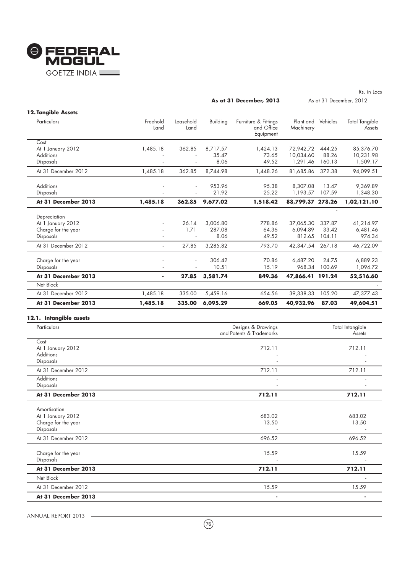

|                                                                       |                  |                   |                            |                                                 |                                    |                           | Rs. in Lacs                        |
|-----------------------------------------------------------------------|------------------|-------------------|----------------------------|-------------------------------------------------|------------------------------------|---------------------------|------------------------------------|
|                                                                       |                  |                   |                            | As at 31 December, 2013                         |                                    |                           | As at 31 December, 2012            |
| <b>12. Tangible Assets</b>                                            |                  |                   |                            |                                                 |                                    |                           |                                    |
| Particulars                                                           | Freehold<br>Land | Leasehold<br>Land | Building                   | Furniture & Fittings<br>and Office<br>Equipment | Plant and<br>Machinery             | Vehicles                  | <b>Total Tangible</b><br>Assets    |
| Cost<br>At 1 January 2012<br><b>Additions</b><br><b>Disposals</b>     | 1.485.18         | 362.85            | 8.717.57<br>35.47<br>8.06  | 1,424.13<br>73.65<br>49.52                      | 72.942.72<br>10,034.60<br>1.291.46 | 444.25<br>88.26<br>160.13 | 85,376.70<br>10,231.98<br>1,509.17 |
| At 31 December 2012                                                   | 1.485.18         | 362.85            | 8.744.98                   | 1.448.26                                        | 81.685.86                          | 372.38                    | 94.099.51                          |
| <b>Additions</b><br>Disposals                                         |                  |                   | 953.96<br>21.92            | 95.38<br>25.22                                  | 8,307.08<br>1.193.57               | 13.47<br>107.59           | 9.369.89<br>1,348.30               |
| At 31 December 2013                                                   | 1,485.18         | 362.85            | 9.677.02                   | 1,518.42                                        | 88,799.37 278.26                   |                           | 1,02,121.10                        |
| Depreciation<br>At 1 January 2012<br>Charge for the year<br>Disposals |                  | 26.14<br>1.71     | 3,006.80<br>287.08<br>8.06 | 778.86<br>64.36<br>49.52                        | 37,065.30<br>6.094.89<br>812.65    | 337.87<br>33.42<br>104.11 | 41,214.97<br>6,481.46<br>974.34    |
| At 31 December 2012                                                   | ÷.               | 27.85             | 3,285.82                   | 793.70                                          | 42,347.54                          | 267.18                    | 46,722.09                          |
| Charge for the year<br><b>Disposals</b>                               |                  |                   | 306.42<br>10.51            | 70.86<br>15.19                                  | 6.487.20<br>968.34                 | 24.75<br>100.69           | 6.889.23<br>1,094.72               |
| At 31 December 2013                                                   | $\blacksquare$   | 27.85             | 3,581.74                   | 849.36                                          | 47,866.41 191.24                   |                           | 52,516.60                          |
| Net Block                                                             |                  |                   |                            |                                                 |                                    |                           |                                    |
| At 31 December 2012                                                   | 1,485.18         | 335.00            | 5,459.16                   | 654.56                                          | 39,338.33                          | 105.20                    | 47,377.43                          |
| At 31 December 2013                                                   | 1,485.18         | 335.00            | 6.095.29                   | 669.05                                          | 40,932.96                          | 87.03                     | 49,604.51                          |

# **12.1. Intangible assets**

| Particulars                                                           | Designs & Drawings<br>and Patents & Trademarks | Total Intangible<br>Assets |
|-----------------------------------------------------------------------|------------------------------------------------|----------------------------|
| Cost<br>At 1 January 2012<br>Additions<br>Disposals                   | 712.11                                         | 712.11                     |
| At 31 December 2012                                                   | 712.11                                         | 712.11                     |
| <b>Additions</b><br>Disposals                                         |                                                |                            |
| At 31 December 2013                                                   | 712.11                                         | 712.11                     |
| Amortisation<br>At 1 January 2012<br>Charge for the year<br>Disposals | 683.02<br>13.50                                | 683.02<br>13.50            |
| At 31 December 2012                                                   | 696.52                                         | 696.52                     |
| Charge for the year<br>Disposals                                      | 15.59                                          | 15.59                      |
| At 31 December 2013                                                   | 712.11                                         | 712.11                     |
| Net Block                                                             |                                                |                            |
| At 31 December 2012                                                   | 15.59                                          | 15.59                      |
| At 31 December 2013                                                   | ٠                                              |                            |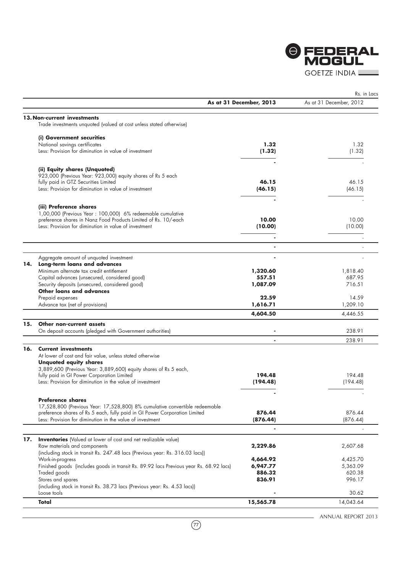O FEDERAL **GOETZE INDIA** 

|     |                                                                                           |                         | Rs. in Lacs             |
|-----|-------------------------------------------------------------------------------------------|-------------------------|-------------------------|
|     |                                                                                           | As at 31 December, 2013 | As at 31 December, 2012 |
|     | 13. Non-current investments                                                               |                         |                         |
|     | Trade investments unquoted (valued at cost unless stated otherwise)                       |                         |                         |
|     | (i) Government securities                                                                 |                         |                         |
|     | National savings certificates                                                             | 1.32                    | 1.32                    |
|     | Less: Provision for diminution in value of investment                                     | (1.32)                  | (1.32)                  |
|     | (ii) Equity shares (Unquoted)                                                             |                         |                         |
|     | 923,000 (Previous Year: 923,000) equity shares of Rs 5 each                               |                         |                         |
|     | fully paid in GTZ Securities Limited                                                      | 46.15                   | 46.15                   |
|     | Less: Provision for diminution in value of investment                                     | (46.15)                 | (46.15)                 |
|     |                                                                                           |                         |                         |
|     | (iii) Preference shares                                                                   |                         |                         |
|     | 1,00,000 (Previous Year: 100,000) 6% redeemable cumulative                                |                         |                         |
|     | preference shares in Nanz Food Products Limited of Rs. 10/-each                           | 10.00                   | 10.00                   |
|     | Less: Provision for diminution in value of investment                                     | (10.00)                 | (10.00)                 |
|     |                                                                                           |                         |                         |
|     |                                                                                           |                         |                         |
|     | Aggregate amount of unquoted investment                                                   |                         |                         |
| 14. | Long-term loans and advances                                                              |                         |                         |
|     | Minimum alternate tax credit entitlement                                                  | 1,320.60                | 1,818.40                |
|     | Capital advances (unsecured, considered good)                                             | 557.51                  | 687.95                  |
|     | Security deposits (unsecured, considered good)<br>Other loans and advances                | 1,087.09                | 716.51                  |
|     | Prepaid expenses                                                                          | 22.59                   | 14.59                   |
|     | Advance tax (net of provisions)                                                           | 1,616.71                | 1,209.10                |
|     |                                                                                           | 4,604.50                | 4,446.55                |
| 15. | Other non-current assets                                                                  |                         |                         |
|     | On deposit accounts (pledged with Government authorities)                                 |                         | 238.91                  |
|     |                                                                                           |                         | 238.91                  |
| 16. | <b>Current investments</b>                                                                |                         |                         |
|     | At lower of cost and fair value, unless stated otherwise<br><b>Unquoted equity shares</b> |                         |                         |
|     | 3,889,600 (Previous Year: 3,889,600) equity shares of Rs 5 each,                          |                         |                         |
|     | fully paid in GI Power Corporation Limited                                                | 194.48                  | 194.48                  |
|     | Less: Provision for diminution in the value of investment                                 | (194.48)                | (194.48)                |
|     |                                                                                           |                         |                         |
|     | <b>Preference shares</b>                                                                  |                         |                         |
|     | 17,528,800 (Previous Year: 17,528,800) 8% cumulative convertible redeemable               |                         |                         |
|     | preference shares of Rs 5 each, fully paid in GI Power Corporation Limited                | 876.44                  | 876.44                  |
|     | Less: Provision for diminution in the value of investment                                 | (876.44)                | (876.44)                |
|     |                                                                                           |                         |                         |
| 17. | <b>Inventories</b> (Valued at lower of cost and net realizable value)                     |                         |                         |
|     | Raw materials and components                                                              | 2,229.86                | 2,607.68                |
|     | (including stock in transit Rs. 247.48 lacs (Previous year: Rs. 316.03 lacs))             |                         |                         |
|     | Work-in-progress                                                                          | 4,664.92                | 4,425.70                |
|     | Finished goods (includes goods in transit Rs. 89.92 lacs Previous year Rs. 68.92 lacs)    | 6,947.77                | 5,363.09                |
|     | Traded goods                                                                              | 886.32                  | 620.38                  |
|     | Stores and spares                                                                         | 836.91                  | 996.17                  |
|     | (including stock in transit Rs. 38.73 lacs (Previous year: Rs. 4.53 lacs))<br>Loose tools |                         | 30.62                   |
|     | Total                                                                                     | 15,565.78               | 14,043.64               |
|     |                                                                                           |                         |                         |

- ANNUAL REPORT 2013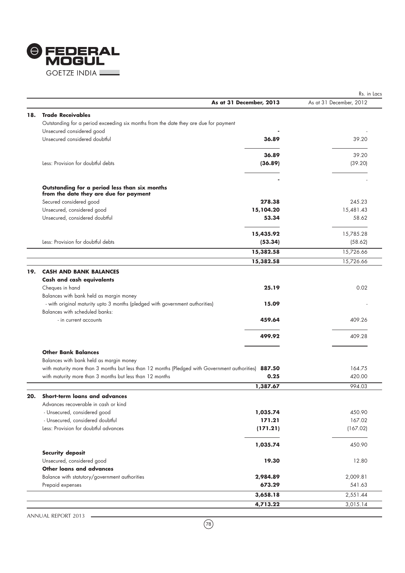

|     |                                                                                                                |                         | Rs. in Lacs             |
|-----|----------------------------------------------------------------------------------------------------------------|-------------------------|-------------------------|
|     |                                                                                                                | As at 31 December, 2013 | As at 31 December, 2012 |
| 18. | <b>Trade Receivables</b>                                                                                       |                         |                         |
|     | Outstanding for a period exceeding six months from the date they are due for payment                           |                         |                         |
|     | Unsecured considered good                                                                                      |                         |                         |
|     | Unsecured considered doubtful                                                                                  | 36.89                   | 39.20                   |
|     |                                                                                                                | 36.89                   | 39.20                   |
|     | Less: Provision for doubtful debts                                                                             | (36.89)                 | (39.20)                 |
|     |                                                                                                                |                         |                         |
|     | Outstanding for a period less than six months<br>from the date they are due for payment                        |                         |                         |
|     | Secured considered good                                                                                        | 278.38                  | 245.23                  |
|     | Unsecured, considered good                                                                                     | 15,104.20               | 15,481.43               |
|     | Unsecured, considered doubtful                                                                                 | 53.34                   | 58.62                   |
|     |                                                                                                                | 15,435.92               | 15,785.28               |
|     | Less: Provision for doubtful debts                                                                             | (53.34)                 | (58.62)                 |
|     |                                                                                                                | 15,382.58               | 15,726.66               |
|     |                                                                                                                | 15,382.58               | 15,726.66               |
| 19. | <b>CASH AND BANK BALANCES</b>                                                                                  |                         |                         |
|     | Cash and cash equivalents                                                                                      |                         |                         |
|     | Cheques in hand                                                                                                | 25.19                   | 0.02                    |
|     | Balances with bank held as margin money                                                                        |                         |                         |
|     | - with original maturity upto 3 months (pledged with government authorities)<br>Balances with scheduled banks: | 15.09                   |                         |
|     | - in current accounts                                                                                          | 459.64                  | 409.26                  |
|     |                                                                                                                | 499.92                  | 409.28                  |
|     | <b>Other Bank Balances</b>                                                                                     |                         |                         |
|     | Balances with bank held as margin money                                                                        |                         |                         |
|     | with maturity more than 3 months but less than 12 months (Pledged with Government authorities) 887.50          |                         | 164.75                  |
|     | with maturity more than 3 months but less than 12 months                                                       | 0.25                    | 420.00                  |
|     |                                                                                                                | 1,387.67                | 994.03                  |
| 20. | Short-term loans and advances                                                                                  |                         |                         |
|     | Advances recoverable in cash or kind                                                                           |                         |                         |
|     | - Unsecured, considered good                                                                                   | 1,035.74                | 450.90                  |
|     | - Unsecured, considered doubtful                                                                               | 171.21                  | 167.02                  |
|     | Less: Provision for doubtful advances                                                                          | (171.21)                | (167.02)                |
|     |                                                                                                                | 1,035.74                | 450.90                  |
|     | <b>Security deposit</b>                                                                                        |                         |                         |
|     | Unsecured, considered good<br>Other loans and advances                                                         | 19.30                   | 12.80                   |
|     | Balance with statutory/government authorities                                                                  | 2,984.89                | 2,009.81                |
|     | Prepaid expenses                                                                                               | 673.29                  | 541.63                  |
|     |                                                                                                                | 3,658.18                | 2,551.44                |
|     |                                                                                                                | 4,713.22                | 3,015.14                |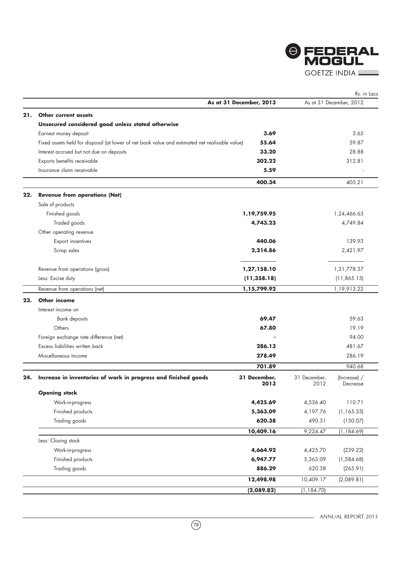

|     |                                                                                                |                         |                      | Rs. in Lacs              |
|-----|------------------------------------------------------------------------------------------------|-------------------------|----------------------|--------------------------|
|     |                                                                                                | As at 31 December, 2013 |                      | As at 31 December, 2012  |
| 21. | Other current assets                                                                           |                         |                      |                          |
|     | Unsecured considered good unless stated otherwise                                              |                         |                      |                          |
|     | Earnest money deposit                                                                          | 3.69                    |                      | 3.65                     |
|     | Fixed assets held for disposal (at lower of net book value and estimated net realisable value) | 55.64                   |                      | 59.87                    |
|     | Interest accrued but not due on deposits                                                       | 33.20                   |                      | 28.88                    |
|     | Exports benefits receivable                                                                    | 302.22                  |                      | 312.81                   |
|     | Insurance claim receivable                                                                     | 5.59                    |                      |                          |
|     |                                                                                                | 400.34                  |                      | 405.21                   |
| 22. | <b>Revenue from operations (Net)</b>                                                           |                         |                      |                          |
|     | Sale of products                                                                               |                         |                      |                          |
|     | Finished goods                                                                                 | 1,19,759.95             |                      | 1,24,466.63              |
|     | Traded goods                                                                                   | 4,743.23                |                      | 4,749.84                 |
|     | Other operating revenue                                                                        |                         |                      |                          |
|     | Export incentives                                                                              | 440.06                  |                      | 139.93                   |
|     | Scrap sales                                                                                    | 2,214.86                |                      | 2,421.97                 |
|     | Revenue from operations (gross)                                                                | 1,27,158.10             |                      | 1,31,778.37              |
|     | Less: Excise duty                                                                              | (11, 358.18)            |                      | (11, 865.15)             |
|     | Revenue from operations (net)                                                                  | 1,15,799.92             |                      | 1,19,913.22              |
| 23. | Other income                                                                                   |                         |                      |                          |
|     | Interest income on                                                                             |                         |                      |                          |
|     | <b>Bank deposits</b>                                                                           | 69.47                   |                      | 59.63                    |
|     | Others                                                                                         | 67.80                   |                      | 19.19                    |
|     | Foreign exchange rate difference (net)                                                         |                         |                      | 94.00                    |
|     | Excess liabilities written back                                                                | 286.13                  |                      | 481.67                   |
|     | Miscellaneous Income                                                                           | 278.49                  |                      | 286.19                   |
|     |                                                                                                | 701.89                  |                      | 940.68                   |
| 24. | Increase in inventories of work in progress and finished goods                                 | 31 December,<br>2013    | 31 December,<br>2012 | (Increase) /<br>Decrease |
|     | <b>Opening stock</b>                                                                           |                         |                      |                          |
|     | Work-in-progress                                                                               | 4,425.69                | 4,536.40             | 110.71                   |
|     | Finished products                                                                              | 5,363.09                | 4,197.76             | (1, 165.33)              |
|     | Trading goods                                                                                  | 620.38                  | 490.31               | (130.07)                 |
|     |                                                                                                | 10,409.16               | 9,224.47             | (1, 184.69)              |
|     | Less: Closing stock                                                                            |                         |                      |                          |
|     | Work-in-progress                                                                               | 4,664.92                | 4,425.70             | (239.22)                 |
|     | Finished products                                                                              | 6,947.77                | 5,363.09             | (1, 584.68)              |
|     | Trading goods                                                                                  | 886.29                  | 620.38               | (265.91)                 |
|     |                                                                                                | 12,498.98               | 10,409.17            | (2,089.81)               |
|     |                                                                                                | (2,089.82)              | (1, 184.70)          |                          |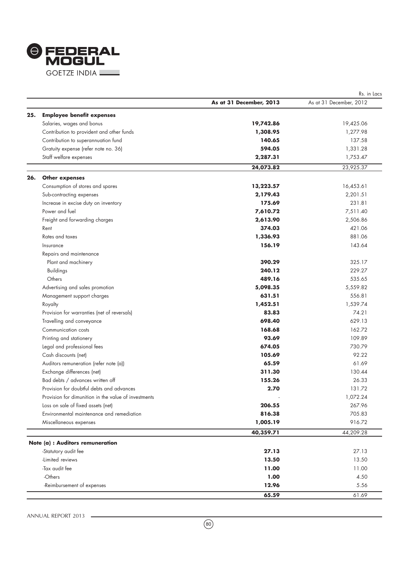

|     |                                                      |                         | Rs. in Lacs             |
|-----|------------------------------------------------------|-------------------------|-------------------------|
|     |                                                      | As at 31 December, 2013 | As at 31 December, 2012 |
| 25. | <b>Employee benefit expenses</b>                     |                         |                         |
|     | Salaries, wages and bonus                            | 19,742.86               | 19,425.06               |
|     | Contribution to provident and other funds            | 1,308.95                | 1,277.98                |
|     | Contribution to superannuation fund                  | 140.65                  | 137.58                  |
|     | Gratuity expense (refer note no. 36)                 | 594.05                  | 1,331.28                |
|     | Staff welfare expenses                               | 2,287.31                | 1,753.47                |
|     |                                                      | 24,073.82               | 23,925.37               |
| 26. | Other expenses                                       |                         |                         |
|     | Consumption of stores and spares                     | 13,223.57               | 16,453.61               |
|     | Sub-contracting expenses                             | 2,179.43                | 2,201.51                |
|     | Increase in excise duty on inventory                 | 175.69                  | 231.81                  |
|     | Power and fuel                                       | 7,610.72                | 7,511.40                |
|     | Freight and forwarding charges                       | 2,613.90                | 2,506.86                |
|     | Rent                                                 | 374.03                  | 421.06                  |
|     | Rates and taxes                                      | 1,336.93                | 881.06                  |
|     | Insurance                                            | 156.19                  | 143.64                  |
|     | Repairs and maintenance                              |                         |                         |
|     | Plant and machinery                                  | 390.29                  | 325.17                  |
|     | <b>Buildings</b>                                     | 240.12                  | 229.27                  |
|     | Others                                               | 489.16                  | 535.65                  |
|     | Advertising and sales promotion                      | 5,098.35                | 5,559.82                |
|     | Management support charges                           | 631.51                  | 556.81                  |
|     | Royalty                                              | 1,452.51                | 1,539.74                |
|     | Provision for warranties (net of reversals)          | 83.83                   | 74.21                   |
|     | Travelling and conveyance                            | 698.40                  | 629.13                  |
|     | Communication costs                                  | 168.68                  | 162.72                  |
|     | Printing and stationery                              | 93.69                   | 109.89                  |
|     | Legal and professional fees                          | 674.05                  | 730.79                  |
|     | Cash discounts (net)                                 | 105.69                  | 92.22                   |
|     | Auditors remuneration (refer note (a))               | 65.59                   | 61.69                   |
|     | Exchange differences (net)                           | 311.30                  | 130.44                  |
|     | Bad debts / advances written off                     | 155.26                  | 26.33                   |
|     | Provision for doubtful debts and advances            | 2.70                    | 131.72                  |
|     | Provision for dimunition in the value of investments |                         | 1,072.24                |
|     | Loss on sale of fixed assets (net)                   | 206.55                  | 267.96                  |
|     | Environmental maintenance and remediation            | 816.38                  | 705.83                  |
|     | Miscellaneous expenses                               | 1,005.19                | 916.72                  |
|     |                                                      | 40,359.71               | 44,209.28               |
|     | Note (a) : Auditors remuneration                     |                         |                         |
|     | -Statutory audit fee                                 | 27.13                   | 27.13                   |
|     | -Limited reviews                                     | 13.50                   | 13.50                   |
|     | -Tax audit fee                                       | 11.00                   | 11.00                   |
|     | -Others                                              |                         |                         |
|     |                                                      | 1.00                    | 4.50                    |
|     | -Reimbursement of expenses                           | 12.96                   | 5.56                    |
|     |                                                      | 65.59                   | 61.69                   |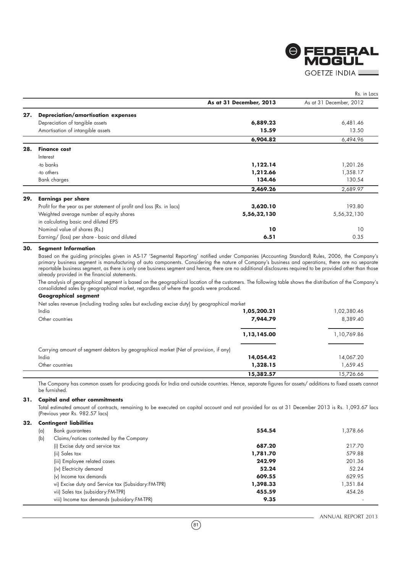FEDERAL<br>MOGUL **GOFTZE INDIA L** 

Rs. in Lacs

|     |                                                                       |                         | KS. IN LACS             |
|-----|-----------------------------------------------------------------------|-------------------------|-------------------------|
|     |                                                                       | As at 31 December, 2013 | As at 31 December, 2012 |
| 27. | <b>Depreciation/amortisation expenses</b>                             |                         |                         |
|     | Depreciation of tangible assets                                       | 6,889.23                | 6,481.46                |
|     | Amortisation of intangible assets                                     | 15.59                   | 13.50                   |
|     |                                                                       | 6,904.82                | 6,494.96                |
| 28. | <b>Finance cost</b>                                                   |                         |                         |
|     | Interest                                                              |                         |                         |
|     | -to banks                                                             | 1,122.14                | 1,201.26                |
|     | -to others                                                            | 1,212.66                | 1,358.17                |
|     | Bank charges                                                          | 134.46                  | 130.54                  |
|     |                                                                       | 2,469.26                | 2,689.97                |
| 29. | <b>Earnings per share</b>                                             |                         |                         |
|     | Profit for the year as per statement of profit and loss (Rs. in lacs) | 3,620.10                | 193.80                  |
|     | Weighted average number of equity shares                              | 5,56,32,130             | 5,56,32,130             |
|     | in calculating basic and diluted EPS                                  |                         |                         |
|     | Nominal value of shares (Rs.)                                         | 10                      | 10                      |
|     | Earning/ (loss) per share - basic and diluted                         | 6.51                    | 0.35                    |

# **30. Segment Information**

Based on the guiding principles given in AS-17 'Segmental Reporting' notified under Companies (Accounting Standard) Rules, 2006, the Company's primary business segment is manufacturing of auto components. Considering the nature of Company's business and operations, there are no separate reportable business segment, as there is only one business segment and hence, there are no additional disclosures required to be provided other than those already provided in the financial statements.

The analysis of geographical segment is based on the geographical location of the customers. The following table shows the distribution of the Company's consolidated sales by geographical market, regardless of where the goods were produced.

#### **Geographical segment**

Net sales revenue (including trading sales but excluding excise duty) by geographical market

| India<br>Other countries                                                             | 1,05,200.21<br>7,944.79 | 1,02,380.46<br>8,389.40 |
|--------------------------------------------------------------------------------------|-------------------------|-------------------------|
|                                                                                      | 1,13,145.00             | 1,10,769.86             |
| Carrying amount of segment debtors by geographical market (Net of provision, if any) |                         |                         |
| India                                                                                | 14,054.42               | 14,067.20               |
| Other countries                                                                      | 1,328.15                | 1,659.45                |
|                                                                                      | 15,382.57               | 15,726.66               |

The Company has common assets for producing goods for India and outside countries. Hence, separate figures for assets/ additions to fixed assets cannot be furnished.

#### **31. Capital and other commitments**

Total estimated amount of contracts, remaining to be executed on capital account and not provided for as at 31 December 2013 is Rs. 1,093.67 lacs (Previous year Rs. 982.57 lacs)

#### **32. Contingent liabilities**

| $(\alpha)$ | Bank guarantees                                    | 554.54   | 1,378.66 |
|------------|----------------------------------------------------|----------|----------|
| (b)        | Claims/notices contested by the Company            |          |          |
|            | (i) Excise duty and service tax                    | 687.20   | 217.70   |
|            | (ii) Sales tax                                     | 1,781.70 | 579.88   |
|            | (iii) Employee related cases                       | 242.99   | 201.36   |
|            | (iv) Electricity demand                            | 52.24    | 52.24    |
|            | (v) Income tax demands                             | 609.55   | 629.95   |
|            | vi) Excise duty and Service tax (Subsidary:FM-TPR) | 1,398.33 | 1,351.84 |
|            | vii) Sales tax (subsidary:FM-TPR)                  | 455.59   | 454.26   |
|            | viii) Income tax demands (subsidary:FM-TPR)        | 9.35     |          |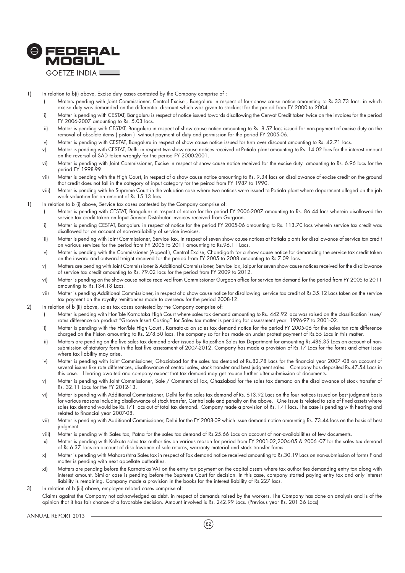

- 1) In relation to b(i) above, Excise duty cases contested by the Company comprise of :
	- i) Matters pending with Joint Commissioner, Central Excise , Bangaluru in respect of four show cause notice amounting to Rs.33.73 lacs. in which excise duty was demanded on the differential discount which was given to stockiest for the period from FY 2000 to 2004.
	- ii) Matter is pending with CESTAT, Bangaluru is respect of notice issued towards disallowing the Cenvat Credit taken twice on the invoices for the period FY 2006-2007 amounting to Rs. 5.03 lacs.
	- iii) Matter is pending with CESTAT, Bangaluru in respect of show cause notice amounting to Rs. 8.57 lacs issued for non-payment of excise duty on the removal of obsolete items ( piston ) without payment of duty and permission for the period FY 2005-06.
	- iv) Matter is pending with CESTAT, Bangaluru in respect of show cause notice issued for turn over discount amounting to Rs. 42.71 lacs.
	- v) Matter is pending with CESTAT, Delhi in respect two show cause notices received at Patiala plant amounting to Rs. 14.02 lacs for the interest amount on the reversal of SAD taken wrongly for the period FY 2000-2001.
	- vi) Matter is pending with Joint Commissioner, Excise in respect of show cause notice received for the excise duty amounting to Rs. 6.96 lacs for the period FY 1998-99.
	- vii) Matter is pending with the High Court, in respect of a show cause notice amounting to Rs. 9.34 lacs on disallowance of excise credit on the ground that credit does not fall in the category of input category for the peirod from FY 1987 to 1990.
	- viii) Matter is pending with he Supreme Court in the valuation case where two notices were issued to Patiala plant where department alleged on the job work valuation for an amount of Rs.15.13 lacs.
- 1) In relation to b (i) above, Service tax cases contested by the Company comprise of:
	- i) Matter is pending with CESTAT, Bangaluru in respect of notice for the period FY 2006-2007 amounting to Rs. 86.44 lacs wherein disallowed the service tax credit taken on Input Service Distributor invoices received from Gurgaon.
	- ii) Matter is pending CESTAT, Bangaluru in respect of notice for the period FY 2005-06 amounting to Rs. 113.70 lacs wherein service tax credit was disallowed for on account of non-availability of service invoices.
	- iii) Matter is pending with Joint Commissioner, Service Tax, in respect of seven show cause notices at Patiala plants for disallowance of service tax credit on various services for the period from FY 2005 to 2011 amounting to Rs.96.11 Lacs.
	- iv) Matter is pending with the Commissioner (Appeal ), Central Excise, Chandigarh for a show cause notice for demanding the service tax credit taken on the inward and outward freight received for the period from FY 2005 to 2008 amounting to Rs.7.09 Lacs.
	- v) Matters are pending with Joint Commissioner & Additional Commissioner, Service Tax, Jaipur for seven show cause notices received for the disallowance of service tax credit amounting to Rs. 79.02 lacs for the period from FY 2009 to 2012.
	- vi) Matter is pending on the show cause notice received from Commissioner Gurgaon office for service tax demand for the period from FY 2005 to 2011 amounting to Rs.134.18 Lacs.
	- vii) Matter is pending Additional Commissioner, in respect of a show cause notice for disallowing service tax credit of Rs.35.12 Lacs taken on the service tax payment on the royalty remittances made to overseas for the period 2008-12.
- 2) In relation of b (ii) above, sales tax cases contested by the Company comprise of:
	- i) Matter is pending with Hon'ble Karnataka High Court where sales tax demand amounting to Rs. 442.92 lacs was raised on the classification issue/ rates difference on product "Groove Insert Casting" for Sales tax matter is pending for assessment year 1996-97 to 2001-02.
	- ii) Matter is pending with the Hon'ble High Court , Karnataka on sales tax demand notice for the period FY 2005-06 for the sales tax rate difference charged on the Piston amounting to Rs. 278.50 lacs. The company so far has made an under protest payment of Rs.55 Lacs in this matter.
	- iii) Matters are pending on the five sales tax demand order issued by Rajasthan Sales tax Department for amounting Rs.486.35 Lacs on account of nonsubmission of statutory form in the last five assessment of 2007-2012. Company has made a provision of Rs.17 Lacs for the forms and other issue where tax liability may arise.
	- iv) Matter is pending with Joint Commissioner, Ghaziabad for the sales tax demand of Rs.82.78 Lacs for the financial year 2007 -08 on account of several issues like rate differences, disallowance of central sales, stock transfer and best judgment sales. Company has deposited Rs.47.54 Lacs in this case. Hearing awaited and company expect that tax demand may get reduce further after submission of documents.
	- v) Matter is pending with Joint Commissioner, Sale / Commercial Tax, Ghaziabad for the sales tax demand on the disallowance of stock transfer of Rs. 32.11 Lacs for the FY 2012-13.
	- vi) Matter is pending with Additional Commissioner, Delhi for the sales tax demand of Rs. 613.92 Lacs on the four notices issued on best judgment basis for various reasons including disallowance of stock transfer, Central sale and penalty on the above. One issue is related to sale of fixed assets where sales tax demand would be Rs.171 lacs out of total tax demand. Company made a provision of Rs. 171 lacs. The case is pending with hearing and related to financial year 2007-08.
	- vii) Matter is pending with Additional Commissioner, Delhi for the FY 2008-09 which issue demand notice amounting Rs. 73.44 lacs on the basis of best judgment.
	- viii) Matter is pending with Sales tax, Patna for the sales tax demand of Rs.25.66 Lacs on account of non-availabilities of few documents.
	- ix) Matter is pending with Kolkata sales tax authorities on various reason for period from FY 2001-02,2004-05 & 2006 -07 for the sales tax demand of Rs.6.37 Lacs on account of disallowance of sale returns, warranty material and stock transfer forms.
	- x) Matter is pending with Maharashtra Sales tax in respect of Tax demand notice received amounting to Rs.30.19 Lacs on non-submission of forms F and matter is pending with next appellate authorities.
	- xi) Matters are pending before the Karnataka VAT on the entry tax payment on the capital assets where tax authorities demanding entry tax along with interest amount. Similar case is pending before the Supreme Court for decision. In this case, company started paying entry tax and only interest liability is remaining. Company made a provision in the books for the interest liability of Rs.227 lacs.
- 3) In relation of b (iii) above, employee related cases comprise of:

Claims against the Company not acknowledged as debt, in respect of demands raised by the workers. The Company has done an analysis and is of the opinion that it has fair chance of a favorable decision. Amount involved is Rs. 242.99 Lacs. (Previous year Rs. 201.36 Lacs)

ANNUAL REPORT 2013

 $(82)$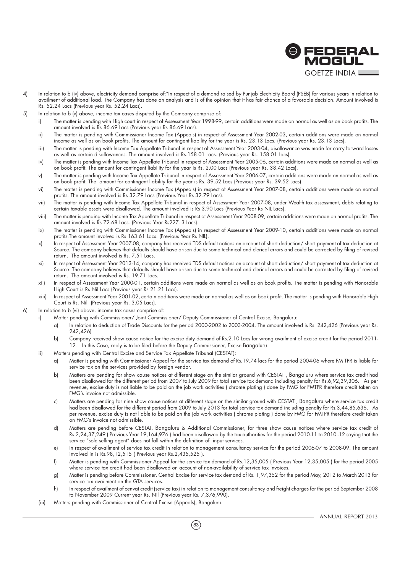

- 4) In relation to b (iv) above, electricity demand comprise of: "In respect of a demand raised by Punjab Electricity Board (PSEB) for various years in relation to availment of additional load. The Company has done an analysis and is of the opinion that it has fair chance of a favorable decision. Amount involved is Rs. 52.24 Lacs (Previous year Rs. 52.24 Lacs).
- 5) In relation to b (v) above, income tax cases disputed by the Company comprise of:
	- i) The matter is pending with High court in respect of Assessment Year 1998-99, certain additions were made on normal as well as on book profits. The amount involved is Rs 86.69 Lacs (Previous year Rs 86.69 Lacs).
	- ii) The matter is pending with Commissioner Income Tax (Appeals) in respect of Assessment Year 2002-03, certain additions were made on normal income as well as on book profits. The amount for contingent liability for the year is Rs. 23.13 Lacs. (Previous year Rs. 23.13 Lacs).
	- iii) The matter is pending with Income Tax Appellate Tribunal in respect of Assessment Year 2003-04, disallowance was made for carry forward losses as well as certain disallowances. The amount involved is Rs.158.01 Lacs. (Previous year Rs. 158.01 Lacs).
	- iv) The matter is pending with Income Tax Appellate Tribunal in respect of Assessment Year 2005-06, certain additions were made on normal as well as on book profit. The amount for contingent liability for the year is Rs. 2.00 Lacs (Previous year Rs. 38.42 Lacs).
	- v) The matter is pending with Income Tax Appellate Tribunal in respect of Assessment Year 2006-07, certain additions were made on normal as well as on book profit. The amount for contingent liability for the year is Rs. 39.52 Lacs (Previous year Rs. 39.52 Lacs).
	- vi) The matter is pending with Commissioner Income Tax (Appeals) in respect of Assessment Year 2007-08, certain additions were made on normal profits. The amount involved is Rs 32.79 Lacs (Previous Year Rs 32.79 Lacs).
	- vii) The matter is pending with Income Tax Appellate Tribunal in respect of Assessment Year 2007-08, under Wealth tax assessment, debts relating to certain taxable assets were disallowed. The amount involved is Rs 3.90 Lacs (Previous Year Rs NIL Lacs).
	- viii) The matter is pending with Income Tax Appellate Tribunal in respect of Assessment Year 2008-09, certain additions were made on normal profits. The amount involved is Rs 72.68 Lacs. (Previous Year Rs227.l3 Lacs).
	- ix) The matter is pending with Commissioner Income Tax (Appeals) in respect of Assessment Year 2009-10, certain additions were made on normal profits.The amount involved is Rs 163.61 Lacs. (Previous Year Rs NIL).
	- x) In respect of Assessment Year 2007-08, company has received TDS default notices on account of short deduction/ short payment of tax deduction at Source. The company believes that defaults should have arisen due to some technical and clerical errors and could be corrected by filing of revised return. The amount involved is Rs. 7.51 Lacs.
	- xi) In respect of Assessment Year 2013-14, company has received TDS default notices on account of short deduction/ short payment of tax deduction at Source. The company believes that defaults should have arisen due to some technical and clerical errors and could be corrected by filing of revised return. The amount involved is Rs. 19.71 Lacs.
	- xii) In respect of Assessment Year 2000-01, certain additions were made on normal as well as on book profits. The matter is pending with Honorable High Court is Rs Nil Lacs (Previous year Rs 21.21 Lacs).
	- xiii) In respect of Assessment Year 2001-02, certain additions were made on normal as well as on book profit. The matter is pending with Honorable High Court is Rs. Nil (Previous year Rs. 3.05 Lacs).
- 6) In relation to b (vi) above, income tax cases comprise of:
	- i) Matter pending with Commissioner/ Joint Commissioner/ Deputy Commissioner of Central Excise, Bangaluru:
		- a) In relation to deduction of Trade Discounts for the period 2000-2002 to 2003-2004. The amount involved is Rs. 242,426 (Previous year Rs. 242,426)
		- b) Company received show cause notice for the excise duty demand of Rs.2.10 Lacs for wrong availment of excise credit for the period 2011- 12. In this Case, reply is to be filed before the Deputy Commissioner, Excise Bangaluru.
	- ii) Matters pending with Central Excise and Service Tax Appellate Tribunal (CESTAT):
		- a) Matter is pending with Commissioner Appeal for the service tax demand of Rs.19.74 lacs for the period 2004-06 where FM TPR is liable for service tax on the services provided by foreign vendor.
		- b) Matters are pending for show cause notices at different stage on the similar ground with CESTAT , Bangaluru where service tax credit had been disallowed for the different period from 2007 to July 2009 for total service tax demand including penalty for Rs.6,92,39,306. As per revenue, excise duty is not liable to be paid on the job work activities ( chrome plating ) done by FMG for FMTPR therefore credit taken on FMG's invoice not admissible.
		- c) Matters are pending for nine show cause notices at different stage on the similar ground with CESTAT , Bangaluru where service tax credit had been disallowed for the different period from 2009 to July 2013 for total service tax demand including penalty for Rs.3,44,85,636. As per revenue, excise duty is not liable to be paid on the job work activities ( chrome plating ) done by FMG for FMTPR therefore credit taken on FMG's invoice not admissible.
		- d) Matters are pending before CESTAT, Bangaluru & Additional Commissioner, for three show cause notices where service tax credit of Rs.2,24,37,249 ( Previous Year 19,164,976 ) had been disallowed by the tax authorities for the period 2010-11 to 2010 -12 saying that the service "sole selling agent" does not fall within the definition of input services.
		- e) In respect of availment of service tax credit in relation to management consultancy service for the period 2006-07 to 2008-09. The amount involved in is Rs.98,12,515 ( Previous year Rs.2,435,525 ).
		- f) Matter is pending with Commissioner Appeal for the service tax demand of Rs.12,35,005 ( Previous Year 12,35,005 ) for the period 2005 where service tax credit had been disallowed on account of non-availability of service tax invoices.
		- g) Matter is pending before Commissioner, Central Excise for service tax demand of Rs. 1,97,352 for the period May, 2012 to March 2013 for service tax availment on the GTA services.
		- h) In respect of availment of cenvat credit (service tax) in relation to management consultancy and freight charges for the period September 2008 to November 2009 Current year Rs. Nil (Previous year Rs. 7,376,990).
	- (iii) Matters pending with Commissioner of Central Excise (Appeals), Bangaluru.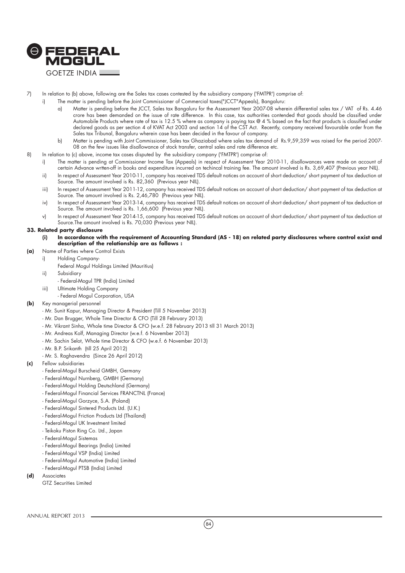

- 7) In relation to (b) above, following are the Sales tax cases contested by the subsidiary company ('FMTPR') comprise of:
	- The matter is pending before the Joint Commissioner of Commercial taxes("JCCT"Appeals), Bangaluru:
		- a) Matter is pending before the JCCT, Sales tax Bangaluru for the Assessment Year 2007-08 wherein differential sales tax / VAT of Rs. 4.46 crore has been demanded on the issue of rate difference. In this case, tax authorities contended that goods should be classified under Automobile Products where rate of tax is 12.5 % where as company is paying tax @ 4 % based on the fact that products is classified under declared goods as per section 4 of KVAT Act 2003 and section 14 of the CST Act. Recently, company received favourable order from the Sales tax Tribunal, Bangaluru wherein case has been decided in the favour of company.
		- b) Matter is pending with Joint Commissioner, Sales tax Ghaziabad where sales tax demand of Rs.9,59,359 was raised for the period 2007- 08 on the few issues like disallowance of stock transfer, central sales and rate difference etc.
- 8) In relation to (c) above, income tax cases disputed by the subsidiary company ('FMTPR') comprise of:
	- i) The matter is pending at Commissioner Income Tax (Appeals) in respect of Assessment Year 2010-11, disallowances were made on account of certain Advance wrtten-off in books and expenditure incurred on techincal training fee. The amount involved is Rs. 3,69,407 (Previous year NIL).
	- ii) In respect of Assessment Year 2010-11, company has received TDS default notices on account of short deduction/short payment of tax deduction at Source. The amount involved is Rs. 82,360 (Previous year NIL).
	- iii) In respect of Assessment Year 2011-12, company has received TDS default notices on account of short deduction/ short payment of tax deduction at Source. The amount involved is Rs. 2,46,780 (Previous year NIL).
	- iv) In respect of Assessment Year 2013-14, company has received TDS default notices on account of short deduction/ short payment of tax deduction at Source. The amount involved is Rs. 1,66,600 (Previous year NIL).
	- v) In respect of Assessment Year 2014-15, company has received TDS default notices on account of short deduction/ short payment of tax deduction at Source.The amount involved is Rs. 70,030 (Previous year NIL).

# **33. Related party disclosure**

- **(i) In accordance with the requirement of Accounting Standard (AS 18) on related party disclosures where control exist and description of the relationship are as follows :**
- **(a)** Name of Parties where Control Exists
- i) Holding Company-
	- Federal Mogul Holdings Limited (Mauritius)
	- ii) Subsidiary
		- Federal-Mogul TPR (India) Limited
	- iii) Ultimate Holding Company
		- Federal Mogul Corporation, USA
- **(b)** Key managerial personnel
	- Mr. Sunit Kapur, Managing Director & President (Till 5 November 2013)
	- Mr. Dan Brugger, Whole Time Director & CFO (Till 28 February 2013)
	- Mr. Vikrant Sinha, Whole time Director & CFO (w.e.f. 28 February 2013 till 31 March 2013)
	- Mr. Andreas Kolf, Managing Director (w.e.f. 6 November 2013)
	- Mr. Sachin Selot, Whole time Director & CFO (w.e.f. 6 November 2013)
	- Mr. B.P. Srikanth (till 25 April 2012)
	- Mr. S. Raghavendra (Since 26 April 2012)
- **(c)** Fellow subsidiaries
	- Federal-Mogul Burscheid GMBH, Germany
	- Federal-Mogul Nurnberg, GMBH (Germany)
	- Federal-Mogul Holding Deutschland (Germany)
	- Federal-Mogul Financial Services FRANCTNL (France)
	- Federal-Mogul Gorzyce, S.A. (Poland)
	- Federal-Mogul Sintered Products Ltd. (U.K.)
	- Federal-Mogul Friction Products Ltd (Thailand)
	- Federal-Mogul UK Investment limited
	- Teikoku Piston Ring Co. Ltd., Japan
	- Federal-Mogul Sistemas
	- Federal-Mogul Bearings (India) Limited
	- Federal-Mogul VSP (India) Limited
	- Federal-Mogul Automotive (India) Limited
	- Federal-Mogul PTSB (India) Limited

#### **(d)** Associates

GTZ Securities Limited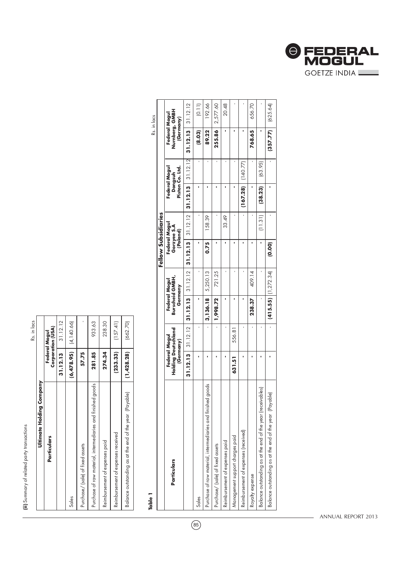(ii) Summary of related party transactions **(ii)** Summary of related party transactions

|                                    | Rs. in lacs |
|------------------------------------|-------------|
|                                    |             |
| Corporation (USA)<br>Federal Mogul |             |
| 31.12.13                           | 31.12.12    |
| $(6.478.95)$ $(4.140.66)$          |             |
| 57.75                              |             |
| 281.85                             | 933.63      |
| 274.34                             | 238.30      |
| (233.33)                           | (157.41)    |
| (1,428.28)                         | (662.70)    |
|                                    |             |

# **Table 1**

| Table 1                                                     |        |                                                   |          |                                             |                     |                                          |                                                                                    |                                             |                                              | Rs. in lacs |
|-------------------------------------------------------------|--------|---------------------------------------------------|----------|---------------------------------------------|---------------------|------------------------------------------|------------------------------------------------------------------------------------|---------------------------------------------|----------------------------------------------|-------------|
|                                                             |        |                                                   |          |                                             | Fellow Subsidiaries |                                          |                                                                                    |                                             |                                              |             |
| Particulars                                                 |        | Holding Deutschland<br>Federal Mogul<br>(Germany) |          | Burscheid GMBH,<br>Federal Mogul<br>Germany |                     | Federal Mogul<br>Gorzyee S.A<br>(Poland) |                                                                                    | Piston Co. Ltd.<br>Federal Mogul<br>Dongsuh | Nurnberg, GMBH<br>Federal Mogul<br>(Germany) |             |
|                                                             |        |                                                   |          |                                             |                     |                                          | 31.12.13   31.12.12   31.12.13   31.12.13   31.13   31.12.12   31.12.13   31.12.12 |                                             | $31.12.13$ 31.12.12                          |             |
| Sales                                                       |        |                                                   |          |                                             |                     |                                          |                                                                                    |                                             | (8.03)                                       | (0.11)      |
| Purchase of raw material, intermediaries and finished goods |        |                                                   | 3,136.18 | 5,250.13                                    | 0.75                | 158.39                                   | ı                                                                                  |                                             | 89.22                                        | 192.66      |
| Purchase/ (sale) of fixed assets                            |        |                                                   | 1,998.72 | 721.25                                      |                     |                                          |                                                                                    |                                             | 255.86                                       | 2,577.60    |
| Reimbursement of expenses paid                              |        |                                                   |          |                                             |                     | 33.49                                    |                                                                                    |                                             |                                              | 20.48       |
| Management support charges paid                             | 631.51 | 556.81                                            |          |                                             |                     |                                          |                                                                                    |                                             |                                              |             |
| Reimbursement of expenses (received)                        |        |                                                   |          |                                             |                     |                                          | (167.28)                                                                           | (140.77)                                    |                                              |             |
| Royalty expense                                             |        |                                                   | 238.37   | 409.14                                      |                     |                                          |                                                                                    |                                             | 768.65                                       | 656.70      |
| Balance outstanding as at the end of the year (receivables) |        |                                                   |          |                                             |                     | (11.31)                                  | (38.23)                                                                            | (63.95)                                     |                                              |             |
| Balance outstanding as at the end of the year (Payable)     |        |                                                   | (415.55) | (1, 272.34)                                 | (0.00)              |                                          |                                                                                    |                                             | (357.77)                                     | (625.64)    |



ANNUAL REPORT 2013

<sup><sup>85</sup></sup>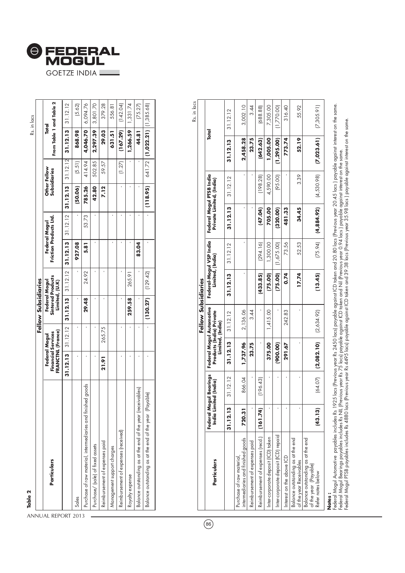

Rs. in lacs

 $\Theta$ 

FEDERAL<br>MOGUL

**GOETZE INDIA** 

|                                                                |                                                                        |          | Fellow Subsidiaries |                                                             |          |                                         |          |                              |                                   |          |
|----------------------------------------------------------------|------------------------------------------------------------------------|----------|---------------------|-------------------------------------------------------------|----------|-----------------------------------------|----------|------------------------------|-----------------------------------|----------|
| Particulars                                                    | <b>FRANCTNL (France)</b><br><b>Financial Services</b><br>Federal Mogul |          |                     | <b>Sintered Products</b><br>Federal Mogul<br>Limited, (U.K) |          | Friction Products Ltd.<br>Federal Mogul |          | Other Fellow<br>Subsidiaries | From Table 1 and Table 2<br>Total |          |
|                                                                | 31.12.13                                                               | 31.12.12 | 31.12.13            | 31.12.12                                                    | 31.12.13 | 31.12.12                                | 31.12.13 | 31.12.12                     | 31.12.13                          | 31.12.12 |
| Sales                                                          |                                                                        |          |                     |                                                             | 927.08   |                                         | (50.06)  | (5.51)                       | 868.98                            | (5.62)   |
| goods<br>Purchase of raw material, intermediaries and tinished |                                                                        |          | 29.48               | 24.92                                                       | 5.81     | 53.73                                   | 785.26   | 414.94                       | 4,046.70                          | 6,094.76 |
| Purchase/ (sale) of fixed assets                               |                                                                        |          |                     |                                                             |          |                                         | 42.80    | 502.85                       | 2,297.39                          | 3,801.70 |
| Reimbursement of expenses paid                                 | 21.91                                                                  | 265.75   |                     |                                                             |          |                                         | 7.12     | 59.57                        | 29.03                             | 379.28   |
| Management support charges                                     |                                                                        |          |                     |                                                             |          |                                         |          |                              | 631.51                            | 556.81   |
| Reimbursement of expenses (received)                           |                                                                        |          |                     |                                                             |          |                                         |          | (1.27)                       | (167.29)                          | 142.04   |
| Royalty expense                                                |                                                                        |          | 259.58              | 265.91                                                      |          |                                         |          |                              | 1,266.59                          | 1,331.74 |
| Balance outstanding as at the end of the year (receivables)    |                                                                        |          |                     |                                                             | 83.04    |                                         |          |                              | 44.81                             | (75.27)  |
| ole<br>Balance outstanding as at the end of the year [Payab    |                                                                        |          | (130.27)            | (129.42)                                                    |          |                                         | (118.95) |                              | $641.72$ (1,022.21) $(1.385.68)$  |          |

Rs. in lacs

86

|                                                                                 |              |                                      |                                                                          | Fellow Subsidiaries |                  |                         |                                                      |            |             |            |
|---------------------------------------------------------------------------------|--------------|--------------------------------------|--------------------------------------------------------------------------|---------------------|------------------|-------------------------|------------------------------------------------------|------------|-------------|------------|
| Particulars                                                                     | Federal Mogr | ul Bearings<br>India Limited (India) | Federal Mogul Automotive<br>Products (India) Private<br>Limited, (India) |                     | Limited, (India) | Federal-Mogul VSP India | Federal Mogul PTSB India<br>Private Limited, (India) |            | Total       |            |
|                                                                                 | 31.12.13     | 31.12.12                             | 31.12.13                                                                 | 31.12.12            | 31.12.13         | 31.12.12                | 31.12.13                                             | 31.12.12   | 31.12.13    | 31.12.12   |
| intermediaries and finished goods<br>Purchase of raw material                   | 720.31       | 866.04                               | 1,737.96                                                                 | 2,136.06            |                  |                         |                                                      |            | 2,458.28    | 3,002.10   |
| Reimbursement of expenses paid                                                  |              |                                      | 23.75                                                                    | 3.44                |                  |                         |                                                      |            | 23.75       | 3.4        |
| Reimbursement of expenses (recd.)                                               | (161.74)     | (196.43)                             |                                                                          |                     | (433.85)         | (294.16)                | (47.04)                                              | 198.28)    | (642.63)    | (688.88)   |
| Inter-corporate deposit (ICD) taken                                             |              |                                      | 375.00                                                                   | .415.00             | (75.00)          | 1,300.00                | 705.00                                               | 4,590.00   | 1,005.00    | 7,305.00   |
| Inter-corporate deposit (ICD) repaid                                            |              |                                      | (00.006)                                                                 |                     | (75.00)          | (1,675.00)              | (320.00)                                             | (95.00)    | (1, 295.00) | (1,770.00) |
| Interest on the above ICD                                                       |              |                                      | 291.67                                                                   | 242.83              | 0.74             | 73.56                   | 481.33                                               |            | 773.74      | 316.40     |
| Balance outstanding as at the end<br>of the year Receivables                    |              |                                      |                                                                          |                     | 17.74            | 52.53                   | 34.45                                                | 3.39       | 52.19       | 55.92      |
| Balance outstanding as at the end<br>of the year (Payable)<br>Refer notes below | (43.13)      | (64.07)                              | (2,082.10)                                                               | (2,634.92)          | (13.45)          | (75.94)                 | (4, 884.92)                                          | (4,530.98) | (7,023.61)  | (7,305.91) |
| Notes:                                                                          |              |                                      |                                                                          |                     |                  |                         |                                                      |            |             |            |

Federal Mogul Automative payables includes Rs 1925 lacs (Previous year Rs 2450 lacs) payable against ICD taken and 20.80 lacs (Previous year 20.45 lacs ) payable against interest on the same.<br>Federal Mogul Bearings payabl Federal Mogul Automotive payables includes Rs 1925 lacs (Previous year Rs 2450 lacs) payable against ICD taken and 20.80 lacs (Previous year 20.45 lacs ) payable against interest on the same. Federal Mogul Bearings payables includes Rs NIL (Previous year Rs 75 lacs) payable against ICD taken and Nil (Previous year 0.94 lacs ) payable against interest on the same. Federal Mogul PTSB payables includes Rs 4880 lacs (Previous year Rs 4495 lacs) payable against ICD taken and 39.38 lacs (Previous year 35.98 lacs ) payable against interest on the same.

**Table 2**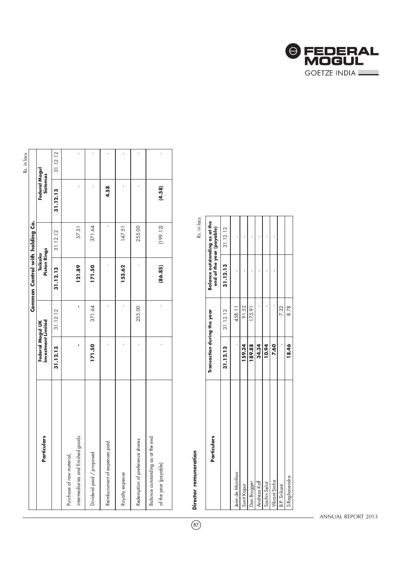|                                                               |                                        |          | Common Control with holding Co. |          |                           |          |
|---------------------------------------------------------------|----------------------------------------|----------|---------------------------------|----------|---------------------------|----------|
| Particulars                                                   | Investment Limited<br>Federal Mogul UK |          | <b>Piston Rings</b><br>Teikoku  |          | Federal Mogul<br>Sistemas |          |
|                                                               | 31.12.13                               | 31.12.12 | 31.12.13                        | 31.12.12 | 31.12.13                  | 31.12.12 |
| Purchase of raw material,                                     |                                        |          |                                 |          |                           |          |
| 1 goods<br>intermediaries and finished                        |                                        |          | 121.89                          | 57.31    |                           |          |
| Dividend paid / proposed                                      | 171.50                                 | 371.64   | 171.50                          | 371.64   |                           |          |
| Reimbursment of expenses paid                                 |                                        |          |                                 |          | 4.58                      |          |
| Royalty expense                                               |                                        |          | 53.62                           | 147.51   |                           |          |
| Redemption of preference shares                               |                                        | 255.00   |                                 | 255.00   |                           |          |
| the end<br>Balance outstanding as at<br>of the year (payable) |                                        |          | (86.85)                         | (199.12) | (4.58)                    |          |

Director remuneration **Director remuneration**

Rs. in lacs

| Particulars         | Transaction during the year |          | end of the year (payable) | Balance outstanding as at the |
|---------------------|-----------------------------|----------|---------------------------|-------------------------------|
|                     | 31.12.13                    | 31.12.12 | 31.12.13                  | 31.12.12                      |
| Jean de Montlaur    |                             | 458.11   |                           |                               |
| Sunit Kapur         | 159.34                      | 91.52    |                           |                               |
| Dan Brugger         | 189.88                      | 175.91   |                           |                               |
| Andreas Kolf        | 34.34                       |          |                           |                               |
| Sachin Selot        | 10.94                       |          |                           |                               |
| Vikrant Sinha       | 7.60                        |          |                           |                               |
| <b>B.P.</b> Srikant |                             | 7.32     |                           |                               |
| S Raghavendra       | 18.46                       | 8.78     |                           |                               |

Rs. in lacs

ANNUAL REPORT 2013



 $\overline{\circ}$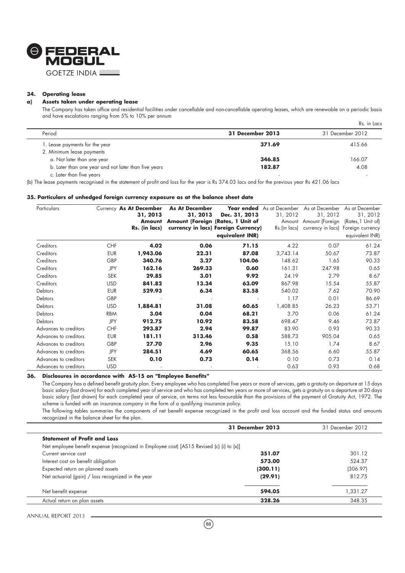

#### **34. Operating lease**

#### **a) Assets taken under operating lease**

The Company has taken office and residential facilities under cancellable and non-cancellable operating leases, which are renewable on a periodic basis and have escalations ranging from 5% to 10% per annum

|                                                                                    |                         | Rs. in Lacs      |
|------------------------------------------------------------------------------------|-------------------------|------------------|
| Period                                                                             | <b>31 December 2013</b> | 31 December 2012 |
| 1. Lease payments for the year<br>2. Minimum lease payments                        | 371.69                  | 415.66           |
| a. Not later than one year<br>b. Later than one year and not later than five years | 346.85<br>182.87        | 166.07<br>4.08   |
|                                                                                    |                         |                  |

c. Later than five years

(b) The lease payments recognised in the statement of profit and loss for the year is Rs 374.03 lacs and for the previous year Rs 421.06 lacs

#### **35. Particulars of unhedged foreign currency exposure as at the balance sheet date**

| Particulars           |            | Currency As At December<br>31, 2013 | <b>As At December</b><br>31, 2013 | Year ended<br>Dec. 31, 2013         | As at December<br>31, 2012 | As at December<br>31, 2012                       | As at December<br>31, 2012 |
|-----------------------|------------|-------------------------------------|-----------------------------------|-------------------------------------|----------------------------|--------------------------------------------------|----------------------------|
|                       |            | Amount                              |                                   | Amount (Foreign (Rates, 1 Unit of   |                            | Amount Amount (Foreign (Rates, 1 Unit of)        |                            |
|                       |            | Rs. (in lacs)                       |                                   | currency in lacs) Foreign Currency) |                            | Rs. (in lacs) currency in lacs) Foreign currency |                            |
|                       |            |                                     |                                   | equivalent INR)                     |                            |                                                  | equivalent INR)            |
| Creditors             | <b>CHF</b> | 4.02                                | 0.06                              | 71.15                               | 4.22                       | 0.07                                             | 61.24                      |
| Creditors             | <b>EUR</b> | 1,943.06                            | 22.31                             | 87.08                               | 3,743.14                   | 50.67                                            | 73.87                      |
| Creditors             | GBP        | 340.76                              | 3.27                              | 104.06                              | 148.62                     | 1.65                                             | 90.33                      |
| Creditors             | <b>JPY</b> | 162.16                              | 269.33                            | 0.60                                | 161.31                     | 247.98                                           | 0.65                       |
| Creditors             | <b>SEK</b> | 29.85                               | 3.01                              | 9.92                                | 24.19                      | 2.79                                             | 8.67                       |
| Creditors             | <b>USD</b> | 841.82                              | 13.34                             | 63.09                               | 867.98                     | 15.54                                            | 55.87                      |
| Debtors               | <b>EUR</b> | 529.93                              | 6.34                              | 83.58                               | 540.02                     | 7.62                                             | 70.90                      |
| Debtors               | GBP        | $\overline{\phantom{a}}$            |                                   |                                     | 1.17                       | 0.01                                             | 86.69                      |
| Debtors               | <b>USD</b> | 1,884.81                            | 31.08                             | 60.65                               | 1,408.85                   | 26.23                                            | 53.71                      |
| <b>Debtors</b>        | <b>RBM</b> | 3.04                                | 0.04                              | 68.21                               | 3.70                       | 0.06                                             | 61.24                      |
| Debtors               | JPY        | 912.75                              | 10.92                             | 83.58                               | 698.47                     | 9.46                                             | 73.87                      |
| Advances to creditors | <b>CHF</b> | 293.87                              | 2.94                              | 99.87                               | 83.90                      | 0.93                                             | 90.33                      |
| Advances to creditors | <b>EUR</b> | 181.11                              | 313.46                            | 0.58                                | 588.73                     | 905.04                                           | 0.65                       |
| Advances to creditors | GBP        | 27.70                               | 2.96                              | 9.35                                | 15.10                      | 1.74                                             | 8.67                       |
| Advances to creditors | JPY        | 284.51                              | 4.69                              | 60.65                               | 368.56                     | 6.60                                             | 55.87                      |
| Advances to creditors | <b>SEK</b> | 0.10                                | 0.73                              | 0.14                                | 0.10                       | 0.73                                             | 0.14                       |
| Advances to creditors | <b>USD</b> |                                     |                                   |                                     | 0.63                       | 0.93                                             | 0.68                       |

## **36. Disclosures in accordance with AS-15 on "Employee Benefits"**

The Company has a defined benefit gratuity plan. Every employee who has completed five years or more of services, gets a gratuity on departure at 15 days basic salary (last drawn) for each completed year of service and who has completed ten years or more of services, gets a gratuity on a departure at 30 days basic salary (last drawn) for each completed year of service, on terms not less favourable than the provisions of the payment of Gratuity Act, 1972. The scheme is funded with an insurance company in the form of a qualifying insurance policy.

The following tables summaries the components of net benefit expense recognized in the profit and loss account and the funded status and amounts recognized in the balance sheet for the plan.

| <b>31 December 2013</b> | 31 December 2012                                                                         |
|-------------------------|------------------------------------------------------------------------------------------|
|                         |                                                                                          |
|                         |                                                                                          |
| 351.07                  | 301.12                                                                                   |
| 573.00                  | 524.37                                                                                   |
| (300.11)                | (306.97)                                                                                 |
| (29.91)                 | 812.75                                                                                   |
| 594.05                  | 1,331.27                                                                                 |
| 328.26                  | 348.35                                                                                   |
|                         | Net employee benefit expense (recognized in Employee cost) [AS15 Revised (c) (i) to (x)] |

ANNUAL REPORT 2013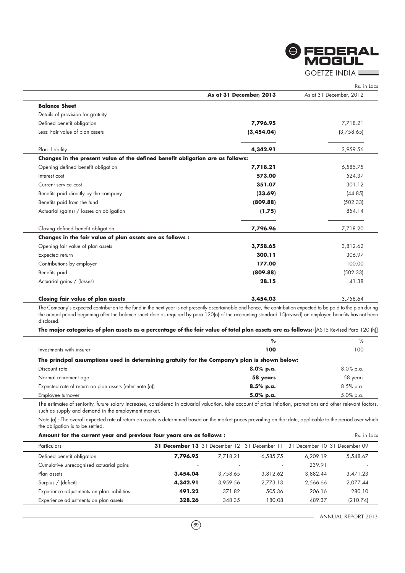

|  |  | Rs. in Lacs |
|--|--|-------------|

|                                                                                | As at 31 December, 2013 | As at 31 December, 2012 |
|--------------------------------------------------------------------------------|-------------------------|-------------------------|
| <b>Balance Sheet</b>                                                           |                         |                         |
| Details of provision for gratuity                                              |                         |                         |
| Defined benefit obligation                                                     | 7,796.95                | 7,718.21                |
| Less: Fair value of plan assets                                                | (3,454.04)              | (3,758.65)              |
| Plan liability                                                                 | 4,342.91                | 3,959.56                |
| Changes in the present value of the defined benefit obligation are as follows: |                         |                         |
| Opening defined benefit obligation                                             | 7,718.21                | 6,585.75                |
| Interest cost                                                                  | 573.00                  | 524.37                  |
| Current service cost                                                           | 351.07                  | 301.12                  |
| Benefits paid directly by the company                                          | (33.69)                 | (44.85)                 |
| Benefits paid from the fund                                                    | (809.88)                | (502.33)                |
| Actuarial (gains) / losses on obligation                                       | (1.75)                  | 854.14                  |
| Closing defined benefit obligation                                             | 7,796.96                | 7,718.20                |
| Changes in the fair value of plan assets are as follows:                       |                         |                         |
| Opening fair value of plan assets                                              | 3,758.65                | 3,812.62                |
| Expected return                                                                | 300.11                  | 306.97                  |
| Contributions by employer                                                      | 177.00                  | 100.00                  |
| Benefits paid                                                                  | (809.88)                | (502.33)                |
| Actuarial gains / (losses)                                                     | 28.15                   | 41.38                   |
| <b>Closing fair value of plan assets</b>                                       | 3,454.03                | 3.758.64                |

The Company's expected contribution to the fund in the next year is not presently ascertainable and hence, the contribution expected to be paid to the plan during the annual period beginning after the balance sheet date as required by para 120(o) of the accounting standard 15(revised) on employee benefits has not been disclosed.

#### **The major categories of plan assets as a percentage of the fair value of total plan assets are as follows:-**[AS15 Revised Para 120 (h)]

| %                                                                                             | %            |
|-----------------------------------------------------------------------------------------------|--------------|
| 100                                                                                           | 100          |
| The principal assumptions used in determining gratuity for the Company's plan is shown below: |              |
| $8.0\%$ p.a.                                                                                  | $8.0\%$ p.a. |
| 58 years                                                                                      | 58 years     |
| $8.5%$ p.a.                                                                                   | $8.5\%$ p.a. |
| $5.0\%$ p.a.                                                                                  | $5.0\%$ p.a. |
|                                                                                               |              |

The estimates of seniority, future salary increases, considered in actuarial valuation, take account of price inflation, promotions and other relevant factors, such as supply and demand in the employment market.

Note (a) : The overall expected rate of return on assets is determined based on the market prices prevailing on that date, applicable to the period over which the obligation is to be settled.

| Amount for the current year and previous four years are as follows : |                                              |          |          |                               | Rs. in Lacs |
|----------------------------------------------------------------------|----------------------------------------------|----------|----------|-------------------------------|-------------|
| Particulars                                                          | 31 December 13 31 December 12 31 December 11 |          |          | 31 December 10 31 December 09 |             |
| Defined benefit obligation                                           | 7,796.95                                     | 7.718.21 | 6.585.75 | 6.209.19                      | 5.548.67    |
| Cumulative unrecognised actuarial gains                              |                                              |          |          | 239.91                        |             |
| Plan assets                                                          | 3,454.04                                     | 3.758.65 | 3.812.62 | 3.882.44                      | 3.471.23    |
| Surplus / (deficit)                                                  | 4,342.91                                     | 3.959.56 | 2.773.13 | 2.566.66                      | 2.077.44    |
| Experience adjustments on plan liabilities                           | 491.22                                       | 371.82   | 505.36   | 206.16                        | 280.10      |
| Experience adjustments on plan assets                                | 328.26                                       | 348.35   | 180.08   | 489.37                        | (210.74)    |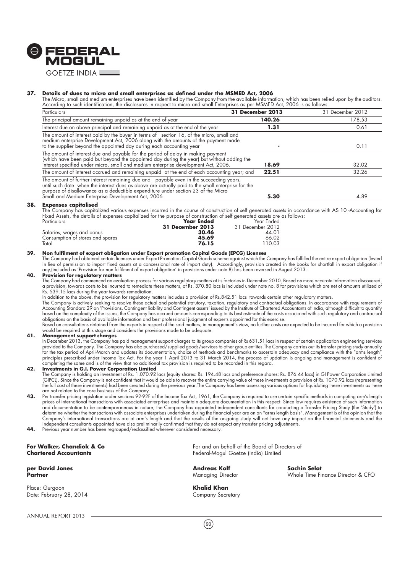

## **37. Details of dues to micro and small enterprises as defined under the MSMED Act, 2006**

The Micro, small and medium enterprises have been identified by the Company from the available information, which has been relied upon by the auditors. According to such identification, the disclosures in respect to micro and small Enterprises as per MSMED Act, 2006 is as follows:

| Particulars                                                                                                                                                                                                                                                                                                                           | <b>31 December 2013</b> | 31 December 2012 |
|---------------------------------------------------------------------------------------------------------------------------------------------------------------------------------------------------------------------------------------------------------------------------------------------------------------------------------------|-------------------------|------------------|
| The principal amount remaining unpaid as at the end of year                                                                                                                                                                                                                                                                           | 140.26                  | 178.53           |
| Interest due on above principal and remaining unpaid as at the end of the year                                                                                                                                                                                                                                                        | 1.31                    | 0.61             |
| The amount of interest paid by the buyer in terms of section 16, of the micro, small and medium enterprise Development Act, 2006 along with the amounts of the payment made to the supplier beyond the appointed day during ea                                                                                                        |                         | 0.11             |
| The amount of interest due and payable for the period of delay in making payment<br>(which have been paid but beyond the appointed day during the year) but without adding the<br>interest specified under micro, small and medium enterprise development Act, 2006.                                                                  | 18.69                   | 32.02            |
| The amount of interest accrued and remaining unpaid at the end of each accounting year; and                                                                                                                                                                                                                                           | 22.51                   | 32.26            |
| The amount of further interest remaining due and payable even in the succeeding years,<br>until such date when the interest dues as above are actually paid to the small enterprise for the<br>purpose of disallowance as a deductible expenditure under section 23 of the Micro<br>Small and Medium Enterprise Development Act, 2006 | 5.30                    | 4.89             |

#### **38. Expenses capitalised**

The Company has capitalized various expenses incurred in the course of construction of self generated assets in accordance with AS 10 -Accounting for Fixed Assets, the details of expenses capitalized for the purpose of construction of self generated assets are as follows:

| <b>Particulars</b>               | <b>Year Ended</b>       | Year Ended       |  |
|----------------------------------|-------------------------|------------------|--|
|                                  | <b>31 December 2013</b> | 31 December 2012 |  |
| Salaries, wages and bonus        | 30.46                   | 44.01            |  |
| Consumption of stores and spares | 45.69                   | 66.02            |  |
| Total                            | 76.15                   | 110.03           |  |

#### **39. Non fulfilment of export obligation under Export promotion Capital Goods (EPCG) Licenses**

The Company had obtained certain licenses under Export Promotion Capital Goods scheme against which the Company has fulfilled the entire export obligation (levied in lieu of permission to import fixed assets at a concessional rate of import duty). Accordingly, provision created in the books for shortfall in export obligation if any,(included as 'Provision for non fulfilment of export obligation' in provisions under note 8) has been reversed in August 2013.

#### **40. Provision for regulatory matters**

The Company had commenced an evaluation process for various regulatory matters at its factories in December 2010. Based on more accurate information discovered, a provision, towards costs to be incurred to remediate these matters, of Rs. 370.80 lacs is included under note no. 8 for provisions which are net of amounts utilized of Rs. 539.15 lacs during the year towards remediation.

In addition to the above, the provision for regulatory matters includes a provision of Rs.842.51 lacs towards certain other regulatory matters.

The Company is actively seeking to resolve these actual and potential statutory, taxation, regulatory and contractual obligations. In accordance with requirements of Accounting Standard 29 on 'Provisions, Contingent liability and Contingent assets' issued by the Institute of Chartered Accountants of India, although difficult to quantify based on the complexity of the issues, the Company has accrued amounts corresponding to its best estimate of the costs associated with such regulatory and contractual obligations on the basis of available information and best professional judgment of experts appointed for this exercise.

Based on consultations obtained from the experts in respect of the said matters, in management's view, no further costs are expected to be incurred for which a provision would be required at this stage and considers the provisions made to be adequate.

#### **41. Management support charges**

In December 2013, the Company has paid management support charges to its group companies of Rs 631.51 lacs in respect of certain application engineering services provided to the Company. The Company has also purchased/supplied goods/services to other group entiites.The Company carries out its transfer pricing study annually for the tax period of April-March and updates its documentation, choice of methods and benchmarks to ascertain adequacy and compliance with the "arms length" principles prescribed under Income Tax Act. For the year 1 April 2013 to 31 March 2014, the process of updation is ongoing and management is confident of completing the same and is of the view that no additional tax provision is required to be recorded in this regard.

#### **42. Investments in G.I. Power Corporation Limited**

The Company is holding an investment of Rs. 1,070.92 lacs (equity shares: Rs. 194.48 lacs and preference shares: Rs. 876.44 lacs) in GI Power Corporation Limited (GIPCL). Since the Company is not confident that it would be able to recover the entire carrying value of these investments a provision of Rs. 1070.92 lacs (representing the full cost of these investments) had been created during the previous year.The Company has been assessing various options for liquidating these investments as these are not related to the core business of the Company.

**43.** Per transfer pricing legislation under sections 92-92F of the Income Tax Act, 1961, the Company is required to use certain specific methods in computing arm's length prices of international transactions with associated enterprises and maintain adequate documentation in this respect. Since law requires existence of such information and documentation to be contemporaneous in nature, the Company has appointed independent consultants for conducting a Transfer Pricing Study (the 'Study') to determine whether the transactions with associate enterprises undertaken during the financial year are on an "arms length basis". Management is of the opinion that the Company's international transactions are at arm's length and that the results of the on-going study will not have any impact on the financial statements and the independent consultants appointed have also preliminarily confirmed that they do not expect any transfer pricing adjustments.

**44.** Previous year number has been regrouped/reclassified wherever considered necessary.

**per David Jones Andreas Kolf Sachin Selot**

Place: Gurgaon **Khalid Khan** Date: February 28, 2014 Company Secretary

ANNUAL REPORT 2013

**For Walker, Chandiok & Co** For and on behalf of the Board of Directors of **Chartered Accountants**<br> **Chartered Accountants Chartered Accountants** Federal-Mogul Goetze (India) Limited

**Partner Managing Director Managing Director Changing Director Whole Time Finance Director & CFO** 

 $(90)$